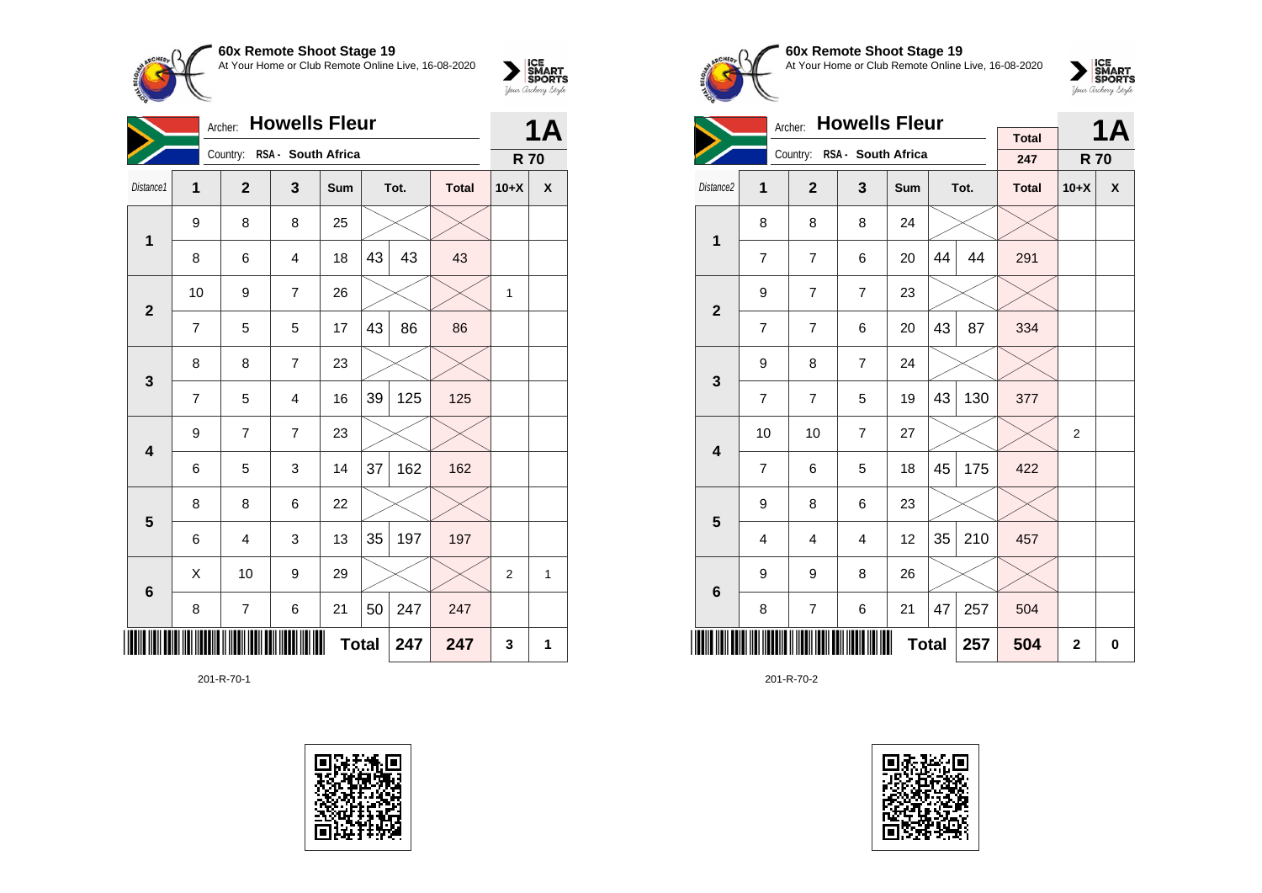

|                         | <b>Howells Fleur</b><br>Archer: |                |                             |     |    |      |              |                |   |  |
|-------------------------|---------------------------------|----------------|-----------------------------|-----|----|------|--------------|----------------|---|--|
|                         |                                 |                | Country: RSA - South Africa |     |    |      |              | <b>R70</b>     |   |  |
| Distance1               | 1                               | $\mathbf{2}$   | 3                           | Sum |    | Tot. | <b>Total</b> | $10+X$         | X |  |
| 1                       | 9                               | 8              | 8                           | 25  |    |      |              |                |   |  |
|                         | 8                               | 6              | $\overline{4}$              | 18  | 43 | 43   | 43           |                |   |  |
| $\overline{\mathbf{2}}$ | 10                              | 9              | $\overline{7}$              | 26  |    |      |              | 1              |   |  |
|                         | 7                               | 5              | 5                           | 17  | 43 | 86   | 86           |                |   |  |
|                         | 8                               | 8              | $\overline{7}$              | 23  |    |      |              |                |   |  |
| 3                       | $\overline{7}$                  | 5              | $\overline{\mathbf{4}}$     | 16  | 39 | 125  | 125          |                |   |  |
| $\overline{\mathbf{4}}$ | 9                               | $\overline{7}$ | $\overline{7}$              | 23  |    |      |              |                |   |  |
|                         | 6                               | 5              | 3                           | 14  | 37 | 162  | 162          |                |   |  |
| $\overline{\mathbf{5}}$ | 8                               | 8              | 6                           | 22  |    |      |              |                |   |  |
|                         | 6                               | 4              | 3                           | 13  | 35 | 197  | 197          |                |   |  |
| 6                       | X                               | 10             | 9                           | 29  |    |      |              | $\overline{2}$ | 1 |  |
|                         | 8                               | $\overline{7}$ | 6                           | 21  | 50 | 247  | 247          |                |   |  |
|                         | <b>Total</b><br>247<br>247      |                |                             |     |    |      |              |                |   |  |

201-R-70-1





**60x Remote Shoot Stage 19** At Your Home or Club Remote Online Live, 16-08-2020

 $\sum_{\text{your } \text{Order}} \frac{\text{ICE}}{\text{SDORTS}}$ 

|                         | Archer:        |                |                             |              | <b>1A</b> |     |              |                |   |
|-------------------------|----------------|----------------|-----------------------------|--------------|-----------|-----|--------------|----------------|---|
|                         |                |                |                             |              |           |     | <b>Total</b> |                |   |
|                         |                |                | Country: RSA - South Africa |              |           |     | 247          | <b>R70</b>     |   |
| Distance <sub>2</sub>   | 1              | $\overline{2}$ | $\overline{\mathbf{3}}$     | Sum          | Tot.      |     | <b>Total</b> | $10+X$         | X |
| $\mathbf{1}$            | 8              | 8              | 8                           | 24           |           |     |              |                |   |
|                         | $\overline{7}$ | $\overline{7}$ | 6                           | 20           | 44        | 44  | 291          |                |   |
| $\overline{2}$          | 9              | $\overline{7}$ | $\overline{7}$              | 23           |           |     |              |                |   |
|                         | $\overline{7}$ | $\overline{7}$ | 6                           | 20           | 43        | 87  | 334          |                |   |
| 3                       | 9              | 8              | $\overline{7}$              | 24           |           |     |              |                |   |
|                         | 7              | 7              | 5                           | 19           | 43        | 130 | 377          |                |   |
| $\overline{\mathbf{4}}$ | 10             | 10             | $\overline{7}$              | 27           |           |     |              | $\overline{2}$ |   |
|                         | $\overline{7}$ | 6              | 5                           | 18           | 45        | 175 | 422          |                |   |
| 5                       | 9              | 8              | 6                           | 23           |           |     |              |                |   |
|                         | $\overline{4}$ | 4              | 4                           | 12           | 35        | 210 | 457          |                |   |
| 6                       | 9              | 9              | 8                           | 26           |           |     |              |                |   |
|                         | 8              | $\overline{7}$ | 6                           | 21           | 47        | 257 | 504          |                |   |
|                         |                | 257            | 504                         | $\mathbf{2}$ | 0         |     |              |                |   |

201-R-70-2

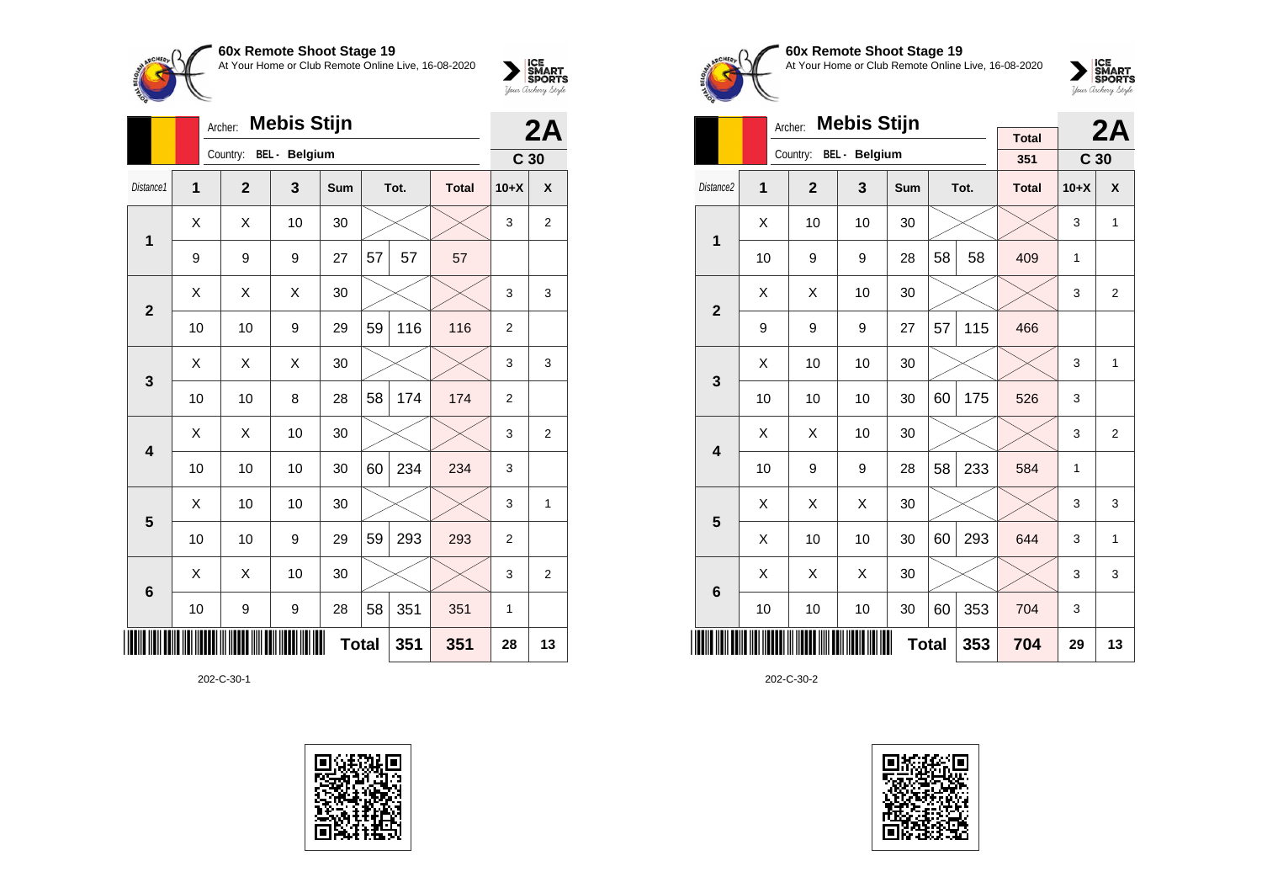At Your Home or Club Remote Online Live, 16-08-2020



| ICE<br>SMART<br>SPORTS |
|------------------------|
| Your Archerry Stryle   |

|                 | <b>Mebis Stijn</b><br>Archer: |                |                      |              |    |      |              |                 |                |  |
|-----------------|-------------------------------|----------------|----------------------|--------------|----|------|--------------|-----------------|----------------|--|
|                 |                               | Country:       | <b>BEL</b> - Belgium |              |    |      |              | C <sub>30</sub> |                |  |
| Distance1       | 1                             | $\overline{2}$ | 3                    | <b>Sum</b>   |    | Tot. | <b>Total</b> | $10+X$          | X              |  |
| 1               | X                             | X              | 10                   | 30           |    |      |              | 3               | $\overline{2}$ |  |
|                 | 9                             | 9              | 9                    | 27           | 57 | 57   | 57           |                 |                |  |
| $\overline{2}$  | X                             | Χ              | X                    | 30           |    |      |              | 3               | 3              |  |
|                 | 10                            | 10             | 9                    | 29           | 59 | 116  | 116          | $\overline{2}$  |                |  |
|                 | X                             | X              | X                    | 30           |    |      |              | 3               | 3              |  |
| 3               | 10                            | 10             | 8                    | 28           | 58 | 174  | 174          | $\overline{2}$  |                |  |
| 4               | X                             | Χ              | 10                   | 30           |    |      |              | 3               | $\overline{2}$ |  |
|                 | 10                            | 10             | 10                   | 30           | 60 | 234  | 234          | 3               |                |  |
| 5               | X                             | 10             | 10                   | 30           |    |      |              | 3               | 1              |  |
|                 | 10                            | 10             | 9                    | 29           | 59 | 293  | 293          | $\overline{2}$  |                |  |
| $6\phantom{1}6$ | X                             | X              | 10                   | 30           |    |      |              | 3               | $\overline{2}$ |  |
|                 | 10                            | 9              | 9                    | 28           | 58 | 351  | 351          | 1               |                |  |
|                 |                               |                |                      | <b>Total</b> |    | 351  | 351          | 28              | 13             |  |

202-C-30-1





# **60x Remote Shoot Stage 19** At Your Home or Club Remote Online Live, 16-08-2020



|                         |    | <b>Mebis Stijn</b><br>Archer: |                      |              |    | 2A   |                     |                 |                |
|-------------------------|----|-------------------------------|----------------------|--------------|----|------|---------------------|-----------------|----------------|
|                         |    | Country:                      | <b>BEL</b> - Belgium |              |    |      | <b>Total</b><br>351 | C <sub>30</sub> |                |
| Distance <sub>2</sub>   | 1  | $\overline{2}$                | 3                    | Sum          |    | Tot. | <b>Total</b>        | $10+X$          | X              |
| 1                       | Χ  | 10                            | 10                   | 30           |    |      |                     | 3               | 1              |
|                         | 10 | 9                             | 9                    | 28           | 58 | 58   | 409                 | 1               |                |
| $\overline{2}$          | X  | X                             | 10                   | 30           |    |      |                     | 3               | $\overline{2}$ |
|                         | 9  | 9                             | 9                    | 27           | 57 | 115  | 466                 |                 |                |
| 3                       | X  | 10                            | 10                   | 30           |    |      |                     | 3               | $\mathbf{1}$   |
|                         | 10 | 10                            | 10                   | 30           | 60 | 175  | 526                 | 3               |                |
| $\overline{\mathbf{4}}$ | Χ  | X                             | 10                   | 30           |    |      |                     | 3               | $\overline{2}$ |
|                         | 10 | 9                             | 9                    | 28           | 58 | 233  | 584                 | 1               |                |
| 5                       | X  | X                             | X                    | 30           |    |      |                     | 3               | 3              |
|                         | X  | 10                            | 10                   | 30           | 60 | 293  | 644                 | 3               | 1              |
| 6                       | X  | X                             | X                    | 30           |    |      |                     | 3               | 3              |
|                         | 10 | 10                            | 10                   | 30           | 60 | 353  | 704                 | 3               |                |
|                         |    |                               |                      | <b>Total</b> |    | 353  | 704                 | 29              | 13             |

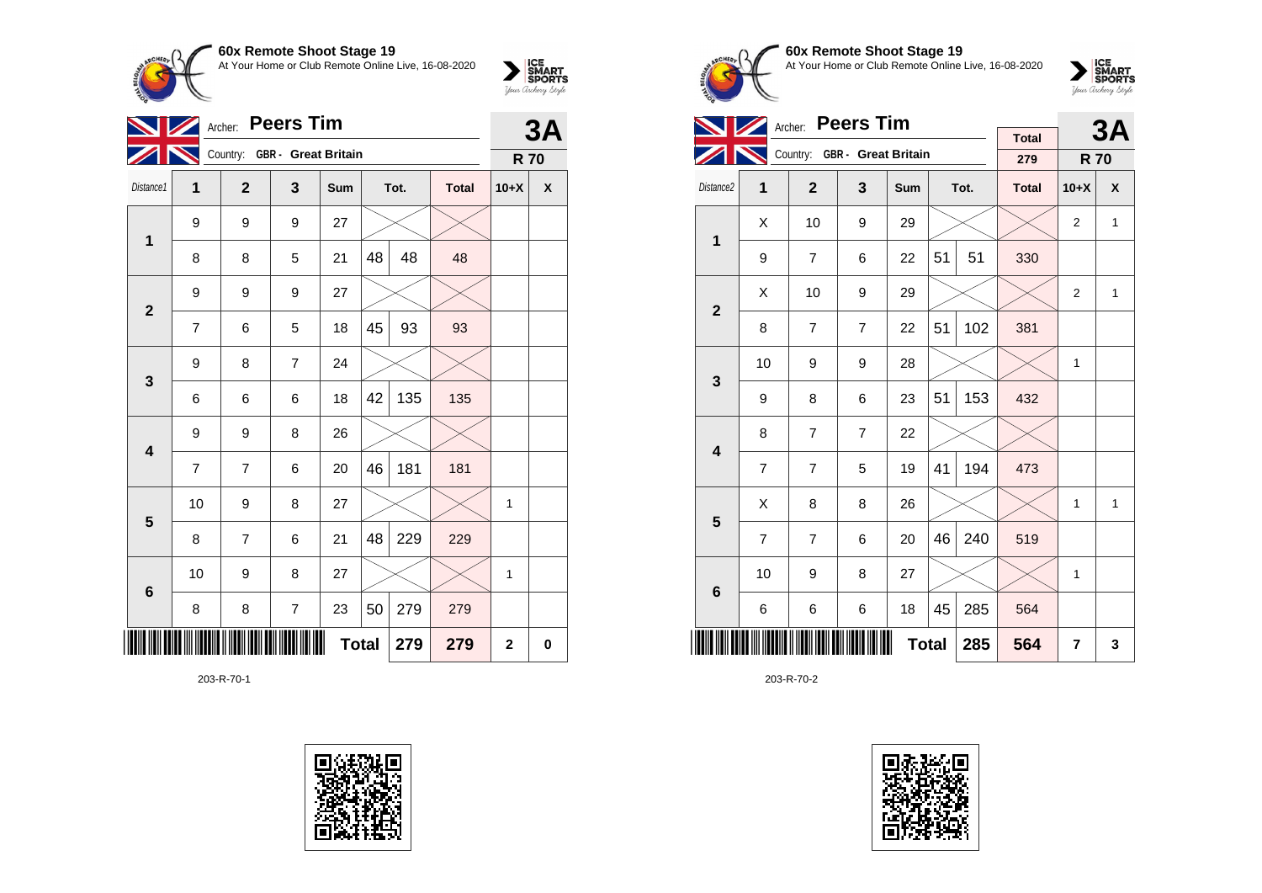

|                         | 3A             |                              |                |              |    |      |              |              |             |
|-------------------------|----------------|------------------------------|----------------|--------------|----|------|--------------|--------------|-------------|
|                         |                | Country: GBR - Great Britain |                |              |    |      |              | <b>R70</b>   |             |
| Distance1               | 1              | $\overline{2}$               | 3              | Sum          |    | Tot. | <b>Total</b> | $10+X$       | X           |
| 1                       | 9              | 9                            | 9              | 27           |    |      |              |              |             |
|                         | 8              | 8                            | 5              | 21           | 48 | 48   | 48           |              |             |
| $\mathbf{2}$            | 9              | 9                            | 9              | 27           |    |      |              |              |             |
|                         | 7              | 6                            | 5              | 18           | 45 | 93   | 93           |              |             |
| 3                       | 9              | 8                            | $\overline{7}$ | 24           |    |      |              |              |             |
|                         | 6              | 6                            | 6              | 18           | 42 | 135  | 135          |              |             |
| $\overline{\mathbf{4}}$ | 9              | 9                            | 8              | 26           |    |      |              |              |             |
|                         | $\overline{7}$ | 7                            | 6              | 20           | 46 | 181  | 181          |              |             |
| 5                       | 10             | 9                            | 8              | 27           |    |      |              | 1            |             |
|                         | 8              | 7                            | 6              | 21           | 48 | 229  | 229          |              |             |
| $6\phantom{1}6$         | 10             | 9                            | 8              | 27           |    |      |              | 1            |             |
|                         | 8              | 8                            | $\overline{7}$ | 23           | 50 | 279  | 279          |              |             |
|                         |                |                              |                | <b>Total</b> |    | 279  | 279          | $\mathbf{2}$ | $\mathbf 0$ |

203-R-70-1







 $\sum_{\text{your } \text{Order}} \frac{\text{ICE}}{\text{SDORTS}}$ 

|                         |                | Archer: Peers Tim |                              |              |    | 3A   |                     |                |              |
|-------------------------|----------------|-------------------|------------------------------|--------------|----|------|---------------------|----------------|--------------|
|                         |                |                   | Country: GBR - Great Britain |              |    |      | <b>Total</b><br>279 | <b>R70</b>     |              |
| Distance <sub>2</sub>   | 1              | $\overline{2}$    | 3                            | Sum          |    | Tot. | <b>Total</b>        | $10+X$         | X            |
| $\mathbf 1$             | X              | 10                | 9                            | 29           |    |      |                     | 2              | $\mathbf{1}$ |
|                         | 9              | $\overline{7}$    | 6                            | 22           | 51 | 51   | 330                 |                |              |
| $\overline{2}$          | X              | 10                | 9                            | 29           |    |      |                     | $\overline{2}$ | $\mathbf{1}$ |
|                         | 8              | $\overline{7}$    | $\overline{7}$               | 22           | 51 | 102  | 381                 |                |              |
| 3                       | 10             | 9                 | 9                            | 28           |    |      |                     | 1              |              |
|                         | 9              | 8                 | 6                            | 23           | 51 | 153  | 432                 |                |              |
| $\overline{\mathbf{4}}$ | 8              | $\overline{7}$    | $\overline{7}$               | 22           |    |      |                     |                |              |
|                         | $\overline{7}$ | $\overline{7}$    | 5                            | 19           | 41 | 194  | 473                 |                |              |
| 5                       | X              | 8                 | 8                            | 26           |    |      |                     | 1              | 1            |
|                         | $\overline{7}$ | $\overline{7}$    | 6                            | 20           | 46 | 240  | 519                 |                |              |
| $6\phantom{1}$          | 10             | 9                 | 8                            | 27           |    |      |                     | $\mathbf{1}$   |              |
|                         | 6              | 6                 | 6                            | 18           | 45 | 285  | 564                 |                |              |
|                         |                |                   |                              | <b>Total</b> |    | 285  | 564                 | 7              | 3            |

203-R-70-2

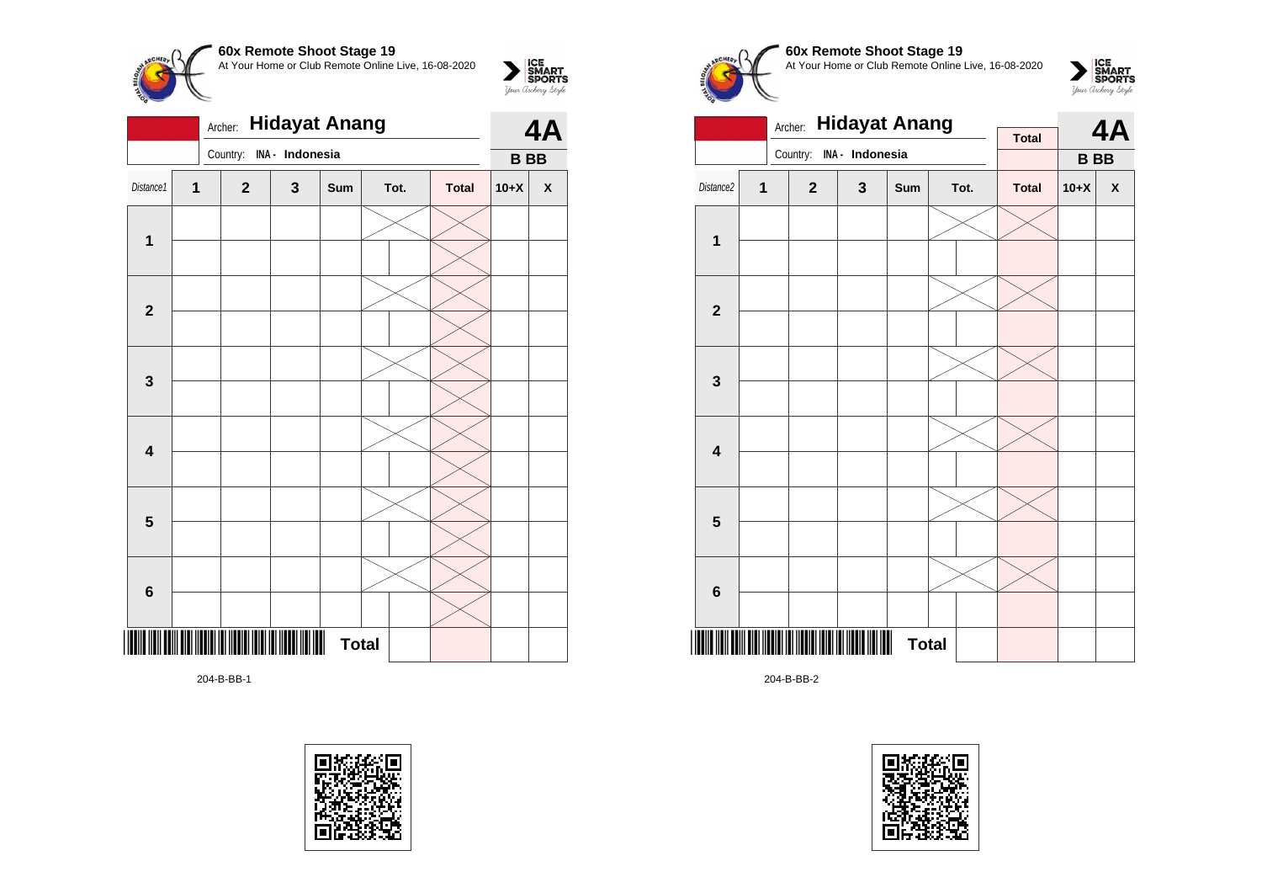

|                | 4A |              |                 |              |      |              |           |   |
|----------------|----|--------------|-----------------|--------------|------|--------------|-----------|---|
|                |    | Country:     | INA - Indonesia |              |      |              | <b>BB</b> |   |
| Distance1      | 1  | $\mathbf{2}$ | $\mathbf 3$     | Sum          | Tot. | <b>Total</b> | $10+X$    | X |
| 1              |    |              |                 |              |      |              |           |   |
|                |    |              |                 |              |      |              |           |   |
|                |    |              |                 |              |      |              |           |   |
| $\mathbf{2}$   |    |              |                 |              |      |              |           |   |
|                |    |              |                 |              |      |              |           |   |
| 3              |    |              |                 |              |      |              |           |   |
|                |    |              |                 |              |      |              |           |   |
| 4              |    |              |                 |              |      |              |           |   |
|                |    |              |                 |              |      |              |           |   |
| 5              |    |              |                 |              |      |              |           |   |
|                |    |              |                 |              |      |              |           |   |
| $6\phantom{1}$ |    |              |                 |              |      |              |           |   |
|                |    |              |                 | <b>Total</b> |      |              |           |   |

204-B-BB-1





# **60x Remote Shoot Stage 19** At Your Home or Club Remote Online Live, 16-08-2020



|                         |   | <b>Hidayat Anang</b><br>Archer: |             | <b>Total</b> |  | 4A   |              |            |   |
|-------------------------|---|---------------------------------|-------------|--------------|--|------|--------------|------------|---|
|                         |   | Country: INA - Indonesia        |             |              |  |      |              | <b>BBB</b> |   |
| Distance2               | 1 | $\overline{2}$                  | $\mathbf 3$ | Sum          |  | Tot. | <b>Total</b> | $10+X$     | X |
|                         |   |                                 |             |              |  |      |              |            |   |
| 1                       |   |                                 |             |              |  |      |              |            |   |
|                         |   |                                 |             |              |  |      |              |            |   |
| $\mathbf 2$             |   |                                 |             |              |  |      |              |            |   |
|                         |   |                                 |             |              |  |      |              |            |   |
| $\mathbf 3$             |   |                                 |             |              |  |      |              |            |   |
|                         |   |                                 |             |              |  |      |              |            |   |
| $\overline{\mathbf{4}}$ |   |                                 |             |              |  |      |              |            |   |
|                         |   |                                 |             |              |  |      |              |            |   |
| $\overline{\mathbf{5}}$ |   |                                 |             |              |  |      |              |            |   |
|                         |   |                                 |             |              |  |      |              |            |   |
| $\bf 6$                 |   |                                 |             |              |  |      |              |            |   |
|                         |   |                                 |             | <b>Total</b> |  |      |              |            |   |

204-B-BB-2

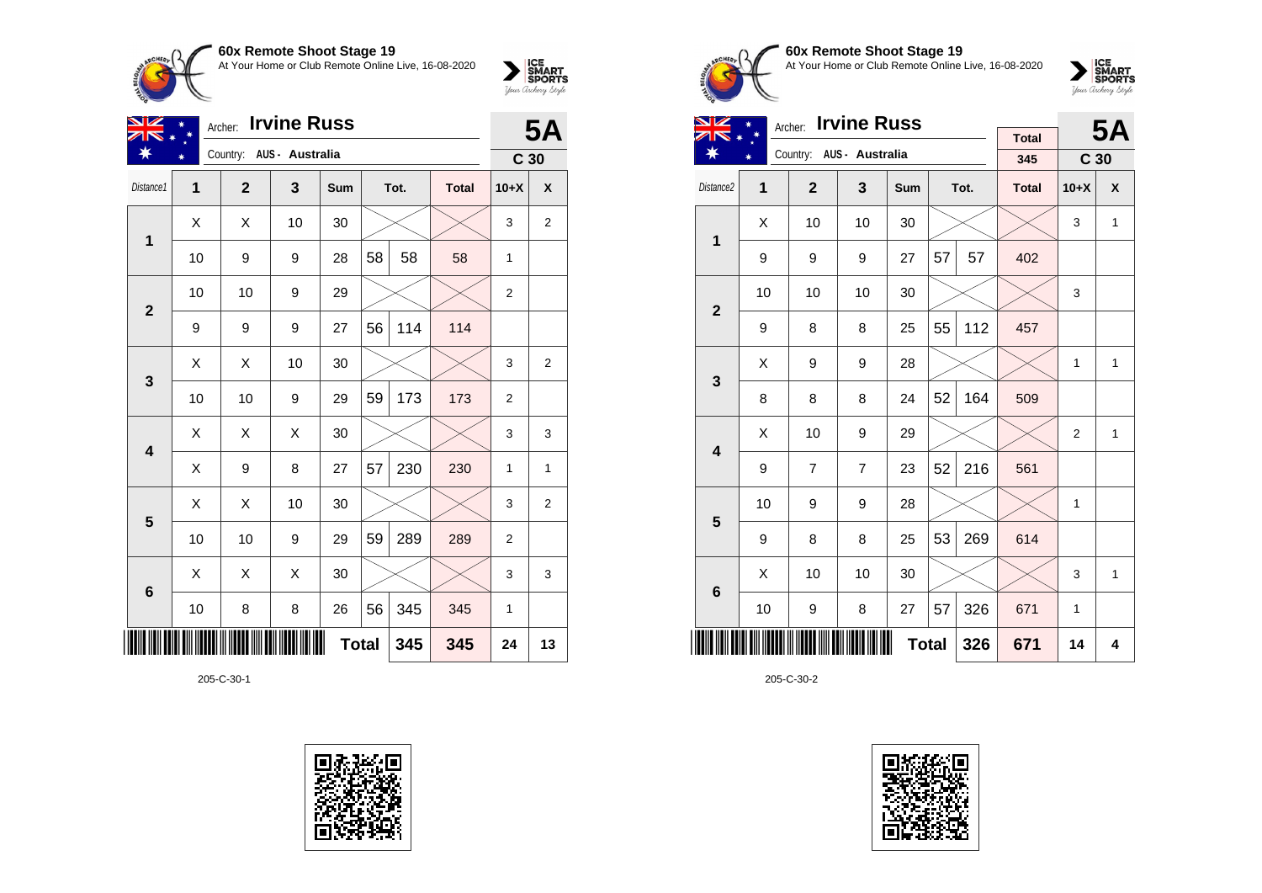

| oox iveniole onool oldge 19                         | <b>ICE<br/>SMART<br/>SPORTS</b> |
|-----------------------------------------------------|---------------------------------|
| At Your Home or Club Remote Online Live. 16-08-2020 | Your Archerry Stryle            |
|                                                     |                                 |

| VZ                      | <b>5A</b> |                          |    |              |    |      |              |                 |    |
|-------------------------|-----------|--------------------------|----|--------------|----|------|--------------|-----------------|----|
|                         |           | Country: AUS - Australia |    |              |    |      |              | C <sub>30</sub> |    |
| Distance1               | 1         | $\mathbf{2}$             | 3  | Sum          |    | Tot. | <b>Total</b> | $10+X$          | X  |
| 1                       | Χ         | X                        | 10 | 30           |    |      |              | 3               | 2  |
|                         | 10        | 9                        | 9  | 28           | 58 | 58   | 58           | 1               |    |
| $\overline{2}$          | 10        | 10                       | 9  | 29           |    |      |              | $\overline{2}$  |    |
|                         | 9         | 9                        | 9  | 27           | 56 | 114  | 114          |                 |    |
|                         | Χ         | X                        | 10 | 30           |    |      |              | 3               | 2  |
| 3                       | 10        | 10                       | 9  | 29           | 59 | 173  | 173          | $\overline{2}$  |    |
| $\overline{\mathbf{4}}$ | X         | X                        | X  | 30           |    |      |              | 3               | 3  |
|                         | X         | 9                        | 8  | 27           | 57 | 230  | 230          | 1               | 1  |
| $\overline{\mathbf{5}}$ | X         | X                        | 10 | 30           |    |      |              | 3               | 2  |
|                         | 10        | 10                       | 9  | 29           | 59 | 289  | 289          | $\overline{2}$  |    |
| $6\phantom{1}6$         | X         | X                        | X  | 30           |    |      |              | 3               | 3  |
|                         | 10        | 8                        | 8  | 26           | 56 | 345  | 345          | $\mathbf{1}$    |    |
|                         |           |                          |    | <b>Total</b> |    | 345  | 345          | 24              | 13 |

205-C-30-1





# **60x Remote Shoot Stage 19** At Your Home or Club Remote Online Live, 16-08-2020



| VZ                      |                | Archer: Irvine Russ |                          |     |              | <b>5A</b> |              |                 |              |
|-------------------------|----------------|---------------------|--------------------------|-----|--------------|-----------|--------------|-----------------|--------------|
|                         |                |                     | Country: AUS - Australia |     |              |           | <b>Total</b> |                 |              |
|                         |                |                     |                          |     |              |           | 345          | C <sub>30</sub> |              |
| Distance2               | $\overline{1}$ | $\overline{2}$      | 3                        | Sum |              | Tot.      | <b>Total</b> | $10+X$          | X            |
| $\mathbf 1$             | X              | 10                  | 10                       | 30  |              |           |              | 3               | $\mathbf{1}$ |
|                         | 9              | 9                   | 9                        | 27  | 57           | 57        | 402          |                 |              |
| $\overline{2}$          | 10             | 10                  | 10                       | 30  |              |           |              | 3               |              |
|                         | 9              | 8                   | 8                        | 25  | 55           | 112       | 457          |                 |              |
| 3                       | X              | 9                   | 9                        | 28  |              |           |              | $\mathbf{1}$    | $\mathbf{1}$ |
|                         | 8              | 8                   | 8                        | 24  | 52           | 164       | 509          |                 |              |
| $\overline{\mathbf{4}}$ | X              | 10                  | 9                        | 29  |              |           |              | 2               | 1            |
|                         | 9              | $\overline{7}$      | $\overline{7}$           | 23  | 52           | 216       | 561          |                 |              |
| 5                       | 10             | 9                   | 9                        | 28  |              |           |              | 1               |              |
|                         | 9              | 8                   | 8                        | 25  | 53           | 269       | 614          |                 |              |
| 6                       | X              | 10                  | 10                       | 30  |              |           |              | 3               | $\mathbf{1}$ |
|                         | 10             | 9                   | 8                        | 27  | 57           | 326       | 671          | $\mathbf{1}$    |              |
|                         |                |                     |                          |     | <b>Total</b> | 326       | 671          | 14              | 4            |

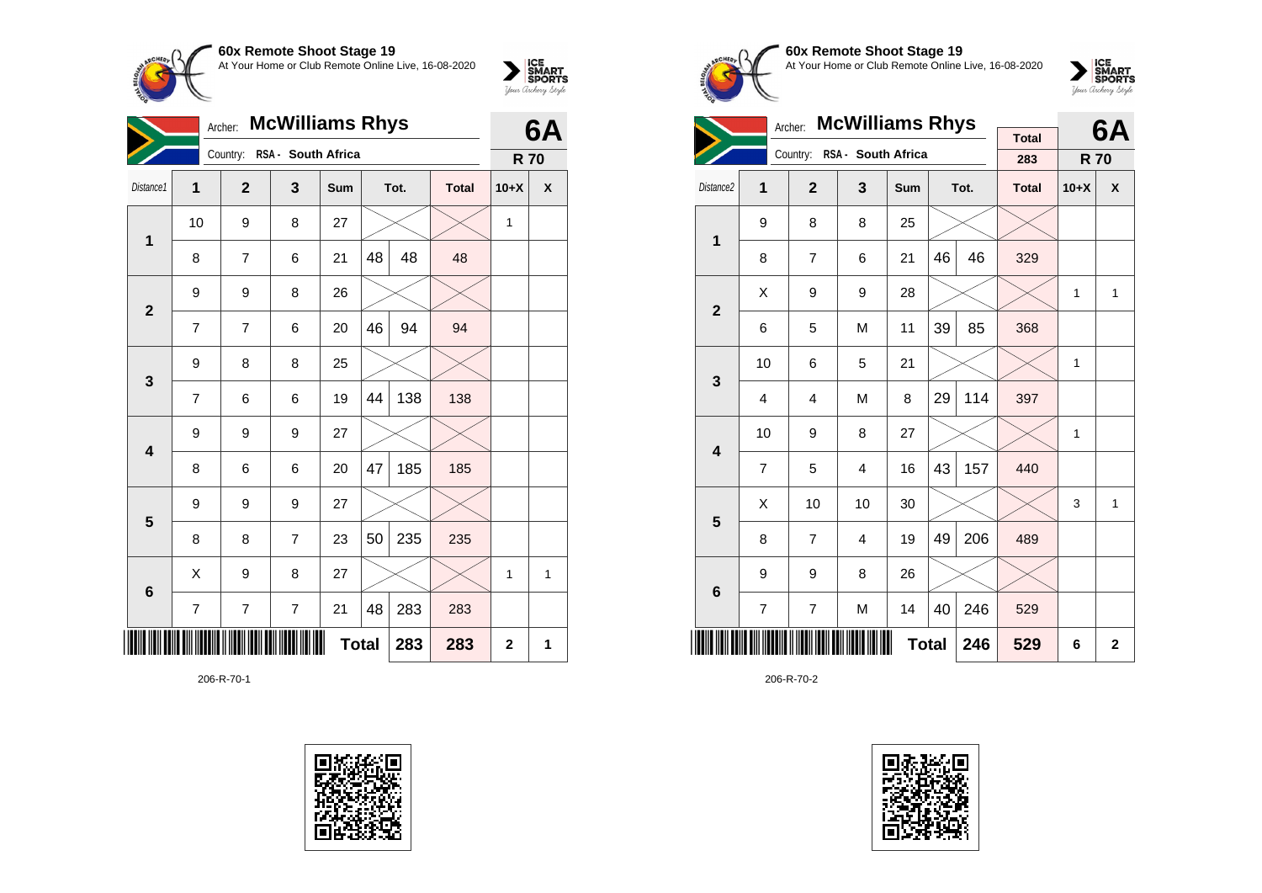

| <b>McWilliams Rhys</b><br>Archer: |                |                             |                |              |    |      |              | 6A           |              |
|-----------------------------------|----------------|-----------------------------|----------------|--------------|----|------|--------------|--------------|--------------|
|                                   |                | Country: RSA - South Africa |                |              |    |      |              | <b>R70</b>   |              |
| Distance1                         | 1              | $\mathbf{2}$                | 3              | Sum          |    | Tot. | <b>Total</b> | $10+X$       | X            |
| $\mathbf{1}$                      | 10             | 9                           | 8              | 27           |    |      |              | 1            |              |
|                                   | 8              | $\overline{7}$              | 6              | 21           | 48 | 48   | 48           |              |              |
| $\overline{\mathbf{2}}$           | 9              | 9                           | 8              | 26           |    |      |              |              |              |
|                                   | 7              | 7                           | 6              | 20           | 46 | 94   | 94           |              |              |
| 3                                 | 9              | 8                           | 8              | 25           |    |      |              |              |              |
|                                   | $\overline{7}$ | 6                           | 6              | 19           | 44 | 138  | 138          |              |              |
| 4                                 | 9              | 9                           | 9              | 27           |    |      |              |              |              |
|                                   | 8              | 6                           | 6              | 20           | 47 | 185  | 185          |              |              |
| 5                                 | 9              | 9                           | 9              | 27           |    |      |              |              |              |
|                                   | 8              | 8                           | $\overline{7}$ | 23           | 50 | 235  | 235          |              |              |
| 6                                 | Χ              | 9                           | 8              | 27           |    |      |              | 1            | $\mathbf{1}$ |
|                                   | $\overline{7}$ | 7                           | $\overline{7}$ | 21           | 48 | 283  | 283          |              |              |
|                                   |                |                             |                | <b>Total</b> |    | 283  | 283          | $\mathbf{2}$ | 1            |

206-R-70-1





**60x Remote Shoot Stage 19** At Your Home or Club Remote Online Live, 16-08-2020

 $\sum_{\text{your } \text{Order}} \frac{\text{ICE}}{\text{SDORTS}}$ 

|                         |                | Archer:        | <b>McWilliams Rhys</b>  |              |    | 6A   |                     |              |              |
|-------------------------|----------------|----------------|-------------------------|--------------|----|------|---------------------|--------------|--------------|
|                         |                | Country:       | RSA - South Africa      |              |    |      | <b>Total</b><br>283 | <b>R70</b>   |              |
| Distance <sub>2</sub>   | 1              | $\overline{2}$ | $\overline{\mathbf{3}}$ | Sum          |    | Tot. | <b>Total</b>        | $10+X$       | X            |
| 1                       | 9              | 8              | 8                       | 25           |    |      |                     |              |              |
|                         | 8              | 7              | 6                       | 21           | 46 | 46   | 329                 |              |              |
| $\overline{2}$          | Χ              | 9              | 9                       | 28           |    |      |                     | 1            | 1            |
|                         | 6              | 5              | M                       | 11           | 39 | 85   | 368                 |              |              |
| 3                       | 10             | 6              | 5                       | 21           |    |      |                     | 1            |              |
|                         | 4              | 4              | M                       | 8            | 29 | 114  | 397                 |              |              |
| $\overline{\mathbf{4}}$ | 10             | 9              | 8                       | 27           |    |      |                     | $\mathbf{1}$ |              |
|                         | $\overline{7}$ | 5              | $\overline{4}$          | 16           | 43 | 157  | 440                 |              |              |
| 5                       | X              | 10             | 10                      | 30           |    |      |                     | 3            | 1            |
|                         | 8              | $\overline{7}$ | $\overline{4}$          | 19           | 49 | 206  | 489                 |              |              |
| 6                       | 9              | 9              | 8                       | 26           |    |      |                     |              |              |
|                         | 7              | $\overline{7}$ | M                       | 14           | 40 | 246  | 529                 |              |              |
|                         |                |                |                         | <b>Total</b> |    | 246  | 529                 | 6            | $\mathbf{2}$ |

206-R-70-2

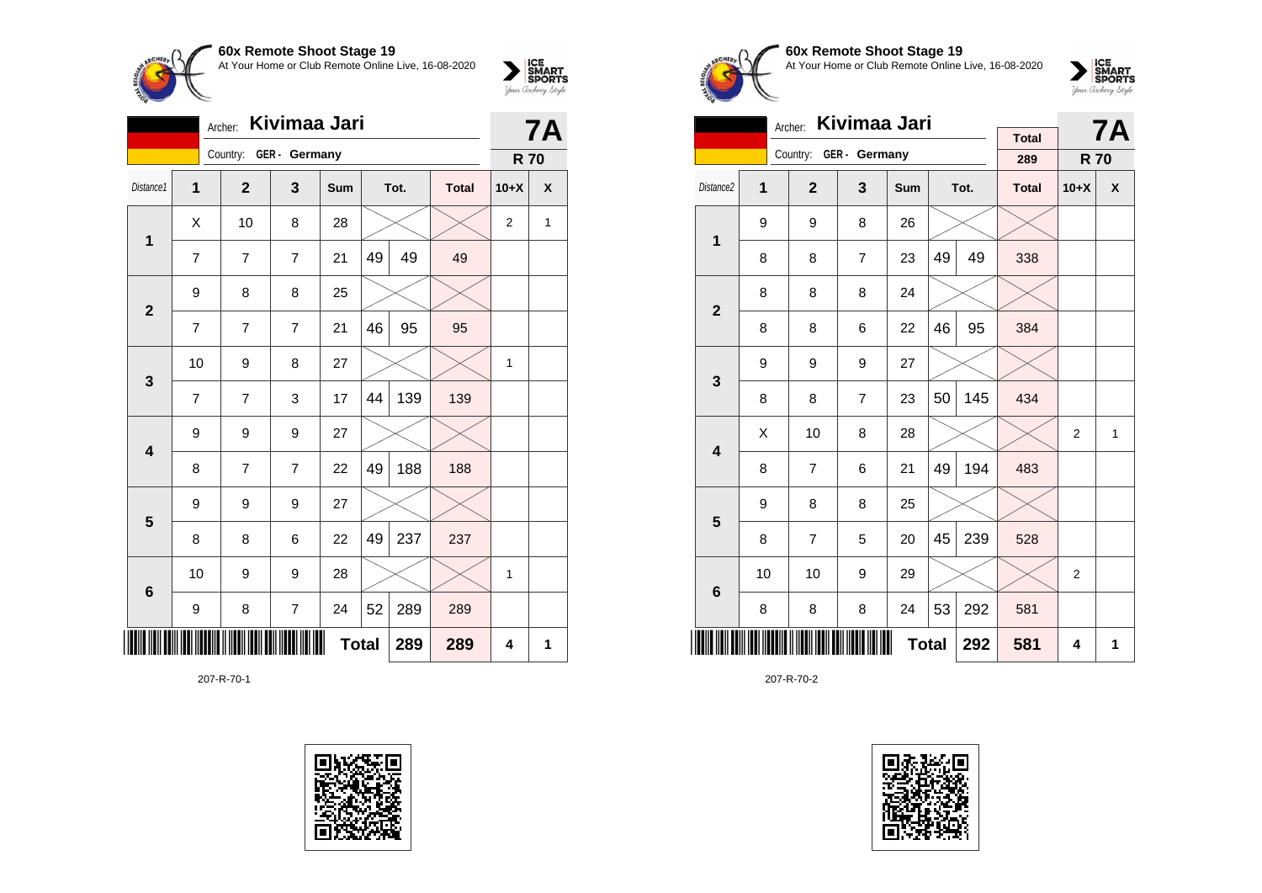

|                         | Kivimaa Jari<br>Archer: |                        |                |     |              |      |              |                |   |  |
|-------------------------|-------------------------|------------------------|----------------|-----|--------------|------|--------------|----------------|---|--|
|                         |                         | Country: GER - Germany |                |     |              |      |              | <b>R70</b>     |   |  |
| Distance1               | 1                       | $\overline{2}$         | 3              | Sum |              | Tot. | <b>Total</b> | $10+X$         | X |  |
| 1                       | X                       | 10                     | 8              | 28  |              |      |              | $\overline{2}$ | 1 |  |
|                         | $\overline{7}$          | $\overline{7}$         | 7              | 21  | 49           | 49   | 49           |                |   |  |
| $\overline{2}$          | 9                       | 8                      | 8              | 25  |              |      |              |                |   |  |
|                         | 7                       | 7                      | 7              | 21  | 46           | 95   | 95           |                |   |  |
| 3                       | 10                      | 9                      | 8              | 27  |              |      |              | 1              |   |  |
|                         | $\overline{7}$          | 7                      | 3              | 17  | 44           | 139  | 139          |                |   |  |
| 4                       | 9                       | 9                      | 9              | 27  |              |      |              |                |   |  |
|                         | 8                       | 7                      | $\overline{7}$ | 22  | 49           | 188  | 188          |                |   |  |
| $\overline{\mathbf{5}}$ | 9                       | 9                      | 9              | 27  |              |      |              |                |   |  |
|                         | 8                       | 8                      | 6              | 22  | 49           | 237  | 237          |                |   |  |
| $6\phantom{1}6$         | 10                      | 9                      | 9              | 28  |              |      |              | 1              |   |  |
|                         | 9                       | 8                      | $\overline{7}$ | 24  | 52           | 289  | 289          |                |   |  |
|                         |                         |                        |                |     | <b>Total</b> | 289  | 289          | 4              | 1 |  |

207-R-70-1





#### **60x Remote Shoot Stage 19** At Your Home or Club Remote Online Live, 16-08-2020



|                         | Kivimaa Jari<br>Archer: |                |                |            |    |      |                     |                | <b>7A</b> |
|-------------------------|-------------------------|----------------|----------------|------------|----|------|---------------------|----------------|-----------|
|                         |                         | Country:       | GER - Germany  |            |    |      | <b>Total</b><br>289 | <b>R70</b>     |           |
| Distance <sub>2</sub>   | 1                       | $\overline{2}$ | 3              | <b>Sum</b> |    | Tot. | <b>Total</b>        | $10+X$         | X         |
| 1                       | 9                       | 9              | 8              | 26         |    |      |                     |                |           |
|                         | 8                       | 8              | $\overline{7}$ | 23         | 49 | 49   | 338                 |                |           |
| $\overline{2}$          | 8                       | 8              | 8              | 24         |    |      |                     |                |           |
|                         | 8                       | 8              | 6              | 22         | 46 | 95   | 384                 |                |           |
| 3                       | 9                       | 9              | 9              | 27         |    |      |                     |                |           |
|                         | 8                       | 8              | $\overline{7}$ | 23         | 50 | 145  | 434                 |                |           |
| $\overline{\mathbf{4}}$ | X                       | 10             | 8              | 28         |    |      |                     | $\overline{2}$ | 1         |
|                         | 8                       | $\overline{7}$ | 6              | 21         | 49 | 194  | 483                 |                |           |
| 5                       | 9                       | 8              | 8              | 25         |    |      |                     |                |           |
|                         | 8                       | $\overline{7}$ | 5              | 20         | 45 | 239  | 528                 |                |           |
| 6                       | 10                      | 10             | 9              | 29         |    |      |                     | $\overline{2}$ |           |
|                         | 8                       | 8              | 8              | 24         | 53 | 292  | 581                 |                |           |
|                         | <b>Total</b><br>292     |                |                |            |    |      |                     | 4              | 1         |

207-R-70-2

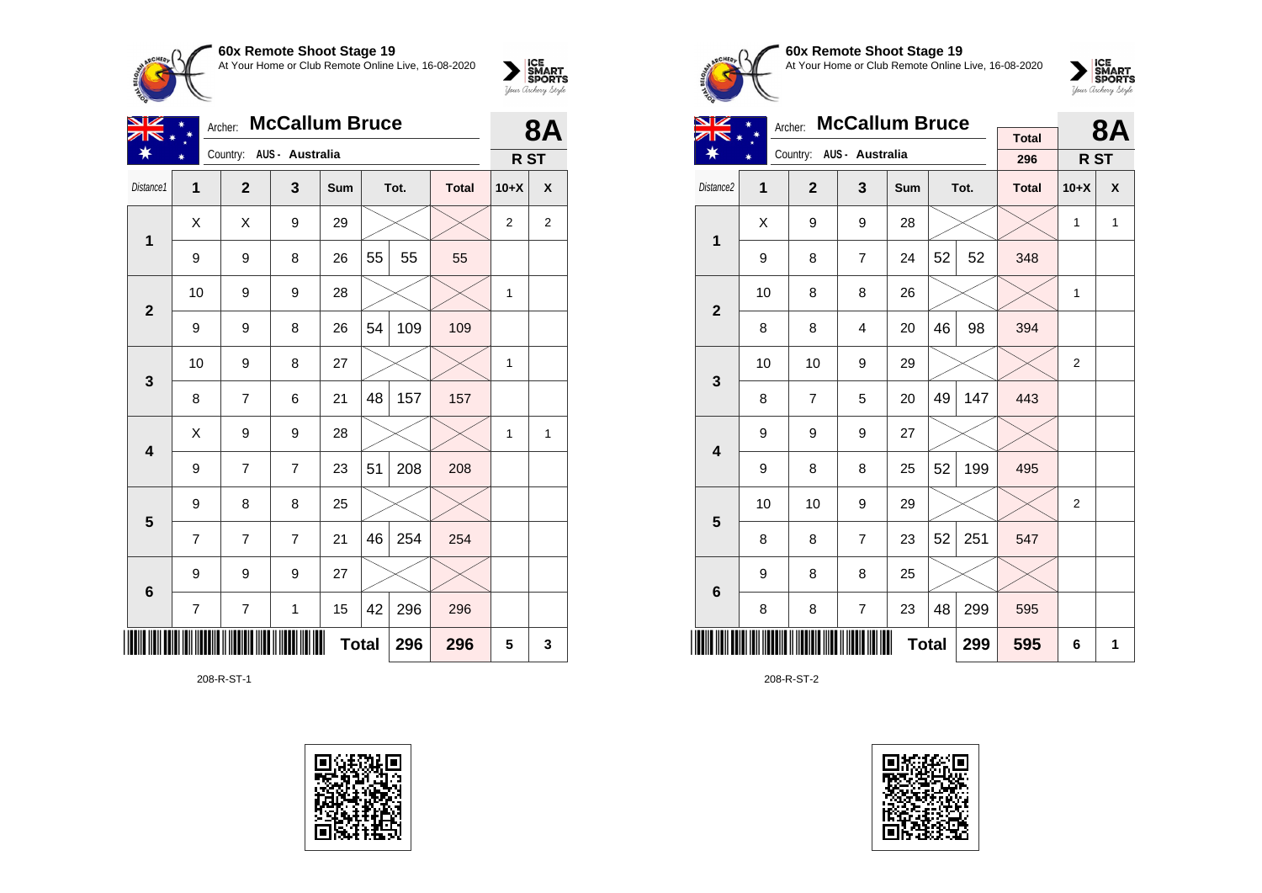

| VZ                      | Archer:        |                | 8Δ                       |              |    |      |              |                 |                |
|-------------------------|----------------|----------------|--------------------------|--------------|----|------|--------------|-----------------|----------------|
| ∗                       |                |                | Country: AUS - Australia |              |    |      |              | R <sub>ST</sub> |                |
| Distance1               | $\mathbf{1}$   | $\mathbf{2}$   | 3                        | Sum          |    | Tot. | <b>Total</b> | $10+X$          | X              |
| 1                       | X              | X              | 9                        | 29           |    |      |              | $\overline{2}$  | $\overline{2}$ |
|                         | 9              | 9              | 8                        | 26           | 55 | 55   | 55           |                 |                |
| $\mathbf{2}$            | 10             | 9              | 9                        | 28           |    |      |              | 1               |                |
|                         | 9              | 9              | 8                        | 26           | 54 | 109  | 109          |                 |                |
| $\mathbf{3}$            | 10             | 9              | 8                        | 27           |    |      |              | 1               |                |
|                         | 8              | 7              | 6                        | 21           | 48 | 157  | 157          |                 |                |
| $\overline{\mathbf{4}}$ | X              | 9              | 9                        | 28           |    |      |              | 1               | $\mathbf{1}$   |
|                         | 9              | $\overline{7}$ | $\overline{7}$           | 23           | 51 | 208  | 208          |                 |                |
| $5\phantom{1}$          | 9              | 8              | 8                        | 25           |    |      |              |                 |                |
|                         | $\overline{7}$ | $\overline{7}$ | $\overline{7}$           | 21           | 46 | 254  | 254          |                 |                |
| $6\phantom{1}6$         | 9              | 9              | 9                        | 27           |    |      |              |                 |                |
|                         | $\overline{7}$ | $\overline{7}$ | $\mathbf 1$              | 15           | 42 | 296  | 296          |                 |                |
|                         |                |                |                          | <b>Total</b> |    | 296  | 296          | 5               | 3              |

208-R-ST-1





# **60x Remote Shoot Stage 19** At Your Home or Club Remote Online Live, 16-08-2020

 $\sum_{\text{your } \text{Order}} \frac{\text{ICE}}{\text{SDORTS}}$ 

| NZ                      |    | <b>McCallum Bruce</b><br>Archer: |                          |              |    | 8Α   |              |                 |              |
|-------------------------|----|----------------------------------|--------------------------|--------------|----|------|--------------|-----------------|--------------|
| ∗                       |    |                                  | Country: AUS - Australia |              |    |      | <b>Total</b> |                 |              |
|                         |    |                                  |                          |              |    |      | 296          | R <sub>ST</sub> |              |
| Distance2               | 1  | $\mathbf{2}$                     | 3                        | Sum          |    | Tot. | <b>Total</b> | $10+X$          | X            |
| 1                       | X  | 9                                | 9                        | 28           |    |      |              | $\mathbf{1}$    | $\mathbf{1}$ |
|                         | 9  | 8                                | $\overline{7}$           | 24           | 52 | 52   | 348          |                 |              |
| $\overline{2}$          | 10 | 8                                | 8                        | 26           |    |      |              | $\mathbf{1}$    |              |
|                         | 8  | 8                                | 4                        | 20           | 46 | 98   | 394          |                 |              |
| 3                       | 10 | 10                               | 9                        | 29           |    |      |              | $\overline{2}$  |              |
|                         | 8  | $\overline{7}$                   | 5                        | 20           | 49 | 147  | 443          |                 |              |
| $\overline{\mathbf{4}}$ | 9  | 9                                | 9                        | 27           |    |      |              |                 |              |
|                         | 9  | 8                                | 8                        | 25           | 52 | 199  | 495          |                 |              |
| 5                       | 10 | 10                               | 9                        | 29           |    |      |              | 2               |              |
|                         | 8  | 8                                | $\overline{7}$           | 23           | 52 | 251  | 547          |                 |              |
| 6                       | 9  | 8                                | 8                        | 25           |    |      |              |                 |              |
|                         | 8  | 8                                | 7                        | 23           | 48 | 299  | 595          |                 |              |
|                         |    |                                  |                          | <b>Total</b> |    | 299  | 595          | 6               | 1            |

208-R-ST-2

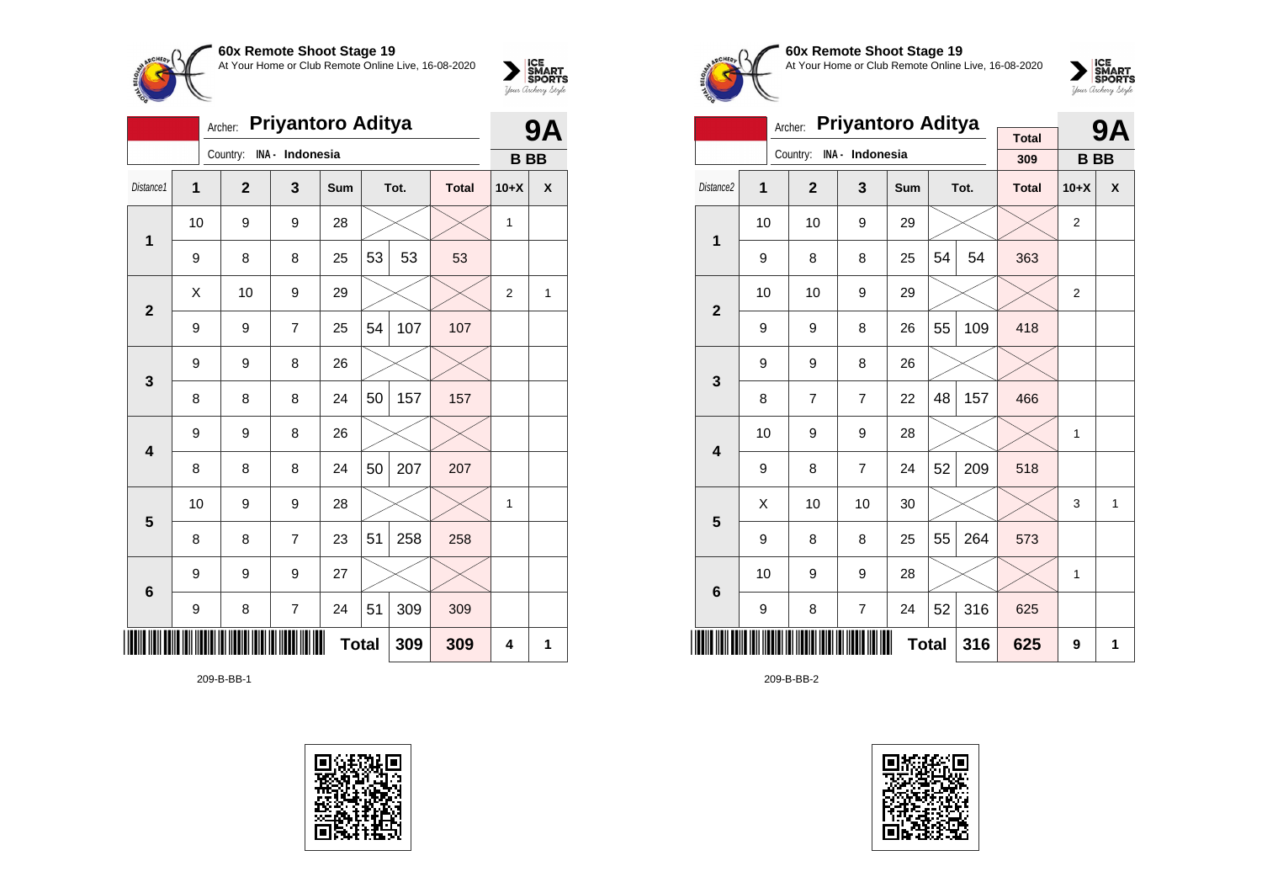

|                |    | Archer:      | <b>Priyantoro Aditya</b> |              |    |      |              | <b>9A</b>      |   |
|----------------|----|--------------|--------------------------|--------------|----|------|--------------|----------------|---|
|                |    | Country:     | INA - Indonesia          |              |    |      |              | <b>BB</b>      |   |
| Distance1      | 1  | $\mathbf{2}$ | 3                        | Sum          |    | Tot. | <b>Total</b> | $10+X$         | X |
| 1              | 10 | 9            | 9                        | 28           |    |      |              | 1              |   |
|                | 9  | 8            | 8                        | 25           | 53 | 53   | 53           |                |   |
| $\mathbf{2}$   | Χ  | 10           | 9                        | 29           |    |      |              | $\overline{2}$ | 1 |
|                | 9  | 9            | $\overline{7}$           | 25           | 54 | 107  | 107          |                |   |
| $\mathbf{3}$   | 9  | 9            | 8                        | 26           |    |      |              |                |   |
|                | 8  | 8            | 8                        | 24           | 50 | 157  | 157          |                |   |
| 4              | 9  | 9            | 8                        | 26           |    |      |              |                |   |
|                | 8  | 8            | 8                        | 24           | 50 | 207  | 207          |                |   |
| $5\phantom{1}$ | 10 | 9            | 9                        | 28           |    |      |              | $\mathbf{1}$   |   |
|                | 8  | 8            | $\overline{7}$           | 23           | 51 | 258  | 258          |                |   |
| 6              | 9  | 9            | 9                        | 27           |    |      |              |                |   |
|                | 9  | 8            | 7                        | 24           | 51 | 309  | 309          |                |   |
| ∭              |    |              |                          | <b>Total</b> |    | 309  | 309          | 4              | 1 |

209-B-BB-1





**60x Remote Shoot Stage 19** At Your Home or Club Remote Online Live, 16-08-2020



|                         |    | Archer:        | <b>Priyantoro Aditya</b> |     |              | 9Α   |                     |                |   |
|-------------------------|----|----------------|--------------------------|-----|--------------|------|---------------------|----------------|---|
|                         |    | Country:       | INA - Indonesia          |     |              |      | <b>Total</b><br>309 | <b>BB</b>      |   |
|                         |    |                |                          |     |              |      |                     |                |   |
| Distance <sub>2</sub>   | 1  | $\overline{2}$ | 3                        | Sum |              | Tot. | <b>Total</b>        | $10+X$         | X |
| 1                       | 10 | 10             | 9                        | 29  |              |      |                     | 2              |   |
|                         | 9  | 8              | 8                        | 25  | 54           | 54   | 363                 |                |   |
| $\overline{2}$          | 10 | 10             | 9                        | 29  |              |      |                     | $\overline{2}$ |   |
|                         | 9  | 9              | 8                        | 26  | 55           | 109  | 418                 |                |   |
|                         | 9  | 9              | 8                        | 26  |              |      |                     |                |   |
| 3                       | 8  | 7              | $\overline{7}$           | 22  | 48           | 157  | 466                 |                |   |
| $\overline{\mathbf{4}}$ | 10 | 9              | 9                        | 28  |              |      |                     | 1              |   |
|                         | 9  | 8              | $\overline{7}$           | 24  | 52           | 209  | 518                 |                |   |
| 5                       | Χ  | 10             | 10                       | 30  |              |      |                     | 3              | 1 |
|                         | 9  | 8              | 8                        | 25  | 55           | 264  | 573                 |                |   |
| 6                       | 10 | 9              | 9                        | 28  |              |      |                     | 1              |   |
|                         | 9  | 8              | 7                        | 24  | 52           | 316  | 625                 |                |   |
|                         |    |                |                          |     | <b>Total</b> | 316  | 625                 | 9              | 1 |

209-B-BB-2

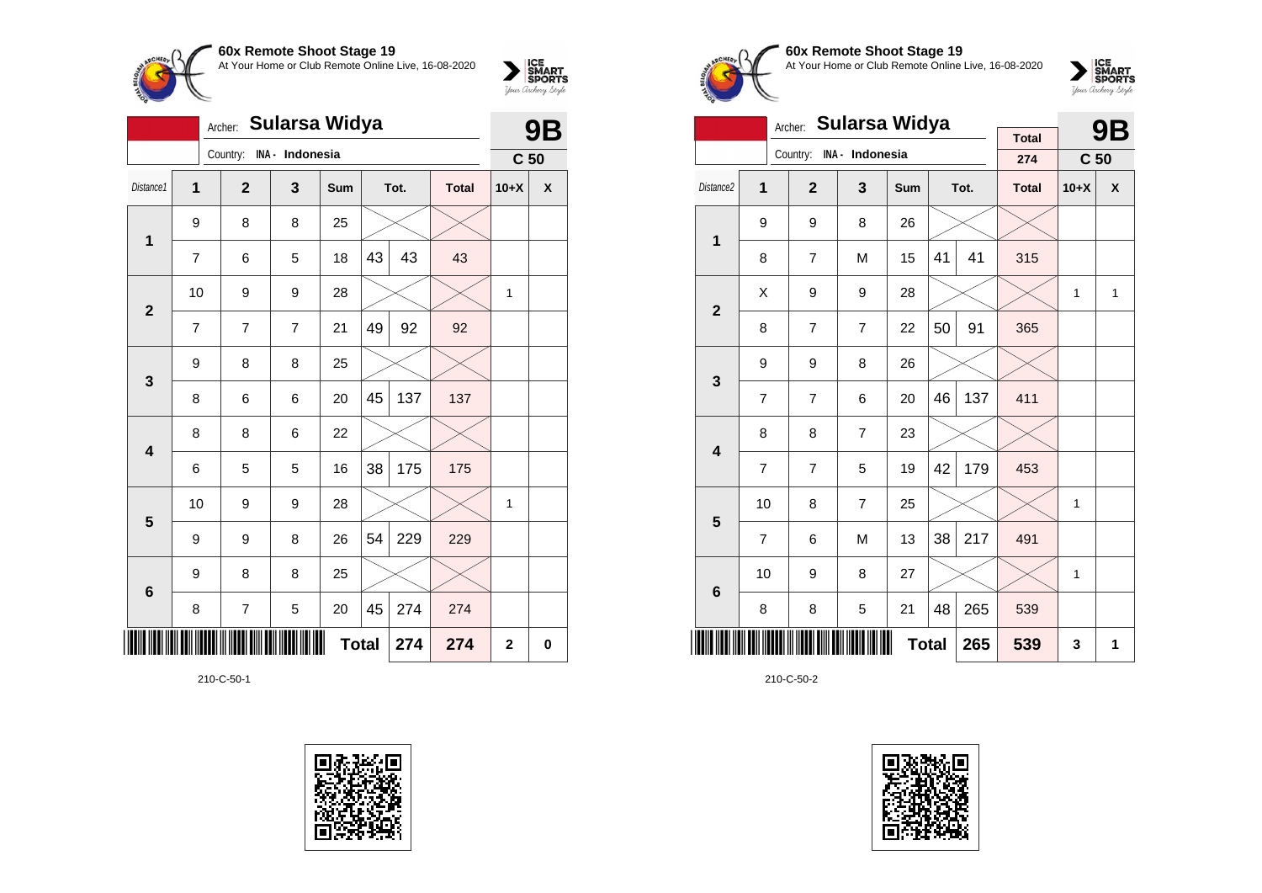



|                         |                | Archer:      | <b>Sularsa Widya</b> |            |              |      |              |                 | Β        |
|-------------------------|----------------|--------------|----------------------|------------|--------------|------|--------------|-----------------|----------|
|                         |                | Country:     | INA - Indonesia      |            |              |      |              | C <sub>50</sub> |          |
| Distance1               | $\overline{1}$ | $\mathbf{2}$ | 3                    | <b>Sum</b> |              | Tot. | <b>Total</b> | $10+X$          | X        |
| $\mathbf 1$             | 9              | 8            | 8                    | 25         |              |      |              |                 |          |
|                         | 7              | 6            | 5                    | 18         | 43           | 43   | 43           |                 |          |
| $\overline{2}$          | 10             | 9            | 9                    | 28         |              |      |              | 1               |          |
|                         | $\overline{7}$ | 7            | $\overline{7}$       | 21         | 49           | 92   | 92           |                 |          |
| 3                       | 9              | 8            | 8                    | 25         |              |      |              |                 |          |
|                         | 8              | 6            | 6                    | 20         | 45           | 137  | 137          |                 |          |
| $\overline{\mathbf{4}}$ | 8              | 8            | 6                    | 22         |              |      |              |                 |          |
|                         | 6              | 5            | 5                    | 16         | 38           | 175  | 175          |                 |          |
| 5                       | 10             | 9            | 9                    | 28         |              |      |              | 1               |          |
|                         | 9              | 9            | 8                    | 26         | 54           | 229  | 229          |                 |          |
| $\bf 6$                 | 9              | 8            | 8                    | 25         |              |      |              |                 |          |
|                         | 8              | 7            | 5                    | 20         | 45           | 274  | 274          |                 |          |
|                         |                |              |                      |            | <b>Total</b> | 274  | 274          | 2               | $\bf{0}$ |

210-C-50-1





**60x Remote Shoot Stage 19** At Your Home or Club Remote Online Live, 16-08-2020



|                         |                | Sularsa Widya<br>Archer: |                |              |    | <b>9B</b> |                     |                 |   |
|-------------------------|----------------|--------------------------|----------------|--------------|----|-----------|---------------------|-----------------|---|
|                         |                | Country: INA - Indonesia |                |              |    |           | <b>Total</b><br>274 |                 |   |
|                         |                |                          |                |              |    |           |                     | C <sub>50</sub> |   |
| Distance <sub>2</sub>   | 1              | $\overline{2}$           | 3              | Sum          |    | Tot.      | <b>Total</b>        | $10+X$          | X |
| 1                       | 9              | 9                        | 8              | 26           |    |           |                     |                 |   |
|                         | 8              | $\overline{7}$           | M              | 15           | 41 | 41        | 315                 |                 |   |
| $\overline{2}$          | Χ              | 9                        | 9              | 28           |    |           |                     | 1               | 1 |
|                         | 8              | $\overline{7}$           | $\overline{7}$ | 22           | 50 | 91        | 365                 |                 |   |
| 3                       | 9              | 9                        | 8              | 26           |    |           |                     |                 |   |
|                         | $\overline{7}$ | $\overline{7}$           | 6              | 20           | 46 | 137       | 411                 |                 |   |
| $\overline{\mathbf{4}}$ | 8              | 8                        | 7              | 23           |    |           |                     |                 |   |
|                         | $\overline{7}$ | $\overline{7}$           | 5              | 19           | 42 | 179       | 453                 |                 |   |
| 5                       | 10             | 8                        | 7              | 25           |    |           |                     | 1               |   |
|                         | $\overline{7}$ | 6                        | M              | 13           | 38 | 217       | 491                 |                 |   |
| 6                       | 10             | 9                        | 8              | 27           |    |           |                     | 1               |   |
|                         | 8              | 8                        | 5              | 21           | 48 | 265       | 539                 |                 |   |
|                         |                |                          |                | <b>Total</b> |    | 265       | 539                 | 3               | 1 |

210-C-50-2

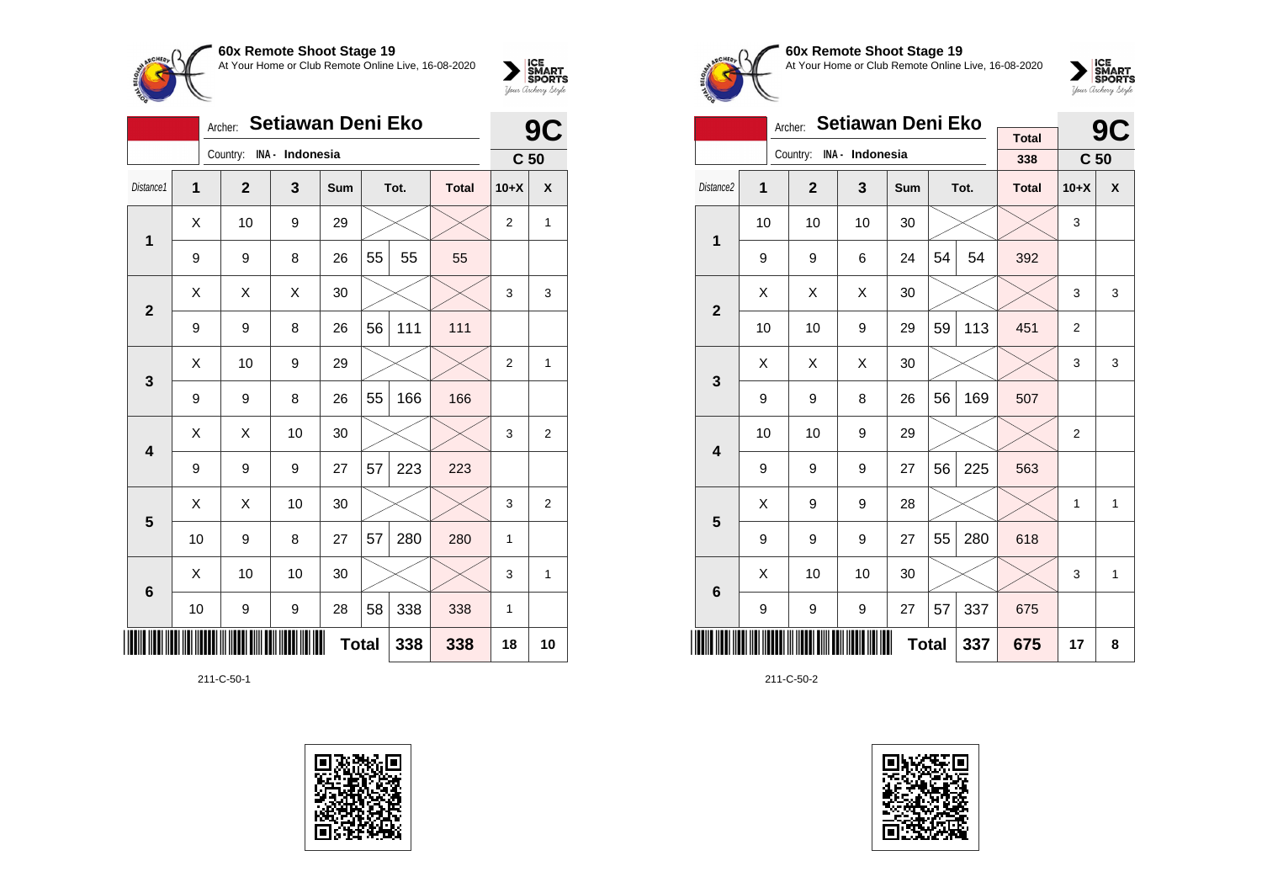

|                 |    | Archer:        | <b>Setiawan Deni Eko</b> |              |    | 9    |              |                 |                |
|-----------------|----|----------------|--------------------------|--------------|----|------|--------------|-----------------|----------------|
|                 |    | Country:       | INA - Indonesia          |              |    |      |              | C <sub>50</sub> |                |
| Distance1       | 1  | $\overline{2}$ | 3                        | Sum          |    | Tot. | <b>Total</b> | $10+X$          | X              |
| 1               | Χ  | 10             | 9                        | 29           |    |      |              | $\overline{2}$  | 1              |
|                 | 9  | 9              | 8                        | 26           | 55 | 55   | 55           |                 |                |
| $\overline{2}$  | X  | X              | X                        | 30           |    |      |              | 3               | 3              |
|                 | 9  | 9              | 8                        | 26           | 56 | 111  | 111          |                 |                |
| 3               | X  | 10             | 9                        | 29           |    |      |              | $\overline{2}$  | 1              |
|                 | 9  | 9              | 8                        | 26           | 55 | 166  | 166          |                 |                |
| 4               | X  | X              | 10                       | 30           |    |      |              | 3               | $\overline{2}$ |
|                 | 9  | 9              | 9                        | 27           | 57 | 223  | 223          |                 |                |
| 5               | Χ  | X              | 10                       | 30           |    |      |              | 3               | $\overline{2}$ |
|                 | 10 | 9              | 8                        | 27           | 57 | 280  | 280          | 1               |                |
| $6\phantom{1}6$ | X  | 10             | 10                       | 30           |    |      |              | 3               | 1              |
|                 | 10 | 9              | 9                        | 28           | 58 | 338  | 338          | 1               |                |
|                 |    |                |                          | <b>Total</b> |    | 338  | 338          | 18              | 10             |

211-C-50-1





# **60x Remote Shoot Stage 19** At Your Home or Club Remote Online Live, 16-08-2020



|                         |                                                    | Archer:        | Setiawan Deni Eko |     |    | <b>9C</b> |                     |                 |   |
|-------------------------|----------------------------------------------------|----------------|-------------------|-----|----|-----------|---------------------|-----------------|---|
|                         |                                                    | Country:       | INA - Indonesia   |     |    |           | <b>Total</b><br>338 | C <sub>50</sub> |   |
|                         |                                                    |                |                   |     |    |           |                     |                 |   |
| Distance <sub>2</sub>   | $\overline{1}$                                     | $\overline{2}$ | 3                 | Sum |    | Tot.      | <b>Total</b>        | $10+X$          | X |
| 1                       | 10                                                 | 10             | 10                | 30  |    |           |                     | 3               |   |
|                         | 9                                                  | 9              | 6                 | 24  | 54 | 54        | 392                 |                 |   |
|                         | X                                                  | Χ              | X                 | 30  |    |           |                     | 3               | 3 |
|                         | $\overline{2}$<br>113<br>10<br>10<br>9<br>59<br>29 |                |                   |     |    |           |                     | 2               |   |
| 3                       | X                                                  | X              | X                 | 30  |    |           |                     | 3               | 3 |
|                         | 9                                                  | 9              | 8                 | 26  | 56 | 169       | 507                 |                 |   |
| $\overline{\mathbf{4}}$ | 10                                                 | 10             | 9                 | 29  |    |           |                     | 2               |   |
|                         | 9                                                  | 9              | 9                 | 27  | 56 | 225       | 563                 |                 |   |
| 5                       | Χ                                                  | 9              | 9                 | 28  |    |           |                     | 1               | 1 |
|                         | 9                                                  | 9              | 9                 | 27  | 55 | 280       | 618                 |                 |   |
| 6                       | X                                                  | 10             | 10                | 30  |    |           |                     | 3               | 1 |
|                         | 57<br>337<br>9<br>9<br>9<br>27                     |                |                   |     |    |           |                     |                 |   |
|                         |                                                    |                | 337               | 675 | 17 | 8         |                     |                 |   |

211-C-50-2

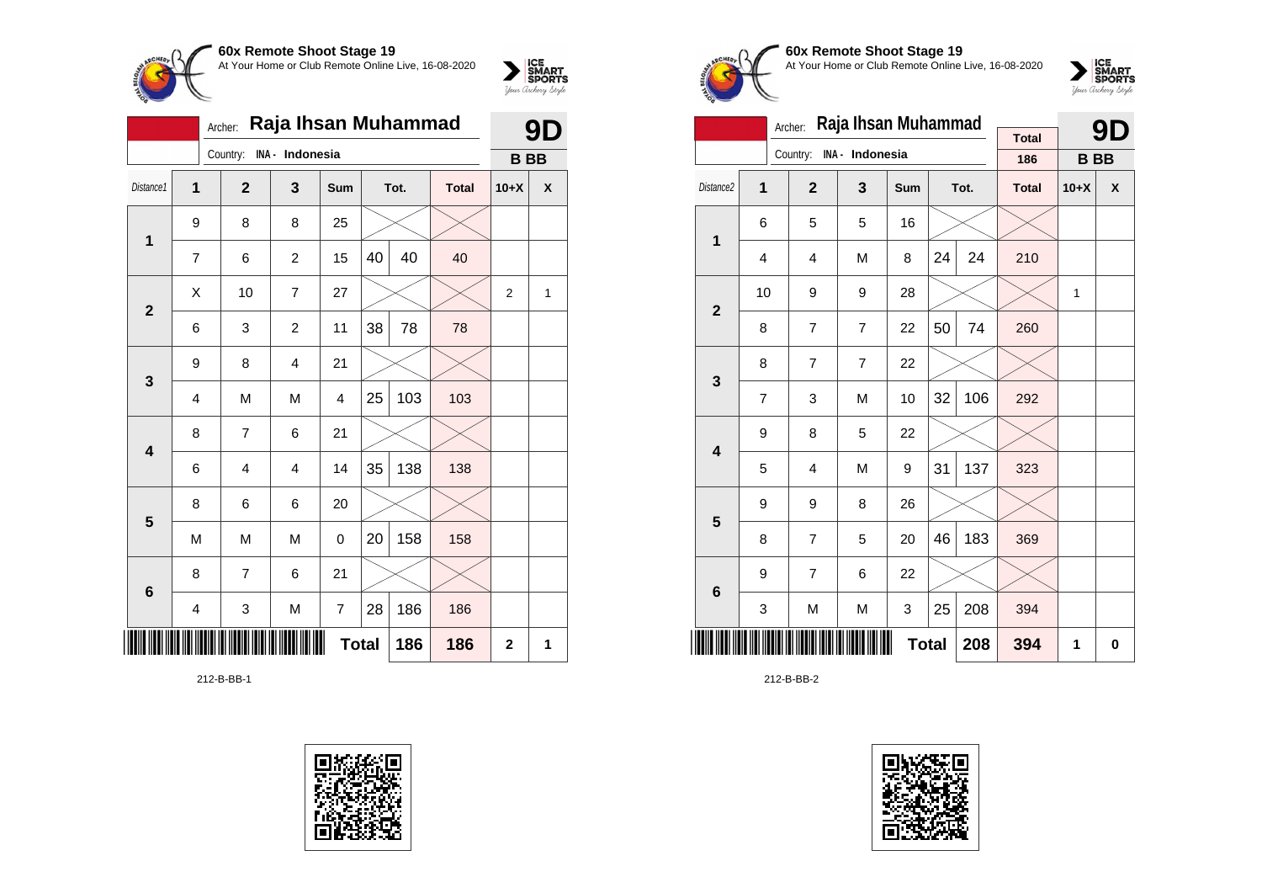

|                         |   | Archer:        | Raja Ihsan Muhammad |     |              |      |              |                | 9D |
|-------------------------|---|----------------|---------------------|-----|--------------|------|--------------|----------------|----|
|                         |   | Country:       | INA - Indonesia     |     |              |      |              | <b>BB</b>      |    |
| Distance1               | 1 | $\mathbf{2}$   | 3                   | Sum |              | Tot. | <b>Total</b> | $10+X$         | X  |
| 1                       | 9 | 8              | 8                   | 25  |              |      |              |                |    |
|                         | 7 | 6              | $\overline{c}$      | 15  | 40           | 40   | 40           |                |    |
|                         | X | 10             | 7                   | 27  |              |      |              | $\overline{2}$ | 1  |
| $\overline{\mathbf{2}}$ | 6 | 3              | 2                   | 11  | 38           | 78   | 78           |                |    |
| $\mathbf{3}$            | 9 | 8              | $\overline{4}$      | 21  |              |      |              |                |    |
|                         | 4 | M              | M                   | 4   | 25           | 103  | 103          |                |    |
| $\overline{\mathbf{4}}$ | 8 | 7              | 6                   | 21  |              |      |              |                |    |
|                         | 6 | $\overline{4}$ | $\overline{4}$      | 14  | 35           | 138  | 138          |                |    |
| 5                       | 8 | 6              | 6                   | 20  |              |      |              |                |    |
|                         | M | M              | M                   | 0   | 20           | 158  | 158          |                |    |
| $6\phantom{1}$          | 8 | $\overline{7}$ | 6                   | 21  |              |      |              |                |    |
|                         | 4 | 3              | M                   | 7   | 28           | 186  | 186          |                |    |
|                         |   |                |                     |     | <b>Total</b> | 186  | 186          | $\mathbf 2$    | 1  |

212-B-BB-1





# **60x Remote Shoot Stage 19** At Your Home or Club Remote Online Live, 16-08-2020



|                         |    | Archer:        | Raja Ihsan Muhammad |     |              |      |              |              | 91       |
|-------------------------|----|----------------|---------------------|-----|--------------|------|--------------|--------------|----------|
|                         |    | Country:       | INA - Indonesia     |     |              |      | <b>Total</b> |              |          |
|                         |    |                |                     |     |              |      | 186          | <b>BB</b>    |          |
| Distance <sub>2</sub>   | 1  | $\overline{2}$ | 3                   | Sum |              | Tot. | <b>Total</b> | $10+X$       | X        |
| 1                       | 6  | 5              | 5                   | 16  |              |      |              |              |          |
|                         | 4  | 4              | M                   | 8   | 24           | 24   | 210          |              |          |
| $\overline{2}$          | 10 | 9              | 9                   | 28  |              |      |              | $\mathbf{1}$ |          |
|                         | 8  | $\overline{7}$ | $\overline{7}$      | 22  | 50           | 74   | 260          |              |          |
| 3                       | 8  | $\overline{7}$ | $\overline{7}$      | 22  |              |      |              |              |          |
|                         | 7  | 3              | M                   | 10  | 32           | 106  | 292          |              |          |
| $\overline{\mathbf{4}}$ | 9  | 8              | 5                   | 22  |              |      |              |              |          |
|                         | 5  | 4              | M                   | 9   | 31           | 137  | 323          |              |          |
| 5                       | 9  | 9              | 8                   | 26  |              |      |              |              |          |
|                         | 8  | $\overline{7}$ | 5                   | 20  | 46           | 183  | 369          |              |          |
| 6                       | 9  | $\overline{7}$ | 6                   | 22  |              |      |              |              |          |
|                         | 3  | M              | M                   | 3   | 25           | 208  | 394          |              |          |
|                         |    |                |                     |     | <b>Total</b> | 208  | 394          | 1            | $\bf{0}$ |

212-B-BB-2

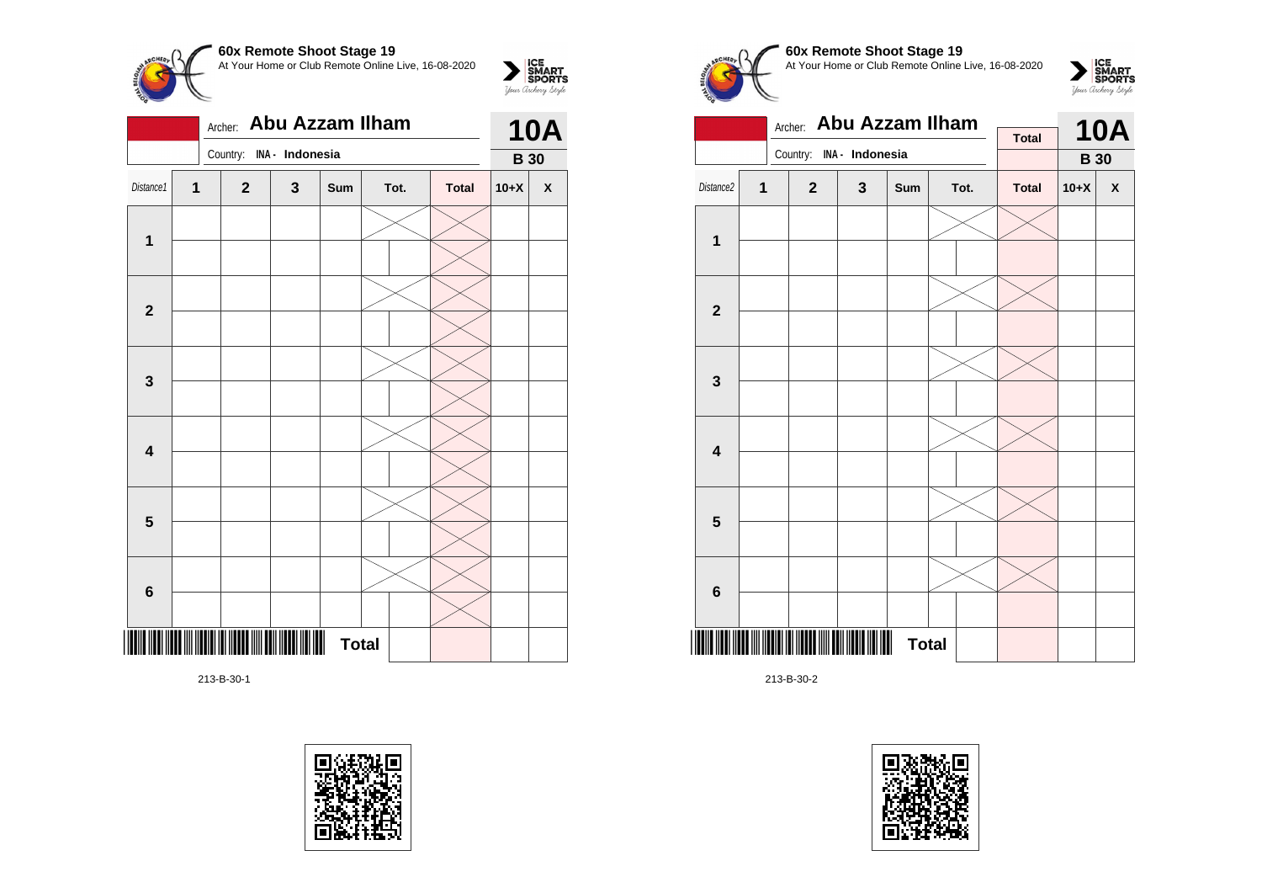

|                         |   | Archer: Abu Azzam Ilham  |   |              | <b>10A</b> |  |              |             |                    |
|-------------------------|---|--------------------------|---|--------------|------------|--|--------------|-------------|--------------------|
|                         |   | Country: INA - Indonesia |   |              |            |  |              | <b>B</b> 30 |                    |
| Distance1               | 1 | $\mathbf{2}$             | 3 | Sum          | Tot.       |  | <b>Total</b> | $10+X$      | $\pmb{\mathsf{X}}$ |
|                         |   |                          |   |              |            |  |              |             |                    |
| $\mathbf 1$             |   |                          |   |              |            |  |              |             |                    |
|                         |   |                          |   |              |            |  |              |             |                    |
| $\overline{\mathbf{2}}$ |   |                          |   |              |            |  |              |             |                    |
|                         |   |                          |   |              |            |  |              |             |                    |
| $\mathbf{3}$            |   |                          |   |              |            |  |              |             |                    |
|                         |   |                          |   |              |            |  |              |             |                    |
| $\overline{\mathbf{4}}$ |   |                          |   |              |            |  |              |             |                    |
|                         |   |                          |   |              |            |  |              |             |                    |
| 5                       |   |                          |   |              |            |  |              |             |                    |
|                         |   |                          |   |              |            |  |              |             |                    |
| $6\phantom{1}6$         |   |                          |   |              |            |  |              |             |                    |
|                         |   |                          |   | <b>Total</b> |            |  |              |             |                    |

213-B-30-1





# **60x Remote Shoot Stage 19** At Your Home or Club Remote Online Live, 16-08-2020



|                         |   | Archer: Abu Azzam Ilham  |              | <b>Total</b>      |  | <b>10A</b> |              |             |                    |
|-------------------------|---|--------------------------|--------------|-------------------|--|------------|--------------|-------------|--------------------|
|                         |   | Country: INA - Indonesia |              |                   |  |            |              | <b>B</b> 30 |                    |
| Distance2               | 1 | $\mathbf{2}$             | $\mathbf{3}$ | Sum               |  | Tot.       | <b>Total</b> | $10+X$      | $\pmb{\mathsf{X}}$ |
|                         |   |                          |              |                   |  |            |              |             |                    |
| 1                       |   |                          |              |                   |  |            |              |             |                    |
|                         |   |                          |              |                   |  |            |              |             |                    |
| $\overline{2}$          |   |                          |              |                   |  |            |              |             |                    |
|                         |   |                          |              |                   |  |            |              |             |                    |
| 3                       |   |                          |              |                   |  |            |              |             |                    |
|                         |   |                          |              |                   |  |            |              |             |                    |
| $\overline{\mathbf{4}}$ |   |                          |              |                   |  |            |              |             |                    |
|                         |   |                          |              |                   |  |            |              |             |                    |
| $\overline{\mathbf{5}}$ |   |                          |              |                   |  |            |              |             |                    |
|                         |   |                          |              |                   |  |            |              |             |                    |
| 6                       |   |                          |              |                   |  |            |              |             |                    |
|                         |   |                          |              | ₩<br><b>Total</b> |  |            |              |             |                    |

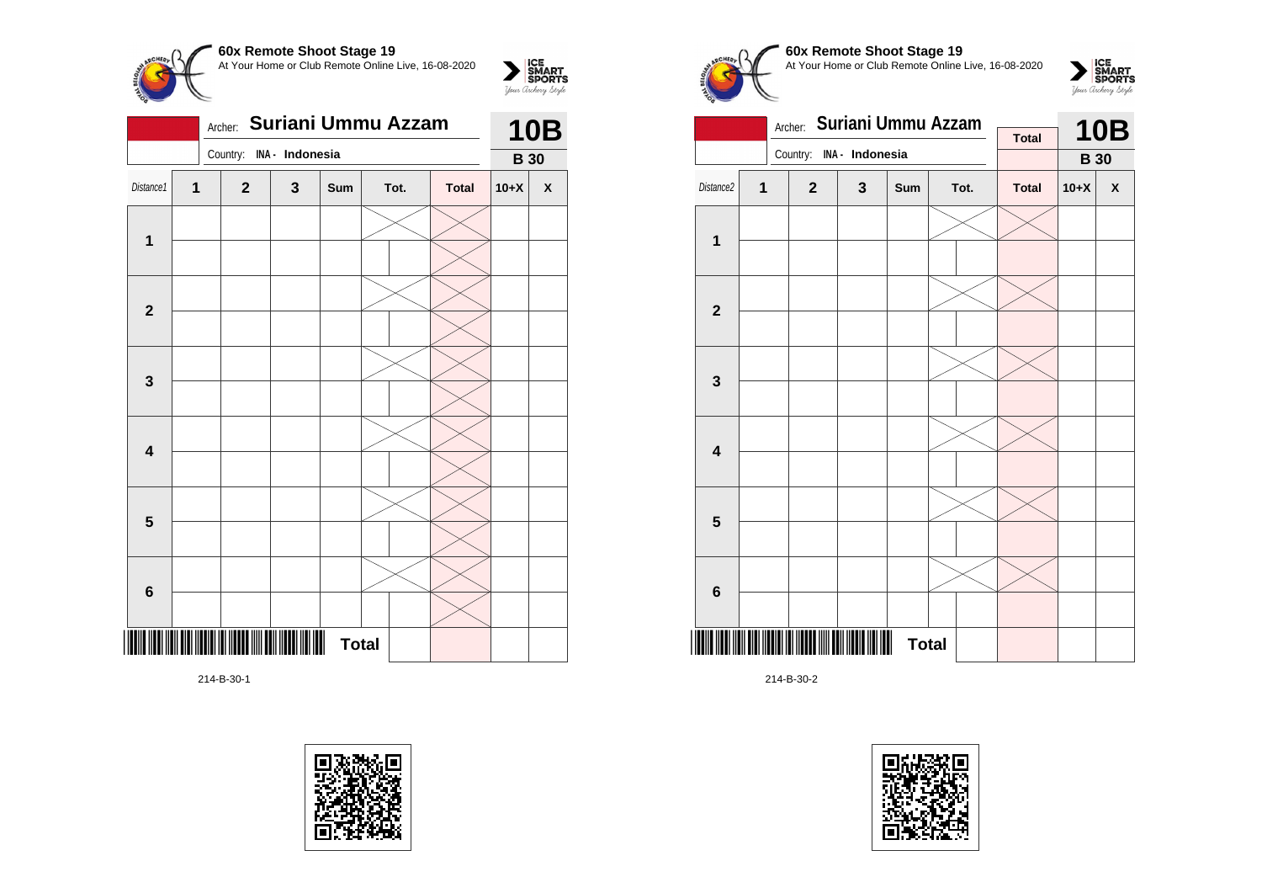

|                         |              | <b>10B</b>               |   |              |      |              |             |                    |
|-------------------------|--------------|--------------------------|---|--------------|------|--------------|-------------|--------------------|
|                         |              | Country: INA - Indonesia |   |              |      |              | <b>B</b> 30 |                    |
| Distance1               | $\mathbf{1}$ | $\mathbf{2}$             | 3 | Sum          | Tot. | <b>Total</b> | $10+X$      | $\pmb{\mathsf{X}}$ |
|                         |              |                          |   |              |      |              |             |                    |
| $\mathbf 1$             |              |                          |   |              |      |              |             |                    |
|                         |              |                          |   |              |      |              |             |                    |
| $\mathbf{2}$            |              |                          |   |              |      |              |             |                    |
|                         |              |                          |   |              |      |              |             |                    |
| $\mathbf 3$             |              |                          |   |              |      |              |             |                    |
|                         |              |                          |   |              |      |              |             |                    |
| $\overline{\mathbf{4}}$ |              |                          |   |              |      |              |             |                    |
|                         |              |                          |   |              |      |              |             |                    |
| $5\phantom{1}$          |              |                          |   |              |      |              |             |                    |
|                         |              |                          |   |              |      |              |             |                    |
| 6                       |              |                          |   |              |      |              |             |                    |
|                         |              |                          |   |              |      |              |             |                    |
|                         |              |                          |   | <b>Total</b> |      |              |             |                    |

214-B-30-1





# **60x Remote Shoot Stage 19** At Your Home or Club Remote Online Live, 16-08-2020





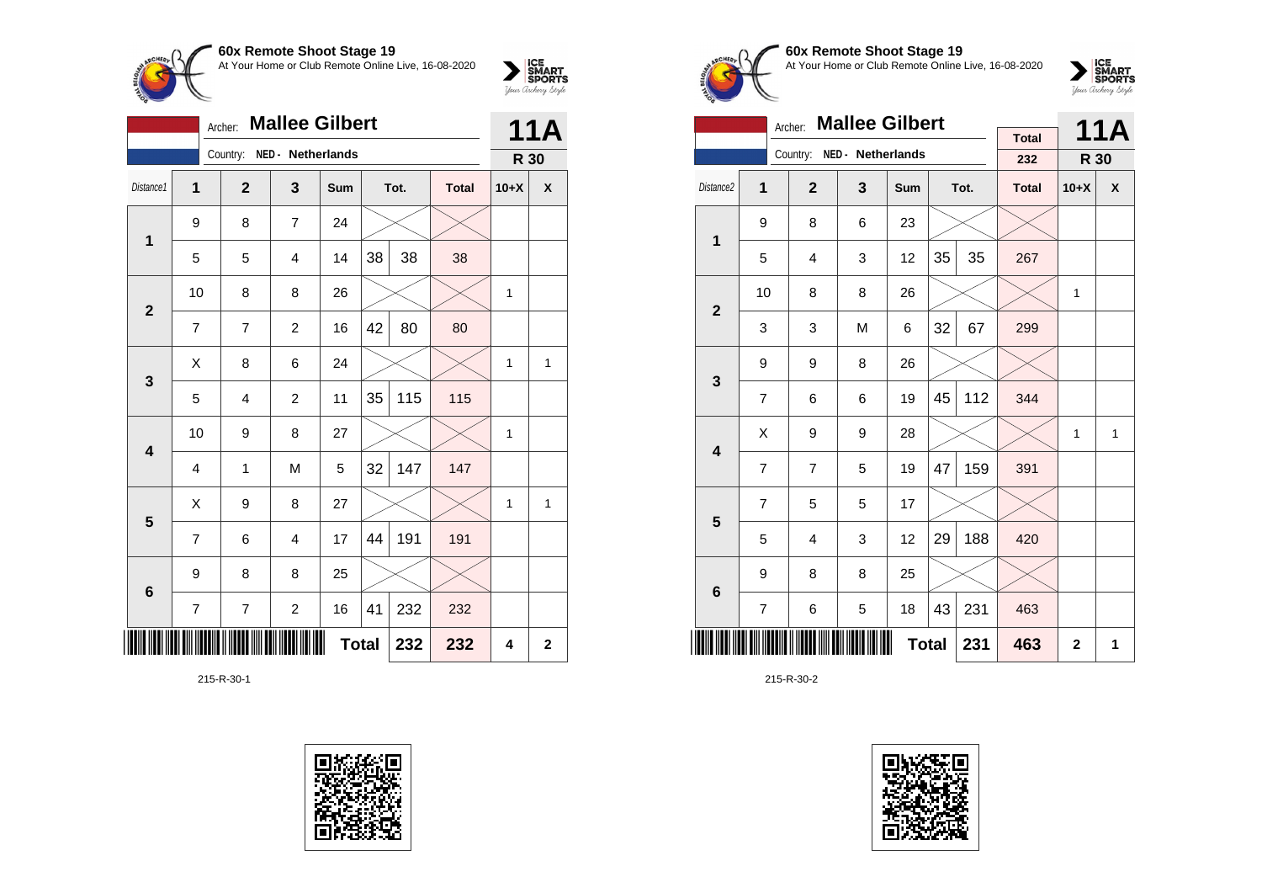

|                         | <b>Mallee Gilbert</b><br>Archer: |              |                         |     |    |      |              |              |              |
|-------------------------|----------------------------------|--------------|-------------------------|-----|----|------|--------------|--------------|--------------|
|                         |                                  | Country:     | NED - Netherlands       |     |    |      |              | R 30         |              |
| Distance1               | 1                                | $\mathbf{2}$ | 3                       | Sum |    | Tot. | <b>Total</b> | $10+X$       | X            |
| $\mathbf{1}$            | 9                                | 8            | $\overline{7}$          | 24  |    |      |              |              |              |
|                         | 5                                | 5            | 4                       | 14  | 38 | 38   | 38           |              |              |
| $\overline{2}$          | 10                               | 8            | 8                       | 26  |    |      |              | 1            |              |
|                         | 7                                | 7            | $\overline{c}$          | 16  | 42 | 80   | 80           |              |              |
| 3                       | X                                | 8            | 6                       | 24  |    |      |              | $\mathbf{1}$ | 1            |
|                         | 5                                | 4            | $\overline{c}$          | 11  | 35 | 115  | 115          |              |              |
| $\overline{\mathbf{4}}$ | 10                               | 9            | 8                       | 27  |    |      |              | $\mathbf{1}$ |              |
|                         | 4                                | 1            | M                       | 5   | 32 | 147  | 147          |              |              |
|                         | Χ                                | 9            | 8                       | 27  |    |      |              | 1            | $\mathbf{1}$ |
| 5                       | $\overline{7}$                   | 6            | $\overline{4}$          | 17  | 44 | 191  | 191          |              |              |
| $6\phantom{1}6$         | 9                                | 8            | 8                       | 25  |    |      |              |              |              |
|                         | 7                                | 7            | $\overline{\mathbf{c}}$ | 16  | 41 | 232  | 232          |              |              |
| Ⅲ                       | <b>Total</b><br>232<br>232       |              |                         |     |    |      |              |              |              |

215-R-30-1





#### **60x Remote Shoot Stage 19** At Your Home or Club Remote Online Live, 16-08-2020



|                         |                | <b>Mallee Gilbert</b><br>Archer: |                            |              |    | <b>11A</b> |                     |              |   |
|-------------------------|----------------|----------------------------------|----------------------------|--------------|----|------------|---------------------|--------------|---|
|                         |                |                                  | Country: NED - Netherlands |              |    |            | <b>Total</b><br>232 | R 30         |   |
| Distance2               | 1              | $\overline{2}$                   | 3                          | Sum          |    | Tot.       | <b>Total</b>        | $10+X$       | X |
| 1                       | 9              | 8                                | 6                          | 23           |    |            |                     |              |   |
|                         | 5              | 4                                | 3                          | 12           | 35 | 35         | 267                 |              |   |
| $\overline{2}$          | 10             | 8                                | 8                          | 26           |    |            |                     | $\mathbf{1}$ |   |
|                         | 3              | 3                                | M                          | 6            | 32 | 67         | 299                 |              |   |
| 3                       | 9              | 9                                | 8                          | 26           |    |            |                     |              |   |
|                         | $\overline{7}$ | 6                                | 6                          | 19           | 45 | 112        | 344                 |              |   |
| $\overline{\mathbf{4}}$ | X              | 9                                | 9                          | 28           |    |            |                     | $\mathbf{1}$ | 1 |
|                         | $\overline{7}$ | $\overline{7}$                   | 5                          | 19           | 47 | 159        | 391                 |              |   |
| 5                       | $\overline{7}$ | 5                                | 5                          | 17           |    |            |                     |              |   |
|                         | 5              | $\overline{4}$                   | 3                          | 12           | 29 | 188        | 420                 |              |   |
| $6\phantom{1}$          | 9              | 8                                | 8                          | 25           |    |            |                     |              |   |
|                         | 7              | 6                                | 5                          | 18           | 43 | 231        | 463                 |              |   |
|                         |                |                                  |                            | <b>Total</b> |    | 231        | 463                 | $\mathbf{2}$ | 1 |

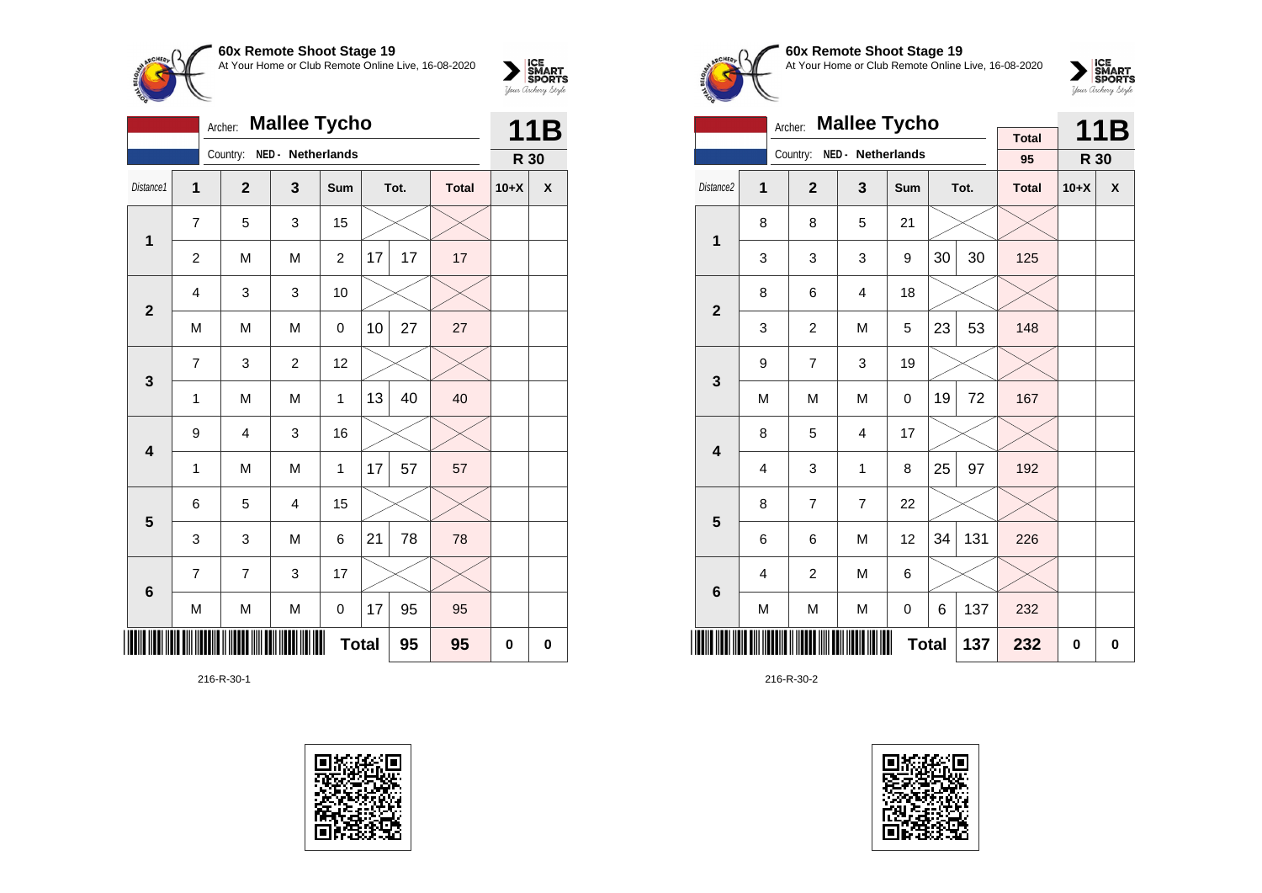

|                         |                | Archer:        | <b>Mallee Tycho</b>     |                |              |      | 11B          |        |              |
|-------------------------|----------------|----------------|-------------------------|----------------|--------------|------|--------------|--------|--------------|
|                         |                | Country:       | NED - Netherlands       |                |              |      |              | R 30   |              |
| Distance1               | $\mathbf{1}$   | $\mathbf{2}$   | 3                       | Sum            |              | Tot. | <b>Total</b> | $10+X$ | $\pmb{\chi}$ |
| 1                       | $\overline{7}$ | 5              | 3                       | 15             |              |      |              |        |              |
|                         | $\overline{c}$ | M              | M                       | $\overline{c}$ | 17           | 17   | 17           |        |              |
| $\mathbf{2}$            | 4              | 3              | 3                       | 10             |              |      |              |        |              |
|                         | M              | M              | M                       | 0              | 10           | 27   | 27           |        |              |
| $\mathbf{3}$            | $\overline{7}$ | 3              | $\overline{c}$          | 12             |              |      |              |        |              |
|                         | 1              | M              | M                       | 1              | 13           | 40   | 40           |        |              |
| $\overline{\mathbf{4}}$ | 9              | 4              | 3                       | 16             |              |      |              |        |              |
|                         | 1              | M              | M                       | 1              | 17           | 57   | 57           |        |              |
| $\overline{\mathbf{5}}$ | 6              | 5              | $\overline{\mathbf{4}}$ | 15             |              |      |              |        |              |
|                         | 3              | 3              | M                       | 6              | 21           | 78   | 78           |        |              |
| $\bf 6$                 | 7              | $\overline{7}$ | 3                       | 17             |              |      |              |        |              |
|                         | M              | M              | M                       | 0              | 17           | 95   | 95           |        |              |
|                         |                |                |                         |                | <b>Total</b> | 95   | 95           | 0      | $\bf{0}$     |

216-R-30-1





#### **60x Remote Shoot Stage 19** At Your Home or Club Remote Online Live, 16-08-2020



|                         |   | Archer:        | <b>Mallee Tycho</b> |              |    |      |                    |        | 11B         |
|-------------------------|---|----------------|---------------------|--------------|----|------|--------------------|--------|-------------|
|                         |   | Country:       | NED - Netherlands   |              |    |      | <b>Total</b><br>95 |        |             |
|                         |   |                |                     |              |    |      |                    | R 30   |             |
| Distance2               | 1 | $\overline{2}$ | 3                   | Sum          |    | Tot. | <b>Total</b>       | $10+X$ | χ           |
| 1                       | 8 | 8              | 5                   | 21           |    |      |                    |        |             |
|                         | 3 | 3              | 3                   | 9            | 30 | 30   | 125                |        |             |
| $\overline{2}$          | 8 | 6              | 4                   | 18           |    |      |                    |        |             |
|                         | 3 | $\overline{c}$ | M                   | 5            | 23 | 53   | 148                |        |             |
| 3                       | 9 | $\overline{7}$ | 3                   | 19           |    |      |                    |        |             |
|                         | M | M              | M                   | 0            | 19 | 72   | 167                |        |             |
| $\overline{\mathbf{4}}$ | 8 | 5              | $\overline{4}$      | 17           |    |      |                    |        |             |
|                         | 4 | 3              | 1                   | 8            | 25 | 97   | 192                |        |             |
| 5                       | 8 | 7              | 7                   | 22           |    |      |                    |        |             |
|                         | 6 | 6              | M                   | 12           | 34 | 131  | 226                |        |             |
| $\bf 6$                 | 4 | $\overline{c}$ | M                   | 6            |    |      |                    |        |             |
|                         | M | M              | M                   | 0            | 6  | 137  | 232                |        |             |
|                         |   |                |                     | <b>Total</b> |    | 137  | 232                | 0      | $\mathbf 0$ |

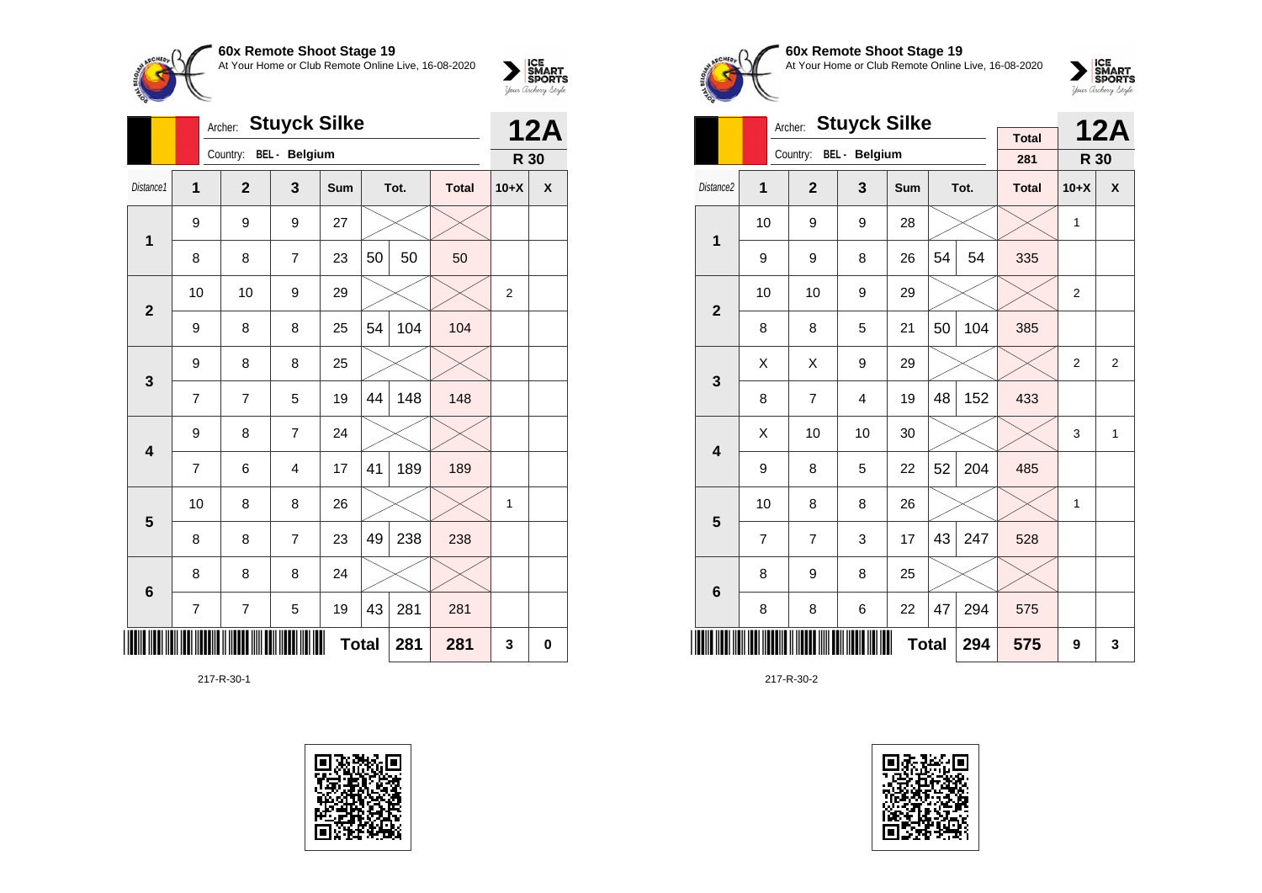

|                 |                | <b>Stuyck Silke</b><br>Archer: |               |            |              |      |              |                |            |  |  |
|-----------------|----------------|--------------------------------|---------------|------------|--------------|------|--------------|----------------|------------|--|--|
|                 |                | Country:                       | BEL - Belgium |            |              |      |              | R 30           | <b>12A</b> |  |  |
| Distance1       | 1              | $\overline{2}$                 | 3             | <b>Sum</b> |              | Tot. | <b>Total</b> | $10+X$         | X          |  |  |
| 1               | 9              | 9                              | 9             | 27         |              |      |              |                |            |  |  |
|                 | 8              | 8                              | 7             | 23         | 50           | 50   | 50           |                |            |  |  |
| $\mathbf{2}$    | 10             | 10                             | 9             | 29         |              |      |              | $\overline{2}$ |            |  |  |
|                 | 9              | 8                              | 8             | 25         | 54           | 104  | 104          |                |            |  |  |
| 3               | 9              | 8                              | 8             | 25         |              |      |              |                |            |  |  |
|                 | 7              | 7                              | 5             | 19         | 44           | 148  | 148          |                |            |  |  |
| 4               | 9              | 8                              | 7             | 24         |              |      |              |                |            |  |  |
|                 | 7              | 6                              | 4             | 17         | 41           | 189  | 189          |                |            |  |  |
| 5               | 10             | 8                              | 8             | 26         |              |      |              | 1              |            |  |  |
|                 | 8              | 8                              | 7             | 23         | 49           | 238  | 238          |                |            |  |  |
| $6\phantom{1}6$ | 8              | 8                              | 8             | 24         |              |      |              |                |            |  |  |
|                 | $\overline{7}$ | $\overline{7}$                 | 5             | 19         | 43           | 281  | 281          |                |            |  |  |
|                 |                |                                |               |            | <b>Total</b> | 281  | 281          | 3              | $\bf{0}$   |  |  |

217-R-30-1





**60x Remote Shoot Stage 19** At Your Home or Club Remote Online Live, 16-08-2020



|                         |                | Archer:        | <b>Stuyck Silke</b>  |            |              |      | <b>12A</b>          |              |              |
|-------------------------|----------------|----------------|----------------------|------------|--------------|------|---------------------|--------------|--------------|
|                         |                | Country:       | <b>BEL</b> - Belgium |            |              |      | <b>Total</b><br>281 | R 30         |              |
| Distance <sub>2</sub>   | 1              | $\overline{2}$ | 3                    | <b>Sum</b> |              | Tot. | <b>Total</b>        | $10+X$       | X            |
| 1                       | 10             | 9              | 9                    | 28         |              |      |                     | 1            |              |
|                         | 9              | 9              | 8                    | 26         | 54           | 54   | 335                 |              |              |
| $\overline{2}$          | 10             | 10             | 9                    | 29         |              |      |                     | 2            |              |
|                         | 8              | 8              | 5                    | 21         | 50           | 104  | 385                 |              |              |
| 3                       | X              | Χ              | 9                    | 29         |              |      |                     | 2            | 2            |
|                         | 8              | $\overline{7}$ | 4                    | 19         | 48           | 152  | 433                 |              |              |
| $\overline{\mathbf{4}}$ | Χ              | 10             | 10                   | 30         |              |      |                     | 3            | $\mathbf{1}$ |
|                         | 9              | 8              | 5                    | 22         | 52           | 204  | 485                 |              |              |
| 5                       | 10             | 8              | 8                    | 26         |              |      |                     | $\mathbf{1}$ |              |
|                         | $\overline{7}$ | $\overline{7}$ | 3                    | 17         | 43           | 247  | 528                 |              |              |
| $6\phantom{1}6$         | 8              | 9              | 8                    | 25         |              |      |                     |              |              |
|                         | 8              | 8              | 6                    | 22         | 47           | 294  | 575                 |              |              |
|                         |                |                |                      |            | <b>Total</b> | 294  | 575                 | 9            | 3            |

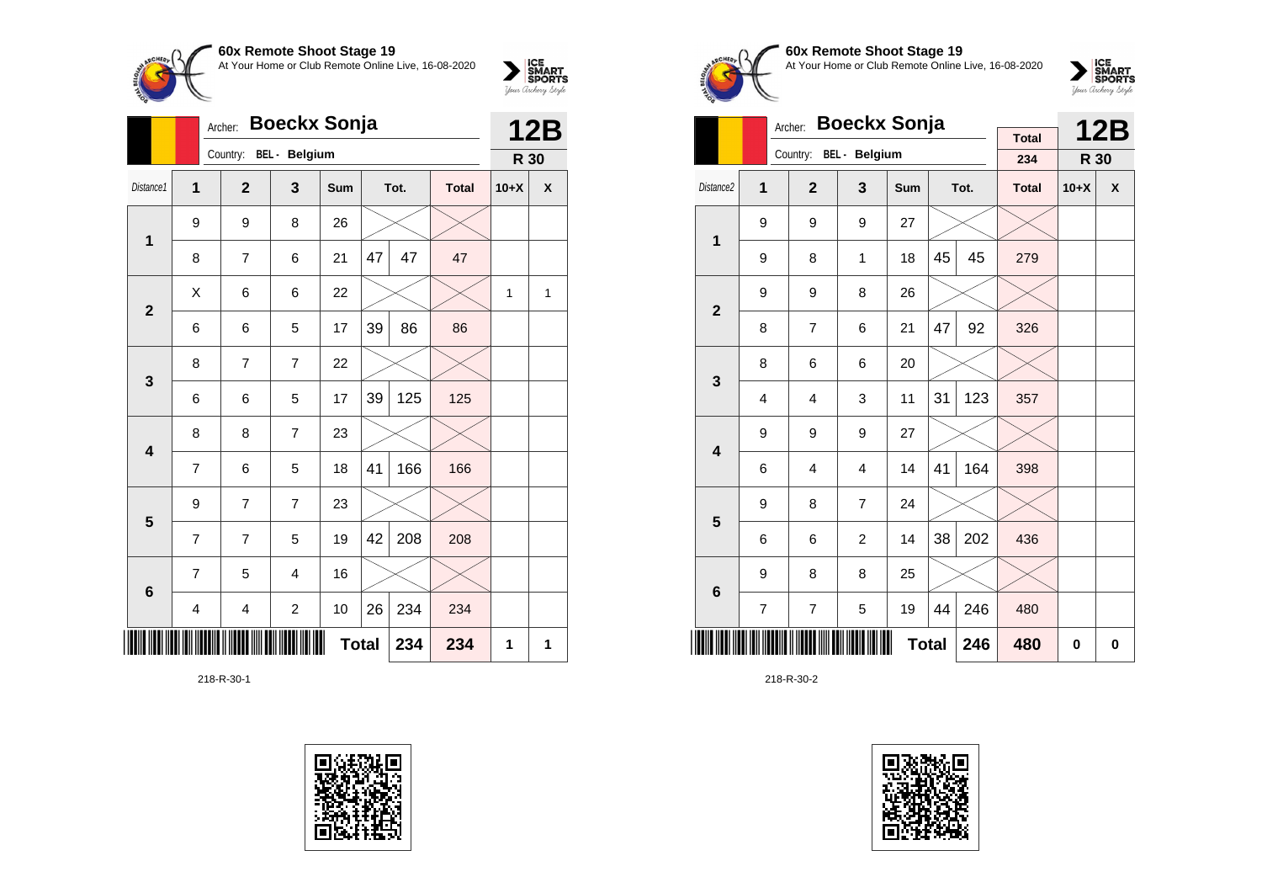

|                 |   | <b>Boeckx Sonja</b><br>Archer: |                         |            | <b>12B</b>   |      |              |        |                |
|-----------------|---|--------------------------------|-------------------------|------------|--------------|------|--------------|--------|----------------|
|                 |   | Country:                       | BEL - Belgium           |            |              |      |              | R 30   |                |
| Distance1       | 1 | $\overline{2}$                 | 3                       | <b>Sum</b> |              | Tot. | <b>Total</b> | $10+X$ | X              |
| 1               | 9 | 9                              | 8                       | 26         |              |      |              |        |                |
|                 | 8 | 7                              | 6                       | 21         | 47           | 47   | 47           |        |                |
| $\overline{2}$  | X | 6                              | 6                       | 22         |              |      |              | 1      | $\overline{1}$ |
|                 | 6 | 6                              | 5                       | 17         | 39           | 86   | 86           |        |                |
| $\mathbf{3}$    | 8 | 7                              | $\overline{7}$          | 22         |              |      |              |        |                |
|                 | 6 | 6                              | 5                       | 17         | 39           | 125  | 125          |        |                |
| 4               | 8 | 8                              | 7                       | 23         |              |      |              |        |                |
|                 | 7 | 6                              | 5                       | 18         | 41           | 166  | 166          |        |                |
| 5               | 9 | 7                              | 7                       | 23         |              |      |              |        |                |
|                 | 7 | $\overline{7}$                 | 5                       | 19         | 42           | 208  | 208          |        |                |
| $6\phantom{1}6$ | 7 | 5                              | 4                       | 16         |              |      |              |        |                |
|                 | 4 | 4                              | $\overline{\mathbf{c}}$ | 10         | 26           | 234  | 234          |        |                |
|                 |   |                                |                         |            | <b>Total</b> | 234  | 234          | 1      | 1              |

218-R-30-1





**60x Remote Shoot Stage 19** At Your Home or Club Remote Online Live, 16-08-2020



|                         |                | <b>Boeckx Sonja</b><br>Archer: |                |              |    | <b>12B</b> |                     |        |                    |
|-------------------------|----------------|--------------------------------|----------------|--------------|----|------------|---------------------|--------|--------------------|
|                         |                | Country:                       | BEL - Belgium  |              |    |            | <b>Total</b><br>234 | R 30   |                    |
| Distance <sub>2</sub>   |                |                                |                | <b>Sum</b>   |    |            |                     |        |                    |
|                         | 1              | $\overline{2}$                 | 3              |              |    | Tot.       | <b>Total</b>        | $10+X$ | $\pmb{\mathsf{X}}$ |
| 1                       | 9              | 9                              | 9              | 27           |    |            |                     |        |                    |
|                         | 9              | 8                              | 1              | 18           | 45 | 45         | 279                 |        |                    |
| $\overline{2}$          | 9              | 9                              | 8              | 26           |    |            |                     |        |                    |
|                         | 8              | $\overline{7}$                 | 6              | 21           | 47 | 92         | 326                 |        |                    |
| 3                       | 8              | 6                              | 6              | 20           |    |            |                     |        |                    |
|                         | $\overline{4}$ | 4                              | 3              | 11           | 31 | 123        | 357                 |        |                    |
| $\overline{\mathbf{4}}$ | 9              | 9                              | 9              | 27           |    |            |                     |        |                    |
|                         | 6              | 4                              | $\overline{4}$ | 14           | 41 | 164        | 398                 |        |                    |
| 5                       | 9              | 8                              | $\overline{7}$ | 24           |    |            |                     |        |                    |
|                         | 6              | 6                              | $\overline{c}$ | 14           | 38 | 202        | 436                 |        |                    |
| $6\phantom{1}6$         | 9              | 8                              | 8              | 25           |    |            |                     |        |                    |
|                         | 7              | $\overline{7}$                 | 5              | 19           | 44 | 246        | 480                 |        |                    |
|                         |                |                                |                | <b>Total</b> |    | 246        | 480                 | 0      | 0                  |

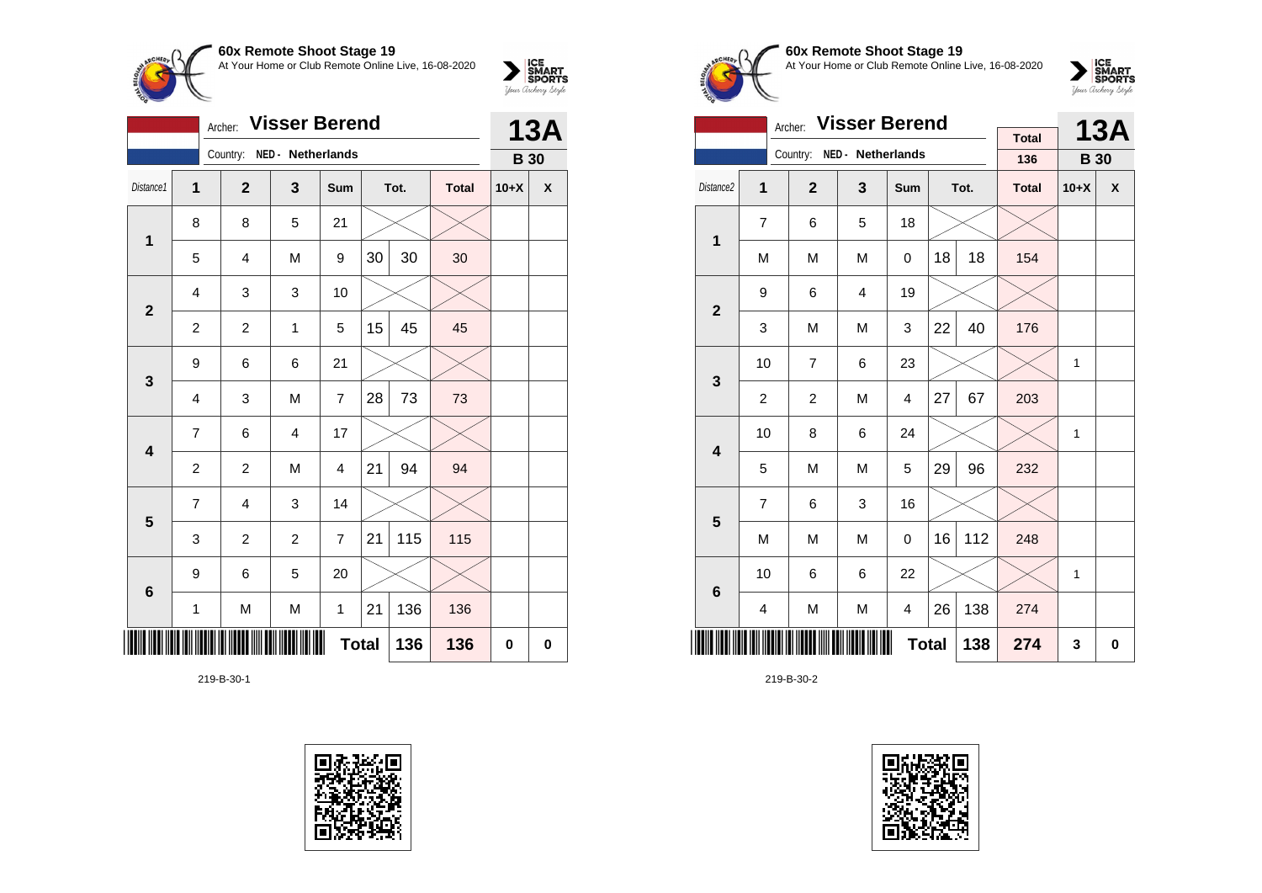

|                         | <b>Visser Berend</b><br>Archer: |                            |                |                |              |      |              |             | <b>13A</b>  |  |
|-------------------------|---------------------------------|----------------------------|----------------|----------------|--------------|------|--------------|-------------|-------------|--|
|                         |                                 | Country: NED - Netherlands |                |                |              |      |              | <b>B</b> 30 |             |  |
| Distance1               | 1                               | $\mathbf{2}$               | 3              | Sum            |              | Tot. | <b>Total</b> | $10+X$      | X           |  |
| $\mathbf 1$             | 8                               | 8                          | 5              | 21             |              |      |              |             |             |  |
|                         | 5                               | $\overline{4}$             | M              | 9              | 30           | 30   | 30           |             |             |  |
| $\mathbf{2}$            | $\overline{4}$                  | 3                          | 3              | 10             |              |      |              |             |             |  |
|                         | $\overline{c}$                  | $\overline{c}$             | 1              | 5              | 15           | 45   | 45           |             |             |  |
| 3                       | 9                               | 6                          | 6              | 21             |              |      |              |             |             |  |
|                         | 4                               | 3                          | M              | $\overline{7}$ | 28           | 73   | 73           |             |             |  |
| $\overline{\mathbf{4}}$ | $\overline{7}$                  | 6                          | $\overline{4}$ | 17             |              |      |              |             |             |  |
|                         | $\boldsymbol{2}$                | $\overline{c}$             | M              | 4              | 21           | 94   | 94           |             |             |  |
| 5                       | $\overline{7}$                  | 4                          | 3              | 14             |              |      |              |             |             |  |
|                         | 3                               | $\overline{c}$             | $\overline{c}$ | $\overline{7}$ | 21           | 115  | 115          |             |             |  |
| $6\phantom{1}6$         | 9                               | 6                          | 5              | 20             |              |      |              |             |             |  |
|                         | $\mathbf{1}$                    | M                          | M              | 1              | 21           | 136  | 136          |             |             |  |
|                         |                                 |                            |                |                | <b>Total</b> | 136  | 136          | 0           | $\mathbf 0$ |  |

219-B-30-1





## **60x Remote Shoot Stage 19** At Your Home or Club Remote Online Live, 16-08-2020

 $\sum_{\text{your } \text{Order}} \frac{\text{ICE}}{\text{SDORTS}}$ 

|                         |                         | <b>Visser Berend</b><br>Archer: |                   |                |    | <b>13A</b> |                     |              |   |
|-------------------------|-------------------------|---------------------------------|-------------------|----------------|----|------------|---------------------|--------------|---|
|                         |                         | Country:                        | NED - Netherlands |                |    |            | <b>Total</b><br>136 | <b>B</b> 30  |   |
|                         |                         |                                 |                   |                |    |            |                     |              |   |
| Distance2               | 1                       | $\overline{2}$                  | 3                 | Sum            |    | Tot.       | <b>Total</b>        | $10+X$       | X |
| 1                       | 7                       | 6                               | 5                 | 18             |    |            |                     |              |   |
|                         | M                       | M                               | M                 | 0              | 18 | 18         | 154                 |              |   |
| $\overline{2}$          | 9                       | 6                               | $\overline{4}$    | 19             |    |            |                     |              |   |
|                         | 3                       | M                               | M                 | 3              | 22 | 40         | 176                 |              |   |
| 3                       | 10                      | 7                               | 6                 | 23             |    |            |                     | $\mathbf{1}$ |   |
|                         | $\overline{\mathbf{c}}$ | $\overline{c}$                  | M                 | $\overline{4}$ | 27 | 67         | 203                 |              |   |
| $\overline{\mathbf{4}}$ | 10                      | 8                               | 6                 | 24             |    |            |                     | $\mathbf{1}$ |   |
|                         | 5                       | M                               | M                 | 5              | 29 | 96         | 232                 |              |   |
| 5                       | 7                       | 6                               | 3                 | 16             |    |            |                     |              |   |
|                         | M                       | M                               | M                 | 0              | 16 | 112        | 248                 |              |   |
| 6                       | 10                      | 6                               | 6                 | 22             |    |            |                     | $\mathbf{1}$ |   |
|                         | 4                       | M                               | M                 | $\overline{4}$ | 26 | 138        | 274                 |              |   |
|                         |                         |                                 |                   | <b>Total</b>   |    | 138        | 274                 | 3            | 0 |

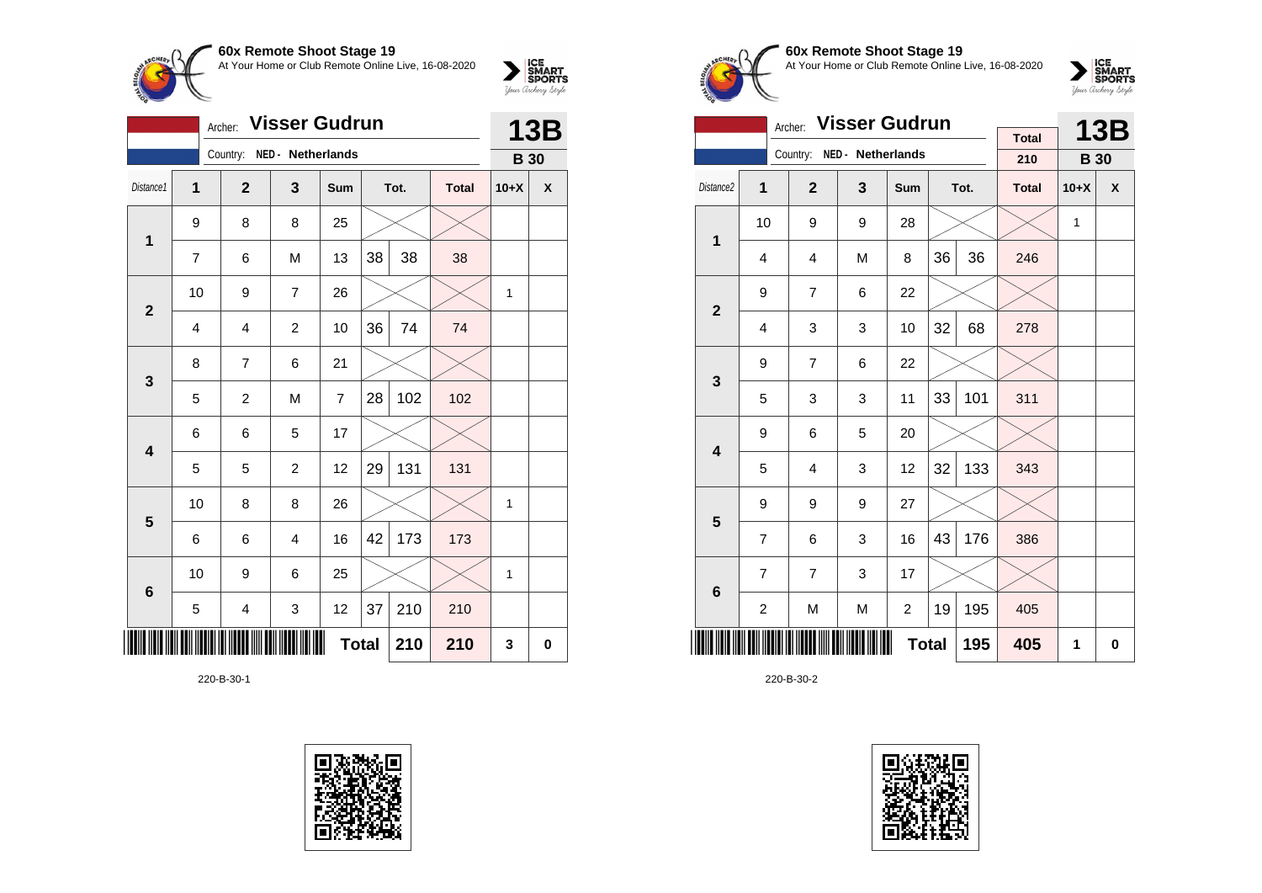

|                |                | Archer:                 | <b>Visser Gudrun</b>    |                |              |      |              | <b>13B</b>  |                    |
|----------------|----------------|-------------------------|-------------------------|----------------|--------------|------|--------------|-------------|--------------------|
|                |                | Country:                | NED - Netherlands       |                |              |      |              | <b>B</b> 30 |                    |
| Distance1      | $\overline{1}$ | $\overline{2}$          | 3                       | Sum            |              | Tot. | <b>Total</b> | $10+X$      | $\pmb{\mathsf{x}}$ |
| 1              | 9              | 8                       | 8                       | 25             |              |      |              |             |                    |
|                | $\overline{7}$ | 6                       | M                       | 13             | 38           | 38   | 38           |             |                    |
| $\overline{2}$ | 10             | 9                       | $\overline{7}$          | 26             |              |      |              | 1           |                    |
|                | 4              | $\overline{4}$          | $\overline{c}$          | 10             | 36           | 74   | 74           |             |                    |
| 3              | 8              | $\overline{7}$          | 6                       | 21             |              |      |              |             |                    |
|                | 5              | $\overline{c}$          | M                       | $\overline{7}$ | 28           | 102  | 102          |             |                    |
| 4              | 6              | 6                       | 5                       | 17             |              |      |              |             |                    |
|                | 5              | 5                       | $\overline{c}$          | 12             | 29           | 131  | 131          |             |                    |
| $5\phantom{1}$ | 10             | 8                       | 8                       | 26             |              |      |              | 1           |                    |
|                | 6              | 6                       | $\overline{\mathbf{4}}$ | 16             | 42           | 173  | 173          |             |                    |
| 6              | 10             | 9                       | 6                       | 25             |              |      |              | 1           |                    |
|                | 5              | $\overline{\mathbf{4}}$ | 3                       | 12             | 37           | 210  | 210          |             |                    |
|                |                |                         |                         |                | <b>Total</b> | 210  | 210          | 3           | 0                  |

220-B-30-1





# **60x Remote Shoot Stage 19** At Your Home or Club Remote Online Live, 16-08-2020

 $\sum_{\text{Jour} \text{C} \text{under}} \left| \begin{matrix} \text{ICE} \\ \text{SDORTS} \\ \text{SPORTS} \end{matrix} \right|_{\text{Jour} \text{d} \text{ref}}$ 

|                         |    | <b>Visser Gudrun</b><br>Archer: |                   |              |    | <b>13B</b> |              |              |             |
|-------------------------|----|---------------------------------|-------------------|--------------|----|------------|--------------|--------------|-------------|
|                         |    | Country:                        | NED - Netherlands |              |    |            | <b>Total</b> |              |             |
|                         |    |                                 |                   |              |    |            | 210          | <b>B</b> 30  |             |
| Distance <sub>2</sub>   | 1  | $\overline{2}$                  | $\mathbf{3}$      | <b>Sum</b>   |    | Tot.       | <b>Total</b> | $10+X$       | X           |
| $\mathbf 1$             | 10 | 9                               | 9                 | 28           |    |            |              | $\mathbf{1}$ |             |
|                         | 4  | 4                               | M                 | 8            | 36 | 36         | 246          |              |             |
| $\mathbf{2}$            | 9  | $\overline{7}$                  | 6                 | 22           |    |            |              |              |             |
|                         | 4  | 3                               | 3                 | 10           | 32 | 68         | 278          |              |             |
| 3                       | 9  | $\overline{7}$                  | 6                 | 22           |    |            |              |              |             |
|                         | 5  | 3                               | 3                 | 11           | 33 | 101        | 311          |              |             |
| $\overline{\mathbf{4}}$ | 9  | 6                               | 5                 | 20           |    |            |              |              |             |
|                         | 5  | 4                               | 3                 | 12           | 32 | 133        | 343          |              |             |
| 5                       | 9  | 9                               | 9                 | 27           |    |            |              |              |             |
|                         | 7  | 6                               | 3                 | 16           | 43 | 176        | 386          |              |             |
| $6\phantom{1}6$         | 7  | $\overline{7}$                  | 3                 | 17           |    |            |              |              |             |
|                         | 2  | M                               | M                 | 2            | 19 | 195        | 405          |              |             |
|                         |    |                                 |                   | <b>Total</b> |    | 195        | 405          | 1            | $\mathbf 0$ |

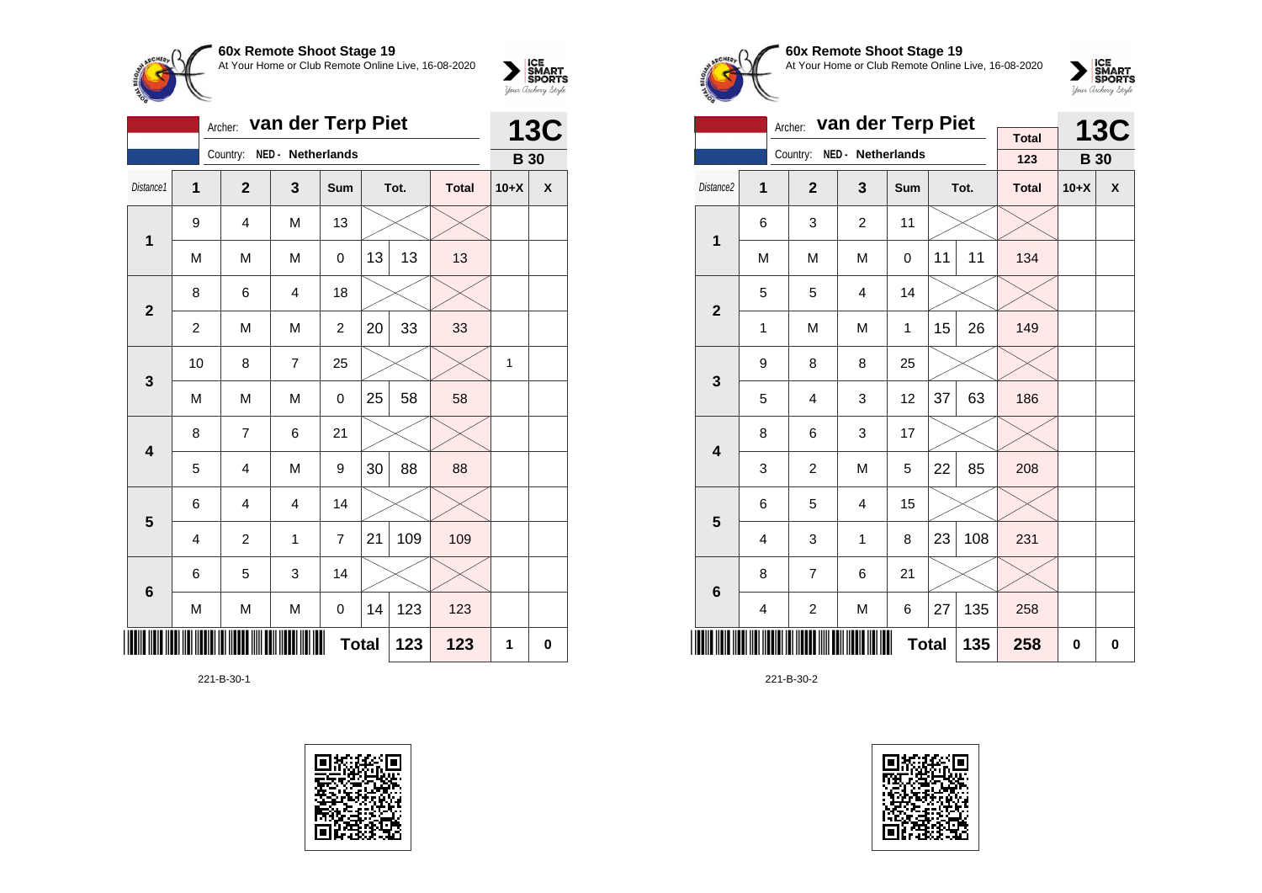

|                         | van der Terp Piet<br>Archer: |                |                   |                |    |      |              |             | <b>13C</b>  |  |
|-------------------------|------------------------------|----------------|-------------------|----------------|----|------|--------------|-------------|-------------|--|
|                         |                              | Country:       | NED - Netherlands |                |    |      |              | <b>B</b> 30 |             |  |
| Distance1               | 1                            | $\mathbf{2}$   | 3                 | Sum            |    | Tot. | <b>Total</b> | $10+X$      | X           |  |
| $\mathbf 1$             | 9                            | 4              | M                 | 13             |    |      |              |             |             |  |
|                         | M                            | M              | M                 | 0              | 13 | 13   | 13           |             |             |  |
| $\mathbf{2}$            | 8                            | 6              | $\overline{4}$    | 18             |    |      |              |             |             |  |
|                         | $\overline{c}$               | M              | M                 | $\overline{c}$ | 20 | 33   | 33           |             |             |  |
| 3                       | 10                           | 8              | $\overline{7}$    | 25             |    |      |              | 1           |             |  |
|                         | M                            | M              | M                 | 0              | 25 | 58   | 58           |             |             |  |
| $\overline{\mathbf{4}}$ | 8                            | 7              | 6                 | 21             |    |      |              |             |             |  |
|                         | 5                            | 4              | M                 | 9              | 30 | 88   | 88           |             |             |  |
| 5                       | 6                            | 4              | $\overline{4}$    | 14             |    |      |              |             |             |  |
|                         | $\overline{4}$               | $\overline{c}$ | 1                 | $\overline{7}$ | 21 | 109  | 109          |             |             |  |
| $6\phantom{1}6$         | 6                            | 5              | 3                 | 14             |    |      |              |             |             |  |
|                         | M                            | M              | M                 | 0              | 14 | 123  | 123          |             |             |  |
|                         |                              |                |                   | <b>Total</b>   |    | 123  | 123          | 1           | $\mathbf 0$ |  |

221-B-30-1





#### **60x Remote Shoot Stage 19** At Your Home or Club Remote Online Live, 16-08-2020



|                         |                         | van der Terp Piet<br>Archer: |                   |              |    | <b>13C</b> |                     |             |           |
|-------------------------|-------------------------|------------------------------|-------------------|--------------|----|------------|---------------------|-------------|-----------|
|                         |                         | Country:                     | NED - Netherlands |              |    |            | <b>Total</b><br>123 | <b>B</b> 30 |           |
| Distance2               | 1                       | $\overline{2}$               | 3                 | Sum          |    | Tot.       | <b>Total</b>        | $10+X$      | X         |
| $\mathbf 1$             | 6                       | 3                            | $\overline{2}$    | 11           |    |            |                     |             |           |
|                         | M                       | M                            | M                 | 0            | 11 | 11         | 134                 |             |           |
| $\mathbf{2}$            | 5                       | 5                            | $\overline{4}$    | 14           |    |            |                     |             |           |
|                         | $\mathbf{1}$            | M                            | M                 | 1            | 15 | 26         | 149                 |             |           |
| 3                       | 9                       | 8                            | 8                 | 25           |    |            |                     |             |           |
|                         | 5                       | $\overline{4}$               | 3                 | 12           | 37 | 63         | 186                 |             |           |
| $\overline{\mathbf{4}}$ | 8                       | 6                            | 3                 | 17           |    |            |                     |             |           |
|                         | 3                       | $\overline{2}$               | M                 | 5            | 22 | 85         | 208                 |             |           |
| 5                       | 6                       | 5                            | 4                 | 15           |    |            |                     |             |           |
|                         | 4                       | 3                            | 1                 | 8            | 23 | 108        | 231                 |             |           |
| $\bf 6$                 | 8                       | $\overline{7}$               | 6                 | 21           |    |            |                     |             |           |
|                         | $\overline{\mathbf{4}}$ | $\overline{c}$               | M                 | 6            | 27 | 135        | 258                 |             |           |
|                         |                         |                              |                   | <b>Total</b> |    | 135        | 258                 | 0           | $\pmb{0}$ |

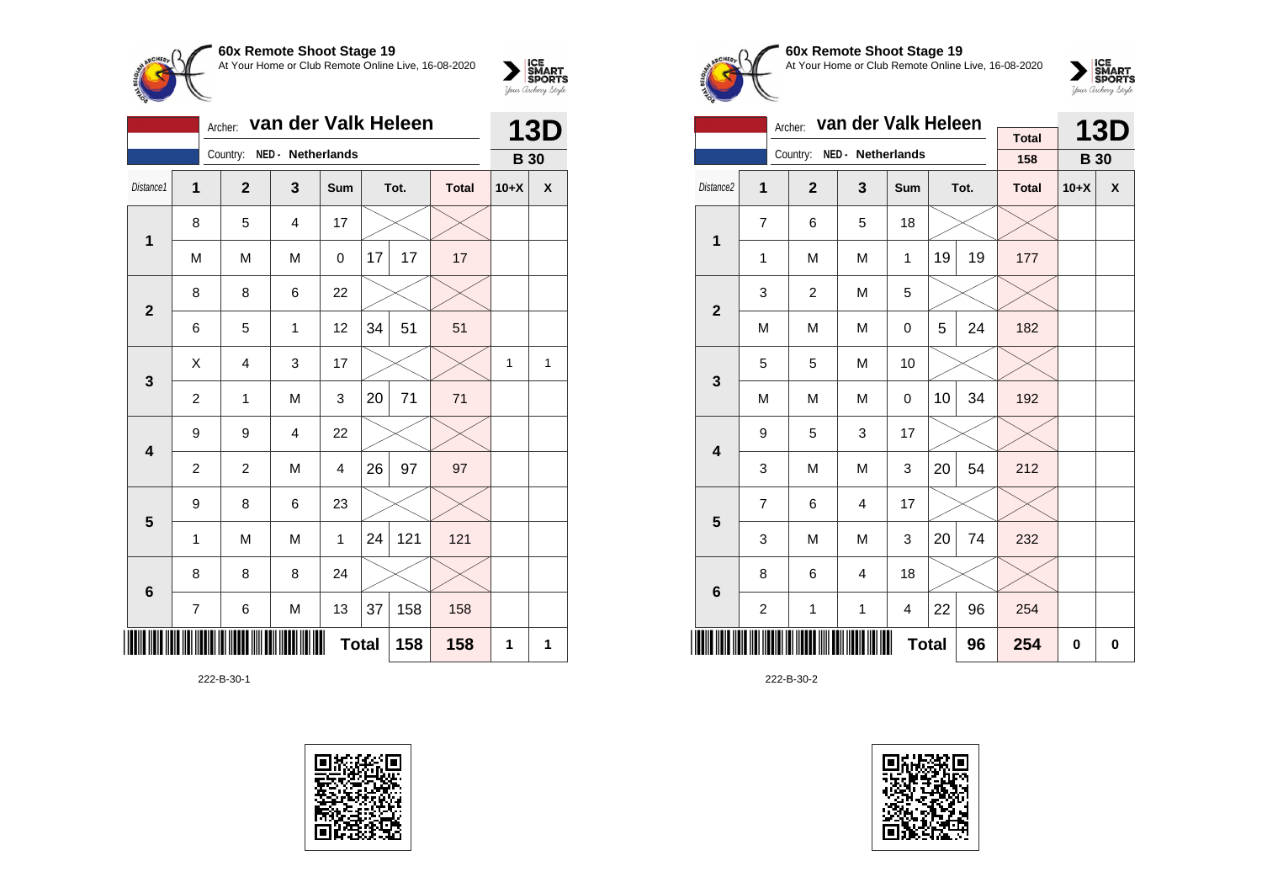

|                         | van der Valk Heleen<br>Archer: |                |                   |              |    |      |              |             | <b>13D</b>         |
|-------------------------|--------------------------------|----------------|-------------------|--------------|----|------|--------------|-------------|--------------------|
|                         |                                | Country:       | NED - Netherlands |              |    |      |              | <b>B</b> 30 |                    |
| Distance1               | $\mathbf{1}$                   | $\overline{2}$ | 3                 | Sum          |    | Tot. | <b>Total</b> | $10+X$      | $\pmb{\mathsf{X}}$ |
| $\mathbf{1}$            | 8                              | 5              | $\overline{4}$    | 17           |    |      |              |             |                    |
|                         | M                              | M              | M                 | 0            | 17 | 17   | 17           |             |                    |
| $\mathbf{2}$            | 8                              | 8              | 6                 | 22           |    |      |              |             |                    |
|                         | 6                              | 5              | 1                 | 12           | 34 | 51   | 51           |             |                    |
| 3                       | Χ                              | $\overline{4}$ | 3                 | 17           |    |      |              | 1           | $\mathbf{1}$       |
|                         | $\overline{c}$                 | 1              | M                 | 3            | 20 | 71   | 71           |             |                    |
| $\overline{\mathbf{4}}$ | 9                              | 9              | $\overline{4}$    | 22           |    |      |              |             |                    |
|                         | $\overline{c}$                 | $\overline{c}$ | M                 | 4            | 26 | 97   | 97           |             |                    |
| 5                       | 9                              | 8              | 6                 | 23           |    |      |              |             |                    |
|                         | $\mathbf{1}$                   | M              | M                 | $\mathbf{1}$ | 24 | 121  | 121          |             |                    |
| $\bf 6$                 | 8                              | 8              | 8                 | 24           |    |      |              |             |                    |
|                         | 7                              | 6              | М                 | 13           | 37 | 158  | 158          |             |                    |
|                         | <b>Total</b><br>158<br>158     |                |                   |              |    |      |              |             | 1                  |

222-B-30-1





#### **60x Remote Shoot Stage 19** At Your Home or Club Remote Online Live, 16-08-2020



|                         |                  | Archer:        | van der Valk Heleen |              |    | <b>13D</b> |                     |             |                    |
|-------------------------|------------------|----------------|---------------------|--------------|----|------------|---------------------|-------------|--------------------|
|                         |                  | Country:       | NED - Netherlands   |              |    |            | <b>Total</b><br>158 | <b>B</b> 30 |                    |
| Distance2               | 1                | $\overline{2}$ | 3                   | Sum          |    | Tot.       | <b>Total</b>        | $10+X$      | $\pmb{\mathsf{X}}$ |
| 1                       | 7                | 6              | 5                   | 18           |    |            |                     |             |                    |
|                         | 1                | M              | M                   | 1            | 19 | 19         | 177                 |             |                    |
| $\overline{\mathbf{2}}$ | 3                | $\overline{2}$ | M                   | 5            |    |            |                     |             |                    |
|                         | M                | M              | M                   | 0            | 5  | 24         | 182                 |             |                    |
| 3                       | 5                | 5              | M                   | 10           |    |            |                     |             |                    |
|                         | M                | M              | M                   | 0            | 10 | 34         | 192                 |             |                    |
| $\overline{\mathbf{4}}$ | 9                | 5              | 3                   | 17           |    |            |                     |             |                    |
|                         | 3                | M              | M                   | 3            | 20 | 54         | 212                 |             |                    |
| 5                       | $\overline{7}$   | 6              | 4                   | 17           |    |            |                     |             |                    |
|                         | 3                | M              | M                   | 3            | 20 | 74         | 232                 |             |                    |
| $6\phantom{1}$          | 8                | 6              | 4                   | 18           |    |            |                     |             |                    |
|                         | $\boldsymbol{2}$ | 1              | $\mathbf 1$         | 4            | 22 | 96         | 254                 |             |                    |
|                         |                  |                |                     | <b>Total</b> |    | 96         | 254                 | $\bf{0}$    | 0                  |

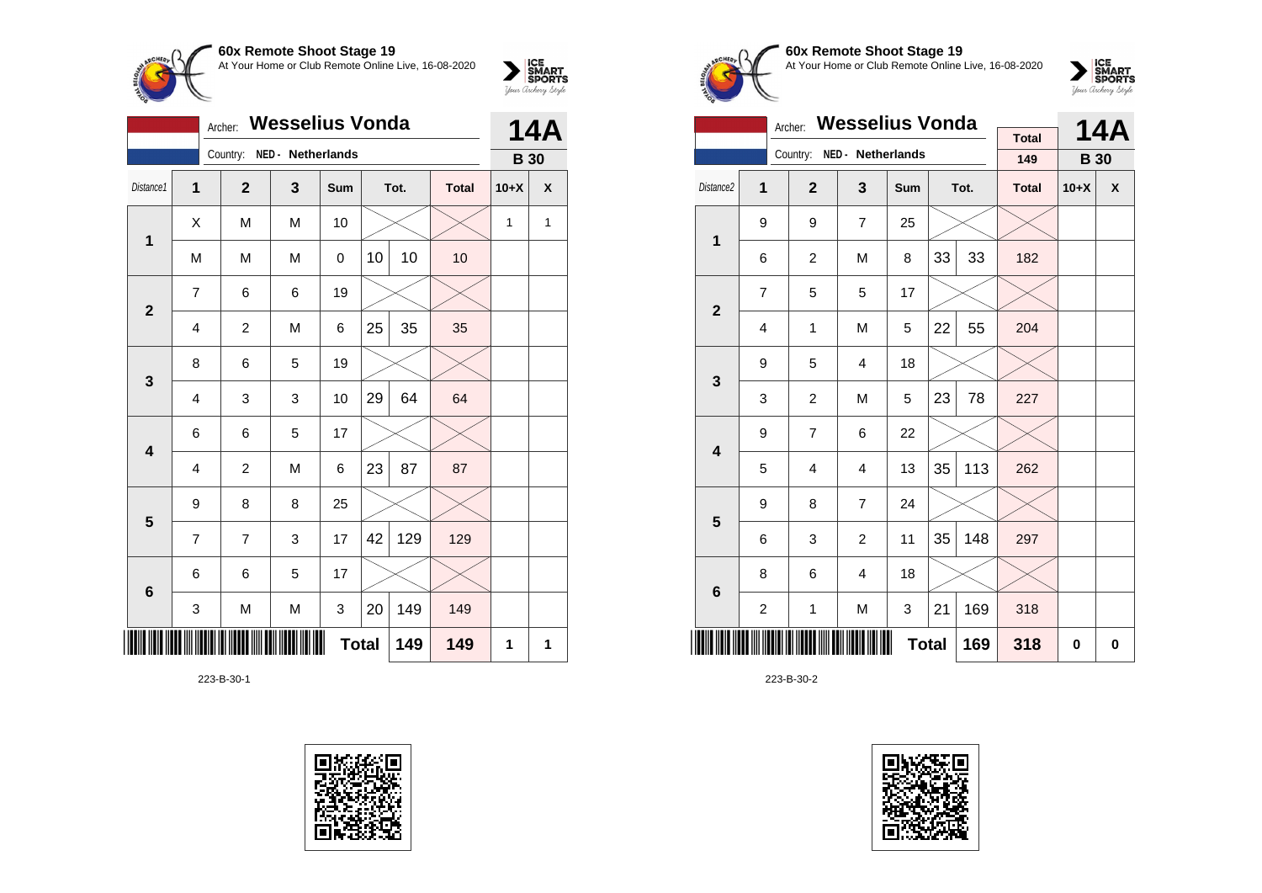

|                         |                | Archer:        | <b>Wesselius Vonda</b> |              |    |      |              |             | <b>14A</b> |  |
|-------------------------|----------------|----------------|------------------------|--------------|----|------|--------------|-------------|------------|--|
|                         |                | Country:       | NED - Netherlands      |              |    |      |              | <b>B</b> 30 |            |  |
| Distance1               | $\overline{1}$ | $\mathbf{2}$   | 3                      | Sum          |    | Tot. | <b>Total</b> | $10+X$      | X          |  |
| $\mathbf{1}$            | X              | M              | M                      | 10           |    |      |              | 1           | 1          |  |
|                         | M              | M              | M                      | 0            | 10 | 10   | 10           |             |            |  |
| $\overline{\mathbf{2}}$ | $\overline{7}$ | 6              | 6                      | 19           |    |      |              |             |            |  |
|                         | 4              | $\overline{c}$ | M                      | 6            | 25 | 35   | 35           |             |            |  |
| 3                       | 8              | 6              | 5                      | 19           |    |      |              |             |            |  |
|                         | 4              | 3              | 3                      | 10           | 29 | 64   | 64           |             |            |  |
| $\overline{\mathbf{4}}$ | 6              | 6              | 5                      | 17           |    |      |              |             |            |  |
|                         | $\overline{4}$ | $\overline{c}$ | M                      | 6            | 23 | 87   | 87           |             |            |  |
| 5                       | 9              | 8              | 8                      | 25           |    |      |              |             |            |  |
|                         | $\overline{7}$ | 7              | 3                      | 17           | 42 | 129  | 129          |             |            |  |
| $6\phantom{1}6$         | 6              | 6              | 5                      | 17           |    |      |              |             |            |  |
|                         | 3              | M              | M                      | 3            | 20 | 149  | 149          |             |            |  |
| ║║║                     |                |                |                        | <b>Total</b> |    | 149  | 149          | 1           | 1          |  |

223-B-30-1





### **60x Remote Shoot Stage 19** At Your Home or Club Remote Online Live, 16-08-2020



|                         | <b>Wesselius Vonda</b><br>Archer: |                  |                   |              |    |      |              |             | <b>14A</b>         |
|-------------------------|-----------------------------------|------------------|-------------------|--------------|----|------|--------------|-------------|--------------------|
|                         |                                   | Country:         | NED - Netherlands |              |    |      | <b>Total</b> |             |                    |
|                         |                                   |                  |                   |              |    |      | 149          | <b>B</b> 30 |                    |
| Distance2               | 1                                 | $\overline{2}$   | 3                 | Sum          |    | Tot. | <b>Total</b> | $10+X$      | $\pmb{\mathsf{X}}$ |
| 1                       | 9                                 | 9                | $\overline{7}$    | 25           |    |      |              |             |                    |
|                         | 6                                 | $\overline{c}$   | M                 | 8            | 33 | 33   | 182          |             |                    |
| $\overline{\mathbf{2}}$ | $\overline{7}$                    | 5                | 5                 | 17           |    |      |              |             |                    |
|                         | 4                                 | $\mathbf{1}$     | M                 | 5            | 22 | 55   | 204          |             |                    |
| 3                       | 9                                 | 5                | $\overline{4}$    | 18           |    |      |              |             |                    |
|                         | 3                                 | $\boldsymbol{2}$ | M                 | 5            | 23 | 78   | 227          |             |                    |
| $\overline{\mathbf{4}}$ | 9                                 | 7                | 6                 | 22           |    |      |              |             |                    |
|                         | 5                                 | 4                | 4                 | 13           | 35 | 113  | 262          |             |                    |
| 5                       | 9                                 | 8                | $\overline{7}$    | 24           |    |      |              |             |                    |
|                         | 6                                 | 3                | $\overline{c}$    | 11           | 35 | 148  | 297          |             |                    |
| 6                       | 8                                 | 6                | 4                 | 18           |    |      |              |             |                    |
|                         | $\overline{c}$                    | $\mathbf 1$      | M                 | 3            | 21 | 169  | 318          |             |                    |
|                         |                                   |                  |                   | <b>Total</b> |    | 169  | 318          | 0           | 0                  |

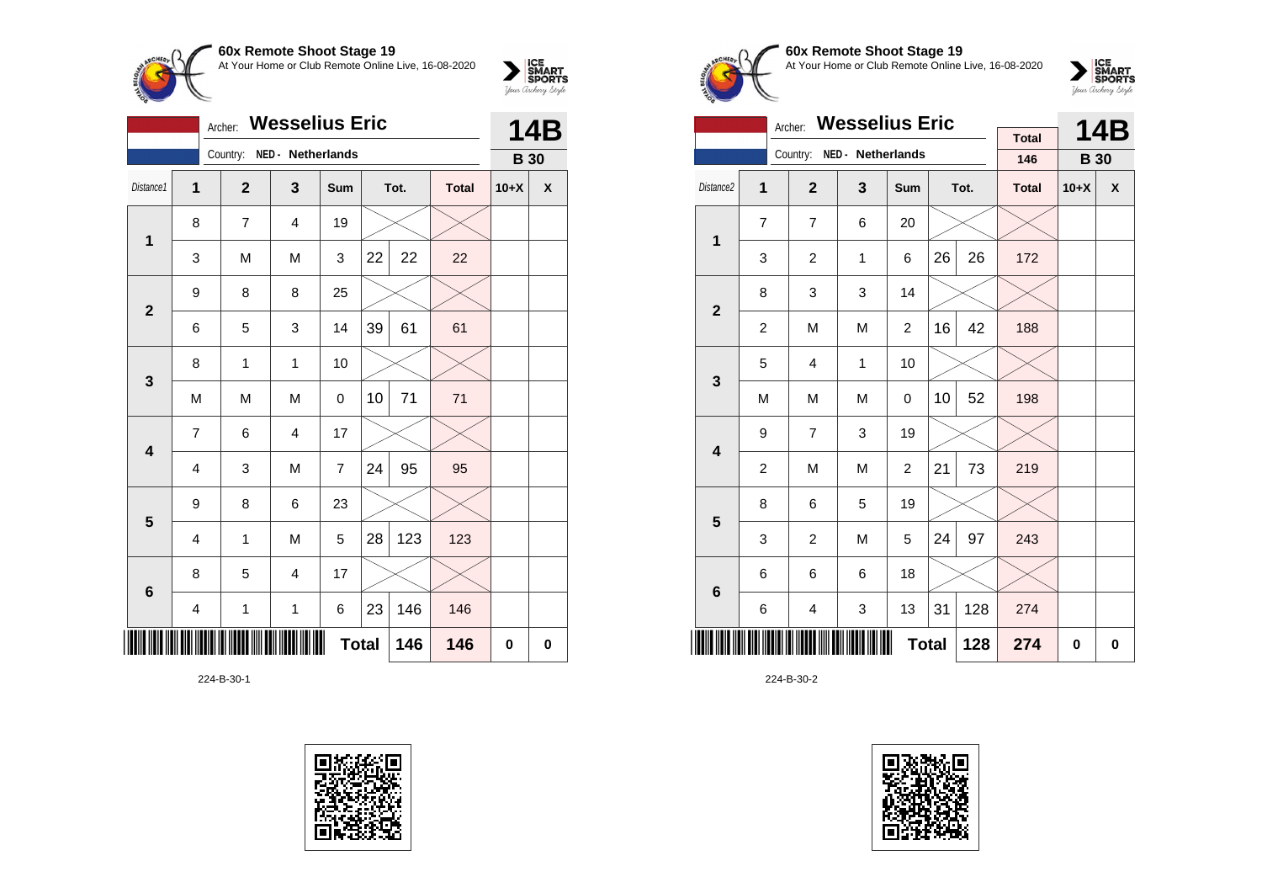

|                         |                         | Archer:                    | <b>Wesselius Eric</b>   |                |    |      |              | <b>14B</b>  |   |
|-------------------------|-------------------------|----------------------------|-------------------------|----------------|----|------|--------------|-------------|---|
|                         |                         | Country: NED - Netherlands |                         |                |    |      |              | <b>B</b> 30 |   |
| Distance1               | 1                       | $\overline{2}$             | $\overline{\mathbf{3}}$ | Sum            |    | Tot. | <b>Total</b> | $10+X$      | X |
| $\mathbf 1$             | 8                       | $\overline{7}$             | 4                       | 19             |    |      |              |             |   |
|                         | 3                       | M                          | M                       | 3              | 22 | 22   | 22           |             |   |
| $\overline{2}$          | 9                       | 8                          | 8                       | 25             |    |      |              |             |   |
|                         | 6                       | 5                          | 3                       | 14             | 39 | 61   | 61           |             |   |
| 3                       | 8                       | 1                          | $\mathbf{1}$            | 10             |    |      |              |             |   |
|                         | M                       | M                          | M                       | 0              | 10 | 71   | 71           |             |   |
| $\overline{\mathbf{4}}$ | $\overline{7}$          | 6                          | $\overline{4}$          | 17             |    |      |              |             |   |
|                         | 4                       | 3                          | M                       | $\overline{7}$ | 24 | 95   | 95           |             |   |
| 5                       | 9                       | 8                          | 6                       | 23             |    |      |              |             |   |
|                         | $\overline{\mathbf{4}}$ | 1                          | M                       | 5              | 28 | 123  | 123          |             |   |
| $6\phantom{1}6$         | 8                       | 5                          | $\overline{4}$          | 17             |    |      |              |             |   |
|                         | 4                       | $\mathbf{1}$               | 1                       | 6              | 23 | 146  | 146          |             |   |
| ║║                      |                         |                            |                         | <b>Total</b>   |    | 146  | 146          | 0           | 0 |

224-B-30-1





### **60x Remote Shoot Stage 19** At Your Home or Club Remote Online Live, 16-08-2020



|                         |                | <b>Wesselius Eric</b><br>Archer: |                   |                |    | <b>14B</b> |                     |             |   |
|-------------------------|----------------|----------------------------------|-------------------|----------------|----|------------|---------------------|-------------|---|
|                         |                | Country:                         | NED - Netherlands |                |    |            | <b>Total</b><br>146 | <b>B</b> 30 |   |
|                         |                |                                  |                   |                |    |            |                     |             |   |
| Distance <sub>2</sub>   | 1              | $\overline{2}$                   | 3                 | Sum            |    | Tot.       | <b>Total</b>        | $10+X$      | X |
| $\mathbf 1$             | $\overline{7}$ | $\overline{7}$                   | 6                 | 20             |    |            |                     |             |   |
|                         | 3              | $\overline{2}$                   | $\mathbf{1}$      | 6              | 26 | 26         | 172                 |             |   |
| $\overline{2}$          | 8              | 3                                |                   |                |    |            |                     |             |   |
|                         | $\overline{c}$ | M                                | 42                | 188            |    |            |                     |             |   |
| 3                       | 5              | 4                                | 1                 | 10             |    |            |                     |             |   |
|                         | M              | M                                | M                 | $\mathbf 0$    | 10 | 52         | 198                 |             |   |
| $\overline{\mathbf{4}}$ | 9              | $\overline{7}$                   | 3                 | 19             |    |            |                     |             |   |
|                         | $\overline{c}$ | M                                | M                 | $\overline{c}$ | 21 | 73         | 219                 |             |   |
| 5                       | 8              | 6                                | 5                 | 19             |    |            |                     |             |   |
|                         | 3              | $\overline{c}$                   | M                 | 5              | 24 | 97         | 243                 |             |   |
| 6                       | 6              | 6                                |                   |                |    |            |                     |             |   |
|                         | 6              | 4                                | 128               | 274            |    |            |                     |             |   |
|                         |                |                                  | 274               | 0              | 0  |            |                     |             |   |

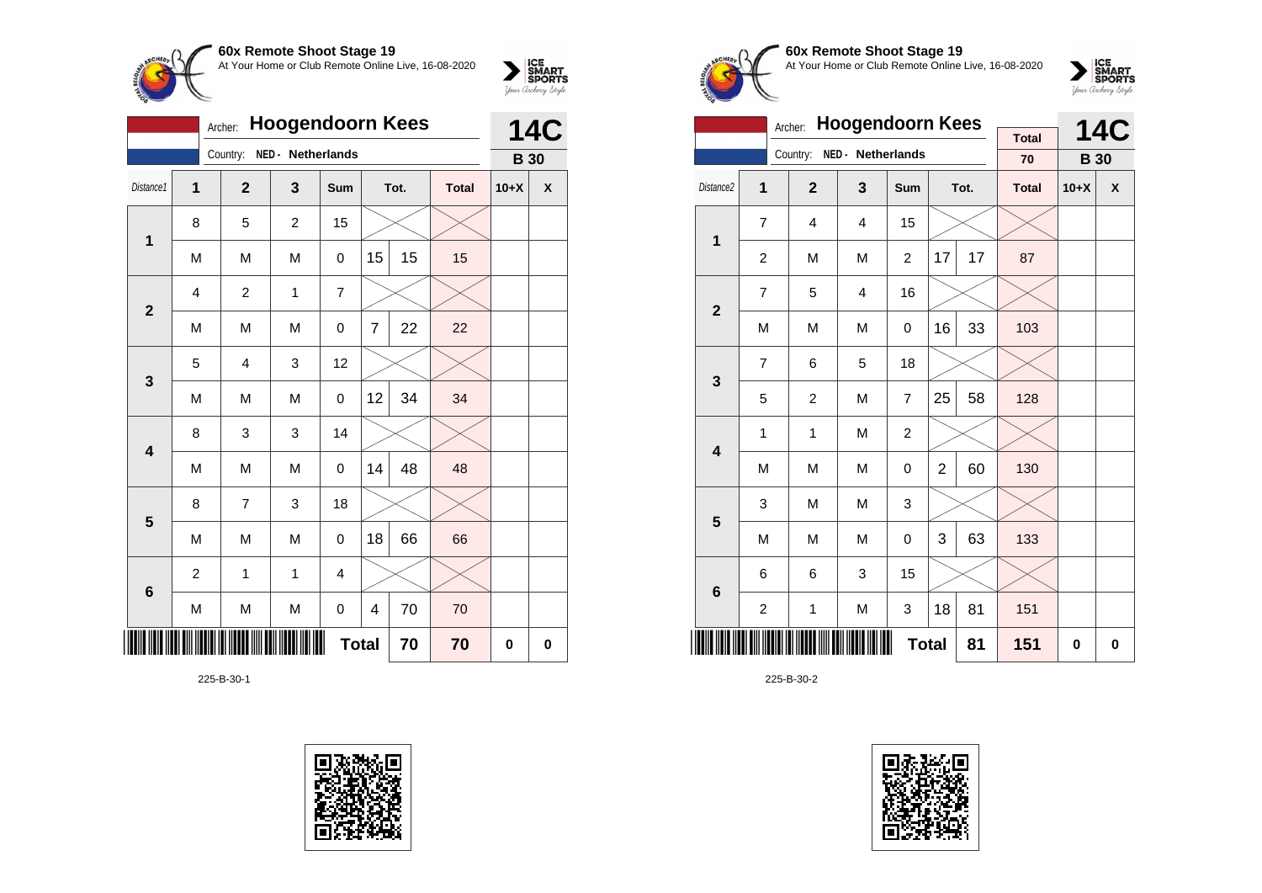

|                | <b>Hoogendoorn Kees</b>                        | <b>14C</b> |                |                   |                |    |      |              |             |   |
|----------------|------------------------------------------------|------------|----------------|-------------------|----------------|----|------|--------------|-------------|---|
|                |                                                |            | Country:       | NED - Netherlands |                |    |      |              | <b>B</b> 30 |   |
| Distance1      | 1                                              |            | $\overline{2}$ | 3                 | Sum            |    | Tot. | <b>Total</b> | $10+X$      | X |
| $\mathbf{1}$   | 8                                              |            | 5              | $\overline{2}$    | 15             |    |      |              |             |   |
|                | M                                              |            | M              | M                 | 0              | 15 | 15   | 15           |             |   |
| $\overline{2}$ | $\overline{4}$                                 |            | 2              | 1                 | $\overline{7}$ |    |      |              |             |   |
|                | 22<br>M<br>M<br>$\overline{7}$<br>22<br>M<br>0 |            |                |                   |                |    |      |              |             |   |
| $\mathbf{3}$   | 5                                              |            | $\overline{4}$ | 3                 | 12             |    |      |              |             |   |
|                | M                                              |            | M              | M                 | 0              | 12 | 34   | 34           |             |   |
| 4              | 8                                              |            | 3              | 3                 | 14             |    |      |              |             |   |
|                | M                                              |            | M              | M                 | 0              | 14 | 48   | 48           |             |   |
| $5\phantom{1}$ | 8                                              |            | $\overline{7}$ | 3                 | 18             |    |      |              |             |   |
|                | M                                              |            | M              | M                 | $\mathsf 0$    | 18 | 66   | 66           |             |   |
| 6              | $\overline{c}$                                 |            | 1              | 1                 | 4              |    |      |              |             |   |
|                | M<br>M<br>M<br>70<br>70<br>4<br>0              |            |                |                   |                |    |      |              |             |   |
|                | <b>Total</b><br>70<br>70                       |            |                |                   |                |    |      |              |             | 0 |

225-B-30-1





## **60x Remote Shoot Stage 19** At Your Home or Club Remote Online Live, 16-08-2020



|                         |                                           | Archer:        | <b>Hoogendoorn Kees</b> | <b>Total</b>   |                | <b>14C</b> |              |             |   |
|-------------------------|-------------------------------------------|----------------|-------------------------|----------------|----------------|------------|--------------|-------------|---|
|                         |                                           | Country:       | NED - Netherlands       |                |                |            | 70           | <b>B</b> 30 |   |
| Distance2               | 1                                         | $\overline{2}$ | 3                       | <b>Sum</b>     |                | Tot.       | <b>Total</b> | $10+X$      | X |
| $\mathbf{1}$            | $\overline{7}$                            | 4              | $\overline{4}$          | 15             |                |            |              |             |   |
|                         | $\overline{c}$                            | M              | M                       | $\overline{c}$ | 17             | 17         | 87           |             |   |
| $\mathbf{2}$            | $\overline{7}$                            | 5              | 4                       | 16             |                |            |              |             |   |
|                         | M                                         | M              | 33                      | 103            |                |            |              |             |   |
| 3                       | $\overline{7}$                            | 6              | 5                       | 18             |                |            |              |             |   |
|                         | 5                                         | $\overline{c}$ | M                       | $\overline{7}$ | 25             | 58         | 128          |             |   |
| $\overline{\mathbf{4}}$ | 1                                         | $\mathbf{1}$   | M                       | $\overline{2}$ |                |            |              |             |   |
|                         | M                                         | M              | M                       | 0              | $\overline{2}$ | 60         | 130          |             |   |
| 5                       | 3                                         | M              | M                       | 3              |                |            |              |             |   |
|                         | M                                         | M              | M                       | 0              | 3              | 63         | 133          |             |   |
| 6                       | 15<br>3<br>6<br>6                         |                |                         |                |                |            |              |             |   |
|                         | 18<br>81<br>$\overline{c}$<br>M<br>1<br>3 |                |                         |                |                |            |              |             |   |
|                         |                                           |                | 81                      | 151            | 0              | 0          |              |             |   |

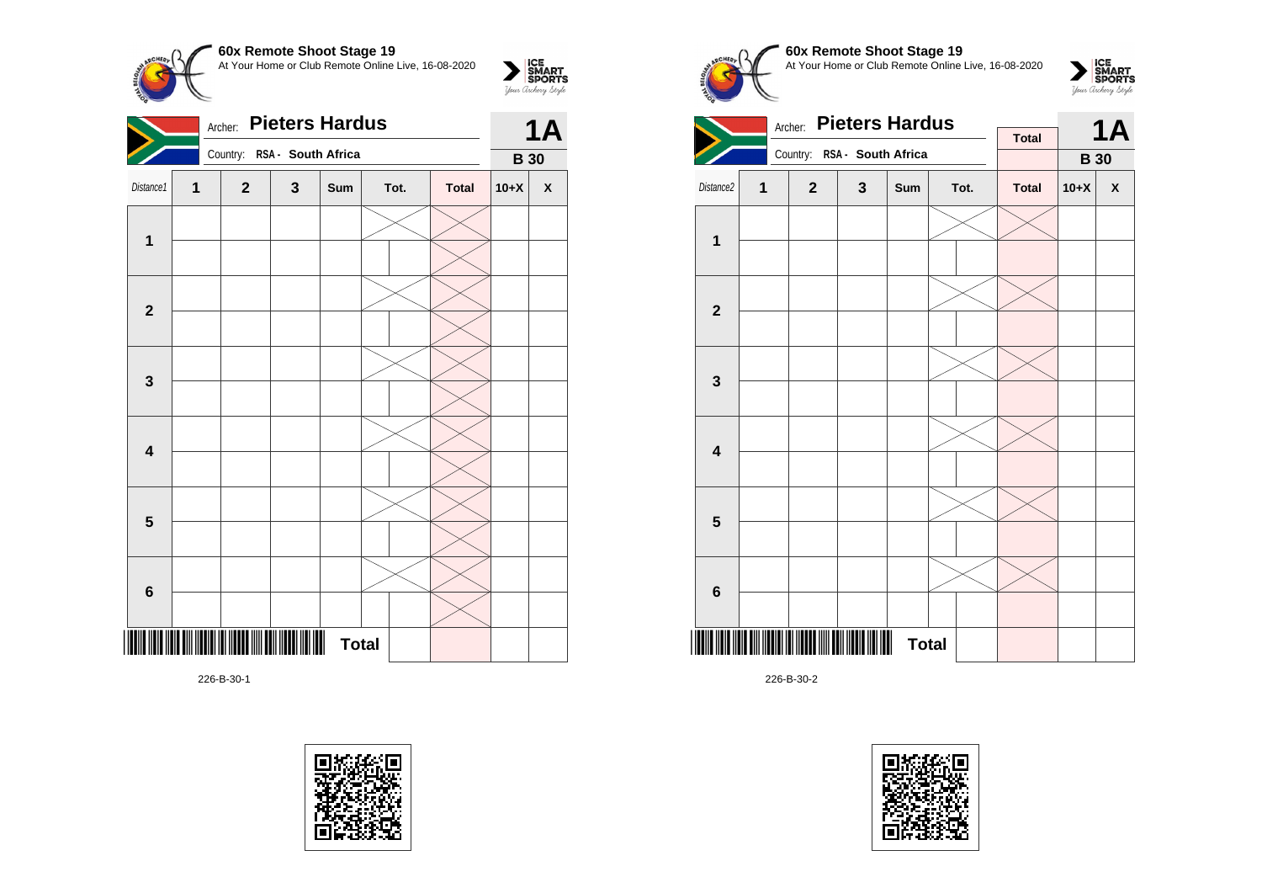**60x Remote Shoot Stage 19**  $\sum_{\text{S$ **MART** $SPORTS$ At Your Home or Club Remote Online Live, 16-08-2020 Archer: **Pieters Hardus 1A Second** Second Second

|                         |   |              |                    | $\mathbf{r}$ |      |              |             |                    |
|-------------------------|---|--------------|--------------------|--------------|------|--------------|-------------|--------------------|
|                         |   | Country:     | RSA - South Africa |              |      |              | <b>B</b> 30 |                    |
| Distance1               | 1 | $\mathbf{2}$ | $\mathbf 3$        | Sum          | Tot. | <b>Total</b> | $10+X$      | $\pmb{\mathsf{X}}$ |
| $\mathbf{1}$            |   |              |                    |              |      |              |             |                    |
|                         |   |              |                    |              |      |              |             |                    |
| $\mathbf 2$             |   |              |                    |              |      |              |             |                    |
|                         |   |              |                    |              |      |              |             |                    |
| $\mathbf{3}$            |   |              |                    |              |      |              |             |                    |
|                         |   |              |                    |              |      |              |             |                    |
| $\overline{\mathbf{4}}$ |   |              |                    |              |      |              |             |                    |
|                         |   |              |                    |              |      |              |             |                    |
| $\overline{\mathbf{5}}$ |   |              |                    |              |      |              |             |                    |
|                         |   |              |                    |              |      |              |             |                    |
| $\bf 6$                 |   |              |                    |              |      |              |             |                    |
|                         |   |              |                    |              |      |              |             |                    |
|                         |   |              |                    | <b>Total</b> |      |              |             |                    |
|                         |   |              |                    |              |      |              |             |                    |

226-B-30-1









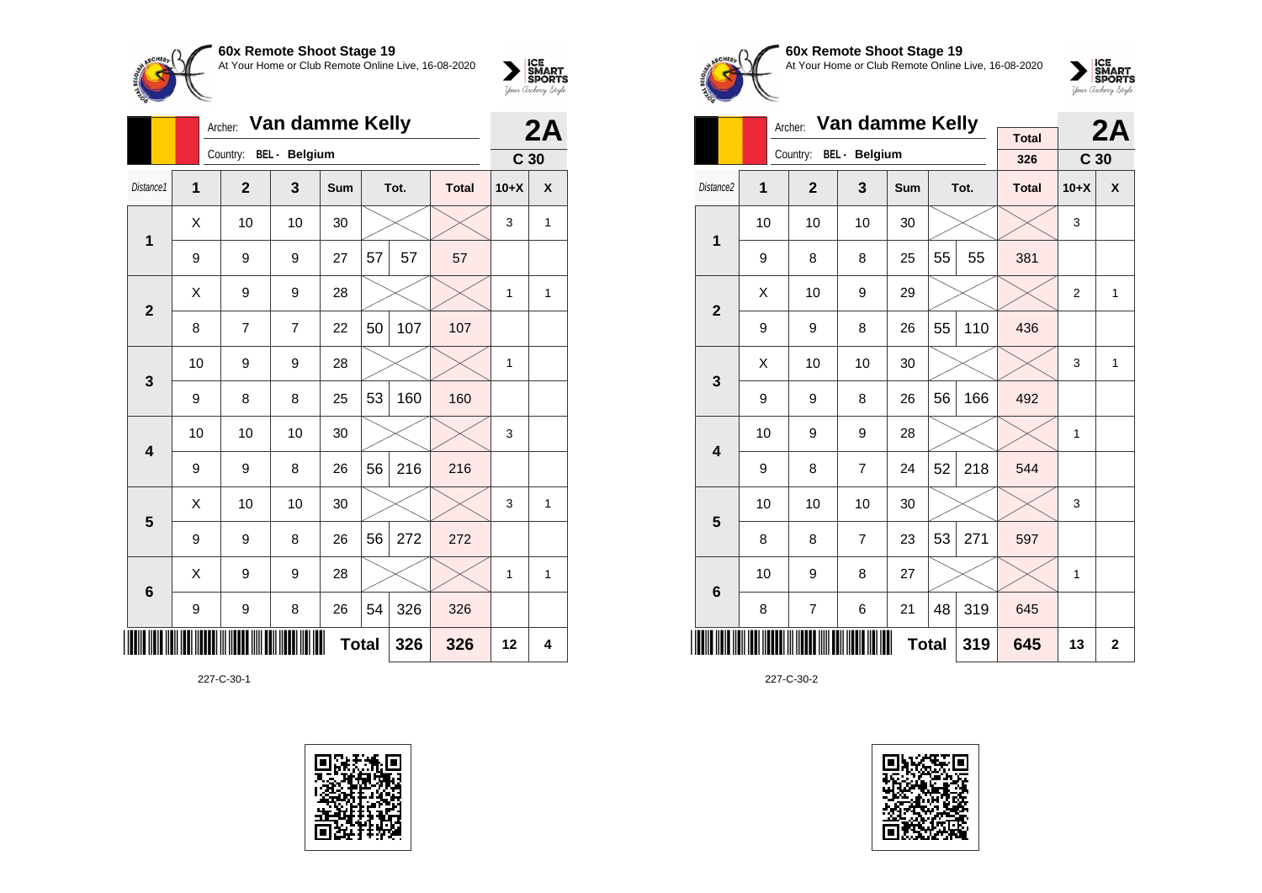



|                         |                            | 2A           |                        |            |    |      |              |                 |              |
|-------------------------|----------------------------|--------------|------------------------|------------|----|------|--------------|-----------------|--------------|
|                         |                            |              | Country: BEL - Belgium |            |    |      |              | C <sub>30</sub> |              |
| Distance1               | $\overline{1}$             | $\mathbf{2}$ | 3                      | <b>Sum</b> |    | Tot. | <b>Total</b> | $10+X$          | X            |
| 1                       | X                          | 10           | 10                     | 30         |    |      |              | 3               | $\mathbf{1}$ |
|                         | 9                          | 9            | 9                      | 27         | 57 | 57   | 57           |                 |              |
| $\overline{2}$          | X                          | 9            | 9                      | 28         |    |      |              | 1               | 1            |
|                         | 8                          | 7            | $\overline{7}$         | 22         | 50 | 107  | 107          |                 |              |
| 3                       | 10                         | 9            | 9                      | 28         |    |      |              | 1               |              |
|                         | 9                          | 8            | 8                      | 25         | 53 | 160  | 160          |                 |              |
| $\overline{\mathbf{4}}$ | 10                         | 10           | 10                     | 30         |    |      |              | 3               |              |
|                         | 9                          | 9            | 8                      | 26         | 56 | 216  | 216          |                 |              |
| 5                       | X                          | 10           | 10                     | 30         |    |      |              | 3               | $\mathbf{1}$ |
|                         | 9                          | 9            | 8                      | 26         | 56 | 272  | 272          |                 |              |
| $6\phantom{1}6$         | X                          | 9            | 9                      | 28         |    |      |              | 1               | $\mathbf{1}$ |
|                         | 9                          | 9            | 8                      | 26         | 54 | 326  | 326          |                 |              |
| Ш                       | <b>Total</b><br>326<br>326 |              |                        |            |    |      |              |                 |              |

227-C-30-1





# **60x Remote Shoot Stage 19** At Your Home or Club Remote Online Live, 16-08-2020



|                         |    | Archer:        | Van damme Kelly      |                |    | 2A   |                     |                 |              |
|-------------------------|----|----------------|----------------------|----------------|----|------|---------------------|-----------------|--------------|
|                         |    | Country:       | <b>BEL</b> - Belgium |                |    |      | <b>Total</b><br>326 | C <sub>30</sub> |              |
| Distance <sub>2</sub>   | 1  | $\overline{2}$ | 3                    | <b>Sum</b>     |    | Tot. | <b>Total</b>        | $10+X$          | $\pmb{\chi}$ |
| 1                       | 10 | 10             | 10                   | 30             |    |      |                     | 3               |              |
|                         | 9  | 8              | 8                    | 25             | 55 | 55   | 381                 |                 |              |
| $\overline{2}$          | X  | 10             | 9                    | 29             |    |      |                     | $\overline{2}$  | $\mathbf{1}$ |
|                         | 9  | 9              | 436                  |                |    |      |                     |                 |              |
| 3                       | X  | 10             | 10                   | 30             |    |      |                     | 3               | 1            |
|                         | 9  | 9              | 8                    | 26             | 56 | 166  | 492                 |                 |              |
| $\overline{\mathbf{4}}$ | 10 | 9              | 9                    | 28             |    |      |                     | 1               |              |
|                         | 9  | 8              | $\overline{7}$       | 24             | 52 | 218  | 544                 |                 |              |
| 5                       | 10 | 10             | 10                   | 30             |    |      |                     | 3               |              |
|                         | 8  | 8              | $\overline{7}$       | 23             | 53 | 271  | 597                 |                 |              |
| $6\phantom{1}6$         | 10 | 9              | 8                    | 27             |    |      |                     | $\mathbf{1}$    |              |
|                         | 8  | 7              | 319                  | 645            |    |      |                     |                 |              |
|                         |    | 645            | 13                   | $\overline{2}$ |    |      |                     |                 |              |

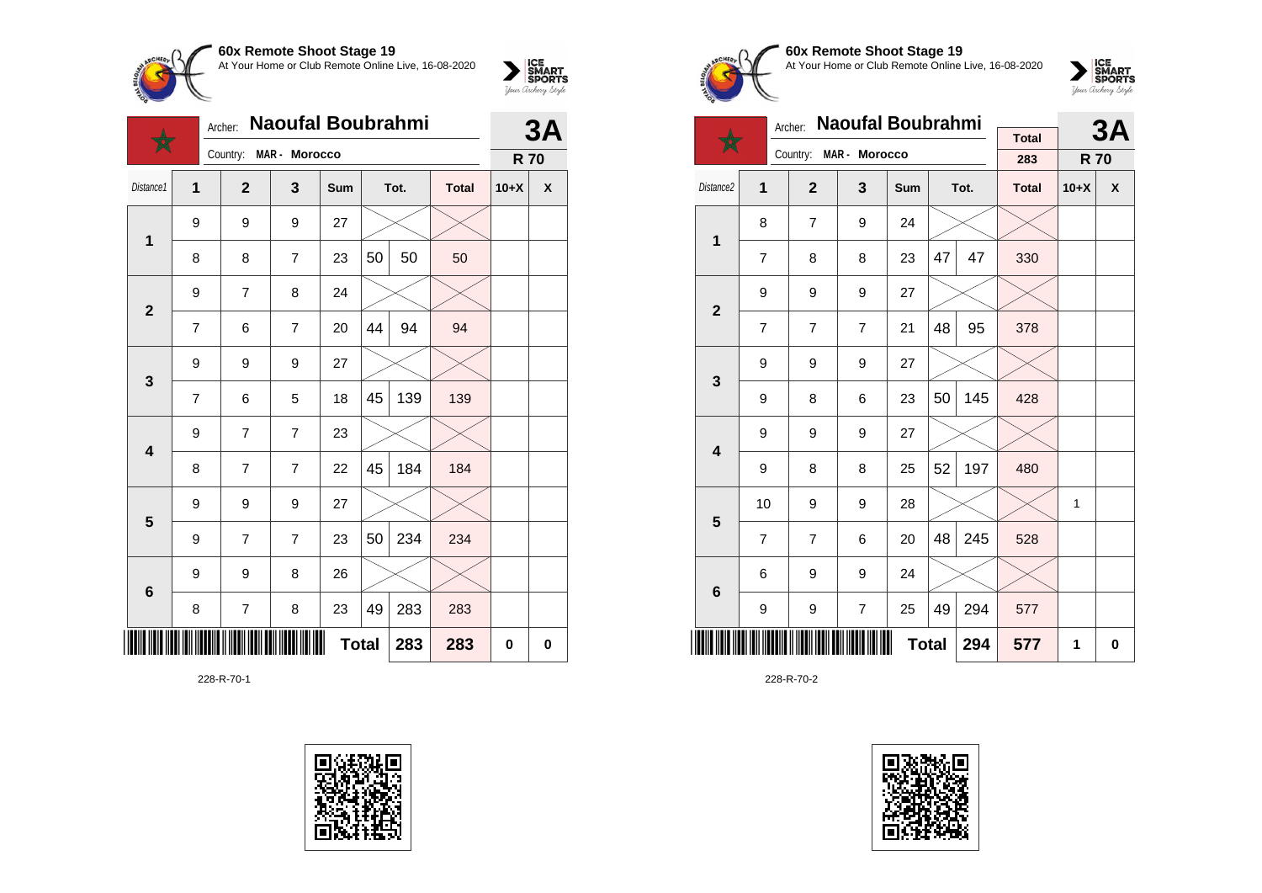

 $\bigstar$ 



| ║║║ |                         |                          |                          |                | <b>Total</b> |    | 283 | 283 | $\pmb{0}$ | $\mathbf 0$ |
|-----|-------------------------|--------------------------|--------------------------|----------------|--------------|----|-----|-----|-----------|-------------|
|     | 6                       | 8                        | $\overline{\mathcal{I}}$ | 8              | 23           | 49 | 283 | 283 |           |             |
|     |                         | 9                        | 9                        | 8              | 26           |    |     |     |           |             |
|     |                         | 9                        | $\overline{\mathcal{I}}$ | $\overline{7}$ | 23           | 50 | 234 | 234 |           |             |
|     | $5\phantom{1}$          | 9                        | 9                        | 9              | 27           |    |     |     |           |             |
|     |                         | 8                        | $\overline{\mathcal{I}}$ | $\overline{7}$ | 22           | 45 | 184 | 184 |           |             |
|     | $\overline{\mathbf{4}}$ | 9                        | $\overline{\mathcal{I}}$ | $\overline{7}$ | 23           |    |     |     |           |             |
|     | 3                       | $\overline{\mathbf{7}}$  | 6                        | 5              | 18           | 45 | 139 | 139 |           |             |
|     |                         | 9                        | 9                        | 9              | 27           |    |     |     |           |             |
|     |                         | $\overline{\mathcal{I}}$ | 6                        | $\overline{7}$ | 20           | 44 | 94  | 94  |           |             |
|     | $\mathbf{2}$            | 9                        | $\overline{\mathcal{I}}$ | 8              | 24           |    |     |     |           |             |
|     |                         | 8                        | 8                        | $\overline{7}$ | 23           | 50 | 50  | 50  |           |             |
|     | $\overline{\mathbf{1}}$ | 9                        | 9                        | 9              | 27           |    |     |     |           |             |

228-R-70-1





**60x Remote Shoot Stage 19** At Your Home or Club Remote Online Live, 16-08-2020



|                         |                | Archer:        | Naoufal Boubrahmi |     |    | 3A   |              |            |   |
|-------------------------|----------------|----------------|-------------------|-----|----|------|--------------|------------|---|
|                         |                | Country:       | MAR - Morocco     |     |    |      | <b>Total</b> |            |   |
|                         |                |                |                   |     |    |      | 283          | <b>R70</b> |   |
| Distance <sub>2</sub>   | 1              | $\mathbf{2}$   | 3                 | Sum |    | Tot. | <b>Total</b> | $10+X$     | X |
| 1                       | 8              | $\overline{7}$ | 9                 | 24  |    |      |              |            |   |
|                         | 7              | 8              | 8                 | 23  | 47 | 47   | 330          |            |   |
| $\overline{2}$          | 9              | 9              | 9                 | 27  |    |      |              |            |   |
|                         | 7              | $\overline{7}$ | $\overline{7}$    | 378 |    |      |              |            |   |
| 3                       | 9              | 9              | 9                 | 27  |    |      |              |            |   |
|                         | 9              | 8              | 6                 | 23  | 50 | 145  | 428          |            |   |
| $\overline{\mathbf{4}}$ | 9              | 9              | 9                 | 27  |    |      |              |            |   |
|                         | 9              | 8              | 8                 | 25  | 52 | 197  | 480          |            |   |
| 5                       | 10             | 9              | 9                 | 28  |    |      |              | 1          |   |
|                         | $\overline{7}$ | $\overline{7}$ | 6                 | 20  | 48 | 245  | 528          |            |   |
| 6                       | 6              | 9              | 9                 | 24  |    |      |              |            |   |
|                         | 9              | 294            | 577               |     |    |      |              |            |   |
| III                     |                |                | 294               | 577 | 1  | 0    |              |            |   |

228-R-70-2

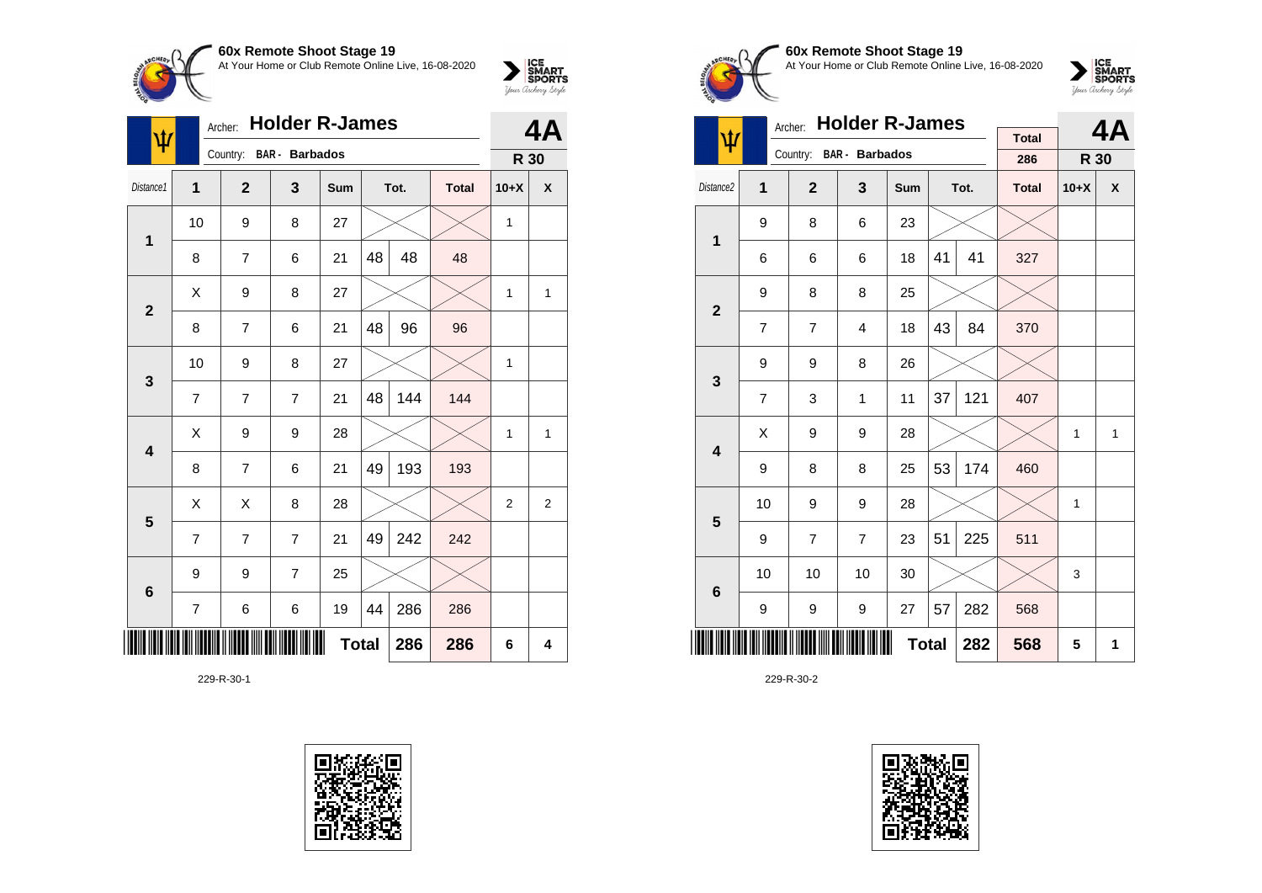

| ψ                       | Archer:        | 4A             |                       |     |              |      |              |              |                |
|-------------------------|----------------|----------------|-----------------------|-----|--------------|------|--------------|--------------|----------------|
|                         |                | Country:       | <b>BAR</b> - Barbados |     |              |      |              | R 30         |                |
| Distance1               | 1              | $\overline{2}$ | 3                     | Sum |              | Tot. | <b>Total</b> | $10+X$       | X              |
| 1                       | 10             | 9              | 8                     | 27  |              |      |              | 1            |                |
|                         | 8              | 7              | 6                     | 21  | 48           | 48   | 48           |              |                |
| $\overline{2}$          | X              | 9              | 8                     | 27  |              |      |              | 1            | 1              |
|                         | 8              | 7              | 6                     | 21  | 48           | 96   | 96           |              |                |
| $\mathbf{3}$            | 10             | 9              | 8                     | 27  |              |      |              | 1            |                |
|                         | $\overline{7}$ | $\overline{7}$ | $\overline{7}$        | 21  | 48           | 144  | 144          |              |                |
| $\overline{\mathbf{4}}$ | X              | 9              | 9                     | 28  |              |      |              | $\mathbf{1}$ | 1              |
|                         | 8              | $\overline{7}$ | 6                     | 21  | 49           | 193  | 193          |              |                |
| $5\phantom{1}$          | X              | X              | 8                     | 28  |              |      |              | 2            | $\overline{2}$ |
|                         | $\overline{7}$ | $\overline{7}$ | $\overline{7}$        | 21  | 49           | 242  | 242          |              |                |
| $6\phantom{1}6$         | 9              | 9              | $\overline{7}$        | 25  |              |      |              |              |                |
|                         | $\overline{7}$ | 6              | 6                     | 19  | 44           | 286  | 286          |              |                |
|                         |                |                |                       |     | <b>Total</b> | 286  | 286          | 6            | 4              |

229-R-30-1





# **60x Remote Shoot Stage 19** At Your Home or Club Remote Online Live, 16-08-2020



|                         |                | <b>Holder R-James</b><br>Archer: |                         |     |    | 4Α   |              |              |              |
|-------------------------|----------------|----------------------------------|-------------------------|-----|----|------|--------------|--------------|--------------|
| ψ                       |                |                                  | Country: BAR - Barbados |     |    |      | <b>Total</b> |              |              |
|                         |                |                                  |                         |     |    |      | 286          | R 30         |              |
| Distance2               | 1              | $\overline{2}$                   | 3                       | Sum |    | Tot. | <b>Total</b> | $10+X$       | X            |
| $\mathbf 1$             | 9              | 8                                | 6                       | 23  |    |      |              |              |              |
|                         | 6              | 6                                | 6                       | 18  | 41 | 41   | 327          |              |              |
| $\overline{2}$          | 9              | 8                                | 8                       | 25  |    |      |              |              |              |
|                         | $\overline{7}$ | $\overline{7}$                   | 4                       | 18  | 43 | 84   | 370          |              |              |
| 3                       | 9              | 9                                | 8                       | 26  |    |      |              |              |              |
|                         | $\overline{7}$ | 3                                | 1                       | 11  | 37 | 121  | 407          |              |              |
| $\overline{\mathbf{4}}$ | X              | 9                                | 9                       | 28  |    |      |              | $\mathbf{1}$ | $\mathbf{1}$ |
|                         | 9              | 8                                | 8                       | 25  | 53 | 174  | 460          |              |              |
| 5                       | 10             | 9                                | 9                       | 28  |    |      |              | 1            |              |
|                         | 9              | $\overline{7}$                   | $\overline{7}$          | 23  | 51 | 225  | 511          |              |              |
| 6                       | 10             | 10                               | 10                      | 30  |    |      |              | 3            |              |
|                         | 9              | 9                                | 9                       | 27  | 57 | 282  | 568          |              |              |
|                         |                |                                  | 568                     | 5   | 1  |      |              |              |              |

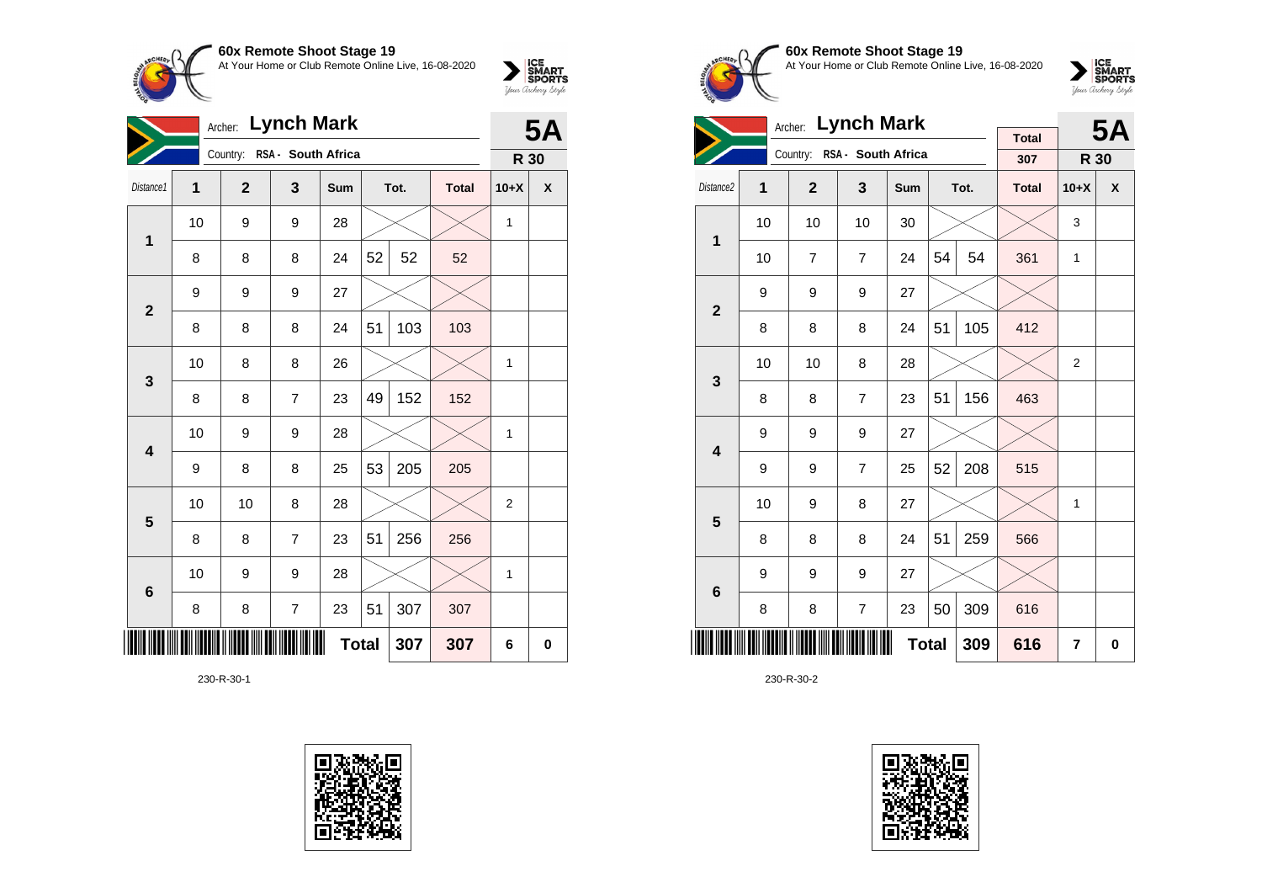

| <b>Lynch Mark</b><br>Archer: |                            |                |                    |     |    |      |              | <b>5A</b> |           |
|------------------------------|----------------------------|----------------|--------------------|-----|----|------|--------------|-----------|-----------|
|                              |                            | Country:       | RSA - South Africa |     |    |      |              | R 30      |           |
| Distance1                    | 1                          | $\overline{2}$ | 3                  | Sum |    | Tot. | <b>Total</b> | $10+X$    | X         |
| $\mathbf 1$                  | 10                         | 9              | 9                  | 28  |    |      |              | 1         |           |
|                              | 8                          | 8              | 8                  | 24  | 52 | 52   | 52           |           |           |
| $\mathbf{2}$                 | 9                          | 9              | 9                  | 27  |    |      |              |           |           |
|                              | 8                          | 8              | 8                  | 24  | 51 | 103  | 103          |           |           |
| $\mathbf{3}$                 | 10                         | 8              | 8                  | 26  |    |      |              | 1         |           |
|                              | 8                          | 8              | $\overline{7}$     | 23  | 49 | 152  | 152          |           |           |
| $\overline{\mathbf{4}}$      | 10                         | 9              | 9                  | 28  |    |      |              | 1         |           |
|                              | 9                          | 8              | 8                  | 25  | 53 | 205  | 205          |           |           |
| 5                            | 10                         | 10             | 8                  | 28  |    |      |              | 2         |           |
|                              | 8                          | 8              | $\overline{7}$     | 23  | 51 | 256  | 256          |           |           |
| $\bf 6$                      | 10                         | 9              | 9                  | 28  |    |      |              | 1         |           |
|                              | 8                          | 8              | 7                  | 23  | 51 | 307  | 307          |           |           |
| Ⅲ                            | <b>Total</b><br>307<br>307 |                |                    |     |    |      |              |           | $\pmb{0}$ |

230-R-30-1





**60x Remote Shoot Stage 19** At Your Home or Club Remote Online Live, 16-08-2020

 $\sum_{\text{Jour} \text{C} \text{under}} \left| \begin{matrix} \text{ICE} \\ \text{SDORTS} \\ \text{SPORTS} \end{matrix} \right|_{\text{Jour} \text{d} \text{ref}}$ 

|                         |                                             | <b>Lynch Mark</b><br>Archer: |                             |     |    | <b>5A</b> |              |                |   |
|-------------------------|---------------------------------------------|------------------------------|-----------------------------|-----|----|-----------|--------------|----------------|---|
|                         |                                             |                              | Country: RSA - South Africa |     |    |           | <b>Total</b> |                |   |
|                         |                                             |                              |                             |     |    |           | 307          | R 30           |   |
| Distance <sub>2</sub>   | 1                                           | $\overline{2}$               | 3                           | Sum |    | Tot.      | <b>Total</b> | $10+X$         | X |
| $\mathbf 1$             | 10                                          | 10                           | 10                          | 30  |    |           |              | 3              |   |
|                         | 10                                          | $\overline{7}$               | $\overline{7}$              | 24  | 54 | 54        | 361          | 1              |   |
| $\mathbf{2}$            | 9                                           | 9                            | 9                           | 27  |    |           |              |                |   |
|                         | 8                                           | 8                            | 8                           | 24  | 51 | 105       | 412          |                |   |
| 3                       | 10                                          | 10                           | 8                           | 28  |    |           |              | $\overline{2}$ |   |
|                         | 8                                           | 8                            | $\overline{7}$              | 23  | 51 | 156       | 463          |                |   |
| $\overline{\mathbf{4}}$ | 9                                           | 9                            | 9                           | 27  |    |           |              |                |   |
|                         | 9                                           | 9                            | $\overline{7}$              | 25  | 52 | 208       | 515          |                |   |
| 5                       | 10                                          | 9                            | 8                           | 27  |    |           |              | 1              |   |
|                         | 8                                           | 8                            | 8                           | 24  | 51 | 259       | 566          |                |   |
| $6\phantom{1}6$         | 9                                           | 9                            | 9                           | 27  |    |           |              |                |   |
|                         | 50<br>309<br>$\overline{7}$<br>8<br>8<br>23 |                              |                             |     |    |           |              |                |   |
|                         |                                             | 616                          | 7                           | 0   |    |           |              |                |   |

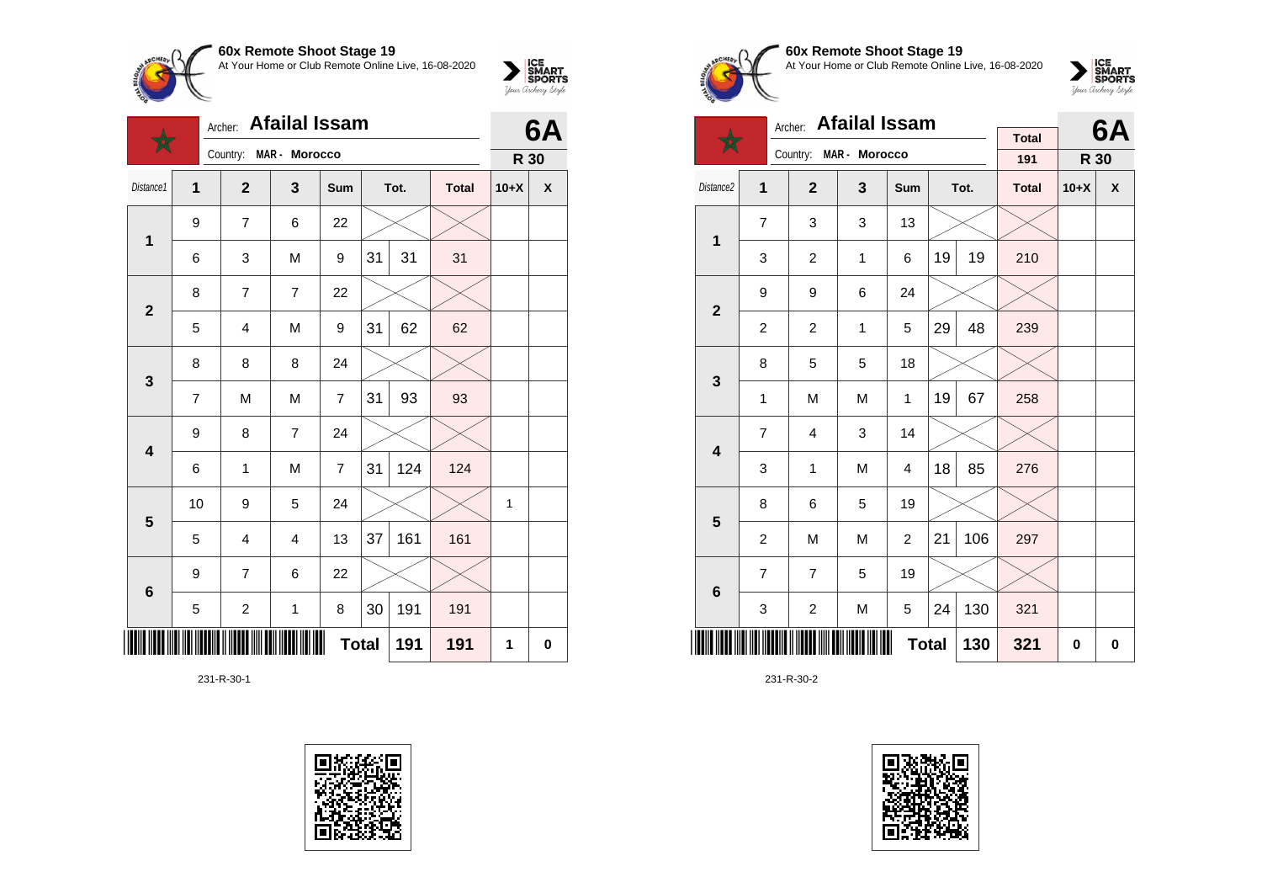

|                         |    | Archer:                 | <b>Afailal Issam</b> |                |      | 6A  |              |        |             |
|-------------------------|----|-------------------------|----------------------|----------------|------|-----|--------------|--------|-------------|
|                         |    | Country:                | MAR - Morocco        |                |      |     |              | R 30   |             |
| Distance1               | 1  | $\overline{2}$<br>3     |                      | Sum            | Tot. |     | <b>Total</b> | $10+X$ | χ           |
| 1                       | 9  | $\overline{7}$          | 6                    | 22             |      |     |              |        |             |
|                         | 6  | 3                       | M                    | 9              | 31   | 31  | 31           |        |             |
| $\overline{2}$          | 8  | $\overline{7}$          | $\overline{7}$       | 22             |      |     |              |        |             |
|                         | 5  | 4                       | M                    | 9              | 31   | 62  | 62           |        |             |
| 3                       | 8  | 8                       | 8                    | 24             |      |     |              |        |             |
|                         | 7  | M                       | M                    | 7              | 31   | 93  | 93           |        |             |
| $\overline{\mathbf{4}}$ | 9  | 8                       | $\overline{7}$       | 24             |      |     |              |        |             |
|                         | 6  | 1                       | M                    | $\overline{7}$ | 31   | 124 | 124          |        |             |
| $\overline{\mathbf{5}}$ | 10 | 9                       | 5                    | 24             |      |     |              | 1      |             |
|                         | 5  | $\overline{4}$          | $\overline{4}$       | 13             | 37   | 161 | 161          |        |             |
| $\bf 6$                 | 9  | $\overline{7}$          | 6                    | 22             |      |     |              |        |             |
|                         | 5  | $\overline{\mathbf{c}}$ | $\mathbf 1$          | 8              | 30   | 191 | 191          |        |             |
| ║║                      |    |                         |                      | <b>Total</b>   |      | 191 | 191          | 1      | $\mathbf 0$ |

231-R-30-1





## **60x Remote Shoot Stage 19** At Your Home or Club Remote Online Live, 16-08-2020



|                         | <b>Afailal Issam</b><br>Archer: |                |               |                |      |           | <b>Total</b> |        | 6A           |
|-------------------------|---------------------------------|----------------|---------------|----------------|------|-----------|--------------|--------|--------------|
|                         |                                 | Country:       | MAR - Morocco |                |      |           | 191          | R 30   |              |
| Distance <sub>2</sub>   | 1                               | $\overline{2}$ | 3             | Sum            | Tot. |           | <b>Total</b> | $10+X$ | $\mathsf{x}$ |
| $\mathbf 1$             | $\overline{7}$                  | 3              | 3             | 13             |      |           |              |        |              |
|                         | 3                               | $\overline{c}$ | 1             | 6              | 19   | 19        | 210          |        |              |
| $\overline{\mathbf{2}}$ | 9                               | 9              | 6             | 24             |      |           |              |        |              |
|                         | $\overline{2}$                  | 2              | 1             | 5              | 29   | 48        | 239          |        |              |
| 3                       | 8                               | 5              | 5             | 18             |      |           |              |        |              |
|                         | 1                               | M              | M             | 1              | 19   | 67        | 258          |        |              |
| $\overline{\mathbf{4}}$ | $\overline{7}$                  | $\overline{4}$ | 3             | 14             |      |           |              |        |              |
|                         | 3                               | 1              | M             | $\overline{4}$ | 18   | 85        | 276          |        |              |
| 5                       | 8                               | 6              | 5             | 19             |      |           |              |        |              |
|                         | $\overline{c}$                  | M              | M             | 2              | 21   | 106       | 297          |        |              |
| $6\phantom{1}$          | $\overline{7}$                  | $\overline{7}$ | 5             | 19             |      |           |              |        |              |
|                         | 3                               | $\overline{c}$ | M             | 5              | 24   | 130       | 321          |        |              |
|                         |                                 |                | 130           | 321            | 0    | $\pmb{0}$ |              |        |              |

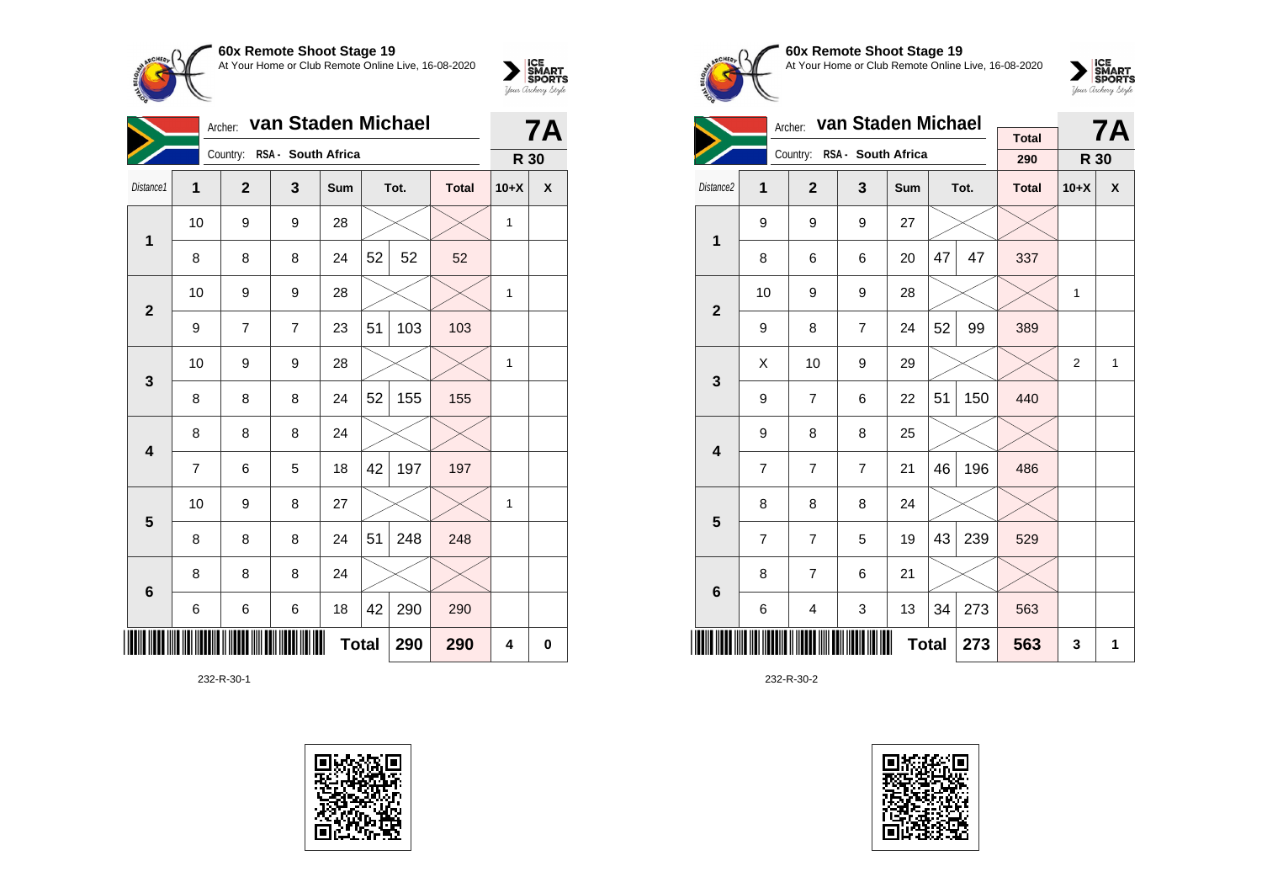

| van Staden Michael<br>Archer: |    |              |                             |              |    |      |              |        | <b>7A</b> |
|-------------------------------|----|--------------|-----------------------------|--------------|----|------|--------------|--------|-----------|
|                               |    |              | Country: RSA - South Africa |              |    |      |              | R 30   |           |
| Distance1                     | 1  | $\mathbf{2}$ | 3                           | Sum          |    | Tot. | <b>Total</b> | $10+X$ | X         |
| 1                             | 10 | 9            | 9                           | 28           |    |      |              | 1      |           |
|                               | 8  | 8            | 8                           | 24           | 52 | 52   | 52           |        |           |
| $\mathbf{2}$                  | 10 | 9            | 9                           | 28           |    |      |              | 1      |           |
|                               | 9  | 7            | 7                           | 23           | 51 | 103  | 103          |        |           |
| 3                             | 10 | 9            | 9                           | 28           |    |      |              | 1      |           |
|                               | 8  | 8            | 8                           | 24           | 52 | 155  | 155          |        |           |
| $\overline{\mathbf{4}}$       | 8  | 8            | 8                           | 24           |    |      |              |        |           |
|                               | 7  | 6            | 5                           | 18           | 42 | 197  | 197          |        |           |
| 5                             | 10 | 9            | 8                           | 27           |    |      |              | 1      |           |
|                               | 8  | 8            | 8                           | 24           | 51 | 248  | 248          |        |           |
| 6                             | 8  | 8            | 8                           | 24           |    |      |              |        |           |
|                               | 6  | 6            | 6                           | 18           | 42 | 290  | 290          |        |           |
|                               |    |              |                             | <b>Total</b> |    | 290  | 290          | 4      | 0         |

232-R-30-1





**60x Remote Shoot Stage 19** At Your Home or Club Remote Online Live, 16-08-2020



|                         |                | Archer:        | van Staden Michael          |     |    | <b>7A</b> |                     |                |              |
|-------------------------|----------------|----------------|-----------------------------|-----|----|-----------|---------------------|----------------|--------------|
|                         |                |                | Country: RSA - South Africa |     |    |           | <b>Total</b><br>290 | R 30           |              |
| Distance2               | 1              | $\overline{2}$ | 3                           | Sum |    | Tot.      | <b>Total</b>        | $10+X$         | X            |
| $\mathbf{1}$            | 9              | 9              | 9                           | 27  |    |           |                     |                |              |
|                         | 8              | 6              | 6                           | 20  | 47 | 47        | 337                 |                |              |
| $\overline{2}$          | 10             | 9              | 9                           | 28  |    |           |                     | $\mathbf{1}$   |              |
|                         | 9              | 8              | $\overline{7}$              | 24  | 52 | 99        | 389                 |                |              |
| 3                       | X              | 10             | 9                           | 29  |    |           |                     | $\overline{2}$ | $\mathbf{1}$ |
|                         | 9              | $\overline{7}$ | 6                           | 22  | 51 | 150       | 440                 |                |              |
| $\overline{\mathbf{4}}$ | 9              | 8              | 8                           | 25  |    |           |                     |                |              |
|                         | $\overline{7}$ | $\overline{7}$ | $\overline{7}$              | 21  | 46 | 196       | 486                 |                |              |
| 5                       | 8              | 8              | 8                           | 24  |    |           |                     |                |              |
|                         | $\overline{7}$ | $\overline{7}$ | 5                           | 19  | 43 | 239       | 529                 |                |              |
| $6\phantom{1}6$         | 8              | $\overline{7}$ | 6                           | 21  |    |           |                     |                |              |
|                         | 6              | 4              | 3                           | 13  | 34 | 273       | 563                 |                |              |
|                         |                | 273            | 563                         | 3   | 1  |           |                     |                |              |

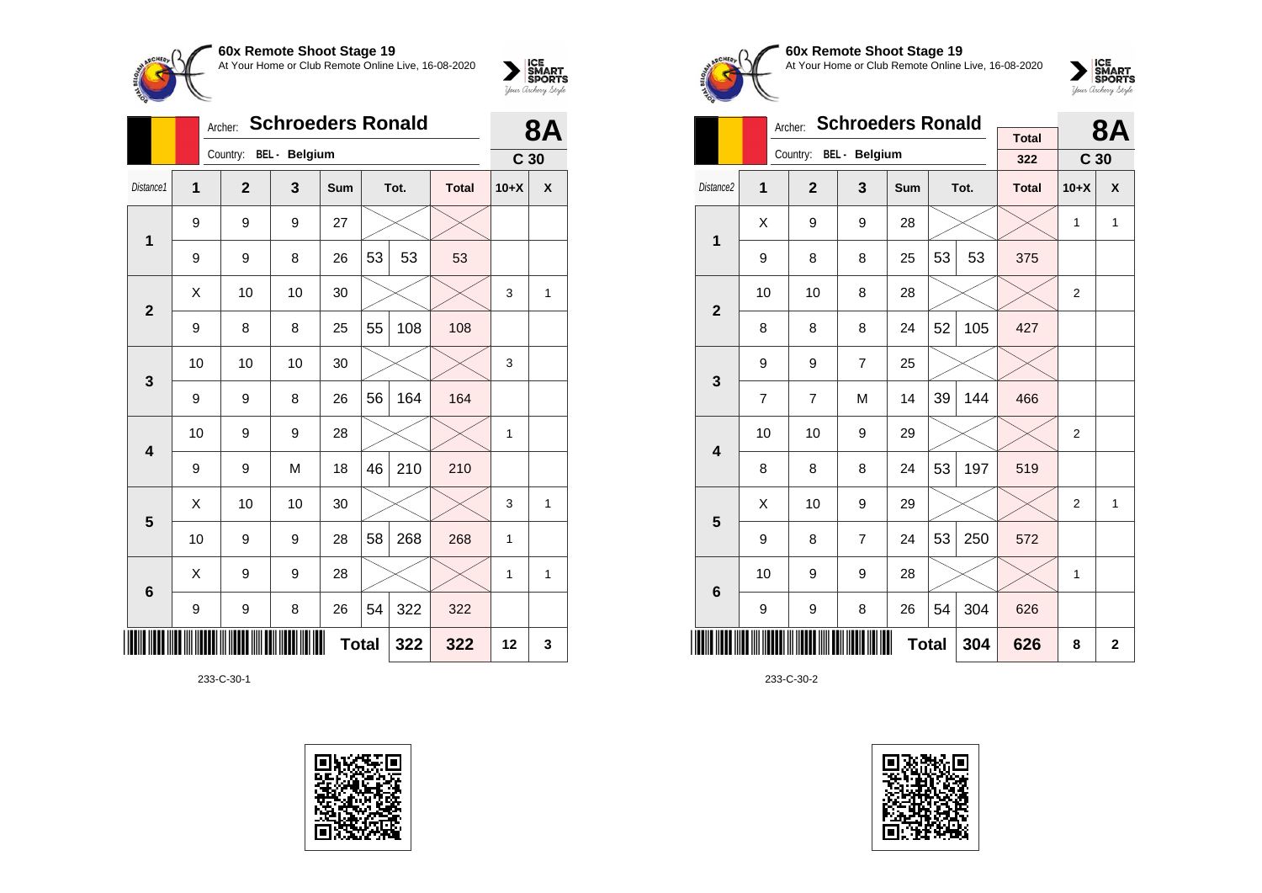

|              |    | <b>Schroeders Ronald</b><br>Archer: |               |              |    |      |              |                 |   |  |
|--------------|----|-------------------------------------|---------------|--------------|----|------|--------------|-----------------|---|--|
|              |    | Country:                            | BEL - Belgium |              |    |      |              | C <sub>30</sub> |   |  |
| Distance1    | 1  | $\mathbf{2}$                        | 3             | Sum          |    | Tot. | <b>Total</b> | $10+X$          | X |  |
| $\mathbf 1$  | 9  | 9                                   | 9             | 27           |    |      |              |                 |   |  |
|              | 9  | 9                                   | 8             | 26           | 53 | 53   | 53           |                 |   |  |
| $\mathbf{2}$ | Χ  | 10                                  | 10            | 30           |    |      |              | 3               | 1 |  |
|              | 9  | 8                                   | 8             | 25           | 55 | 108  | 108          |                 |   |  |
| 3            | 10 | 10                                  | 10            | 30           |    |      |              | 3               |   |  |
|              | 9  | 9                                   | 8             | 26           | 56 | 164  | 164          |                 |   |  |
| 4            | 10 | 9                                   | 9             | 28           |    |      |              | 1               |   |  |
|              | 9  | 9                                   | M             | 18           | 46 | 210  | 210          |                 |   |  |
| 5            | Χ  | 10                                  | 10            | 30           |    |      |              | 3               | 1 |  |
|              | 10 | 9                                   | 9             | 28           | 58 | 268  | 268          | 1               |   |  |
| 6            | X  | 9                                   | 9             | 28           |    |      |              | 1               | 1 |  |
|              | 9  | 9                                   | 8             | 26           | 54 | 322  | 322          |                 |   |  |
| ║║║          |    |                                     |               | <b>Total</b> |    | 322  | 322          | 12              | 3 |  |

233-C-30-1









|                         |    | Archer:                | <b>Schroeders Ronald</b> |              |    | <b>8A</b> |                     |                 |             |
|-------------------------|----|------------------------|--------------------------|--------------|----|-----------|---------------------|-----------------|-------------|
|                         |    | Country: BEL - Belgium |                          |              |    |           | <b>Total</b><br>322 | C <sub>30</sub> |             |
|                         |    |                        |                          |              |    |           |                     |                 |             |
| Distance <sub>2</sub>   | 1  | $\overline{2}$         | 3                        | <b>Sum</b>   |    | Tot.      | <b>Total</b>        | $10+X$          | X           |
| 1                       | X  | 9                      | 9                        | 28           |    |           |                     | $\mathbf{1}$    | 1           |
|                         | 9  | 8                      | 8                        | 25           | 53 | 53        | 375                 |                 |             |
| $\mathbf{2}$            | 10 | 10                     | 8                        | 28           |    |           |                     | 2               |             |
|                         | 8  | 8                      | 8                        | 24           | 52 | 105       | 427                 |                 |             |
| 3                       | 9  | 9                      | $\overline{7}$           | 25           |    |           |                     |                 |             |
|                         | 7  | 7                      | M                        | 14           | 39 | 144       | 466                 |                 |             |
| $\overline{\mathbf{4}}$ | 10 | 10                     | 9                        | 29           |    |           |                     | $\overline{2}$  |             |
|                         | 8  | 8                      | 8                        | 24           | 53 | 197       | 519                 |                 |             |
| 5                       | X  | 10                     | 9                        | 29           |    |           |                     | 2               | 1           |
|                         | 9  | 8                      | $\overline{7}$           | 24           | 53 | 250       | 572                 |                 |             |
| 6                       | 10 | 9                      | 9                        | 28           |    |           |                     | 1               |             |
|                         | 9  | 9                      | 8                        | 26           | 54 | 304       | 626                 |                 |             |
|                         |    |                        |                          | <b>Total</b> |    | 304       | 626                 | 8               | $\mathbf 2$ |

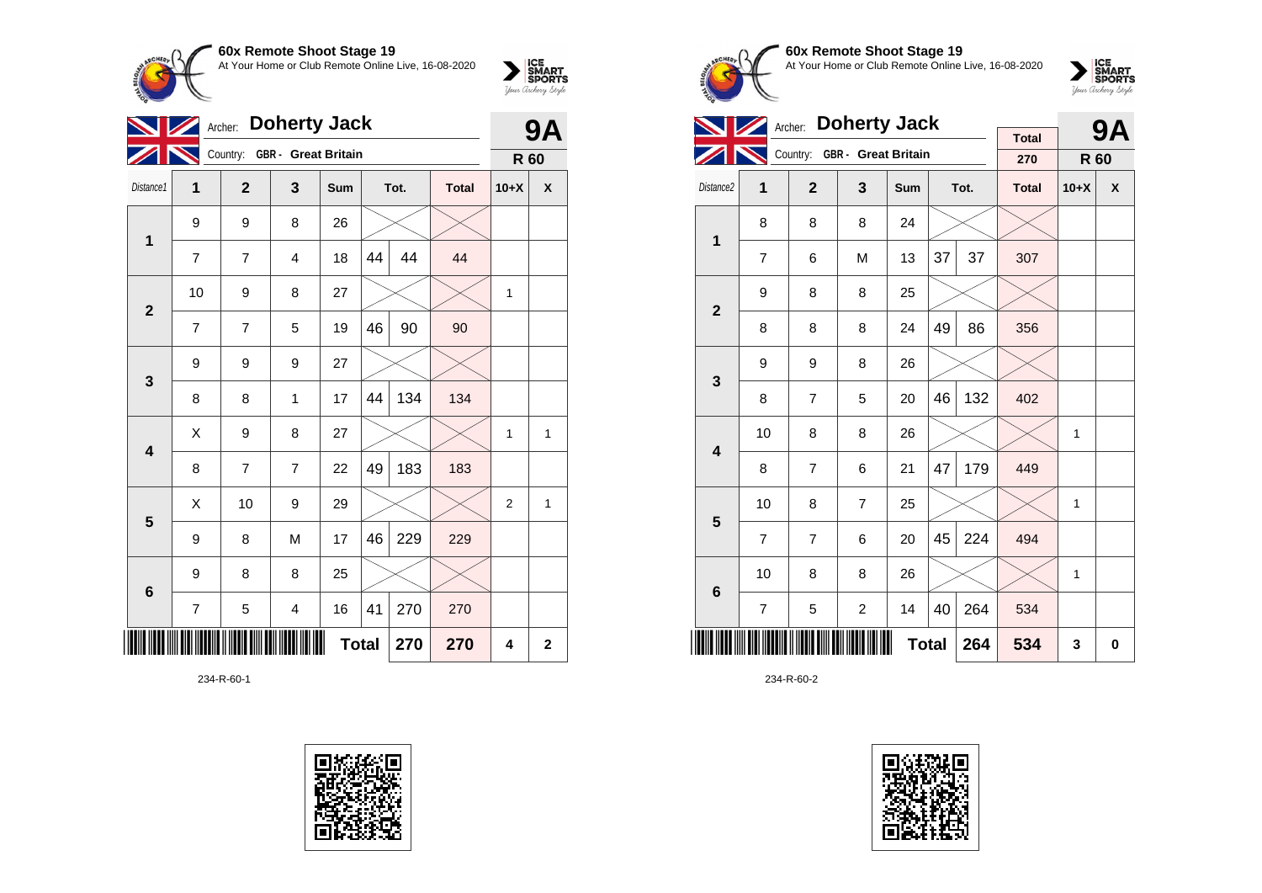

|                         | Archer:        |                              | <b>9A</b>               |     |              |      |              |                |              |
|-------------------------|----------------|------------------------------|-------------------------|-----|--------------|------|--------------|----------------|--------------|
|                         |                | Country: GBR - Great Britain |                         |     |              |      |              | R 60           |              |
| Distance1               | 1              | $\overline{2}$               | 3                       | Sum |              | Tot. | <b>Total</b> | $10+X$         | X            |
| $\mathbf{1}$            | 9              | 9                            | 8                       | 26  |              |      |              |                |              |
|                         | 7              | $\overline{7}$               | $\overline{4}$          | 18  | 44           | 44   | 44           |                |              |
| $\mathbf{2}$            | 10             | 9                            | 8                       | 27  |              |      |              | 1              |              |
|                         | 7              | $\overline{7}$               | 5                       | 19  | 46           | 90   | 90           |                |              |
| 3                       | 9              | 9                            | 9                       | 27  |              |      |              |                |              |
|                         | 8              | 8                            | 1                       | 17  | 44           | 134  | 134          |                |              |
| $\overline{\mathbf{4}}$ | X              | 9                            | 8                       | 27  |              |      |              | 1              | 1            |
|                         | 8              | 7                            | $\overline{7}$          | 22  | 49           | 183  | 183          |                |              |
| 5                       | Χ              | 10                           | 9                       | 29  |              |      |              | $\overline{c}$ | 1            |
|                         | 9              | 8                            | M                       | 17  | 46           | 229  | 229          |                |              |
| $\bf 6$                 | 9              | 8                            | 8                       | 25  |              |      |              |                |              |
|                         | $\overline{7}$ | 5                            | $\overline{\mathbf{4}}$ | 16  | 41           | 270  | 270          |                |              |
|                         |                |                              |                         |     | <b>Total</b> | 270  | 270          | 4              | $\mathbf{2}$ |

234-R-60-1





**60x Remote Shoot Stage 19** At Your Home or Club Remote Online Live, 16-08-2020

 $\sum_{\text{Jour Theory } \text{Styds}}\begin{cases} \text{ICE} \\ \text{SDORTS} \\ \text{SPORTS} \end{cases}$ 

|                         | Archer:        |                |                              |              | <b>9A</b> |      |                     |        |   |
|-------------------------|----------------|----------------|------------------------------|--------------|-----------|------|---------------------|--------|---|
|                         |                |                | Country: GBR - Great Britain |              |           |      | <b>Total</b><br>270 | R 60   |   |
| Distance <sub>2</sub>   | 1              | $\overline{2}$ | 3                            | Sum          |           | Tot. | <b>Total</b>        | $10+X$ | X |
| 1                       | 8              | 8              | 8                            | 24           |           |      |                     |        |   |
|                         | $\overline{7}$ | 6              | M                            | 13           | 37        | 37   | 307                 |        |   |
| $\overline{2}$          | 9              | 8              | 8                            | 25           |           |      |                     |        |   |
|                         | 8              | 8              | 8                            | 24           | 49        | 86   | 356                 |        |   |
| 3                       | 9              | 9              | 8                            | 26           |           |      |                     |        |   |
|                         | 8              | $\overline{7}$ | 5                            | 20           | 46        | 132  | 402                 |        |   |
| $\overline{\mathbf{4}}$ | 10             | 8              | 8                            | 26           |           |      |                     | 1      |   |
|                         | 8              | $\overline{7}$ | 6                            | 21           | 47        | 179  | 449                 |        |   |
| 5                       | 10             | 8              | $\overline{7}$               | 25           |           |      |                     | 1      |   |
|                         | $\overline{7}$ | $\overline{7}$ | 6                            | 20           | 45        | 224  | 494                 |        |   |
| $\bf 6$                 | 10             | 8              | 8                            | 26           |           |      |                     | 1      |   |
|                         | $\overline{7}$ | 5              | $\overline{c}$               | 14           | 40        | 264  | 534                 |        |   |
|                         |                |                |                              | <b>Total</b> |           | 264  | 534                 | 3      | 0 |

234-R-60-2

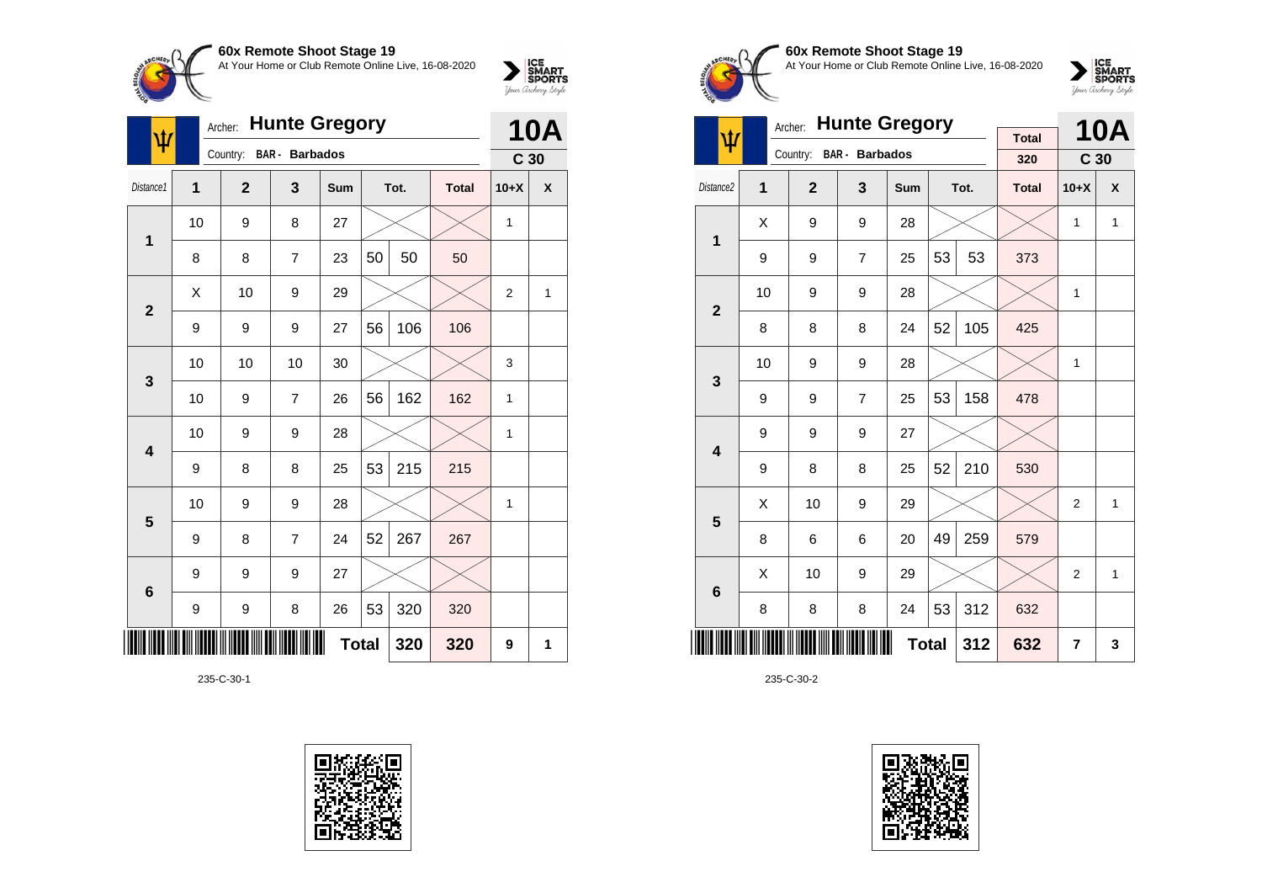

|                         | <b>Hunte Gregory</b><br>Archer:<br>ψ |                |                       |     |              |      |              |                 | <b>10A</b> |
|-------------------------|--------------------------------------|----------------|-----------------------|-----|--------------|------|--------------|-----------------|------------|
|                         |                                      | Country:       | <b>BAR</b> - Barbados |     |              |      |              | C <sub>30</sub> |            |
| Distance1               | 1                                    | $\overline{2}$ | 3                     | Sum |              | Tot. | <b>Total</b> | $10+X$          | χ          |
| $\mathbf{1}$            | 10                                   | 9              | 8                     | 27  |              |      |              | 1               |            |
|                         | 8                                    | 8              | $\overline{7}$        | 23  | 50           | 50   | 50           |                 |            |
| $\overline{2}$          | X                                    | 10             | 9                     | 29  |              |      |              | $\overline{2}$  | 1          |
|                         | 9                                    | 9              | 9                     | 27  | 56           | 106  | 106          |                 |            |
| 3                       | 10                                   | 10             | 10                    | 30  |              |      |              | 3               |            |
|                         | 10                                   | 9              | $\overline{7}$        | 26  | 56           | 162  | 162          | 1               |            |
| $\overline{\mathbf{4}}$ | 10                                   | 9              | 9                     | 28  |              |      |              | $\mathbf{1}$    |            |
|                         | 9                                    | 8              | 8                     | 25  | 53           | 215  | 215          |                 |            |
| 5                       | 10                                   | 9              | 9                     | 28  |              |      |              | 1               |            |
|                         | 9                                    | 8              | $\overline{7}$        | 24  | 52           | 267  | 267          |                 |            |
| $6\phantom{1}6$         | 9                                    | 9              | 9                     | 27  |              |      |              |                 |            |
|                         | 9                                    | 9              | 8                     | 26  | 53           | 320  | 320          |                 |            |
|                         |                                      |                |                       |     | <b>Total</b> | 320  | 320          | 9               | 1          |

235-C-30-1









|                         |    | <b>Hunte Gregory</b><br>Archer: |                         |              |    | <b>10A</b> |              |                 |              |
|-------------------------|----|---------------------------------|-------------------------|--------------|----|------------|--------------|-----------------|--------------|
| ψ                       |    |                                 | Country: BAR - Barbados |              |    |            | <b>Total</b> |                 |              |
|                         |    |                                 |                         |              |    |            | 320          | C <sub>30</sub> |              |
| Distance <sub>2</sub>   | 1  | $\overline{2}$                  | 3                       | Sum          |    | Tot.       | <b>Total</b> | $10+X$          | X            |
| $\mathbf{1}$            | X  | 9                               | 9                       | 28           |    |            |              | 1               | $\mathbf{1}$ |
|                         | 9  | 9                               | $\overline{7}$          | 25           | 53 | 53         | 373          |                 |              |
| $\mathbf{2}$            | 10 | 9                               | 9                       | 28           |    |            |              | 1               |              |
|                         | 8  | 8                               | 8                       | 24           | 52 | 105        | 425          |                 |              |
| 3                       | 10 | 9                               | 9                       | 28           |    |            |              | 1               |              |
|                         | 9  | 9                               | $\overline{7}$          | 25           | 53 | 158        | 478          |                 |              |
| $\overline{\mathbf{4}}$ | 9  | 9                               | 9                       | 27           |    |            |              |                 |              |
|                         | 9  | 8                               | 8                       | 25           | 52 | 210        | 530          |                 |              |
| 5                       | X  | 10                              | 9                       | 29           |    |            |              | $\overline{2}$  | 1            |
|                         | 8  | 6                               | 6                       | 20           | 49 | 259        | 579          |                 |              |
| 6                       | X  | 10                              | 9                       | 29           |    |            |              | $\overline{2}$  | $\mathbf{1}$ |
|                         | 8  | 8                               | 8                       | 24           | 53 | 312        | 632          |                 |              |
|                         |    |                                 |                         | <b>Total</b> |    | 312        | 632          | 7               | 3            |

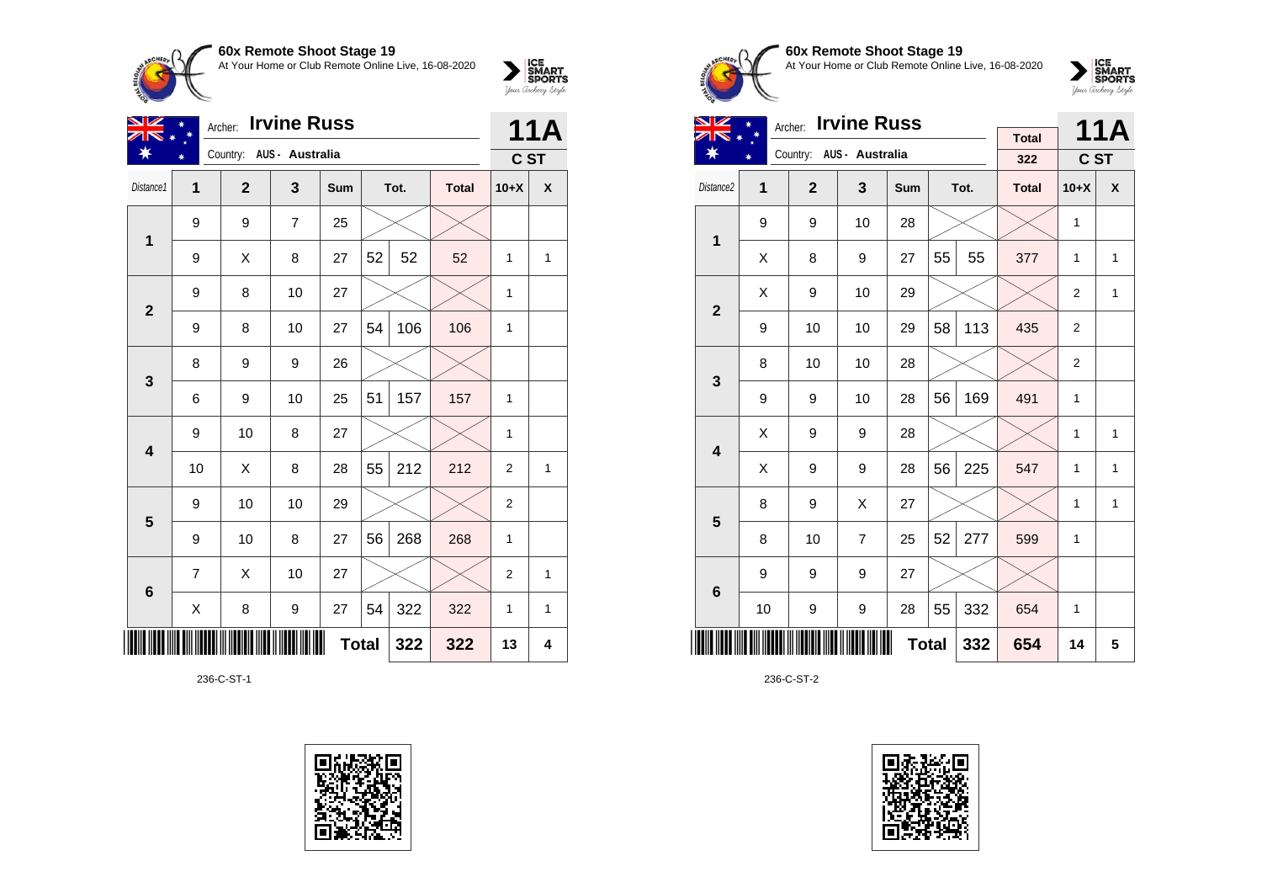

| <b>ON HEILING OILON OIDER 13</b>                    |  |
|-----------------------------------------------------|--|
| At Your Home or Club Remote Online Live, 16-08-2020 |  |



| VZ                      | Archer:        |                          |                | 11A          |    |      |              |                |              |
|-------------------------|----------------|--------------------------|----------------|--------------|----|------|--------------|----------------|--------------|
| ¥                       |                | Country: AUS - Australia |                |              |    |      |              | C ST           |              |
| Distance1               | 1              | $\overline{2}$           | 3              | Sum          |    | Tot. | <b>Total</b> | $10+X$         | X            |
| 1                       | 9              | 9                        | $\overline{7}$ | 25           |    |      |              |                |              |
|                         | 9              | X                        | 8              | 27           | 52 | 52   | 52           | 1              | $\mathbf{1}$ |
| $\mathbf{2}$            | 9              | 8                        | 10             | 27           |    |      |              | 1              |              |
|                         | 9              | 8                        | 10             | 27           | 54 | 106  | 106          | 1              |              |
| $\mathbf{3}$            | 8              | 9                        | 9              | 26           |    |      |              |                |              |
|                         | 6              | 9                        | 10             | 25           | 51 | 157  | 157          | 1              |              |
| $\overline{\mathbf{4}}$ | 9              | 10                       | 8              | 27           |    |      |              | 1              |              |
|                         | 10             | X                        | 8              | 28           | 55 | 212  | 212          | $\overline{2}$ | $\mathbf{1}$ |
| $5\phantom{1}$          | 9              | 10                       | 10             | 29           |    |      |              | $\overline{2}$ |              |
|                         | 9              | 10                       | 8              | 27           | 56 | 268  | 268          | 1              |              |
| $6\phantom{1}6$         | $\overline{7}$ | X                        | 10             | 27           |    |      |              | 2              | 1            |
|                         | X              | 8                        | 9              | 27           | 54 | 322  | 322          | 1              | $\mathbf{1}$ |
|                         |                |                          |                | <b>Total</b> |    | 322  | 322          | 13             | 4            |

236-C-ST-1





# **60x Remote Shoot Stage 19** At Your Home or Club Remote Online Live, 16-08-2020



| NZ                      |    | Archer: Irvine Russ |                          |              |    | <b>11A</b> |                     |                |              |
|-------------------------|----|---------------------|--------------------------|--------------|----|------------|---------------------|----------------|--------------|
|                         |    |                     | Country: AUS - Australia |              |    |            | <b>Total</b><br>322 |                |              |
|                         |    |                     |                          |              |    |            |                     | C ST           |              |
| Distance <sub>2</sub>   | 1  | $\overline{2}$      | $\overline{\mathbf{3}}$  | <b>Sum</b>   |    | Tot.       | <b>Total</b>        | $10+X$         | X            |
| $\mathbf 1$             | 9  | 9                   | 10                       | 28           |    |            |                     | 1              |              |
|                         | X  | 8                   | 9                        | 27           | 55 | 55         | 377                 | $\mathbf{1}$   | 1            |
| $\overline{2}$          | X  | 9                   | 10                       | 29           |    |            |                     | $\overline{2}$ | $\mathbf{1}$ |
|                         | 9  | 10                  | 10                       | 29           | 58 | 113        | 435                 | $\overline{2}$ |              |
| 3                       | 8  | 10                  | 10                       | 28           |    |            |                     | $\overline{2}$ |              |
|                         | 9  | 9                   | 10                       | 28           | 56 | 169        | 491                 | $\mathbf{1}$   |              |
| $\overline{\mathbf{4}}$ | X  | 9                   | 9                        | 28           |    |            |                     | $\mathbf{1}$   | $\mathbf{1}$ |
|                         | Χ  | 9                   | 9                        | 28           | 56 | 225        | 547                 | $\mathbf{1}$   | $\mathbf{1}$ |
| 5                       | 8  | 9                   | X                        | 27           |    |            |                     | 1              | $\mathbf{1}$ |
|                         | 8  | 10                  | $\overline{7}$           | 25           | 52 | 277        | 599                 | 1              |              |
| 6                       | 9  | 9                   | 9                        | 27           |    |            |                     |                |              |
|                         | 10 | 9                   | 9                        | 28           | 55 | 332        | 654                 | 1              |              |
|                         |    |                     |                          | <b>Total</b> |    | 332        | 654                 | 14             | 5            |

236-C-ST-2

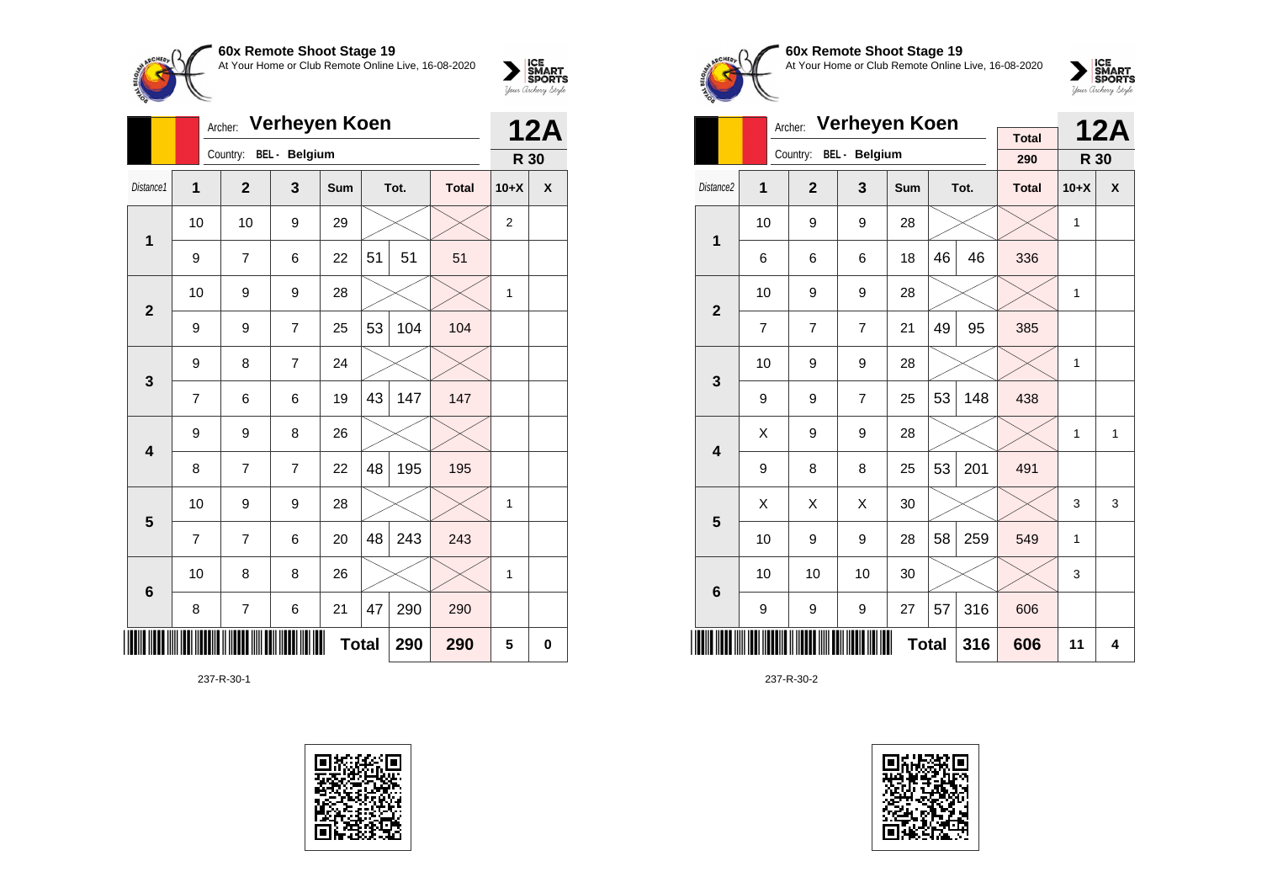

|                         |                | Verheyen Koen<br>Archer: |                        |              |    |      |              |                |            |  |
|-------------------------|----------------|--------------------------|------------------------|--------------|----|------|--------------|----------------|------------|--|
|                         |                |                          | Country: BEL - Belgium |              |    |      |              | R 30           | <b>12A</b> |  |
| Distance1               | 1              | $\overline{2}$           | 3                      | <b>Sum</b>   |    | Tot. | <b>Total</b> | $10+X$         | X          |  |
| 1                       | 10             | 10                       | 9                      | 29           |    |      |              | $\overline{2}$ |            |  |
|                         | 9              | $\overline{7}$           | 6                      | 22           | 51 | 51   | 51           |                |            |  |
| $\overline{2}$          | 10             | 9                        | 9                      | 28           |    |      |              | $\mathbf{1}$   |            |  |
|                         | 9              | 9                        | $\overline{7}$         | 25           | 53 | 104  | 104          |                |            |  |
| $\mathbf{3}$            | 9              | 8                        | $\overline{7}$         | 24           |    |      |              |                |            |  |
|                         | 7              | 6                        | 6                      | 19           | 43 | 147  | 147          |                |            |  |
| $\overline{\mathbf{4}}$ | 9              | 9                        | 8                      | 26           |    |      |              |                |            |  |
|                         | 8              | $\overline{7}$           | $\overline{7}$         | 22           | 48 | 195  | 195          |                |            |  |
| 5                       | 10             | 9                        | 9                      | 28           |    |      |              | 1              |            |  |
|                         | $\overline{7}$ | 7                        | 6                      | 20           | 48 | 243  | 243          |                |            |  |
| $6\phantom{1}$          | 10             | 8                        | 8                      | 26           |    |      |              | $\mathbf{1}$   |            |  |
|                         | 8              | 7                        | 6                      | 21           | 47 | 290  | 290          |                |            |  |
| ║║                      |                |                          |                        | <b>Total</b> |    | 290  | 290          | 5              | 0          |  |

237-R-30-1





**60x Remote Shoot Stage 19** At Your Home or Club Remote Online Live, 16-08-2020



|                         |    | Verheyen Koen<br>Archer: |                |            |                         | <b>12A</b> |                     |              |   |
|-------------------------|----|--------------------------|----------------|------------|-------------------------|------------|---------------------|--------------|---|
|                         |    | Country:                 | BEL - Belgium  |            |                         |            | <b>Total</b><br>290 | R 30         |   |
| Distance <sub>2</sub>   | 1  | $\overline{2}$           | 3              | <b>Sum</b> |                         | Tot.       | <b>Total</b>        | $10+X$       | X |
| 1                       | 10 | 9                        | 9              | 28         |                         |            |                     | 1            |   |
|                         | 6  | 6                        | 6              | 18         | 46                      | 46         | 336                 |              |   |
| $\overline{2}$          | 10 | 9                        | 9              | 28         |                         |            |                     | $\mathbf{1}$ |   |
|                         | 7  | $\overline{7}$           | $\overline{7}$ | 21         | 49                      | 95         | 385                 |              |   |
| 3                       | 10 | 9                        | 9              | 28         |                         |            |                     | $\mathbf{1}$ |   |
|                         | 9  | 9                        | $\overline{7}$ | 25         | 53                      | 148        | 438                 |              |   |
| $\overline{\mathbf{4}}$ | Χ  | 9                        | 9              | 28         |                         |            |                     | $\mathbf{1}$ | 1 |
|                         | 9  | 8                        | 8              | 25         | 53                      | 201        | 491                 |              |   |
| 5                       | X  | X                        | X              | 30         |                         |            |                     | 3            | 3 |
|                         | 10 | 9                        | 9              | 28         | 58                      | 259        | 549                 | $\mathbf{1}$ |   |
| $6\phantom{1}6$         | 10 | 10                       | 10             | 30         |                         |            |                     | 3            |   |
|                         | 9  | 9                        | 9              | 27         | 57                      | 316        | 606                 |              |   |
|                         |    |                          | 606            | 11         | $\overline{\mathbf{4}}$ |            |                     |              |   |

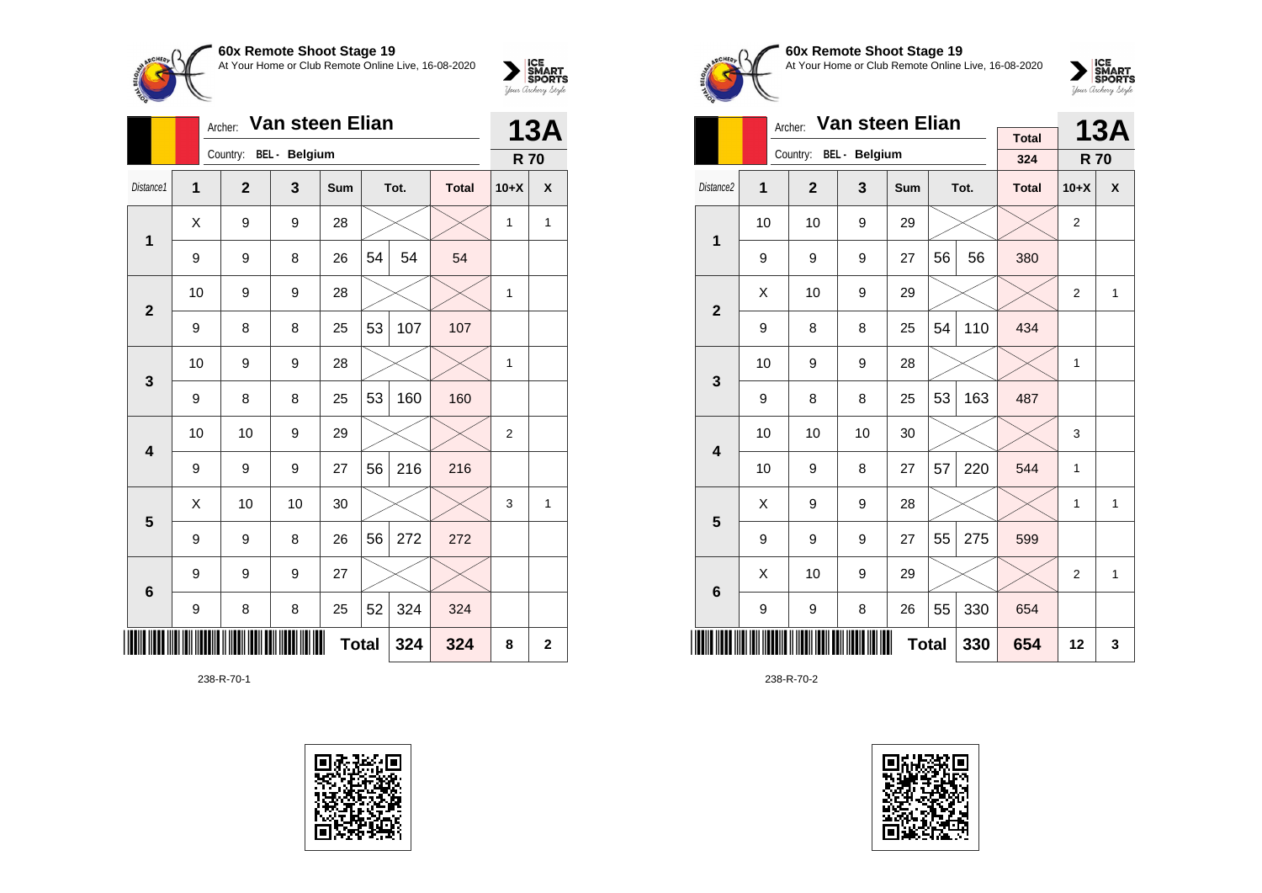

|                 |    | Van steen Elian<br>Archer: |    |            |              |      |              |                |                         |  |
|-----------------|----|----------------------------|----|------------|--------------|------|--------------|----------------|-------------------------|--|
|                 |    | Country: BEL - Belgium     |    |            |              |      |              | <b>R70</b>     | <b>13A</b>              |  |
| Distance1       | 1  | $\overline{2}$             | 3  | <b>Sum</b> |              | Tot. | <b>Total</b> | $10+X$         | X                       |  |
| 1               | Χ  | 9                          | 9  | 28         |              |      |              | 1              | 1                       |  |
|                 | 9  | 9                          | 8  | 26         | 54           | 54   | 54           |                |                         |  |
| $\overline{2}$  | 10 | 9                          | 9  | 28         |              |      |              | 1              |                         |  |
|                 | 9  | 8                          | 8  | 25         | 53           | 107  | 107          |                |                         |  |
| 3               | 10 | 9                          | 9  | 28         |              |      |              | 1              |                         |  |
|                 | 9  | 8                          | 8  | 25         | 53           | 160  | 160          |                |                         |  |
| 4               | 10 | 10                         | 9  | 29         |              |      |              | $\overline{2}$ |                         |  |
|                 | 9  | 9                          | 9  | 27         | 56           | 216  | 216          |                |                         |  |
| 5               | X  | 10                         | 10 | 30         |              |      |              | 3              | 1                       |  |
|                 | 9  | 9                          | 8  | 26         | 56           | 272  | 272          |                |                         |  |
| $6\phantom{1}6$ | 9  | 9                          | 9  | 27         |              |      |              |                |                         |  |
|                 | 9  | 8                          | 8  | 25         | 52           | 324  | 324          |                |                         |  |
|                 |    |                            |    |            | <b>Total</b> | 324  | 324          | 8              | $\overline{\mathbf{2}}$ |  |

238-R-70-1





**60x Remote Shoot Stage 19** At Your Home or Club Remote Online Live, 16-08-2020



|                         |    | Archer:        | Van steen Elian        |     |    |      | <b>13A</b>   |                |   |
|-------------------------|----|----------------|------------------------|-----|----|------|--------------|----------------|---|
|                         |    |                | Country: BEL - Belgium |     |    |      | <b>Total</b> |                |   |
|                         |    |                |                        |     |    |      | 324          | <b>R70</b>     |   |
| Distance <sub>2</sub>   | 1  | $\overline{2}$ | 3                      | Sum |    | Tot. | <b>Total</b> | $10+X$         | X |
| 1                       | 10 | 10             | 9                      | 29  |    |      |              | 2              |   |
|                         | 9  | 9              | 9                      | 27  | 56 | 56   | 380          |                |   |
| $\overline{2}$          | X  | 10             | 9                      | 29  |    |      |              | $\overline{2}$ | 1 |
|                         | 9  | 8              | 8                      | 25  | 54 | 110  | 434          |                |   |
| 3                       | 10 | 9              | 9                      | 28  |    |      |              | $\mathbf{1}$   |   |
|                         | 9  | 8              | 8                      | 25  | 53 | 163  | 487          |                |   |
| $\overline{\mathbf{4}}$ | 10 | 10             | 10                     | 30  |    |      |              | 3              |   |
|                         | 10 | 9              | 8                      | 27  | 57 | 220  | 544          | 1              |   |
| 5                       | X  | 9              | 9                      | 28  |    |      |              | 1              | 1 |
|                         | 9  | 9              | 9                      | 27  | 55 | 275  | 599          |                |   |
| $6\phantom{1}6$         | X  | 10             | 9                      | 29  |    |      |              | 2              | 1 |
|                         | 9  | 9              | 8                      | 26  | 55 | 330  | 654          |                |   |
|                         |    |                | 654                    | 12  | 3  |      |              |                |   |

238-R-70-2

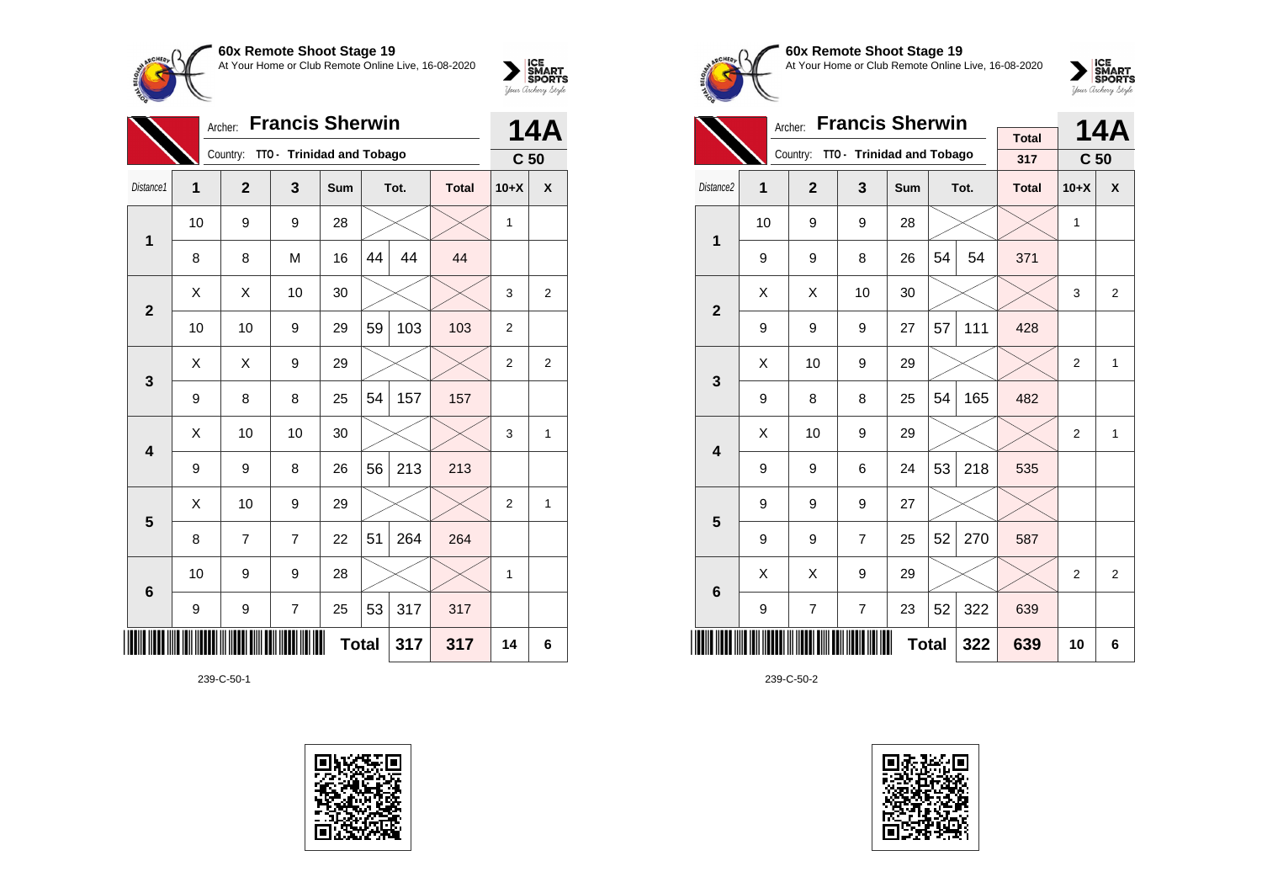

|                 | Archer:        |                |                           | <b>14A</b>   |    |      |              |                 |                |
|-----------------|----------------|----------------|---------------------------|--------------|----|------|--------------|-----------------|----------------|
|                 |                | Country:       | TTO - Trinidad and Tobago |              |    |      |              | C <sub>50</sub> |                |
| Distance1       | $\overline{1}$ | $\overline{2}$ | 3                         | Sum          |    | Tot. | <b>Total</b> | $10+X$          | $\mathsf{x}$   |
| 1               | 10             | 9              | 9                         | 28           |    |      |              | 1               |                |
|                 | 8              | 8              | M                         | 16           | 44 | 44   | 44           |                 |                |
| $\mathbf{2}$    | X              | X              | 10                        | 30           |    |      |              | 3               | $\overline{2}$ |
|                 | 10             | 10             | 9                         | 29           | 59 | 103  | 103          | $\overline{2}$  |                |
| $\mathbf{3}$    | X              | X              | 9                         | 29           |    |      |              | $\overline{2}$  | $\overline{2}$ |
|                 | 9              | 8              | 8                         | 25           | 54 | 157  | 157          |                 |                |
| 4               | Χ              | 10             | 10                        | 30           |    |      |              | 3               | 1              |
|                 | 9              | 9              | 8                         | 26           | 56 | 213  | 213          |                 |                |
| 5               | X              | 10             | 9                         | 29           |    |      |              | $\overline{2}$  | 1              |
|                 | 8              | 7              | $\overline{7}$            | 22           | 51 | 264  | 264          |                 |                |
| $6\phantom{1}6$ | 10             | 9              | 9                         | 28           |    |      |              | 1               |                |
|                 | 9              | 9              | 7                         | 25           | 53 | 317  | 317          |                 |                |
| ║║║             |                |                |                           | <b>Total</b> |    | 317  | 317          | 14              | 6              |

239-C-50-1





**60x Remote Shoot Stage 19** At Your Home or Club Remote Online Live, 16-08-2020

 $\sum_{\text{Jour} \text{C} \text{under}} \left| \begin{matrix} \text{ICE} \\ \text{SDORTS} \\ \text{SPORTS} \end{matrix} \right|_{\text{Jour} \text{d} \text{ref}}$ 

|                         |    | <b>Francis Sherwin</b><br>Archer: |                                    |     |              | <b>14A</b> |              |                 |              |
|-------------------------|----|-----------------------------------|------------------------------------|-----|--------------|------------|--------------|-----------------|--------------|
|                         |    |                                   | Country: TTO - Trinidad and Tobago |     |              |            | <b>Total</b> |                 |              |
|                         |    |                                   |                                    |     |              |            | 317          | C <sub>50</sub> |              |
| Distance <sub>2</sub>   | 1  | $\overline{2}$                    | 3                                  | Sum |              | Tot.       | <b>Total</b> | $10+X$          | X            |
| 1                       | 10 | 9                                 | 9                                  | 28  |              |            |              | 1               |              |
|                         | 9  | 9                                 | 8                                  | 26  | 54           | 54         | 371          |                 |              |
| $\overline{2}$          | X  | X                                 | 10                                 | 30  |              |            |              | 3               | 2            |
|                         | 9  | 9                                 | 9                                  | 27  | 57           | 111        | 428          |                 |              |
| 3                       | Χ  | 10                                | 9                                  | 29  |              |            |              | $\overline{2}$  | $\mathbf{1}$ |
|                         | 9  | 8                                 | 8                                  | 25  | 54           | 165        | 482          |                 |              |
| $\overline{\mathbf{4}}$ | X  | 10                                | 9                                  | 29  |              |            |              | $\overline{2}$  | 1            |
|                         | 9  | 9                                 | 6                                  | 24  | 53           | 218        | 535          |                 |              |
| 5                       | 9  | 9                                 | 9                                  | 27  |              |            |              |                 |              |
|                         | 9  | 9                                 | $\overline{7}$                     | 25  | 52           | 270        | 587          |                 |              |
| 6                       | X  | X                                 | 9                                  | 29  |              |            |              | $\overline{2}$  | 2            |
|                         | 9  | $\overline{7}$                    | $\overline{7}$                     | 23  | 52           | 322        | 639          |                 |              |
|                         |    |                                   |                                    |     | <b>Total</b> | 322        | 639          | 10              | 6            |

239-C-50-2

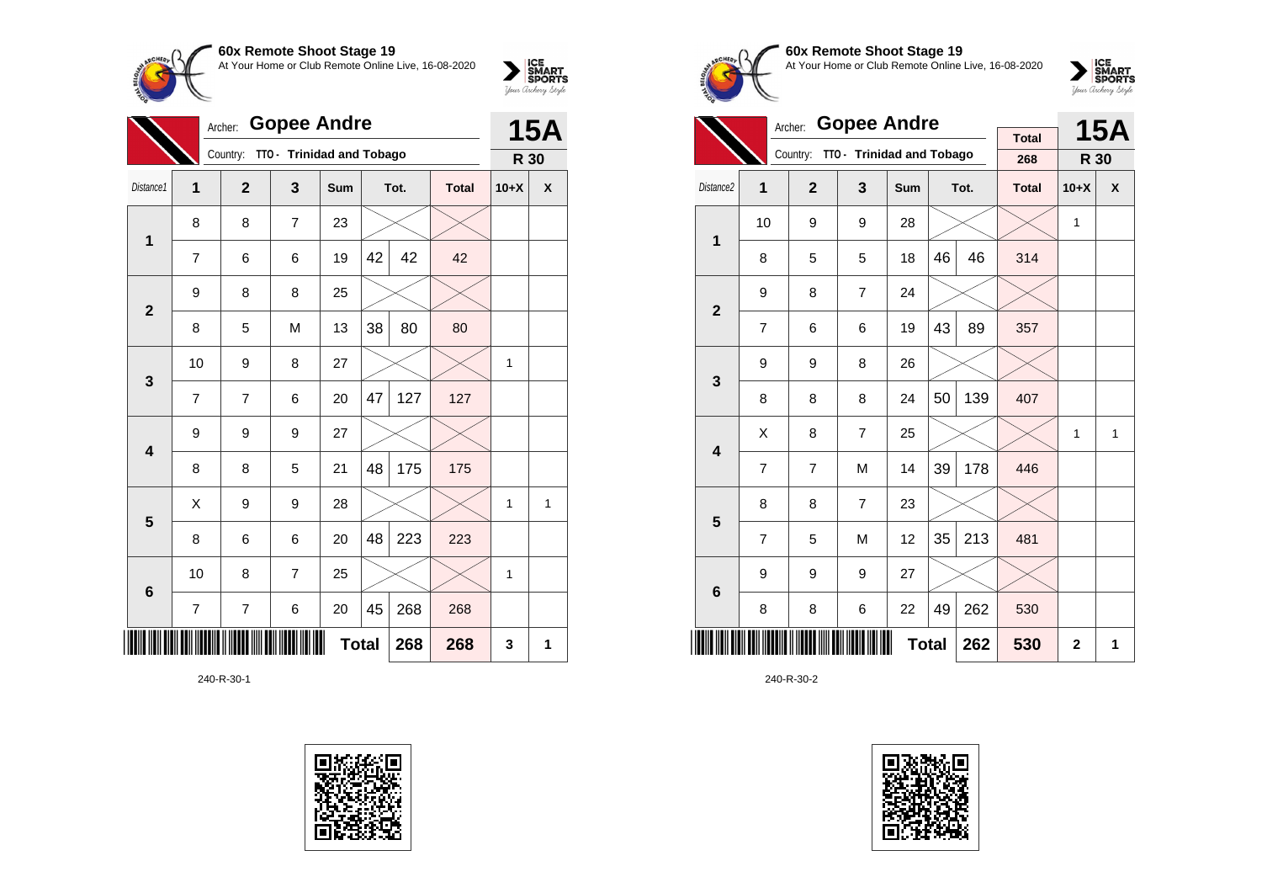

|                         | Archer:        |                | <b>15A</b>                |              |    |      |              |              |   |
|-------------------------|----------------|----------------|---------------------------|--------------|----|------|--------------|--------------|---|
|                         |                | Country:       | TTO - Trinidad and Tobago |              |    |      |              | R 30         |   |
| Distance1               | 1              | $\mathbf{2}$   | 3                         | Sum          |    | Tot. | <b>Total</b> | $10+X$       | X |
| $\mathbf 1$             | 8              | 8              | $\overline{7}$            | 23           |    |      |              |              |   |
|                         | $\overline{7}$ | 6              | 6                         | 19           | 42 | 42   | 42           |              |   |
| $\overline{2}$          | 9              | 8              | 8                         | 25           |    |      |              |              |   |
|                         | 8              | 5              | M                         | 13           | 38 | 80   | 80           |              |   |
| 3                       | 10             | 9              | 8                         | 27           |    |      |              | 1            |   |
|                         | $\overline{7}$ | 7              | 6                         | 20           | 47 | 127  | 127          |              |   |
| $\overline{\mathbf{4}}$ | 9              | 9              | 9                         | 27           |    |      |              |              |   |
|                         | 8              | 8              | 5                         | 21           | 48 | 175  | 175          |              |   |
| 5                       | X              | 9              | 9                         | 28           |    |      |              | 1            | 1 |
|                         | 8              | 6              | 6                         | 20           | 48 | 223  | 223          |              |   |
| $6\phantom{1}6$         | 10             | 8              | $\overline{7}$            | 25           |    |      |              | $\mathbf{1}$ |   |
|                         | 7              | $\overline{7}$ | 6                         | 20           | 45 | 268  | 268          |              |   |
|                         |                |                |                           | <b>Total</b> |    | 268  | 268          | 3            | 1 |

240-R-30-1





**60x Remote Shoot Stage 19** At Your Home or Club Remote Online Live, 16-08-2020

 $\sum_{\text{Jour} \text{C} \text{under}} \left| \begin{matrix} \text{ICE} \\ \text{SDORTS} \\ \text{SPORTS} \end{matrix} \right|_{\text{Jour} \text{d} \text{ref}}$ 

|                         |                | <b>Gopee Andre</b><br>Archer: |                           |              |    | <b>15A</b> |                     |              |   |
|-------------------------|----------------|-------------------------------|---------------------------|--------------|----|------------|---------------------|--------------|---|
|                         |                | Country:                      | TTO - Trinidad and Tobago |              |    |            | <b>Total</b><br>268 | R 30         |   |
| Distance <sub>2</sub>   | 1              | $\overline{2}$                | 3                         | Sum          |    | Tot.       | <b>Total</b>        | $10+X$       | X |
| $\mathbf{1}$            | 10             | 9                             | 9                         | 28           |    |            |                     | 1            |   |
|                         | 8              | 5                             | 5                         | 18           | 46 | 46         | 314                 |              |   |
| $\overline{2}$          | 9              | 8                             | $\overline{7}$            | 24           |    |            |                     |              |   |
|                         | $\overline{7}$ | 6                             | 6                         | 19           | 43 | 89         | 357                 |              |   |
| 3                       | 9              | 9                             | 8                         | 26           |    |            |                     |              |   |
|                         | 8              | 8                             | 8                         | 24           | 50 | 139        | 407                 |              |   |
| $\overline{\mathbf{4}}$ | Χ              | 8                             | $\overline{7}$            | 25           |    |            |                     | 1            | 1 |
|                         | 7              | $\overline{7}$                | M                         | 14           | 39 | 178        | 446                 |              |   |
| 5                       | 8              | 8                             | $\overline{7}$            | 23           |    |            |                     |              |   |
|                         | 7              | 5                             | M                         | 12           | 35 | 213        | 481                 |              |   |
| 6                       | 9              | 9                             | 9                         | 27           |    |            |                     |              |   |
|                         | 8              | 8                             | 6                         | 22           | 49 | 262        | 530                 |              |   |
|                         |                |                               |                           | <b>Total</b> |    | 262        | 530                 | $\mathbf{2}$ | 1 |

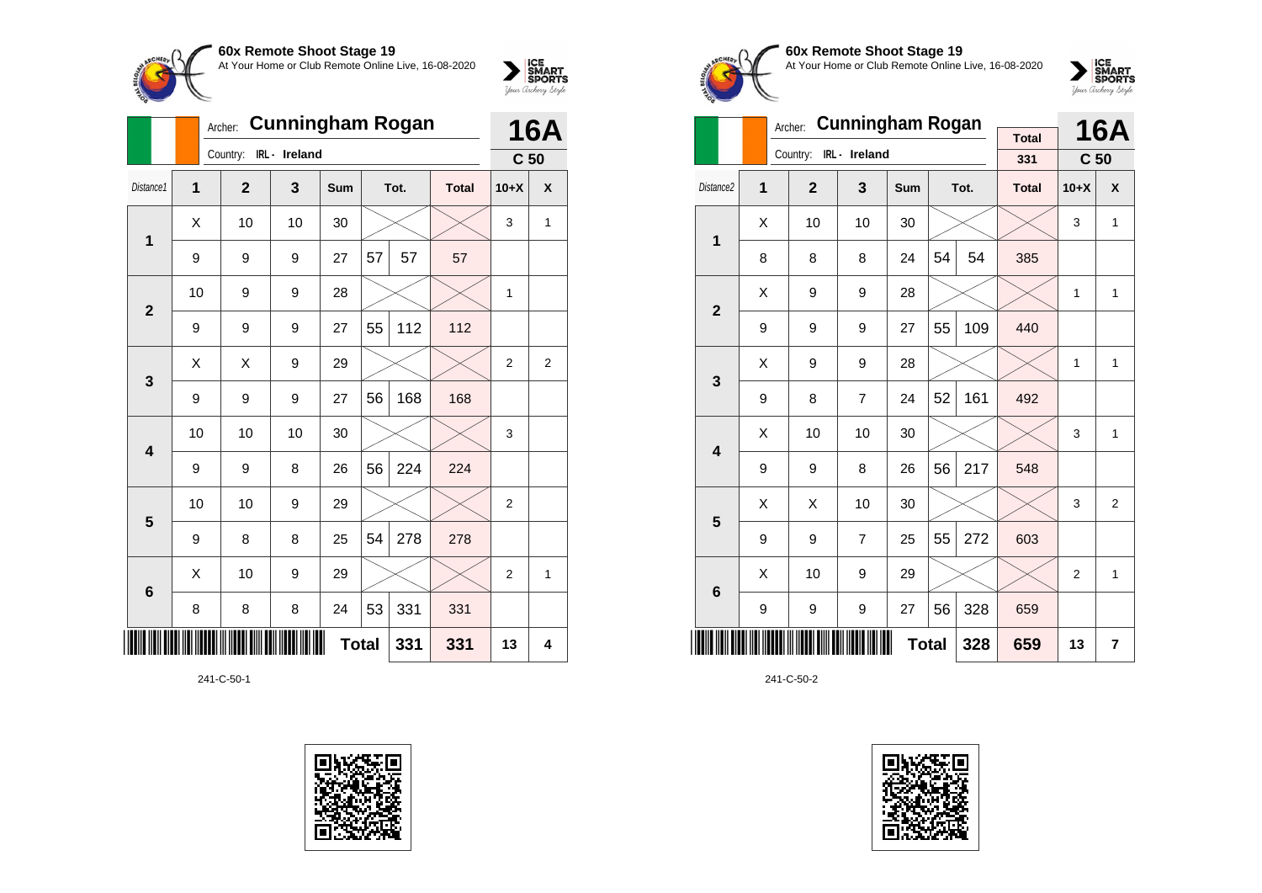

|                         |    | <b>Cunningham Rogan</b><br>Archer: |               |     | <b>16A</b>   |      |              |                 |              |
|-------------------------|----|------------------------------------|---------------|-----|--------------|------|--------------|-----------------|--------------|
|                         |    | Country:                           | IRL - Ireland |     |              |      |              | C <sub>50</sub> |              |
| Distance1               | 1  | $\overline{2}$                     | 3             | Sum |              | Tot. | <b>Total</b> | $10+X$          | X            |
| $\mathbf{1}$            | X  | 10                                 | 10            | 30  |              |      |              | 3               | 1            |
|                         | 9  | 9                                  | 9             | 27  | 57           | 57   | 57           |                 |              |
| $\overline{2}$          | 10 | 9                                  | 9             | 28  |              |      |              | $\mathbf{1}$    |              |
|                         | 9  | 9                                  | 9             | 27  | 55           | 112  | 112          |                 |              |
| $\mathbf{3}$            | Χ  | X                                  | 9             | 29  |              |      |              | $\overline{c}$  | 2            |
|                         | 9  | 9                                  | 9             | 27  | 56           | 168  | 168          |                 |              |
| $\overline{\mathbf{4}}$ | 10 | 10                                 | 10            | 30  |              |      |              | 3               |              |
|                         | 9  | 9                                  | 8             | 26  | 56           | 224  | 224          |                 |              |
| 5                       | 10 | 10                                 | 9             | 29  |              |      |              | $\overline{2}$  |              |
|                         | 9  | 8                                  | 8             | 25  | 54           | 278  | 278          |                 |              |
| 6                       | Χ  | 10                                 | 9             | 29  |              |      |              | 2               | $\mathbf{1}$ |
|                         | 8  | 8                                  | 8             | 24  | 53           | 331  | 331          |                 |              |
|                         |    |                                    |               |     | <b>Total</b> | 331  | 331          | 13              | 4            |

241-C-50-1









|                         |   | Archer:        | <b>Cunningham Rogan</b> |              | <b>Total</b> |      | <b>16A</b>   |                 |                  |
|-------------------------|---|----------------|-------------------------|--------------|--------------|------|--------------|-----------------|------------------|
|                         |   | Country:       | IRL - Ireland           |              |              |      | 331          | C <sub>50</sub> |                  |
| Distance <sub>2</sub>   | 1 | $\overline{2}$ | 3                       | <b>Sum</b>   |              | Tot. | <b>Total</b> | $10+X$          | $\boldsymbol{x}$ |
| 1                       | X | 10             | 10                      | 30           |              |      |              | 3               | $\mathbf{1}$     |
|                         | 8 | 8              | 8                       | 24           | 54           | 54   | 385          |                 |                  |
| $\overline{2}$          | X | 9              | 9                       | 28           |              |      |              | 1               | $\mathbf{1}$     |
|                         | 9 | 9              | 9                       | 27           | 55           | 109  | 440          |                 |                  |
| 3                       | X | 9              | 9                       | 28           |              |      |              | 1               | 1                |
|                         | 9 | 8              | $\overline{7}$          | 24           | 52           | 161  | 492          |                 |                  |
| $\overline{\mathbf{4}}$ | Χ | 10             | 10                      | 30           |              |      |              | 3               | 1                |
|                         | 9 | 9              | 8                       | 26           | 56           | 217  | 548          |                 |                  |
| 5                       | X | X              | 10                      | 30           |              |      |              | 3               | $\overline{2}$   |
|                         | 9 | 9              | $\overline{7}$          | 25           | 55           | 272  | 603          |                 |                  |
| $6\phantom{1}6$         | X | 10             | 9                       | 29           |              |      |              | $\overline{2}$  | 1                |
|                         | 9 | 9              | 9                       | 27           | 56           | 328  | 659          |                 |                  |
|                         |   |                |                         | <b>Total</b> |              | 328  | 659          | 13              | 7                |

241-C-50-2

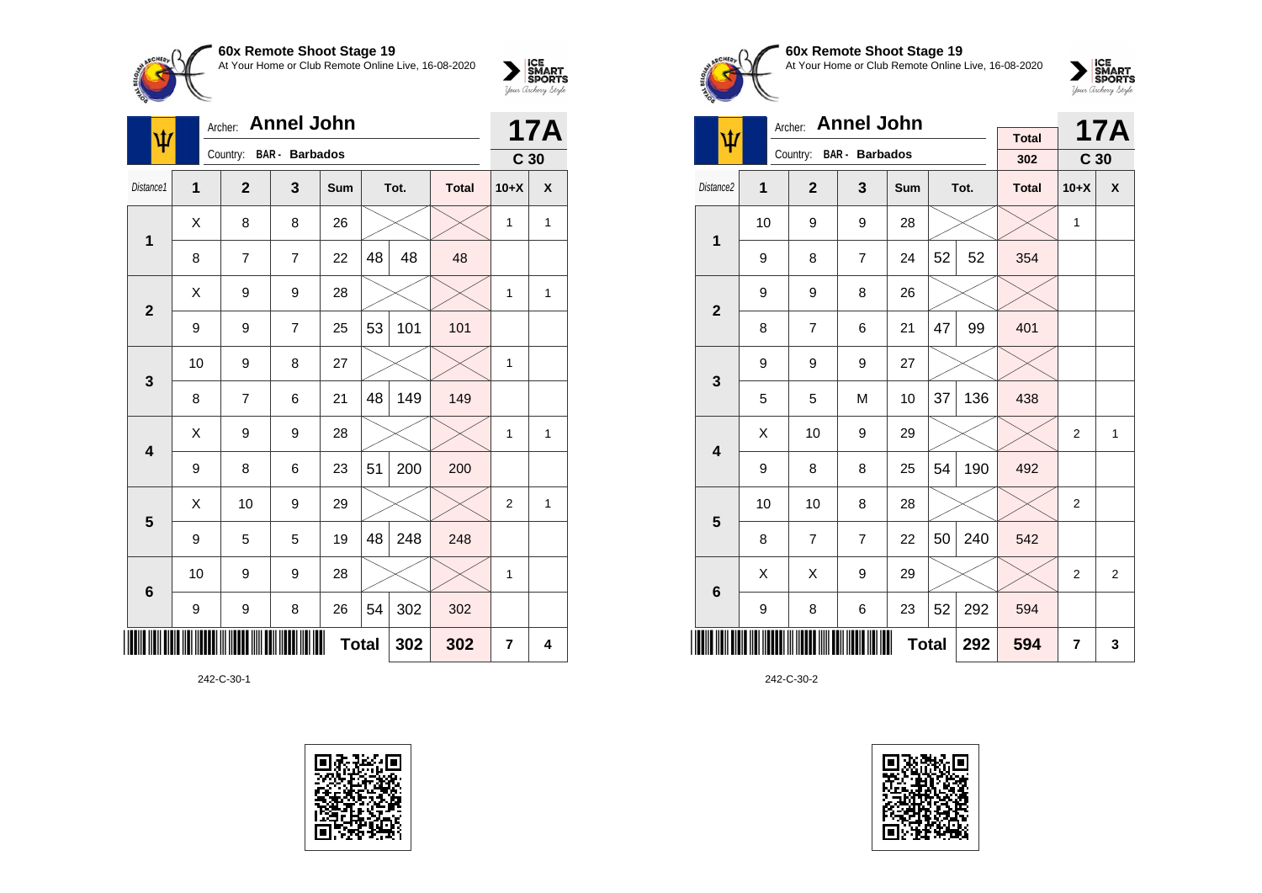

| $\blacklozenge$ | Archer:        |                |                       | <b>17A</b>   |    |      |              |                 |   |
|-----------------|----------------|----------------|-----------------------|--------------|----|------|--------------|-----------------|---|
|                 |                | Country:       | <b>BAR</b> - Barbados |              |    |      |              | C <sub>30</sub> |   |
| Distance1       | $\overline{1}$ | $\mathbf{2}$   | 3                     | Sum          |    | Tot. | <b>Total</b> | $10+X$          | χ |
| $\mathbf 1$     | X              | 8              | 8                     | 26           |    |      |              | 1               | 1 |
|                 | 8              | $\overline{7}$ | $\overline{7}$        | 22           | 48 | 48   | 48           |                 |   |
| $\overline{2}$  | X              | 9              | 9                     | 28           |    |      |              | 1               | 1 |
|                 | 9              | 9              | $\overline{7}$        | 25           | 53 | 101  | 101          |                 |   |
| 3               | 10             | 9              | 8                     | 27           |    |      |              | 1               |   |
|                 | 8              | 7              | 6                     | 21           | 48 | 149  | 149          |                 |   |
| 4               | X              | 9              | 9                     | 28           |    |      |              | 1               | 1 |
|                 | 9              | 8              | 6                     | 23           | 51 | 200  | 200          |                 |   |
| 5               | Χ              | 10             | 9                     | 29           |    |      |              | $\overline{2}$  | 1 |
|                 | 9              | 5              | 5                     | 19           | 48 | 248  | 248          |                 |   |
| $6\phantom{1}6$ | 10             | 9              | 9                     | 28           |    |      |              | 1               |   |
|                 | 9              | 9              | 8                     | 26           | 54 | 302  | 302          |                 |   |
|                 |                |                |                       | <b>Total</b> |    | 302  | 302          | $\overline{7}$  | 4 |

242-C-30-1





## **60x Remote Shoot Stage 19** At Your Home or Club Remote Online Live, 16-08-2020



|                         |    | Archer:        | <b>Annel John</b>     |              |    |      |              |                 | <b>17A</b>     |
|-------------------------|----|----------------|-----------------------|--------------|----|------|--------------|-----------------|----------------|
| ψ                       |    | Country:       | <b>BAR</b> - Barbados |              |    |      | <b>Total</b> |                 |                |
|                         |    |                |                       |              |    |      | 302          | C <sub>30</sub> |                |
| Distance <sub>2</sub>   | 1  | $\mathbf{2}$   | 3                     | Sum          |    | Tot. | <b>Total</b> | $10+X$          | X              |
| 1                       | 10 | 9              | 9                     | 28           |    |      |              | $\mathbf{1}$    |                |
|                         | 9  | 8              | $\overline{7}$        | 24           | 52 | 52   | 354          |                 |                |
| $\overline{2}$          | 9  | 9              | 8                     | 26           |    |      |              |                 |                |
|                         | 8  | $\overline{7}$ | 6                     | 21           | 47 | 99   | 401          |                 |                |
| 3                       | 9  | 9              | 9                     | 27           |    |      |              |                 |                |
|                         | 5  | 5              | M                     | 10           | 37 | 136  | 438          |                 |                |
| $\overline{\mathbf{4}}$ | X  | 10             | 9                     | 29           |    |      |              | $\overline{2}$  | $\mathbf{1}$   |
|                         | 9  | 8              | 8                     | 25           | 54 | 190  | 492          |                 |                |
| 5                       | 10 | 10             | 8                     | 28           |    |      |              | $\overline{2}$  |                |
|                         | 8  | $\overline{7}$ | $\overline{7}$        | 22           | 50 | 240  | 542          |                 |                |
| 6                       | X  | X              | 9                     | 29           |    |      |              | $\overline{2}$  | $\overline{2}$ |
|                         | 9  | 8              | 6                     | 23           | 52 | 292  | 594          |                 |                |
|                         |    |                |                       | <b>Total</b> |    | 292  | 594          | $\overline{7}$  | 3              |

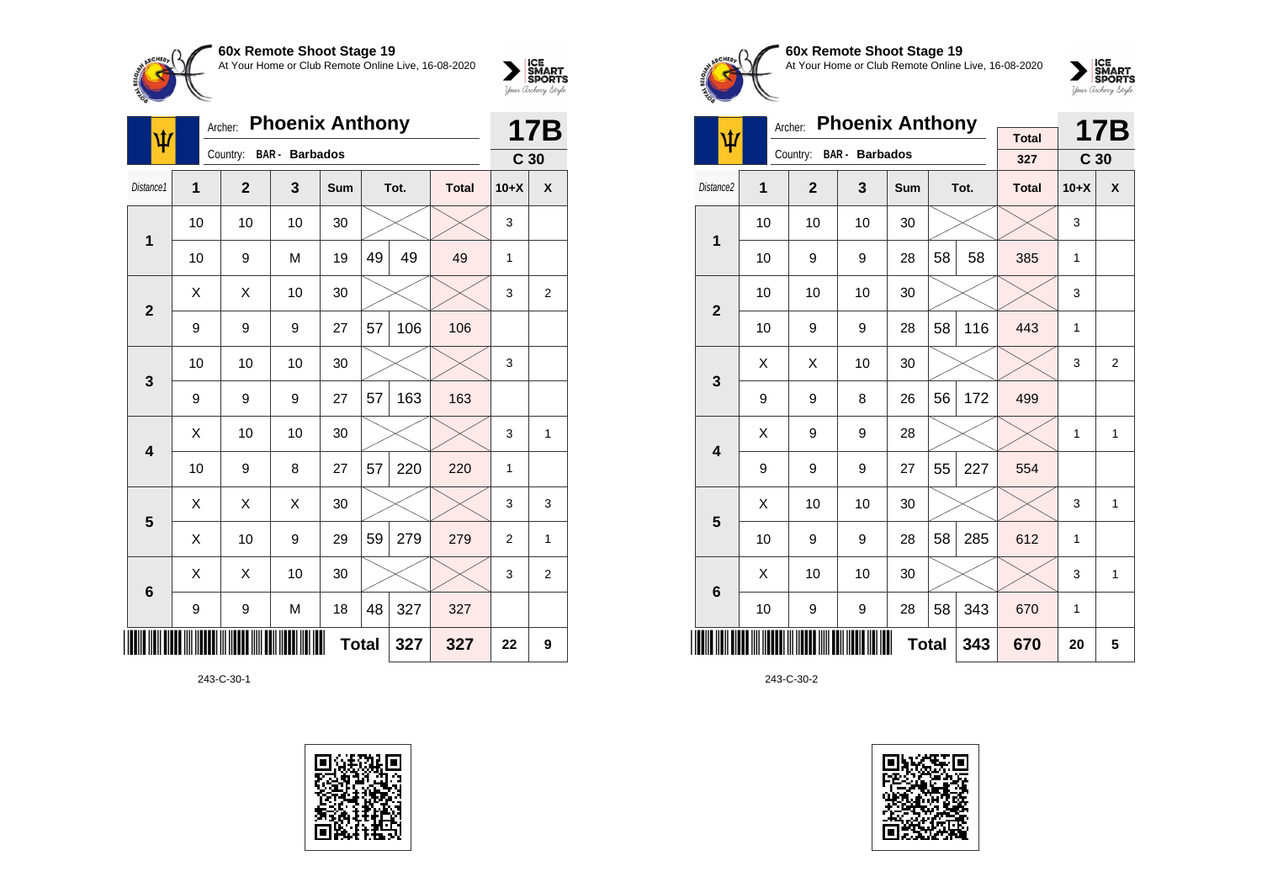

| ψ                       | Archer: |                |                       | <b>17B</b>   |    |      |              |                 |                |
|-------------------------|---------|----------------|-----------------------|--------------|----|------|--------------|-----------------|----------------|
|                         |         | Country:       | <b>BAR</b> - Barbados |              |    |      |              | C <sub>30</sub> |                |
| Distance1               | 1       | $\overline{2}$ | 3                     | Sum          |    | Tot. | <b>Total</b> | $10+X$          | X              |
| 1                       | 10      | 10             | 10                    | 30           |    |      |              | 3               |                |
|                         | 10      | 9              | M                     | 19           | 49 | 49   | 49           | 1               |                |
| $\overline{2}$          | X       | X              | 10                    | 30           |    |      |              | 3               | $\overline{2}$ |
|                         | 9       | 9              | 9                     | 27           | 57 | 106  | 106          |                 |                |
| 3                       | 10      | 10             | 10                    | 30           |    |      |              | 3               |                |
|                         | 9       | 9              | 9                     | 27           | 57 | 163  | 163          |                 |                |
| $\overline{\mathbf{4}}$ | X       | 10             | 10                    | 30           |    |      |              | 3               | 1              |
|                         | 10      | 9              | 8                     | 27           | 57 | 220  | 220          | 1               |                |
| 5                       | X       | X              | X                     | 30           |    |      |              | 3               | 3              |
|                         | Χ       | 10             | 9                     | 29           | 59 | 279  | 279          | $\overline{2}$  | 1              |
| $6\phantom{1}6$         | X       | X              | 10                    | 30           |    |      |              | 3               | $\overline{2}$ |
|                         | 9       | 9              | M                     | 18           | 48 | 327  | 327          |                 |                |
|                         |         |                |                       | <b>Total</b> |    | 327  | 327          | 22              | 9              |

243-C-30-1





**60x Remote Shoot Stage 19** At Your Home or Club Remote Online Live, 16-08-2020



|                         |    | Archer:        | <b>Phoenix Anthony</b> |              |    | 17B  |                     |                 |                |
|-------------------------|----|----------------|------------------------|--------------|----|------|---------------------|-----------------|----------------|
| ψ                       |    | Country:       | <b>BAR</b> - Barbados  |              |    |      | <b>Total</b><br>327 | C <sub>30</sub> |                |
| Distance <sub>2</sub>   | 1  | $\overline{2}$ | 3                      | Sum          |    | Tot. | <b>Total</b>        | $10+X$          | X              |
| $\mathbf{1}$            | 10 | 10             | 10                     | 30           |    |      |                     | 3               |                |
|                         | 10 | 9              | 9                      | 28           | 58 | 58   | 385                 | 1               |                |
| $\overline{2}$          | 10 | 10             | 10                     | 30           |    |      |                     | 3               |                |
|                         | 10 | 9              | 9                      | 28           | 58 | 116  | 443                 | 1               |                |
| 3                       | X  | X              | 10                     | 30           |    |      |                     | 3               | $\overline{2}$ |
|                         | 9  | 9              | 8                      | 26           | 56 | 172  | 499                 |                 |                |
| $\overline{\mathbf{4}}$ | Χ  | 9              | 9                      | 28           |    |      |                     | $\mathbf{1}$    | 1              |
|                         | 9  | 9              | 9                      | 27           | 55 | 227  | 554                 |                 |                |
| 5                       | X  | 10             | 10                     | 30           |    |      |                     | 3               | 1              |
|                         | 10 | 9              | 9                      | 28           | 58 | 285  | 612                 | 1               |                |
| 6                       | X  | 10             | 10                     | 30           |    |      |                     | 3               | 1              |
|                         | 10 | 9              | 9                      | 28           | 58 | 343  | 670                 | 1               |                |
|                         |    |                |                        | <b>Total</b> |    | 343  | 670                 | 20              | 5              |

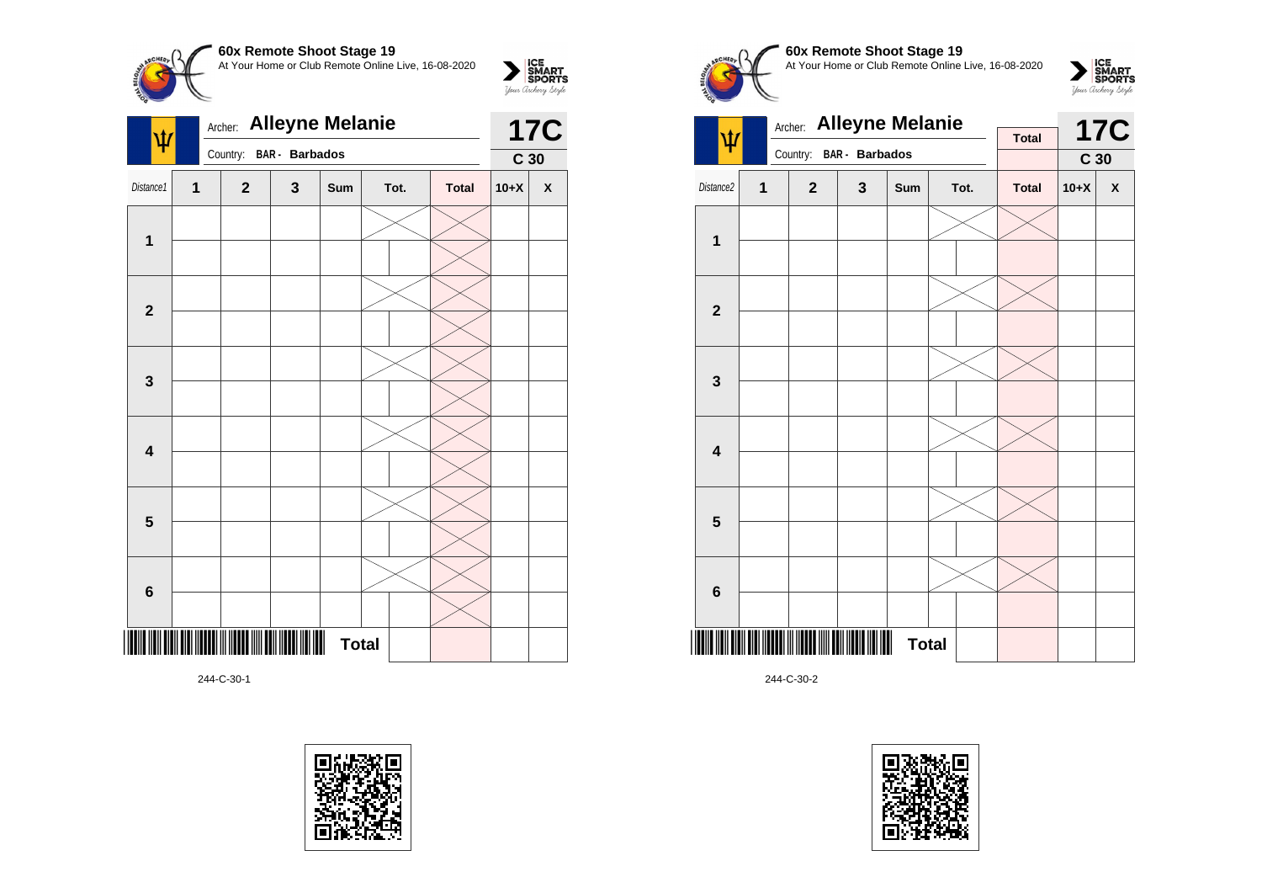

| лин. <b>Анчутк моюнто</b><br>Ψ |              |  |                                            |                         |              |                      |  |  | 17C             |                           |
|--------------------------------|--------------|--|--------------------------------------------|-------------------------|--------------|----------------------|--|--|-----------------|---------------------------|
|                                |              |  |                                            | Country: BAR - Barbados |              |                      |  |  | C <sub>30</sub> |                           |
| Distance1                      | $\mathbf{1}$ |  | $\mathbf{2}$                               | 3                       | Sum          | Tot.<br><b>Total</b> |  |  | $10+X$          | $\boldsymbol{\mathsf{X}}$ |
| $\mathbf{1}$                   |              |  |                                            |                         |              |                      |  |  |                 |                           |
|                                |              |  |                                            |                         |              |                      |  |  |                 |                           |
|                                |              |  |                                            |                         |              |                      |  |  |                 |                           |
| $\mathbf{2}$                   |              |  |                                            |                         |              |                      |  |  |                 |                           |
|                                |              |  |                                            |                         |              |                      |  |  |                 |                           |
| $\mathbf 3$                    |              |  |                                            |                         |              |                      |  |  |                 |                           |
|                                |              |  |                                            |                         |              |                      |  |  |                 |                           |
| $\overline{\mathbf{4}}$        |              |  |                                            |                         |              |                      |  |  |                 |                           |
|                                |              |  |                                            |                         |              |                      |  |  |                 |                           |
| $\overline{\mathbf{5}}$        |              |  |                                            |                         |              |                      |  |  |                 |                           |
|                                |              |  |                                            |                         |              |                      |  |  |                 |                           |
| $\bf{6}$                       |              |  |                                            |                         |              |                      |  |  |                 |                           |
|                                |              |  | <u> IIII III IIIIII III IIIII IIII III</u> |                         | <b>Total</b> |                      |  |  |                 |                           |
|                                |              |  |                                            |                         |              |                      |  |  |                 |                           |

244-C-30-1











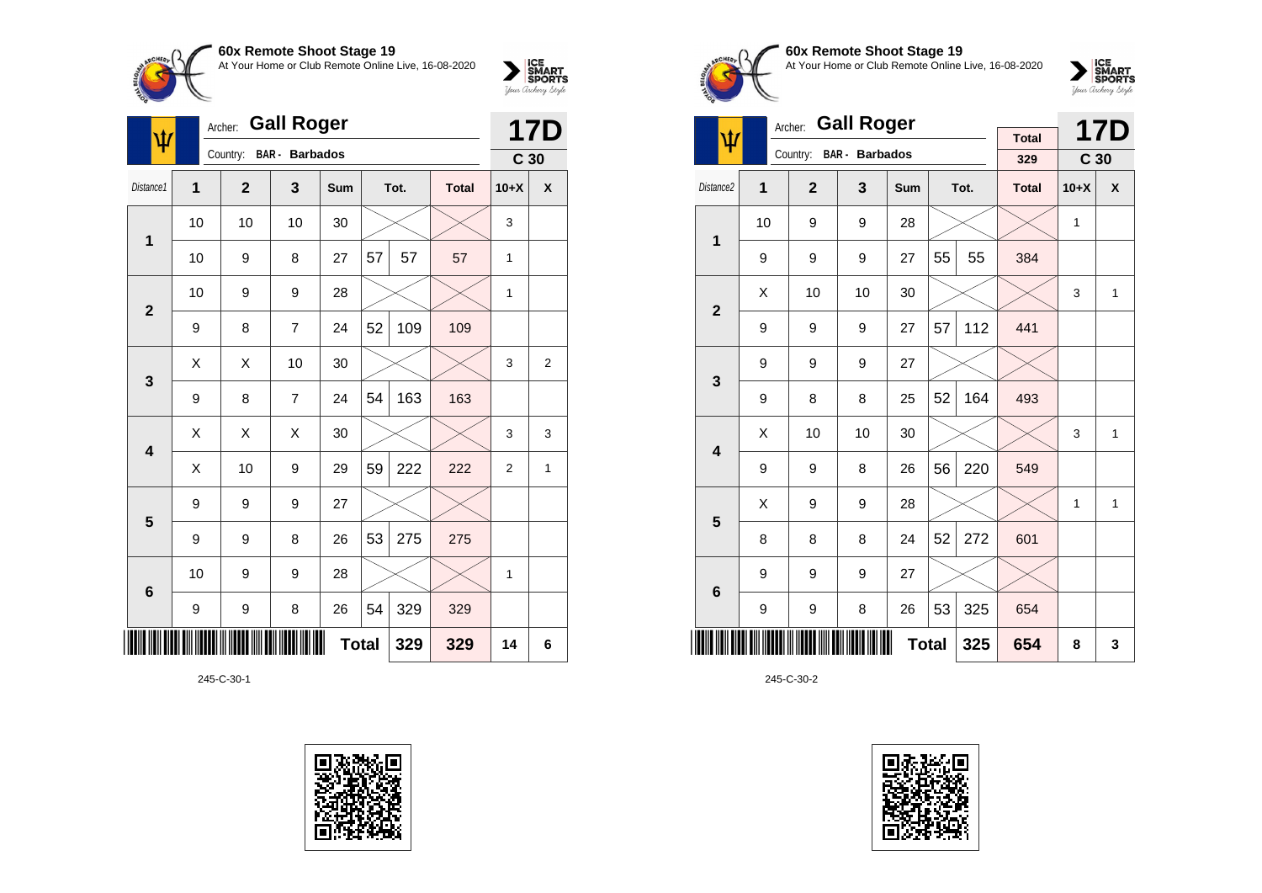

| <b>OUA INGHIDIG OHOOL OLAGE TO</b>                  |                                 |
|-----------------------------------------------------|---------------------------------|
| At Your Home or Club Remote Online Live, 16-08-2020 | <b>ICE<br/>SMART<br/>SPORTS</b> |
|                                                     | Your Archerry Stryle            |

|                         | <b>Gall Roger</b><br>Archer:<br>ψ |                |                       |     |              |      |              |                 |              |
|-------------------------|-----------------------------------|----------------|-----------------------|-----|--------------|------|--------------|-----------------|--------------|
|                         |                                   | Country:       | <b>BAR</b> - Barbados |     |              |      |              | C <sub>30</sub> | <b>17D</b>   |
| Distance1               | 1                                 | $\overline{2}$ | 3                     | Sum |              | Tot. | <b>Total</b> | $10+X$          | X            |
| 1                       | 10                                | 10             | 10                    | 30  |              |      |              | 3               |              |
|                         | 10                                | 9              | 8                     | 27  | 57           | 57   | 57           | $\mathbf{1}$    |              |
| $\mathbf{2}$            | 10                                | 9              | 9                     | 28  |              |      |              | 1               |              |
|                         | 9                                 | 8              | $\overline{7}$        | 24  | 52           | 109  | 109          |                 |              |
| 3                       | X                                 | X              | 10                    | 30  |              |      |              | 3               | 2            |
|                         | 9                                 | 8              | $\overline{7}$        | 24  | 54           | 163  | 163          |                 |              |
| $\overline{\mathbf{4}}$ | X                                 | Χ              | X                     | 30  |              |      |              | 3               | 3            |
|                         | Χ                                 | 10             | 9                     | 29  | 59           | 222  | 222          | $\overline{2}$  | $\mathbf{1}$ |
| 5                       | 9                                 | 9              | 9                     | 27  |              |      |              |                 |              |
|                         | 9                                 | 9              | 8                     | 26  | 53           | 275  | 275          |                 |              |
| $6\phantom{1}6$         | 10                                | 9              | 9                     | 28  |              |      |              | 1               |              |
|                         | 9                                 | 9              | 8                     | 26  | 54           | 329  | 329          |                 |              |
|                         |                                   |                |                       |     | <b>Total</b> | 329  | 329          | 14              | 6            |

245-C-30-1





# **60x Remote Shoot Stage 19** At Your Home or Club Remote Online Live, 16-08-2020



|                         |                | Archer:        | <b>Gall Roger</b>     |              |    |      |                     |                 | <b>17D</b> |
|-------------------------|----------------|----------------|-----------------------|--------------|----|------|---------------------|-----------------|------------|
| Ψ                       |                | Country:       | <b>BAR</b> - Barbados |              |    |      | <b>Total</b><br>329 | C <sub>30</sub> |            |
|                         |                |                |                       |              |    |      |                     |                 |            |
| Distance2               | $\overline{1}$ | $\overline{2}$ | 3                     | Sum          |    | Tot. | <b>Total</b>        | $10+X$          | X          |
| $\overline{1}$          | 10             | 9              | 9                     | 28           |    |      |                     | 1               |            |
|                         | 9              | 9              | 9                     | 27           | 55 | 55   | 384                 |                 |            |
| $\overline{2}$          | X              | 10             | 10                    | 30           |    |      |                     | 3               | 1          |
|                         | 9              | 9              | 9                     | 27           | 57 | 112  | 441                 |                 |            |
| 3                       | 9              | 9              | 9                     | 27           |    |      |                     |                 |            |
|                         | 9              | 8              | 8                     | 25           | 52 | 164  | 493                 |                 |            |
| $\overline{\mathbf{4}}$ | X              | 10             | 10                    | 30           |    |      |                     | 3               | 1          |
|                         | 9              | 9              | 8                     | 26           | 56 | 220  | 549                 |                 |            |
| 5                       | X              | 9              | 9                     | 28           |    |      |                     | 1               | 1          |
|                         | 8              | 8              | 8                     | 24           | 52 | 272  | 601                 |                 |            |
| $6\phantom{1}6$         | 9              | 9              | 9                     | 27           |    |      |                     |                 |            |
|                         | 9              | 9              | 8                     | 26           | 53 | 325  | 654                 |                 |            |
|                         |                |                |                       | <b>Total</b> |    | 325  | 654                 | 8               | 3          |

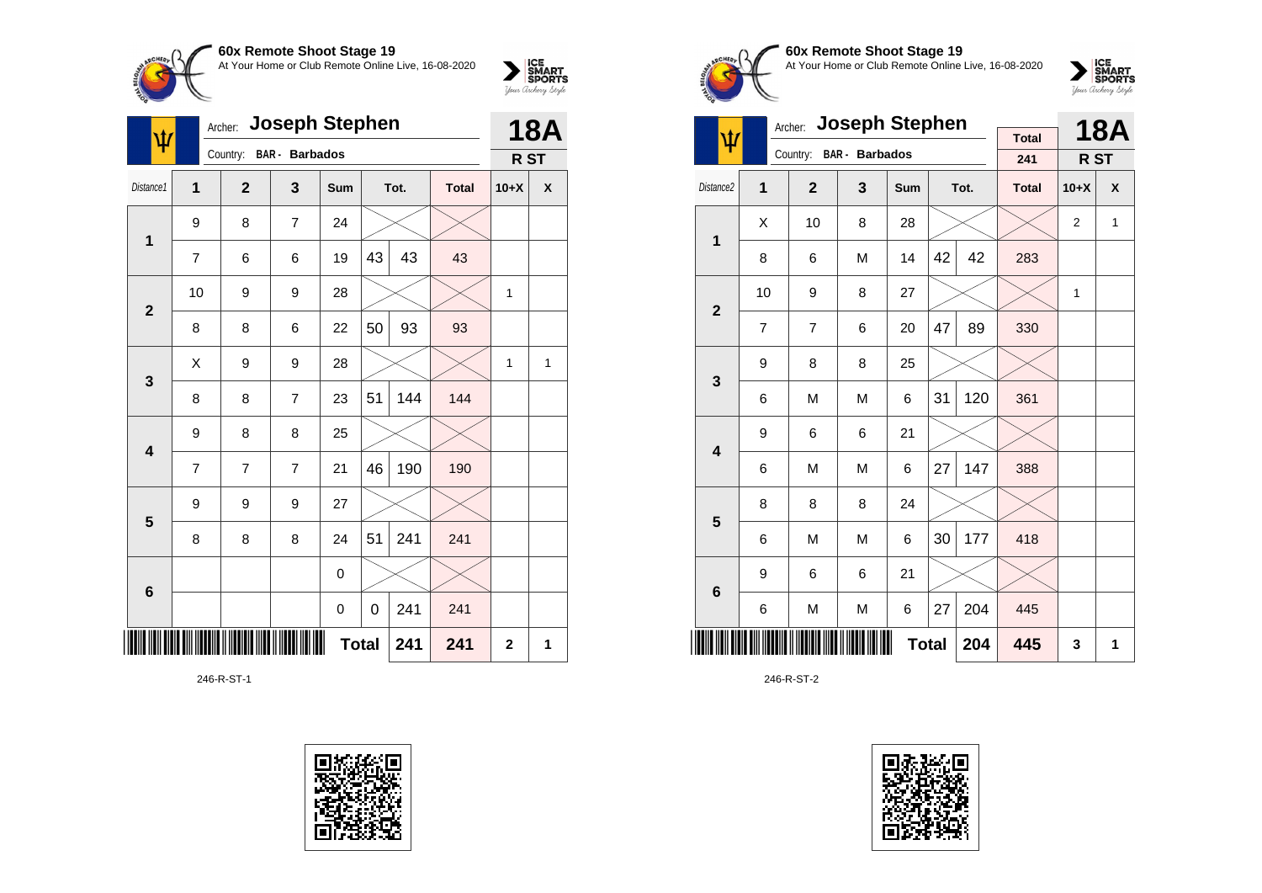

| ψ                       |    | Archer:        | <b>Joseph Stephen</b> |              |    |      | <b>18A</b>   |                 |   |
|-------------------------|----|----------------|-----------------------|--------------|----|------|--------------|-----------------|---|
|                         |    | Country:       | <b>BAR</b> - Barbados |              |    |      |              | R <sub>ST</sub> |   |
| Distance1               | 1  | $\overline{2}$ | 3                     | Sum          |    | Tot. | <b>Total</b> | $10+X$          | X |
| $\mathbf 1$             | 9  | 8              | $\overline{7}$        | 24           |    |      |              |                 |   |
|                         | 7  | 6              | 6                     | 19           | 43 | 43   | 43           |                 |   |
| $\overline{\mathbf{2}}$ | 10 | 9              | 9                     | 28           |    |      |              | 1               |   |
|                         | 8  | 8              | 6                     | 22           | 50 | 93   | 93           |                 |   |
| 3                       | Χ  | 9              | 9                     | 28           |    |      |              | 1               | 1 |
|                         | 8  | 8              | $\overline{7}$        | 23           | 51 | 144  | 144          |                 |   |
| 4                       | 9  | 8              | 8                     | 25           |    |      |              |                 |   |
|                         | 7  | 7              | $\overline{7}$        | 21           | 46 | 190  | 190          |                 |   |
| 5                       | 9  | 9              | 9                     | 27           |    |      |              |                 |   |
|                         | 8  | 8              | 8                     | 24           | 51 | 241  | 241          |                 |   |
| $6\phantom{1}6$         |    |                |                       | 0            |    |      |              |                 |   |
|                         |    |                |                       | $\pmb{0}$    | 0  | 241  | 241          |                 |   |
|                         |    |                |                       | <b>Total</b> |    | 241  | 241          | $\overline{2}$  | 1 |

246-R-ST-1





# **60x Remote Shoot Stage 19** At Your Home or Club Remote Online Live, 16-08-2020



|                         |                | <b>Joseph Stephen</b><br>Archer: |                       |              |    | <b>18A</b> |                     |        |              |
|-------------------------|----------------|----------------------------------|-----------------------|--------------|----|------------|---------------------|--------|--------------|
| ψ                       |                | Country:                         | <b>BAR</b> - Barbados |              |    |            | <b>Total</b><br>241 | R ST   |              |
| Distance <sub>2</sub>   | 1              | $\overline{2}$                   | 3                     | Sum          |    | Tot.       | <b>Total</b>        | $10+X$ | X            |
| 1                       | Χ              | 10                               | 8                     | 28           |    |            |                     | 2      | $\mathbf{1}$ |
|                         | 8              | 6                                | M                     | 14           | 42 | 42         | 283                 |        |              |
| $\overline{2}$          | 10             | 9                                | 8                     | 27           |    |            |                     | 1      |              |
|                         | $\overline{7}$ | $\overline{7}$                   | 6                     | 20           | 47 | 89         | 330                 |        |              |
| 3                       | 9              | 8                                | 8                     | 25           |    |            |                     |        |              |
|                         | 6              | M                                | M                     | 6            | 31 | 120        | 361                 |        |              |
| $\overline{\mathbf{4}}$ | 9              | 6                                | 6                     | 21           |    |            |                     |        |              |
|                         | 6              | M                                | M                     | 6            | 27 | 147        | 388                 |        |              |
| 5                       | 8              | 8                                | 8                     | 24           |    |            |                     |        |              |
|                         | 6              | M                                | M                     | 6            | 30 | 177        | 418                 |        |              |
| 6                       | 9              | 6                                | 6                     | 21           |    |            |                     |        |              |
|                         | 6              | M                                | M                     | 6            | 27 | 204        | 445                 |        |              |
|                         |                |                                  |                       | <b>Total</b> |    | 204        | 445                 | 3      | 1            |

246-R-ST-2

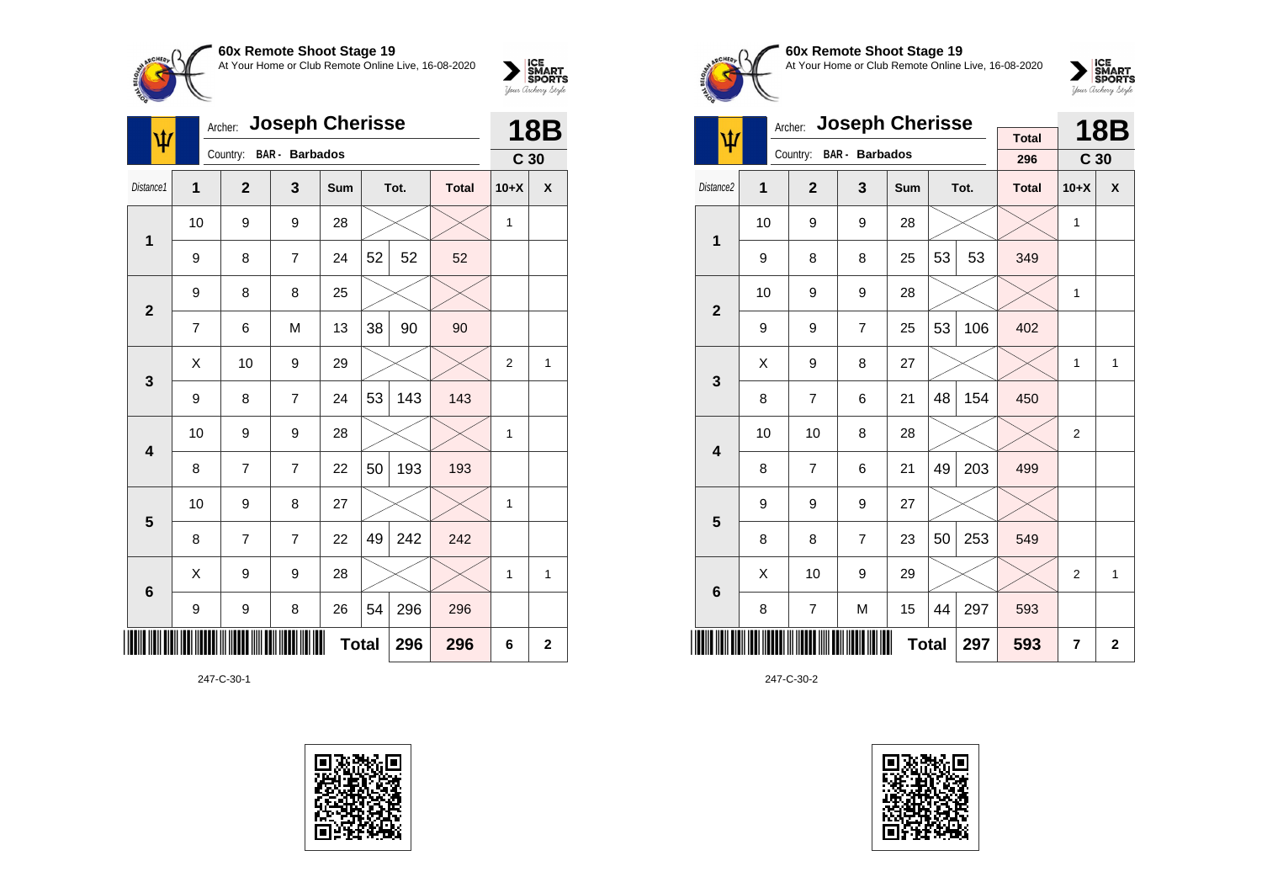

| Ŵ               | <b>Joseph Cherisse</b><br>Archer: |                |                       |              |    |      |              |                 | <b>18B</b>   |  |
|-----------------|-----------------------------------|----------------|-----------------------|--------------|----|------|--------------|-----------------|--------------|--|
|                 |                                   | Country:       | <b>BAR</b> - Barbados |              |    |      |              | C <sub>30</sub> |              |  |
| Distance1       | 1                                 | $\overline{2}$ | 3                     | Sum          |    | Tot. | <b>Total</b> | $10+X$          | X            |  |
| 1               | 10                                | 9              | 9                     | 28           |    |      |              | 1               |              |  |
|                 | 9                                 | 8              | $\overline{7}$        | 24           | 52 | 52   | 52           |                 |              |  |
| $\overline{2}$  | 9                                 | 8              | 8                     | 25           |    |      |              |                 |              |  |
|                 | 7                                 | 6              | M                     | 13           | 38 | 90   | 90           |                 |              |  |
| 3               | X                                 | 10             | 9                     | 29           |    |      |              | $\overline{2}$  | 1            |  |
|                 | 9                                 | 8              | $\overline{7}$        | 24           | 53 | 143  | 143          |                 |              |  |
| 4               | 10                                | 9              | 9                     | 28           |    |      |              | 1               |              |  |
|                 | 8                                 | 7              | $\overline{7}$        | 22           | 50 | 193  | 193          |                 |              |  |
| 5               | 10                                | 9              | 8                     | 27           |    |      |              | $\mathbf{1}$    |              |  |
|                 | 8                                 | 7              | $\overline{7}$        | 22           | 49 | 242  | 242          |                 |              |  |
| $6\phantom{1}6$ | Χ                                 | 9              | 9                     | 28           |    |      |              | 1               | 1            |  |
|                 | 9                                 | 9              | 8                     | 26           | 54 | 296  | 296          |                 |              |  |
| ║║║             |                                   |                |                       | <b>Total</b> |    | 296  | 296          | 6               | $\mathbf{2}$ |  |

247-C-30-1





**60x Remote Shoot Stage 19** At Your Home or Club Remote Online Live, 16-08-2020



|                         |    | <b>Joseph Cherisse</b><br>Archer: |                |              |    | <b>18B</b> |                     |                 |                |
|-------------------------|----|-----------------------------------|----------------|--------------|----|------------|---------------------|-----------------|----------------|
| ψ                       |    | Country:                          | BAR - Barbados |              |    |            | <b>Total</b><br>296 | C <sub>30</sub> |                |
| Distance <sub>2</sub>   | 1  | $\overline{2}$                    | 3              | Sum          |    | Tot.       | <b>Total</b>        | $10+X$          | X              |
| 1                       | 10 | 9                                 | 9              | 28           |    |            |                     | 1               |                |
|                         | 9  | 8                                 | 8              | 25           | 53 | 53         | 349                 |                 |                |
| $\overline{2}$          | 10 | 9                                 | 9              | 28           |    |            |                     | 1               |                |
|                         | 9  | 9                                 | $\overline{7}$ | 25           | 53 | 106        | 402                 |                 |                |
| 3                       | X  | 9                                 | 8              | 27           |    |            |                     | 1               | 1              |
|                         | 8  | $\overline{7}$                    | 6              | 21           | 48 | 154        | 450                 |                 |                |
| $\overline{\mathbf{4}}$ | 10 | 10                                | 8              | 28           |    |            |                     | $\overline{2}$  |                |
|                         | 8  | $\overline{7}$                    | 6              | 21           | 49 | 203        | 499                 |                 |                |
| 5                       | 9  | 9                                 | 9              | 27           |    |            |                     |                 |                |
|                         | 8  | 8                                 | $\overline{7}$ | 23           | 50 | 253        | 549                 |                 |                |
| $6\phantom{1}$          | X  | 10                                | 9              | 29           |    |            |                     | $\overline{2}$  | 1              |
|                         | 8  | 7                                 | M              | 15           | 44 | 297        | 593                 |                 |                |
|                         |    |                                   |                | <b>Total</b> |    | 297        | 593                 | 7               | $\overline{2}$ |

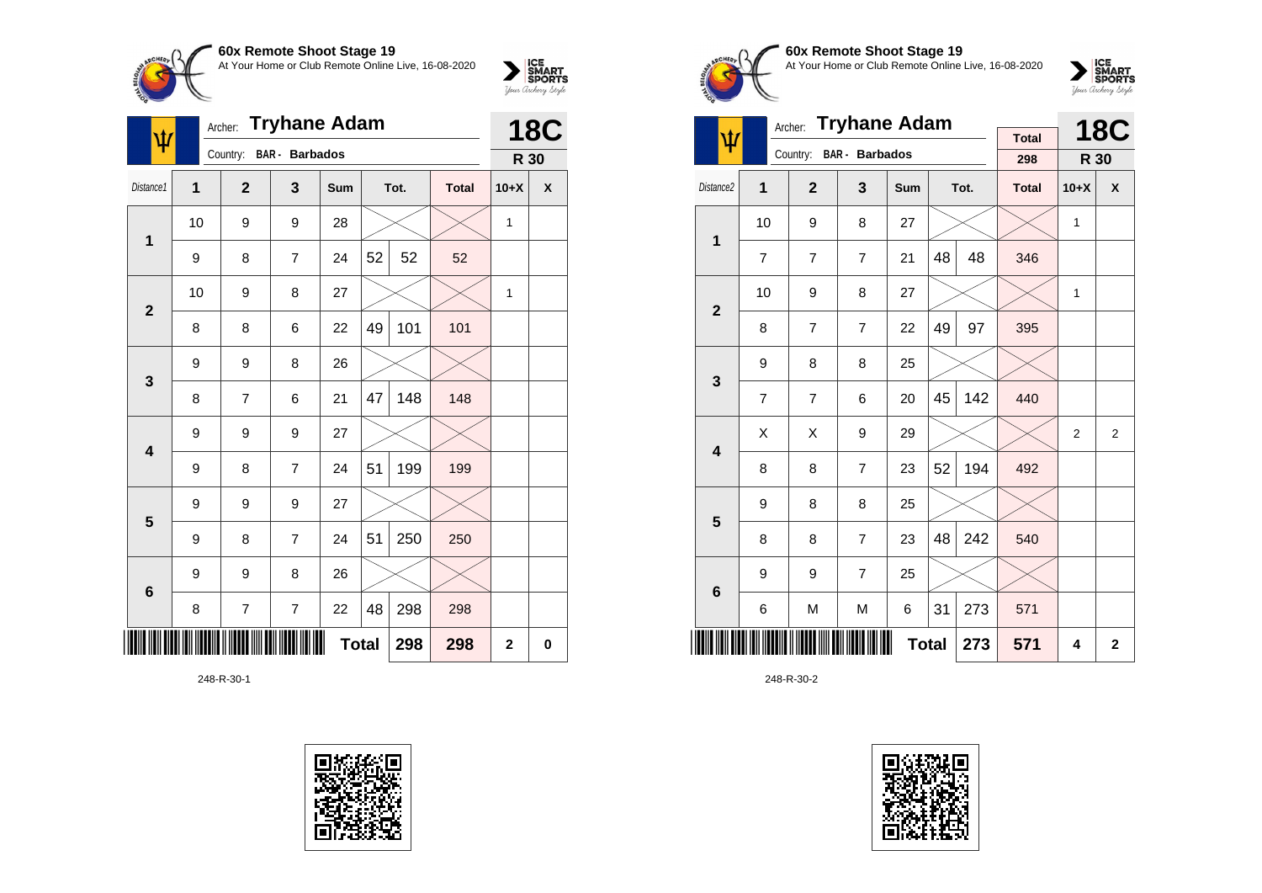

| ₩               | <b>Tryhane Adam</b><br>Archer: |                |                       |              |    |      |              |                | <b>18C</b>  |  |
|-----------------|--------------------------------|----------------|-----------------------|--------------|----|------|--------------|----------------|-------------|--|
|                 |                                | Country:       | <b>BAR</b> - Barbados |              |    |      |              | R 30           |             |  |
| Distance1       | 1                              | $\overline{2}$ | 3                     | Sum          |    | Tot. | <b>Total</b> | $10+X$         | X           |  |
| 1               | 10                             | 9              | 9                     | 28           |    |      |              | 1              |             |  |
|                 | 9                              | 8              | $\overline{7}$        | 24           | 52 | 52   | 52           |                |             |  |
| $\mathbf{2}$    | 10                             | 9              | 8                     | 27           |    |      |              | 1              |             |  |
|                 | 8                              | 8              | 6                     | 22           | 49 | 101  | 101          |                |             |  |
| 3               | 9                              | 9              | 8                     | 26           |    |      |              |                |             |  |
|                 | 8                              | 7              | 6                     | 21           | 47 | 148  | 148          |                |             |  |
| 4               | 9                              | 9              | 9                     | 27           |    |      |              |                |             |  |
|                 | 9                              | 8              | $\overline{7}$        | 24           | 51 | 199  | 199          |                |             |  |
| 5               | 9                              | 9              | 9                     | 27           |    |      |              |                |             |  |
|                 | 9                              | 8              | $\overline{7}$        | 24           | 51 | 250  | 250          |                |             |  |
| $6\phantom{1}6$ | 9                              | 9              | 8                     | 26           |    |      |              |                |             |  |
|                 | 8                              | 7              | $\overline{7}$        | 22           | 48 | 298  | 298          |                |             |  |
|                 |                                |                |                       | <b>Total</b> |    | 298  | 298          | $\overline{2}$ | $\mathbf 0$ |  |

248-R-30-1





**60x Remote Shoot Stage 19** At Your Home or Club Remote Online Live, 16-08-2020

 $\sum_{\text{your } \text{Order}} \frac{\text{ICE}}{\text{SDORTS}}$ 

|                         |                | <b>Tryhane Adam</b><br>Archer: |                |              |    | <b>18C</b> |                     |                |                |
|-------------------------|----------------|--------------------------------|----------------|--------------|----|------------|---------------------|----------------|----------------|
| ψ                       |                | Country: BAR - Barbados        |                |              |    |            | <b>Total</b><br>298 | R 30           |                |
| Distance2               | 1              | $\overline{2}$                 | 3              | Sum          |    | Tot.       | <b>Total</b>        | $10+X$         | X              |
|                         |                |                                |                |              |    |            |                     |                |                |
| 1                       | 10             | 9                              | 8              | 27           |    |            |                     | 1              |                |
|                         | 7              | 7                              | $\overline{7}$ | 21           | 48 | 48         | 346                 |                |                |
| $\mathbf{2}$            | 10             | 9                              | 8              | 27           |    |            |                     | 1              |                |
|                         | 8              | 7                              | $\overline{7}$ | 22           | 49 | 97         | 395                 |                |                |
| 3                       | 9              | 8                              | 8              | 25           |    |            |                     |                |                |
|                         | $\overline{7}$ | $\overline{7}$                 | 6              | 20           | 45 | 142        | 440                 |                |                |
| $\overline{\mathbf{4}}$ | Χ              | X                              | 9              | 29           |    |            |                     | $\overline{2}$ | 2              |
|                         | 8              | 8                              | $\overline{7}$ | 23           | 52 | 194        | 492                 |                |                |
| 5                       | 9              | 8                              | 8              | 25           |    |            |                     |                |                |
|                         | 8              | 8                              | $\overline{7}$ | 23           | 48 | 242        | 540                 |                |                |
| 6                       | 9              | 9                              | $\overline{7}$ | 25           |    |            |                     |                |                |
|                         | 6              | M                              | M              | 6            | 31 | 273        | 571                 |                |                |
|                         |                |                                |                | <b>Total</b> |    | 273        | 571                 | 4              | $\overline{2}$ |

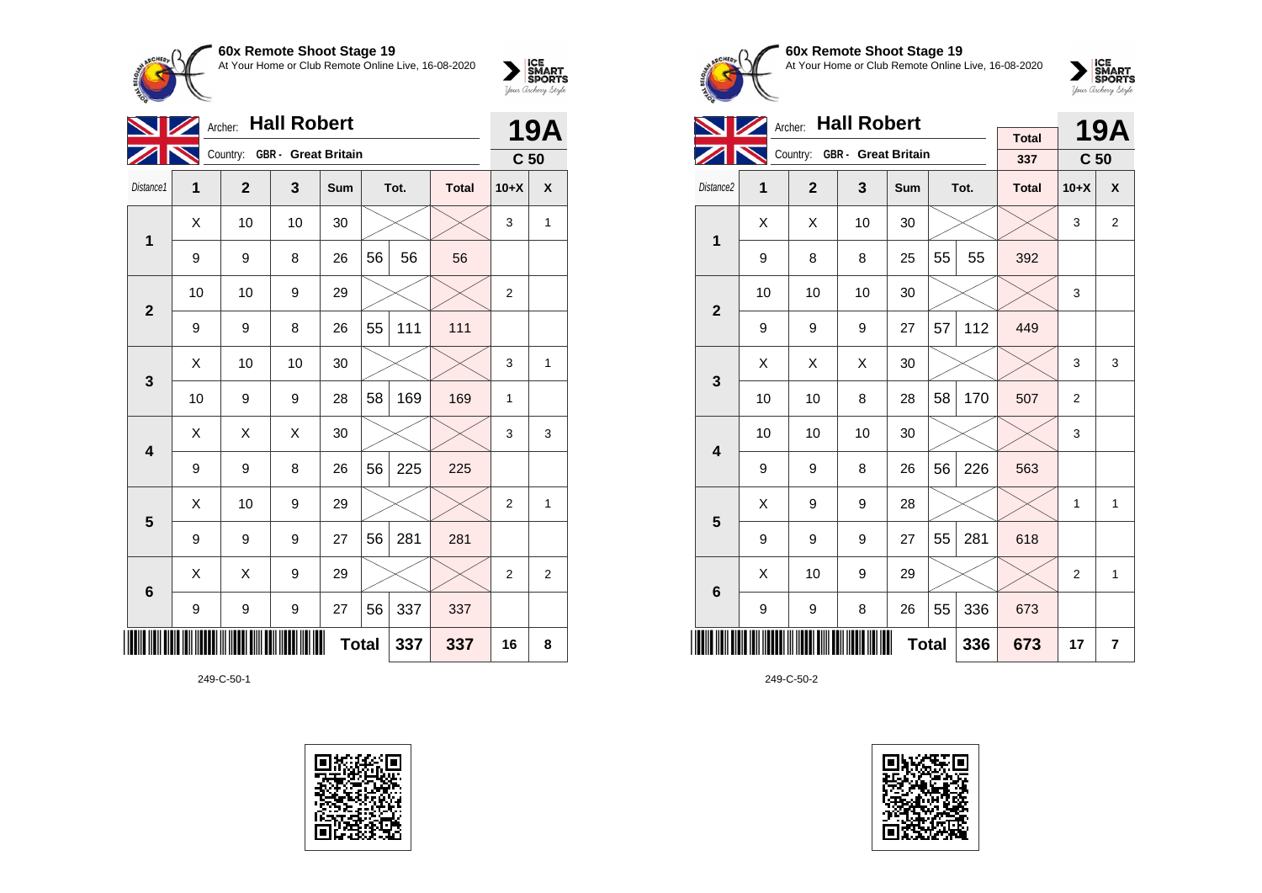

| <b>Hall Robert</b><br>Archer: |    |                |                              |              |    |      |              |                 | <b>19A</b>     |  |
|-------------------------------|----|----------------|------------------------------|--------------|----|------|--------------|-----------------|----------------|--|
|                               |    |                | Country: GBR - Great Britain |              |    |      |              | C <sub>50</sub> |                |  |
| Distance1                     | 1  | $\overline{2}$ | 3                            | Sum          |    | Tot. | <b>Total</b> | $10+X$          | X              |  |
| 1                             | Χ  | 10             | 10                           | 30           |    |      |              | 3               | $\mathbf{1}$   |  |
|                               | 9  | 9              | 8                            | 26           | 56 | 56   | 56           |                 |                |  |
| $\overline{2}$                | 10 | 10             | 9                            | 29           |    |      |              | 2               |                |  |
|                               | 9  | 9              | 8                            | 26           | 55 | 111  | 111          |                 |                |  |
| 3                             | X  | 10             | 10                           | 30           |    |      |              | 3               | 1              |  |
|                               | 10 | 9              | 9                            | 28           | 58 | 169  | 169          | 1               |                |  |
| 4                             | X  | X              | X                            | 30           |    |      |              | 3               | 3              |  |
|                               | 9  | 9              | 8                            | 26           | 56 | 225  | 225          |                 |                |  |
| 5                             | Χ  | 10             | 9                            | 29           |    |      |              | 2               | 1              |  |
|                               | 9  | 9              | 9                            | 27           | 56 | 281  | 281          |                 |                |  |
| $6\phantom{1}$                | X  | X              | 9                            | 29           |    |      |              | $\overline{2}$  | $\overline{2}$ |  |
|                               | 9  | 9              | 9                            | 27           | 56 | 337  | 337          |                 |                |  |
|                               |    |                |                              | <b>Total</b> |    | 337  | 337          | 16              | 8              |  |

249-C-50-1





**60x Remote Shoot Stage 19** At Your Home or Club Remote Online Live, 16-08-2020

 $\sum_{\text{your } \text{Order}} \frac{\text{ICE}}{\text{SDORTS}}$ 

|                         |    | Archer: Hall Robert |                              |              |    | <b>19A</b> |                     |                 |                |
|-------------------------|----|---------------------|------------------------------|--------------|----|------------|---------------------|-----------------|----------------|
|                         |    |                     | Country: GBR - Great Britain |              |    |            | <b>Total</b><br>337 | C <sub>50</sub> |                |
| Distance2               | 1  | $\mathbf{2}$        | 3                            | Sum          |    | Tot.       | <b>Total</b>        | $10+X$          | X              |
| 1                       | Χ  | Χ                   | 10                           | 30           |    |            |                     | 3               | 2              |
|                         | 9  | 8                   | 8                            | 25           | 55 | 55         | 392                 |                 |                |
| $\overline{2}$          | 10 | 10                  | 10                           | 30           |    |            |                     | 3               |                |
|                         | 9  | 9                   | 9                            | 27           | 57 | 112        | 449                 |                 |                |
| 3                       | Χ  | X                   | X                            | 30           |    |            |                     | 3               | 3              |
|                         | 10 | 10                  | 8                            | 28           | 58 | 170        | 507                 | $\overline{2}$  |                |
| $\overline{\mathbf{4}}$ | 10 | 10                  | 10                           | 30           |    |            |                     | 3               |                |
|                         | 9  | 9                   | 8                            | 26           | 56 | 226        | 563                 |                 |                |
| 5                       | Χ  | 9                   | 9                            | 28           |    |            |                     | 1               | 1              |
|                         | 9  | 9                   | 9                            | 27           | 55 | 281        | 618                 |                 |                |
| $6\phantom{1}$          | X  | 10                  | 9                            | 29           |    |            |                     | $\overline{2}$  | 1              |
|                         | 9  | 9                   | 8                            | 26           | 55 | 336        | 673                 |                 |                |
|                         |    |                     |                              | <b>Total</b> |    | 336        | 673                 | 17              | $\overline{7}$ |

249-C-50-2

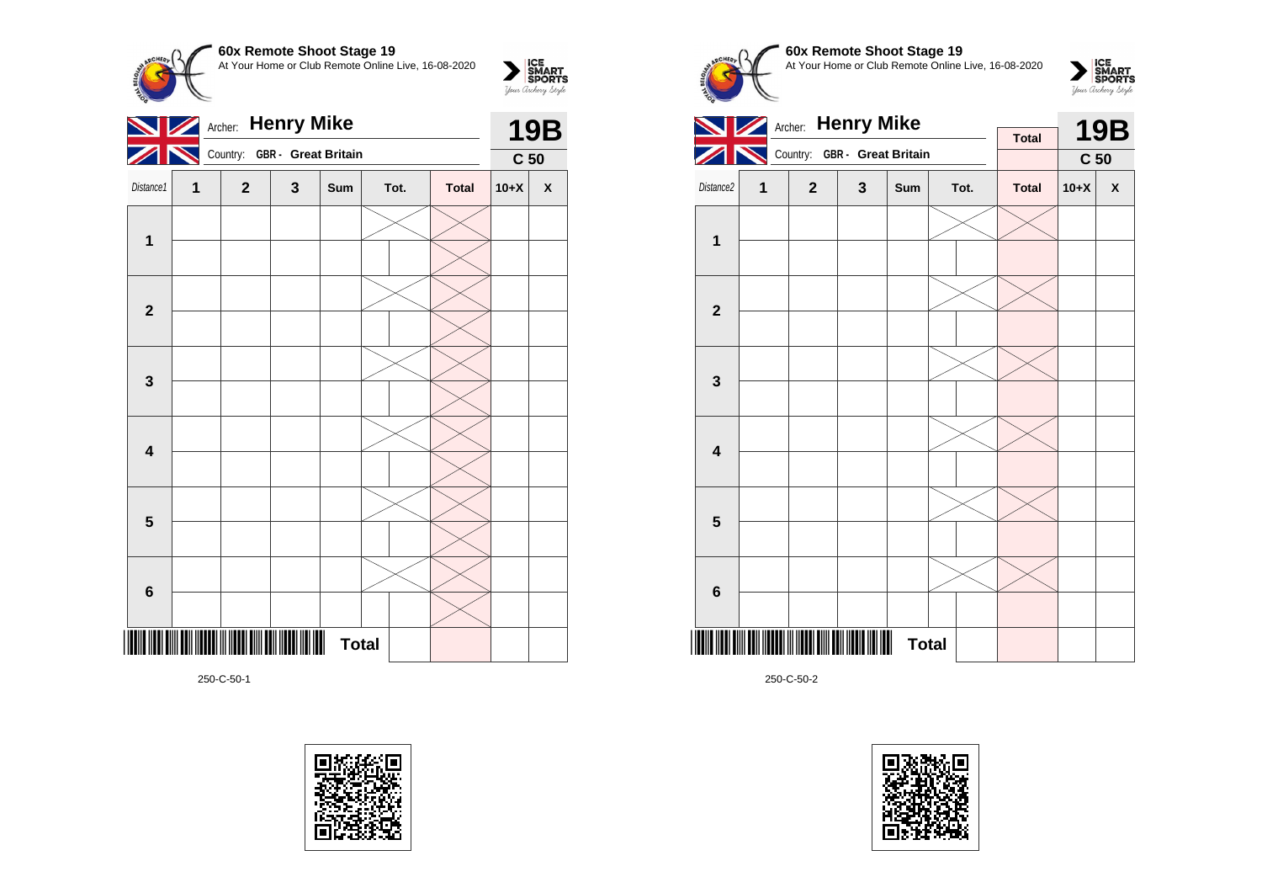**60x Remote Shoot Stage 19**  $\sum_{\text{Vour }\text{Cuchy }\text{StyR}}\begin{matrix}\n\text{ICE} \\
\text{SDORTS} \\
\text{SPORTS}\n\end{matrix}$ At Your Home or Club Remote Online Live, 16-08-2020 Archer: **Henry Mike 19B**  $\mathscr{L}$ K Country: **GBR - Great Britain C 50** Distance1 **1 2 3 Sum Tot. Total 10+X X 1 2**



250-C-50-1

\*250-C-50-1\*



**Total** 







250-C-50-2

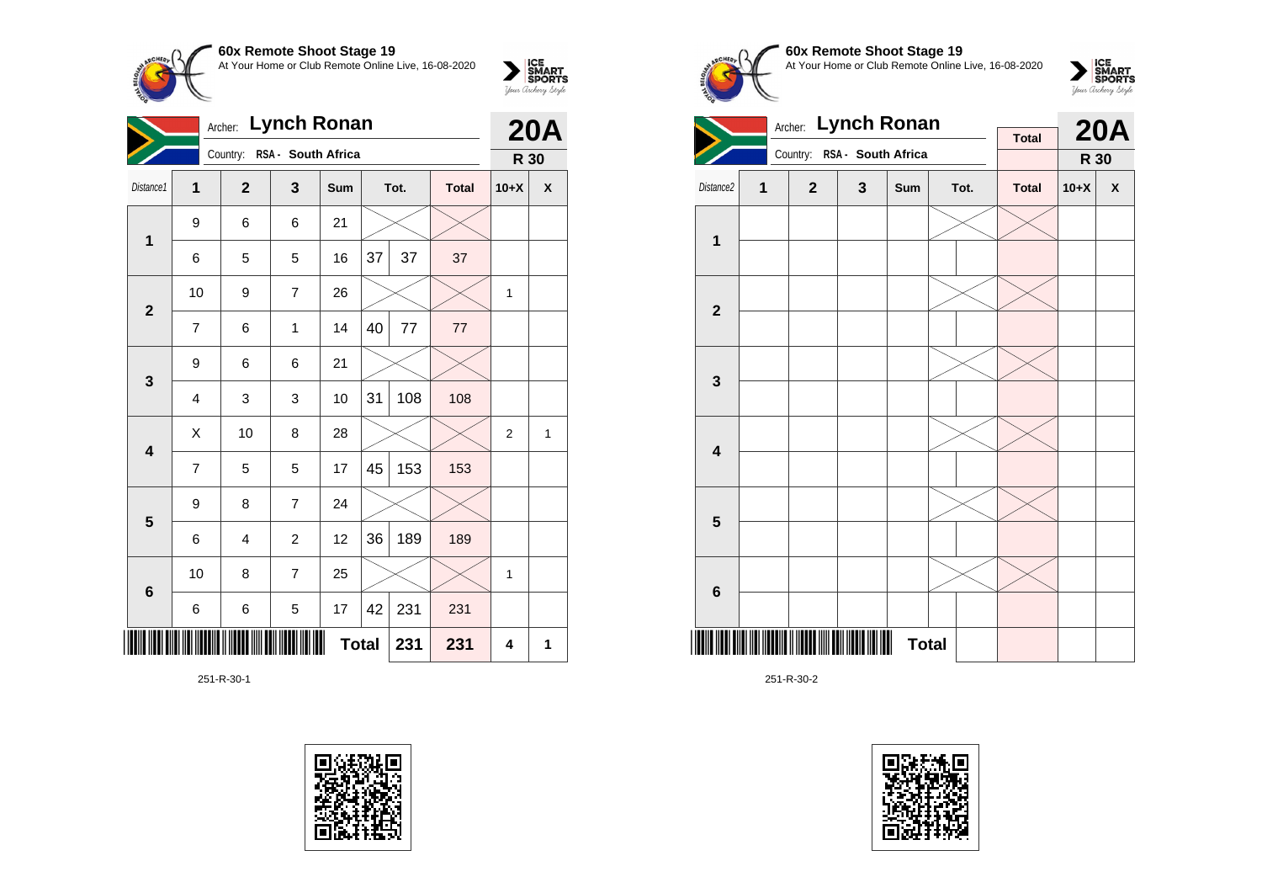

|                         | <b>Lynch Ronan</b><br>Archer: |                             |                |              |    |      |              |                | <b>20A</b>   |
|-------------------------|-------------------------------|-----------------------------|----------------|--------------|----|------|--------------|----------------|--------------|
|                         |                               | Country: RSA - South Africa |                |              |    |      |              | R 30           |              |
| Distance1               | 1                             | $\overline{2}$              | 3              | Sum          |    | Tot. | <b>Total</b> | $10+X$         | X            |
| $\mathbf 1$             | 9                             | 6                           | 6              | 21           |    |      |              |                |              |
|                         | 6                             | 5                           | 5              | 16           | 37 | 37   | 37           |                |              |
| $\mathbf{2}$            | 10                            | 9                           | $\overline{7}$ | 26           |    |      |              | 1              |              |
|                         | $\overline{7}$                | 6                           | 1              | 14           | 40 | 77   | 77           |                |              |
| 3                       | 9                             | 6                           | 6              | 21           |    |      |              |                |              |
|                         | 4                             | 3                           | 3              | 10           | 31 | 108  | 108          |                |              |
| $\overline{\mathbf{4}}$ | X                             | 10                          | 8              | 28           |    |      |              | $\overline{2}$ | $\mathbf{1}$ |
|                         | $\overline{7}$                | 5                           | 5              | 17           | 45 | 153  | 153          |                |              |
| 5                       | 9                             | 8                           | $\overline{7}$ | 24           |    |      |              |                |              |
|                         | 6                             | 4                           | $\overline{2}$ | 12           | 36 | 189  | 189          |                |              |
| $6\phantom{1}6$         | 10                            | 8                           | $\overline{7}$ | 25           |    |      |              | 1              |              |
|                         | 6                             | 6                           | 5              | 17           | 42 | 231  | 231          |                |              |
|                         |                               |                             |                | <b>Total</b> |    | 231  | 231          | 4              | 1            |

251-R-30-1









|                         |   | <b>Lynch Ronan</b><br>Archer: |   | <b>Total</b> |  | <b>20A</b> |              |        |   |
|-------------------------|---|-------------------------------|---|--------------|--|------------|--------------|--------|---|
|                         |   | Country: RSA - South Africa   |   |              |  |            |              | R 30   |   |
| Distance2               | 1 | $\mathbf{2}$                  | 3 | Sum          |  | Tot.       | <b>Total</b> | $10+X$ | X |
|                         |   |                               |   |              |  |            |              |        |   |
| 1                       |   |                               |   |              |  |            |              |        |   |
|                         |   |                               |   |              |  |            |              |        |   |
| $\overline{\mathbf{2}}$ |   |                               |   |              |  |            |              |        |   |
|                         |   |                               |   |              |  |            |              |        |   |
| 3                       |   |                               |   |              |  |            |              |        |   |
|                         |   |                               |   |              |  |            |              |        |   |
| $\overline{\mathbf{4}}$ |   |                               |   |              |  |            |              |        |   |
|                         |   |                               |   |              |  |            |              |        |   |
| 5                       |   |                               |   |              |  |            |              |        |   |
|                         |   |                               |   |              |  |            |              |        |   |
| 6                       |   |                               |   |              |  |            |              |        |   |
| ║                       |   |                               |   | <b>Total</b> |  |            |              |        |   |

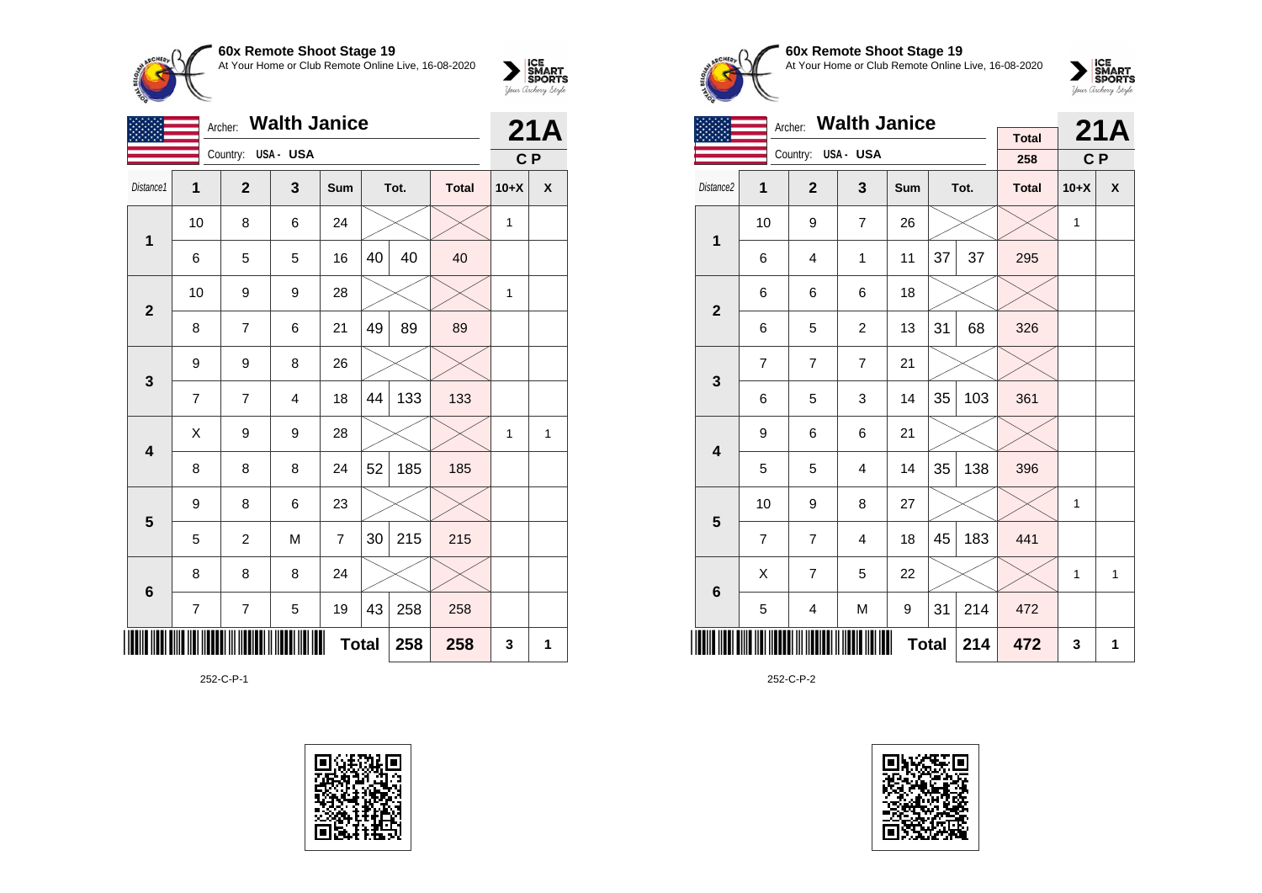

|                | Archer:        |                    |   | 21A          |    |      |              |                |                    |
|----------------|----------------|--------------------|---|--------------|----|------|--------------|----------------|--------------------|
|                |                | Country: USA - USA |   |              |    |      |              | C <sub>P</sub> |                    |
| Distance1      | 1              | $\mathbf{2}$       | 3 | Sum          |    | Tot. | <b>Total</b> | $10+X$         | $\pmb{\mathsf{X}}$ |
| $\mathbf{1}$   | 10             | 8                  | 6 | 24           |    |      |              | 1              |                    |
|                | 6              | 5                  | 5 | 16           | 40 | 40   | 40           |                |                    |
| $\overline{2}$ | 10             | 9                  | 9 | 28           |    |      |              | $\mathbf{1}$   |                    |
|                | 8              | $\overline{7}$     | 6 | 21           | 49 | 89   | 89           |                |                    |
| 3              | 9              | 9                  | 8 | 26           |    |      |              |                |                    |
|                | $\overline{7}$ | $\overline{7}$     | 4 | 18           | 44 | 133  | 133          |                |                    |
| 4              | Χ              | 9                  | 9 | 28           |    |      |              | 1              | 1                  |
|                | 8              | 8                  | 8 | 24           | 52 | 185  | 185          |                |                    |
| 5              | 9              | 8                  | 6 | 23           |    |      |              |                |                    |
|                | 5              | $\overline{c}$     | M | 7            | 30 | 215  | 215          |                |                    |
| $\bf 6$        | 8              | 8                  | 8 | 24           |    |      |              |                |                    |
|                | 7              | 7                  | 5 | 19           | 43 | 258  | 258          |                |                    |
|                |                |                    |   | <b>Total</b> |    | 258  | 258          | 3              | 1                  |

252-C-P-1





# **60x Remote Shoot Stage 19** At Your Home or Club Remote Online Live, 16-08-2020

 $\sum_{\text{Jour} \text{C} \text{under}} \left| \begin{matrix} \text{ICE} \\ \text{SDORTS} \\ \text{SPORTS} \end{matrix} \right|_{\text{Jour} \text{d} \text{ref}}$ 

|                         |                | <b>Walth Janice</b><br>Archer: |                |              |    | 21A  |                     |              |   |
|-------------------------|----------------|--------------------------------|----------------|--------------|----|------|---------------------|--------------|---|
|                         |                | Country:                       | USA- USA       |              |    |      | <b>Total</b><br>258 | C P          |   |
| Distance <sub>2</sub>   | 1              | $\mathbf{2}$                   | 3              | <b>Sum</b>   |    | Tot. | <b>Total</b>        | $10+X$       | X |
|                         | 10             | 9                              | 7              | 26           |    |      |                     | 1            |   |
| $\mathbf 1$             | 6              | $\overline{4}$                 | $\mathbf{1}$   | 11           | 37 | 37   | 295                 |              |   |
| $\overline{2}$          | 6              | 6                              | 6              | 18           |    |      |                     |              |   |
|                         | 6              | 5                              | $\overline{2}$ | 13           | 31 | 68   | 326                 |              |   |
| 3                       | $\overline{7}$ | $\overline{7}$                 | $\overline{7}$ | 21           |    |      |                     |              |   |
|                         | 6              | 5                              | 3              | 14           | 35 | 103  | 361                 |              |   |
| $\overline{\mathbf{4}}$ | 9              | 6                              | 6              | 21           |    |      |                     |              |   |
|                         | 5              | 5                              | 4              | 14           | 35 | 138  | 396                 |              |   |
| 5                       | 10             | 9                              | 8              | 27           |    |      |                     | 1            |   |
|                         | $\overline{7}$ | $\overline{7}$                 | 4              | 18           | 45 | 183  | 441                 |              |   |
| $6\phantom{1}$          | X              | $\overline{7}$                 | 5              | 22           |    |      |                     | $\mathbf{1}$ | 1 |
|                         | 5              | $\overline{\mathbf{4}}$        | M              | 9            | 31 | 214  | 472                 |              |   |
|                         |                |                                |                | <b>Total</b> |    | 214  | 472                 | 3            | 1 |

252-C-P-2

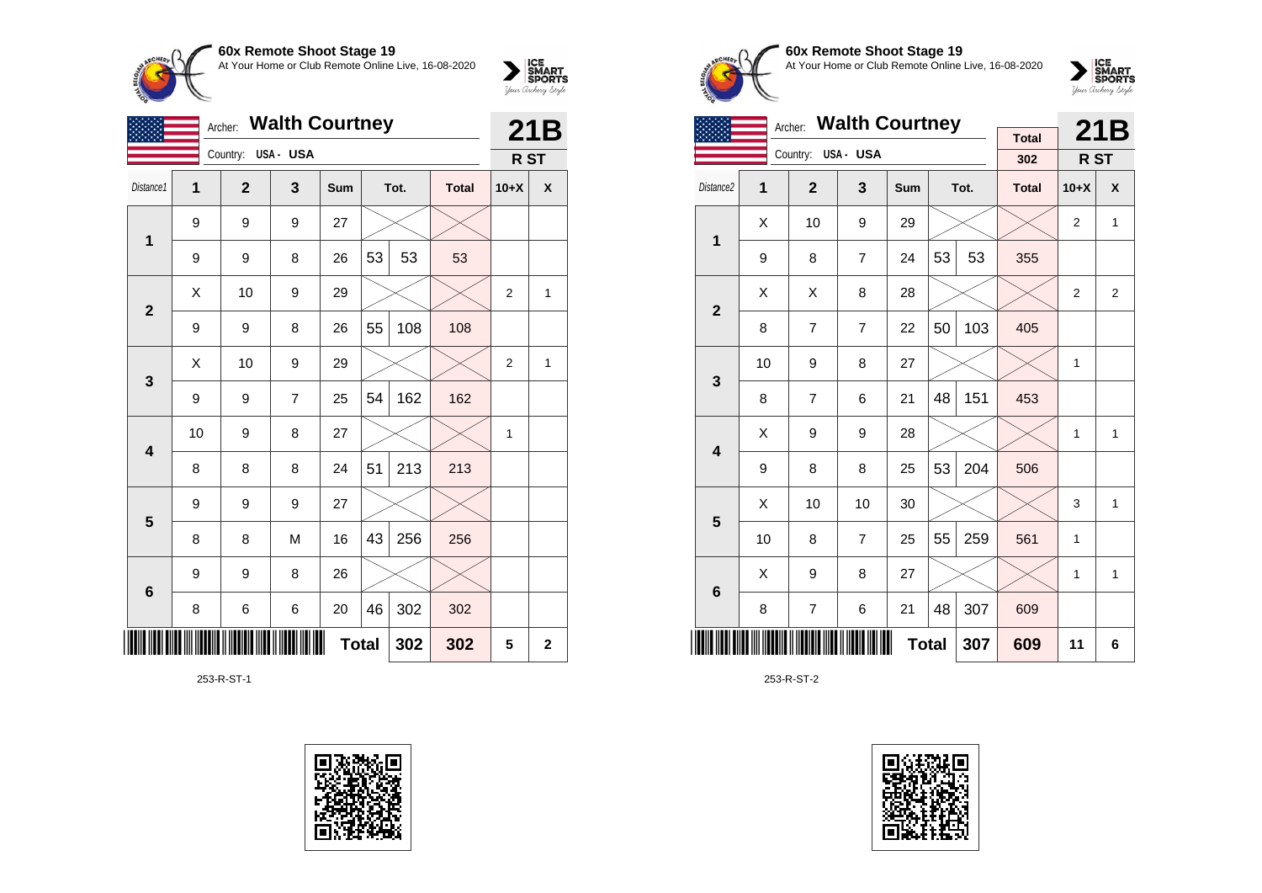

|                 |    | <b>Walth Courtney</b><br>Archer: |          |              | 21B |      |              |                |              |
|-----------------|----|----------------------------------|----------|--------------|-----|------|--------------|----------------|--------------|
|                 |    | Country:                         | USA- USA |              |     |      |              | R ST           |              |
| Distance1       | 1  | $\overline{2}$                   | 3        | Sum          |     | Tot. | <b>Total</b> | $10+X$         | X            |
| 1               | 9  | 9                                | 9        | 27           |     |      |              |                |              |
|                 | 9  | 9                                | 8        | 26           | 53  | 53   | 53           |                |              |
| $\mathbf{2}$    | X  | 10                               | 9        | 29           |     |      |              | $\overline{2}$ | 1            |
|                 | 9  | 9                                | 8        | 26           | 55  | 108  | 108          |                |              |
| 3               | X  | 10                               | 9        | 29           |     |      |              | $\overline{2}$ | 1            |
|                 | 9  | 9                                | 7        | 25           | 54  | 162  | 162          |                |              |
| 4               | 10 | 9                                | 8        | 27           |     |      |              | 1              |              |
|                 | 8  | 8                                | 8        | 24           | 51  | 213  | 213          |                |              |
| 5               | 9  | 9                                | 9        | 27           |     |      |              |                |              |
|                 | 8  | 8                                | M        | 16           | 43  | 256  | 256          |                |              |
| $6\phantom{1}6$ | 9  | 9                                | 8        | 26           |     |      |              |                |              |
|                 | 8  | 6                                | 6        | 20           | 46  | 302  | 302          |                |              |
| ║║║             |    |                                  |          | <b>Total</b> |     | 302  | 302          | 5              | $\mathbf{2}$ |

253-R-ST-1





### **60x Remote Shoot Stage 19** At Your Home or Club Remote Online Live, 16-08-2020



|                         |                     | Archer: Walth Courtney |                |     |    | 21B  |                     |                |              |
|-------------------------|---------------------|------------------------|----------------|-----|----|------|---------------------|----------------|--------------|
|                         |                     | Country:               | USA- USA       |     |    |      | <b>Total</b><br>302 | R ST           |              |
| Distance <sub>2</sub>   | $\overline{1}$      | $\overline{2}$         | 3              | Sum |    | Tot. | <b>Total</b>        | $10+X$         | X            |
| 1                       | X                   | 10                     | 9              | 29  |    |      |                     | $\overline{2}$ | $\mathbf{1}$ |
|                         | 9                   | 8                      | $\overline{7}$ | 24  | 53 | 53   | 355                 |                |              |
| $\overline{2}$          | X                   | X                      | 8              | 28  |    |      |                     | $\overline{2}$ | 2            |
|                         | 8                   | $\overline{7}$         | $\overline{7}$ | 22  | 50 | 103  | 405                 |                |              |
| 3                       | 10                  | 9                      | 8              | 27  |    |      |                     | 1              |              |
|                         | 8                   | $\overline{7}$         | 6              | 21  | 48 | 151  | 453                 |                |              |
| $\overline{\mathbf{4}}$ | X                   | 9                      | 9              | 28  |    |      |                     | 1              | $\mathbf{1}$ |
|                         | 9                   | 8                      | 8              | 25  | 53 | 204  | 506                 |                |              |
| 5                       | X                   | 10                     | 10             | 30  |    |      |                     | 3              | 1            |
|                         | 10                  | 8                      | $\overline{7}$ | 25  | 55 | 259  | 561                 | 1              |              |
| $6\phantom{1}$          | X                   | 9                      | 8              | 27  |    |      |                     | 1              | $\mathbf{1}$ |
|                         | 8                   | $\overline{7}$         | 6              | 21  | 48 | 307  | 609                 |                |              |
|                         | <b>Total</b><br>307 |                        |                |     |    |      |                     |                | 6            |

253-R-ST-2

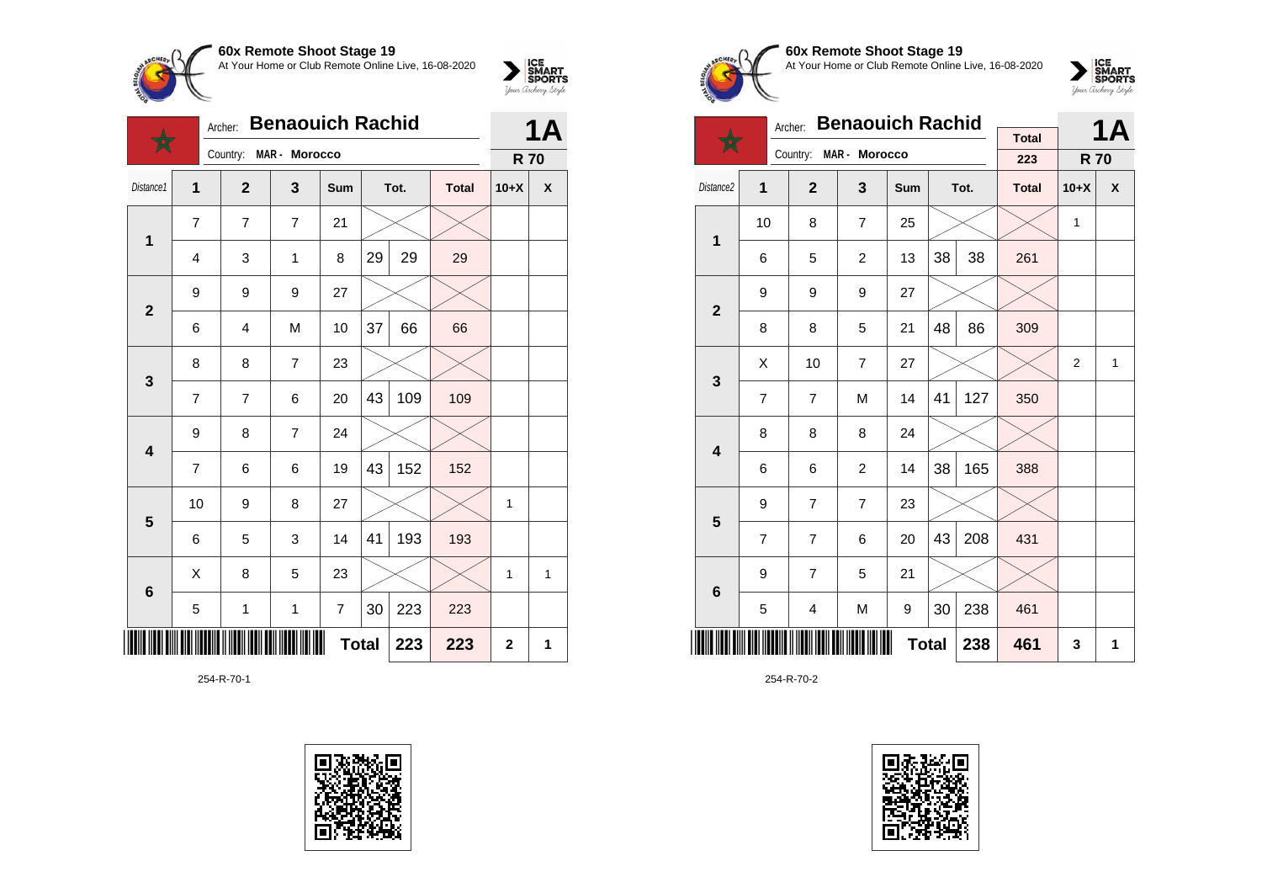

|                         | <b>Benaouich Rachid</b><br>Archer: |                |                |     |              |      |              |             | 1Δ           |  |
|-------------------------|------------------------------------|----------------|----------------|-----|--------------|------|--------------|-------------|--------------|--|
|                         |                                    | Country:       | MAR - Morocco  |     |              |      |              | <b>R70</b>  |              |  |
| Distance1               | 1                                  | $\overline{2}$ | 3              | Sum |              | Tot. | <b>Total</b> | $10+X$      | X            |  |
| $\mathbf{1}$            | 7                                  | $\overline{7}$ | 7              | 21  |              |      |              |             |              |  |
|                         | 4                                  | 3              | $\mathbf 1$    | 8   | 29           | 29   | 29           |             |              |  |
| $\mathbf{2}$            | 9                                  | 9              | 9              | 27  |              |      |              |             |              |  |
|                         | 6                                  | $\overline{4}$ | M              | 10  | 37           | 66   | 66           |             |              |  |
| $\mathbf{3}$            | 8                                  | 8              | $\overline{7}$ | 23  |              |      |              |             |              |  |
|                         | $\overline{7}$                     | $\overline{7}$ | 6              | 20  | 43           | 109  | 109          |             |              |  |
| $\overline{\mathbf{4}}$ | 9                                  | 8              | $\overline{7}$ | 24  |              |      |              |             |              |  |
|                         | 7                                  | 6              | 6              | 19  | 43           | 152  | 152          |             |              |  |
| $\overline{\mathbf{5}}$ | 10                                 | 9              | 8              | 27  |              |      |              | 1           |              |  |
|                         | 6                                  | 5              | 3              | 14  | 41           | 193  | 193          |             |              |  |
| 6                       | X                                  | 8              | 5              | 23  |              |      |              | 1           | $\mathbf{1}$ |  |
|                         | 5                                  | 1              | $\mathbf 1$    | 7   | 30           | 223  | 223          |             |              |  |
|                         |                                    |                |                |     | <b>Total</b> | 223  | 223          | $\mathbf 2$ | 1            |  |

254-R-70-1





**60x Remote Shoot Stage 19** At Your Home or Club Remote Online Live, 16-08-2020



|                         |                               | Archer:        | <b>Benaouich Rachid</b> |     |              | 1Α   |                     |                |                    |
|-------------------------|-------------------------------|----------------|-------------------------|-----|--------------|------|---------------------|----------------|--------------------|
|                         |                               | Country:       | MAR - Morocco           |     |              |      | <b>Total</b><br>223 | <b>R70</b>     |                    |
|                         |                               |                |                         |     |              |      |                     |                |                    |
| Distance <sub>2</sub>   | 1                             | $\overline{2}$ | 3                       | Sum |              | Tot. | <b>Total</b>        | $10+X$         | $\pmb{\mathsf{x}}$ |
| $\mathbf 1$             | 10                            | 8              | $\overline{7}$          | 25  |              |      |                     | $\mathbf{1}$   |                    |
|                         | 6                             | 5              | 2                       | 13  | 38           | 38   | 261                 |                |                    |
| $\overline{2}$          | 9                             | 9              | 9                       | 27  |              |      |                     |                |                    |
|                         | 8                             | 8              | 5                       | 21  | 48           | 86   | 309                 |                |                    |
| 3                       | X                             | 10             | $\overline{7}$          | 27  |              |      |                     | $\overline{2}$ | $\mathbf{1}$       |
|                         | 7                             | $\overline{7}$ | M                       | 14  | 41           | 127  | 350                 |                |                    |
| $\overline{\mathbf{4}}$ | 8                             | 8              | 8                       | 24  |              |      |                     |                |                    |
|                         | 6                             | 6              | $\overline{2}$          | 14  | 38           | 165  | 388                 |                |                    |
| 5                       | 9                             | $\overline{7}$ | $\overline{7}$          | 23  |              |      |                     |                |                    |
|                         | $\overline{7}$                | $\overline{7}$ | 6                       | 20  | 43           | 208  | 431                 |                |                    |
| $6\phantom{1}6$         | 9                             | $\overline{7}$ | 5                       | 21  |              |      |                     |                |                    |
|                         | 30<br>238<br>5<br>M<br>4<br>9 |                |                         |     |              |      |                     |                |                    |
|                         |                               |                |                         |     | <b>Total</b> | 238  | 461                 | 3              | 1                  |

254-R-70-2

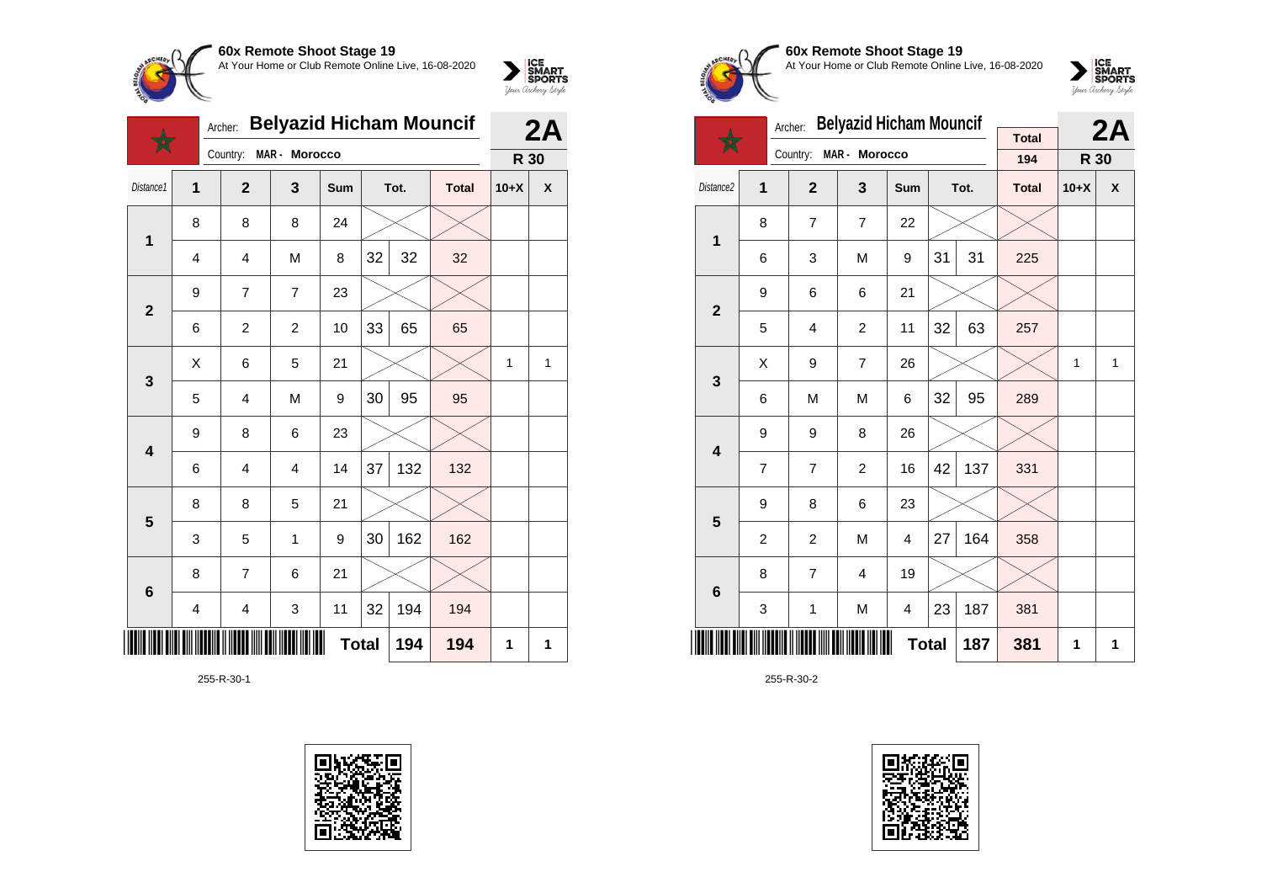



|                         | <b>Belyazid Hicham Mouncif</b><br>Archer:<br>MAR - Morocco |                         |                         |     |              |      |              |        |   |
|-------------------------|------------------------------------------------------------|-------------------------|-------------------------|-----|--------------|------|--------------|--------|---|
|                         |                                                            | Country:                |                         |     |              |      |              | R 30   |   |
| Distance1               | $\overline{1}$                                             | $\overline{2}$          | 3                       | Sum |              | Tot. | <b>Total</b> | $10+X$ | χ |
| $\mathbf{1}$            | 8                                                          | 8                       | 8                       | 24  |              |      |              |        |   |
|                         | $\overline{4}$                                             | $\overline{4}$          | M                       | 8   | 32           | 32   | 32           |        |   |
| $\mathbf{2}$            | 9                                                          | $\overline{7}$          | $\overline{7}$          | 23  |              |      |              |        |   |
|                         | 6                                                          | $\overline{c}$          | $\overline{c}$          | 10  | 33           | 65   | 65           |        |   |
| $\mathbf{3}$            | X                                                          | 6                       | 5                       | 21  |              |      |              | 1      | 1 |
|                         | 5                                                          | $\overline{\mathbf{4}}$ | M                       | 9   | 30           | 95   | 95           |        |   |
| $\overline{\mathbf{4}}$ | 9                                                          | 8                       | 6                       | 23  |              |      |              |        |   |
|                         | 6                                                          | $\overline{4}$          | $\overline{\mathbf{4}}$ | 14  | 37           | 132  | 132          |        |   |
| 5                       | 8                                                          | 8                       | 5                       | 21  |              |      |              |        |   |
|                         | 3                                                          | 5                       | 1                       | 9   | 30           | 162  | 162          |        |   |
| $6\phantom{1}$          | 8                                                          | $\overline{7}$          | 6                       | 21  |              |      |              |        |   |
|                         | 4                                                          | $\overline{\mathbf{4}}$ | 3                       | 11  | 32           | 194  | 194          |        |   |
|                         |                                                            |                         |                         |     | <b>Total</b> | 194  | 194          | 1      | 1 |

255-R-30-1





#### **60x Remote Shoot Stage 19** At Your Home or Club Remote Online Live, 16-08-2020



|                         |                | Archer:        | <b>Belyazid Hicham Mouncif</b> |              |    |      |              |        | 2A |
|-------------------------|----------------|----------------|--------------------------------|--------------|----|------|--------------|--------|----|
|                         |                | Country:       | MAR - Morocco                  |              |    |      | <b>Total</b> |        |    |
|                         |                |                |                                |              |    |      | 194          | R 30   |    |
| Distance2               | 1              | $\overline{2}$ | 3                              | Sum          |    | Tot. | <b>Total</b> | $10+X$ | X  |
| 1                       | 8              | $\overline{7}$ | $\overline{7}$                 | 22           |    |      |              |        |    |
|                         | 6              | 3              | M                              | 9            | 31 | 31   | 225          |        |    |
| $\mathbf{2}$            | 9              | 6              | 6                              | 21           |    |      |              |        |    |
|                         | 5              | 4              | $\overline{c}$                 | 11           | 32 | 63   | 257          |        |    |
| 3                       | Χ              | 9              | $\overline{7}$                 | 26           |    |      |              | 1      | 1  |
|                         | 6              | M              | M                              | 6            | 32 | 95   | 289          |        |    |
| $\overline{\mathbf{4}}$ | 9              | 9              | 8                              | 26           |    |      |              |        |    |
|                         | $\overline{7}$ | $\overline{7}$ | $\overline{2}$                 | 16           | 42 | 137  | 331          |        |    |
| 5                       | 9              | 8              | 6                              | 23           |    |      |              |        |    |
|                         | $\overline{c}$ | $\overline{c}$ | M                              | 4            | 27 | 164  | 358          |        |    |
| 6                       | 8              | $\overline{7}$ | $\overline{\mathbf{4}}$        | 19           |    |      |              |        |    |
|                         | 3              | 1              | M                              | 4            | 23 | 187  | 381          |        |    |
|                         |                |                |                                | <b>Total</b> |    | 187  | 381          | 1      | 1  |

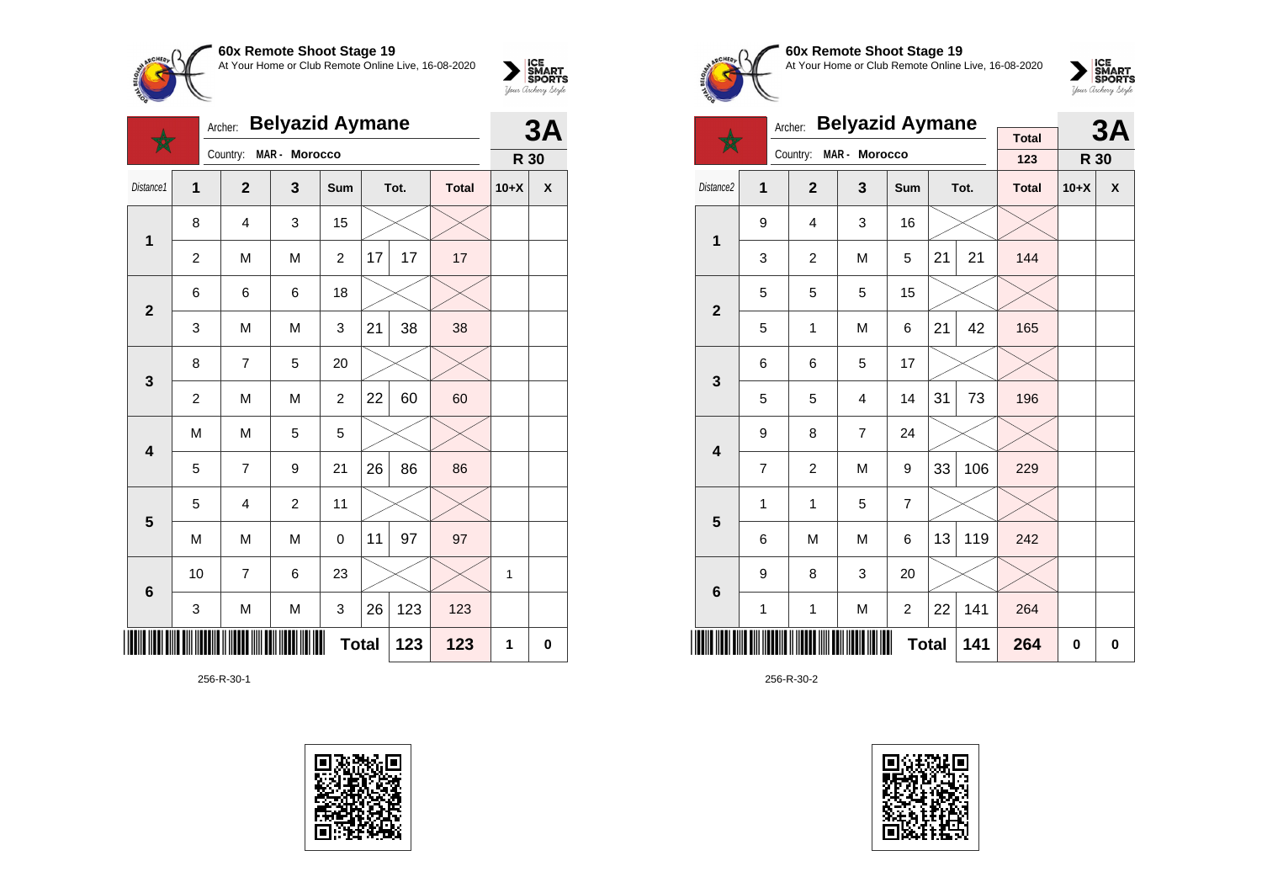

|                         |                | Archer:        | <b>Belyazid Aymane</b> |                |              |      |              |        | 3A                 |
|-------------------------|----------------|----------------|------------------------|----------------|--------------|------|--------------|--------|--------------------|
|                         |                | Country:       | MAR - Morocco          |                |              |      |              | R 30   |                    |
| Distance1               | $\overline{1}$ | $\overline{2}$ | 3                      | <b>Sum</b>     |              | Tot. | <b>Total</b> | $10+X$ | $\pmb{\mathsf{X}}$ |
| $\mathbf{1}$            | 8              | 4              | 3                      | 15             |              |      |              |        |                    |
|                         | 2              | M              | M                      | $\overline{c}$ | 17           | 17   | 17           |        |                    |
| $\overline{2}$          | 6              | 6              | 6                      | 18             |              |      |              |        |                    |
|                         | 3              | M              | M                      | 3              | 21           | 38   | 38           |        |                    |
| $\mathbf{3}$            | 8              | 7              | 5                      | 20             |              |      |              |        |                    |
|                         | $\overline{c}$ | M              | M                      | $\overline{c}$ | 22           | 60   | 60           |        |                    |
| $\overline{\mathbf{4}}$ | M              | M              | 5                      | 5              |              |      |              |        |                    |
|                         | 5              | $\overline{7}$ | 9                      | 21             | 26           | 86   | 86           |        |                    |
| 5                       | 5              | 4              | $\overline{c}$         | 11             |              |      |              |        |                    |
|                         | M              | M              | M                      | 0              | 11           | 97   | 97           |        |                    |
| $\bf 6$                 | 10             | 7              | 6                      | 23             |              |      |              | 1      |                    |
|                         | 3              | M              | M                      | 3              | 26           | 123  | 123          |        |                    |
| IIII                    |                |                |                        |                | <b>Total</b> | 123  | 123          | 1      | 0                  |

256-R-30-1





# **60x Remote Shoot Stage 19** At Your Home or Club Remote Online Live, 16-08-2020

 $\sum_{\text{Jour} \text{C} \text{under}} \left| \begin{matrix} \text{ICE} \\ \text{SDORTS} \\ \text{SPORTS} \end{matrix} \right|_{\text{Jour} \text{d} \text{ref}}$ 

|                         |             | Archer:        | <b>Belyazid Aymane</b>  |                |    |      |              |          | 3A                 |
|-------------------------|-------------|----------------|-------------------------|----------------|----|------|--------------|----------|--------------------|
|                         |             | Country:       | MAR - Morocco           |                |    |      | <b>Total</b> |          |                    |
|                         |             |                |                         |                |    |      | 123          | R 30     |                    |
| Distance2               | 1           | $\overline{2}$ | $\overline{\mathbf{3}}$ | Sum            |    | Tot. | <b>Total</b> | $10+X$   | $\pmb{\mathsf{X}}$ |
| 1                       | 9           | 4              | 3                       | 16             |    |      |              |          |                    |
|                         | 3           | $\overline{2}$ | M                       | 5              | 21 | 21   | 144          |          |                    |
| $\mathbf{2}$            | 5           | 5              | 5                       | 15             |    |      |              |          |                    |
|                         | 5           | 1              | M                       | 6              | 21 | 42   | 165          |          |                    |
| 3                       | 6           | 6              | 5                       | 17             |    |      |              |          |                    |
|                         | 5           | 5              | 4                       | 14             | 31 | 73   | 196          |          |                    |
| $\overline{\mathbf{4}}$ | 9           | 8              | $\overline{7}$          | 24             |    |      |              |          |                    |
|                         | 7           | $\overline{2}$ | M                       | 9              | 33 | 106  | 229          |          |                    |
| 5                       | 1           | 1              | 5                       | 7              |    |      |              |          |                    |
|                         | 6           | M              | M                       | 6              | 13 | 119  | 242          |          |                    |
| $\bf 6$                 | 9           | 8              | 3                       | 20             |    |      |              |          |                    |
|                         | $\mathbf 1$ | $\mathbf{1}$   | M                       | $\overline{c}$ | 22 | 141  | 264          |          |                    |
|                         |             |                |                         | <b>Total</b>   |    | 141  | 264          | $\bf{0}$ | 0                  |

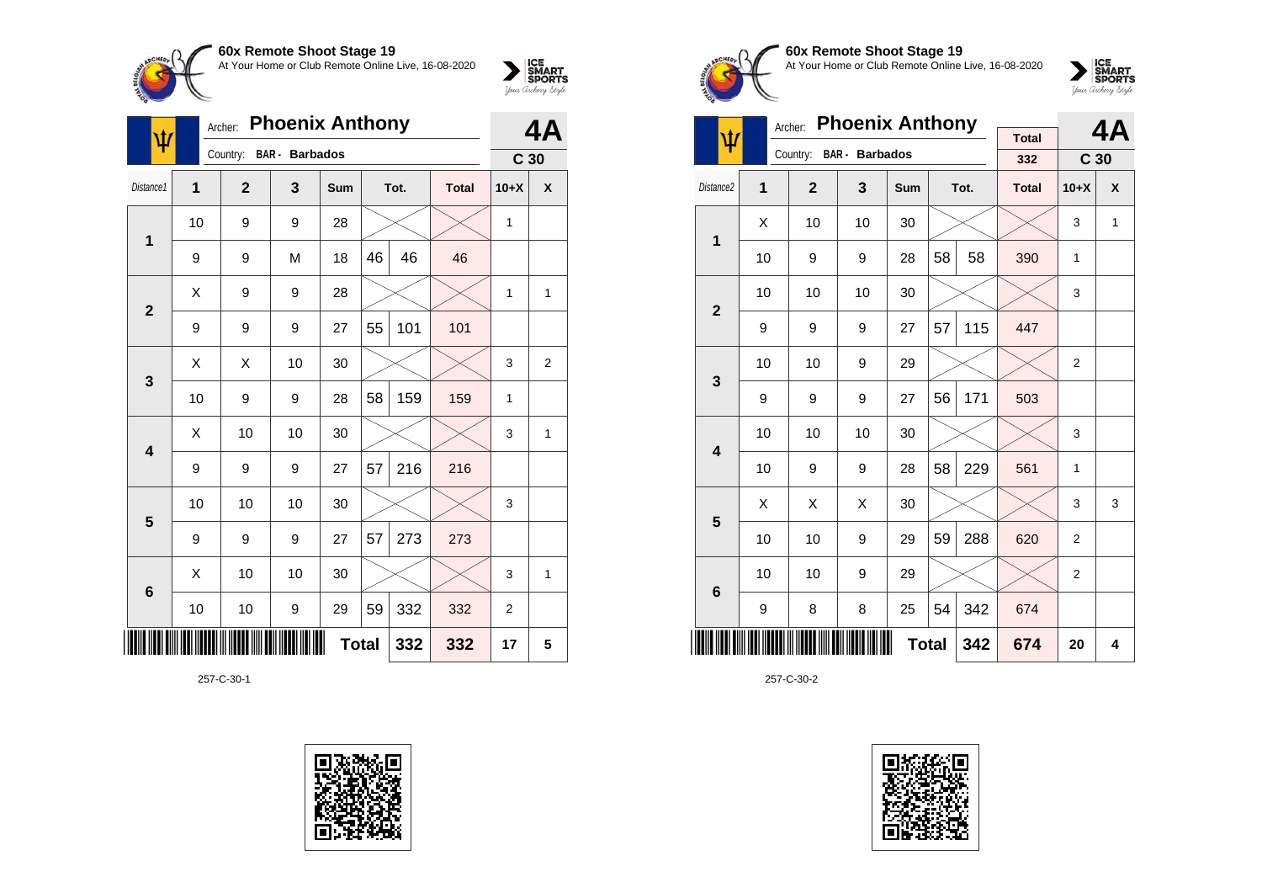

| ψ              | <b>Phoenix Anthony</b><br>Archer: |                |                       |              |    |      |              |                 | 4A |
|----------------|-----------------------------------|----------------|-----------------------|--------------|----|------|--------------|-----------------|----|
|                |                                   | Country:       | <b>BAR</b> - Barbados |              |    |      |              | C <sub>30</sub> |    |
| Distance1      | $\mathbf{1}$                      | $\overline{2}$ | 3                     | Sum          |    | Tot. | <b>Total</b> | $10+X$          | X  |
| 1              | 10                                | 9              | 9                     | 28           |    |      |              | 1               |    |
|                | 9                                 | 9              | M                     | 18           | 46 | 46   | 46           |                 |    |
| $\overline{2}$ | X                                 | 9              | 9                     | 28           |    |      |              | $\mathbf{1}$    | 1  |
|                | 9                                 | 9              | 9                     | 27           | 55 | 101  | 101          |                 |    |
| 3              | Χ                                 | Χ              | 10                    | 30           |    |      |              | 3               | 2  |
|                | 10                                | 9              | 9                     | 28           | 58 | 159  | 159          | 1               |    |
| 4              | X                                 | 10             | 10                    | 30           |    |      |              | 3               | 1  |
|                | 9                                 | 9              | 9                     | 27           | 57 | 216  | 216          |                 |    |
| 5              | 10                                | 10             | 10                    | 30           |    |      |              | 3               |    |
|                | 9                                 | 9              | 9                     | 27           | 57 | 273  | 273          |                 |    |
| 6              | X                                 | 10             | 10                    | 30           |    |      |              | 3               | 1  |
|                | 10                                | 10             | 9                     | 29           | 59 | 332  | 332          | $\overline{2}$  |    |
|                |                                   |                |                       | <b>Total</b> |    | 332  | 332          | 17              | 5  |

257-C-30-1





**60x Remote Shoot Stage 19** At Your Home or Club Remote Online Live, 16-08-2020



|                         |    | Archer:        | <b>Phoenix Anthony</b> |              |    |      |                     |                 | 4A           |
|-------------------------|----|----------------|------------------------|--------------|----|------|---------------------|-----------------|--------------|
| ψ                       |    | Country:       | <b>BAR</b> - Barbados  |              |    |      | <b>Total</b><br>332 | C <sub>30</sub> |              |
| Distance <sub>2</sub>   | 1  | $\overline{2}$ | 3                      | Sum          |    | Tot. | <b>Total</b>        | $10+X$          | X            |
| 1                       | Χ  | 10             | 10                     | 30           |    |      |                     | 3               | $\mathbf{1}$ |
|                         | 10 | 9              | 9                      | 28           | 58 | 58   | 390                 | 1               |              |
| $\overline{2}$          | 10 | 10             | 10                     | 30           |    |      |                     | 3               |              |
|                         | 9  | 9              | 9                      | 27           | 57 | 115  | 447                 |                 |              |
| 3                       | 10 | 10             | 9                      | 29           |    |      |                     | $\overline{2}$  |              |
|                         | 9  | 9              | 9                      | 27           | 56 | 171  | 503                 |                 |              |
| $\overline{\mathbf{4}}$ | 10 | 10             | 10                     | 30           |    |      |                     | 3               |              |
|                         | 10 | 9              | 9                      | 28           | 58 | 229  | 561                 | 1               |              |
| 5                       | Χ  | X              | X                      | 30           |    |      |                     | 3               | 3            |
|                         | 10 | 10             | 9                      | 29           | 59 | 288  | 620                 | $\overline{2}$  |              |
| 6                       | 10 | 10             | 9                      | 29           |    |      |                     | $\overline{2}$  |              |
|                         | 9  | 8              | 8                      | 25           | 54 | 342  | 674                 |                 |              |
|                         |    |                |                        | <b>Total</b> |    | 342  | 674                 | 20              | 4            |

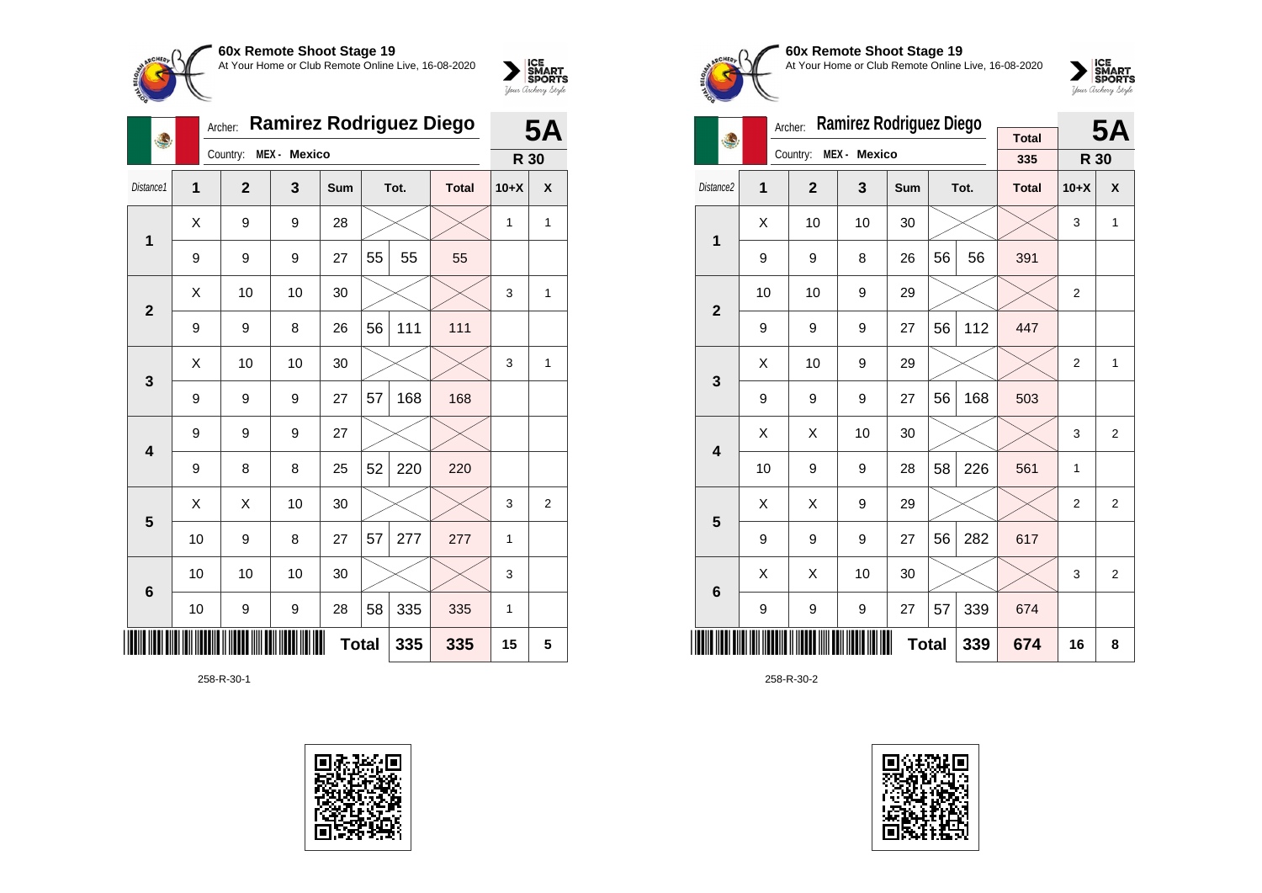

| 4                       |    | Archer:        | <b>Ramirez Rodriguez Diego</b> |     | <b>5A</b>    |      |              |        |   |
|-------------------------|----|----------------|--------------------------------|-----|--------------|------|--------------|--------|---|
|                         |    | Country:       | MEX - Mexico                   |     |              |      |              | R 30   |   |
| Distance1               | 1  | $\overline{2}$ | 3                              | Sum |              | Tot. | <b>Total</b> | $10+X$ | X |
| $\mathbf{1}$            | X  | 9              | 9                              | 28  |              |      |              | 1      | 1 |
|                         | 9  | 9              | 9                              | 27  | 55           | 55   | 55           |        |   |
| $\overline{2}$          | X  | 10             | 10                             | 30  |              |      |              | 3      | 1 |
|                         | 9  | 9              | 8                              | 26  | 56           | 111  | 111          |        |   |
| $\mathbf{3}$            | Χ  | 10             | 10                             | 30  |              |      |              | 3      | 1 |
|                         | 9  | 9              | 9                              | 27  | 57           | 168  | 168          |        |   |
| $\overline{\mathbf{4}}$ | 9  | 9              | 9                              | 27  |              |      |              |        |   |
|                         | 9  | 8              | 8                              | 25  | 52           | 220  | 220          |        |   |
| 5                       | X  | X              | 10                             | 30  |              |      |              | 3      | 2 |
|                         | 10 | 9              | 8                              | 27  | 57           | 277  | 277          | 1      |   |
| $6\phantom{1}6$         | 10 | 10             | 10                             | 30  |              |      |              | 3      |   |
|                         | 10 | 9              | 9                              | 28  | 58           | 335  | 335          | 1      |   |
|                         |    |                |                                |     | <b>Total</b> | 335  | 335          | 15     | 5 |

258-R-30-1









|                         |                | Archer:        | <b>Ramirez Rodriguez Diego</b> |     |              |      |              |                | <b>5A</b>      |
|-------------------------|----------------|----------------|--------------------------------|-----|--------------|------|--------------|----------------|----------------|
| 4                       |                | Country:       | MEX - Mexico                   |     |              |      | <b>Total</b> |                |                |
|                         |                |                |                                |     |              |      | 335          | R 30           |                |
| Distance2               | $\overline{1}$ | $\overline{2}$ | $\overline{\mathbf{3}}$        | Sum |              | Tot. | <b>Total</b> | $10+X$         | X              |
| 1                       | X              | 10             | 10                             | 30  |              |      |              | 3              | 1              |
|                         | 9              | 9              | 8                              | 26  | 56           | 56   | 391          |                |                |
| $\overline{2}$          | 10             | 10             | 9                              | 29  |              |      |              | 2              |                |
|                         | 9              | 9              | 9                              | 27  | 56           | 112  | 447          |                |                |
| 3                       | X              | 10             | 9                              | 29  |              |      |              | $\overline{2}$ | 1              |
|                         | 9              | 9              | 9                              | 27  | 56           | 168  | 503          |                |                |
| $\overline{\mathbf{4}}$ | X              | X              | 10                             | 30  |              |      |              | 3              | 2              |
|                         | 10             | 9              | 9                              | 28  | 58           | 226  | 561          | 1              |                |
| 5                       | X              | X              | 9                              | 29  |              |      |              | $\overline{2}$ | $\overline{2}$ |
|                         | 9              | 9              | 9                              | 27  | 56           | 282  | 617          |                |                |
| 6                       | Χ              | X              | 10                             | 30  |              |      |              | 3              | 2              |
|                         | 9              | 9              | 9                              | 27  | 57           | 339  | 674          |                |                |
|                         |                |                |                                |     | <b>Total</b> | 339  | 674          | 16             | 8              |

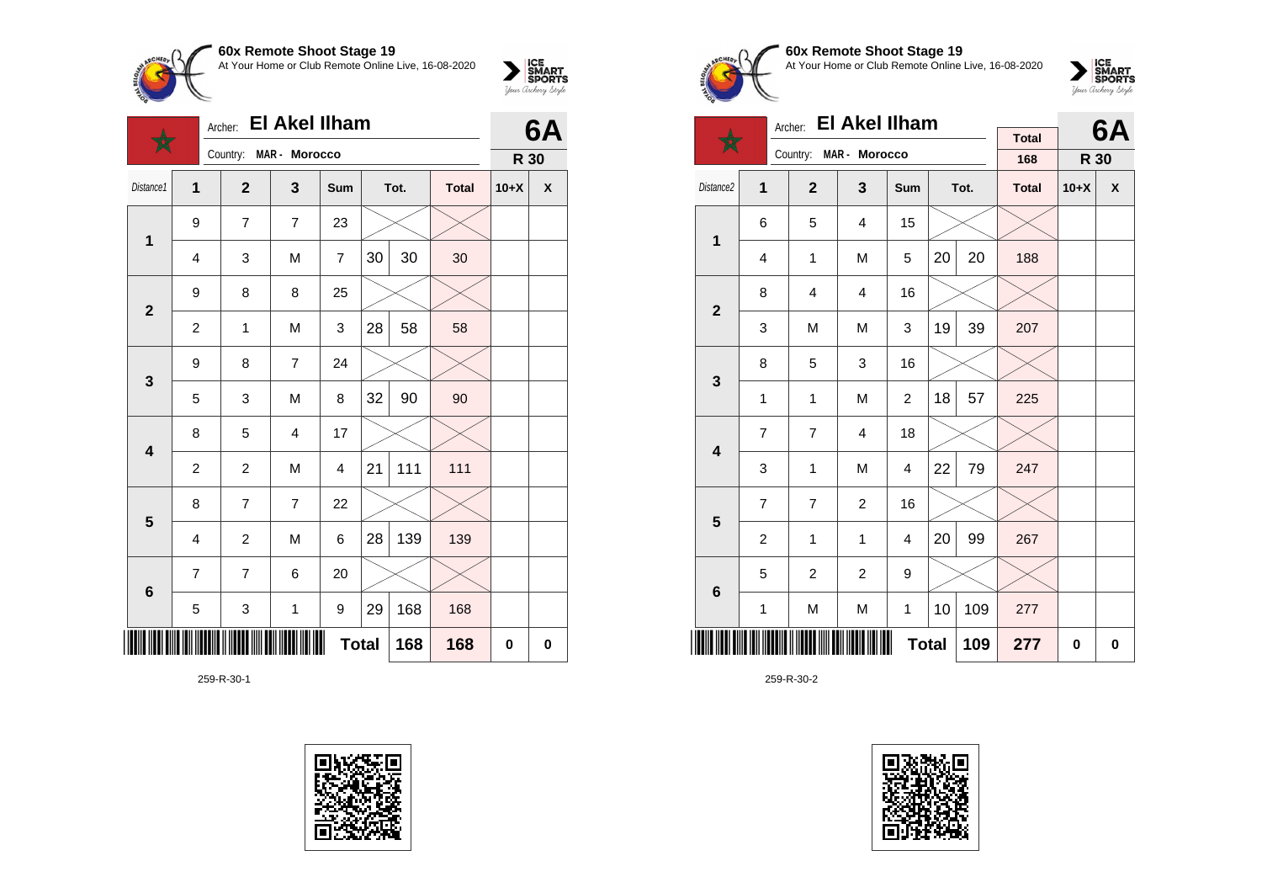

|                         |                | Archer:        | <b>El Akel Ilham</b>    |                |    |      |              | 6A          |                    |  |
|-------------------------|----------------|----------------|-------------------------|----------------|----|------|--------------|-------------|--------------------|--|
|                         |                | Country:       | MAR - Morocco           |                |    |      |              | R 30        |                    |  |
| Distance1               | 1              | $\mathbf{2}$   | 3                       | Sum            |    | Tot. | <b>Total</b> | $10+X$      | $\pmb{\mathsf{X}}$ |  |
| $\mathbf 1$             | 9              | $\overline{7}$ | $\overline{7}$          | 23             |    |      |              |             |                    |  |
|                         | 4              | 3              | M                       | $\overline{7}$ | 30 | 30   | 30           |             |                    |  |
| $\overline{\mathbf{2}}$ | 9              | 8              | 8                       | 25             |    |      |              |             |                    |  |
|                         | $\overline{2}$ | 1              | M                       | 3              | 28 | 58   | 58           |             |                    |  |
| 3                       | 9              | 8              | $\overline{7}$          | 24             |    |      |              |             |                    |  |
|                         | 5              | 3              | M                       | 8              | 32 | 90   | 90           |             |                    |  |
| $\overline{\mathbf{4}}$ | 8              | 5              | $\overline{\mathbf{4}}$ | 17             |    |      |              |             |                    |  |
|                         | $\overline{2}$ | $\overline{2}$ | M                       | 4              | 21 | 111  | 111          |             |                    |  |
| $\overline{\mathbf{5}}$ | 8              | $\overline{7}$ | $\overline{7}$          | 22             |    |      |              |             |                    |  |
|                         | $\overline{4}$ | $\overline{c}$ | M                       | 6              | 28 | 139  | 139          |             |                    |  |
| $6\phantom{1}$          | 7              | $\overline{7}$ | 6                       | 20             |    |      |              |             |                    |  |
|                         | 5              | 3              | $\mathbf 1$             | 9              | 29 | 168  | 168          |             |                    |  |
|                         |                |                |                         | <b>Total</b>   |    | 168  | 168          | $\mathbf 0$ | 0                  |  |

259-R-30-1





# **60x Remote Shoot Stage 19** At Your Home or Club Remote Online Live, 16-08-2020

 $\sum_{\text{Jour} \text{ChORTS}}\left|\underset{\text{Jour} \text{Chery}}{\text{S$  $MART}}\right|$ 

|                         |                | Archer:        | <b>El Akel Ilham</b>   |                |    |      |                     |        | 6Α                        |
|-------------------------|----------------|----------------|------------------------|----------------|----|------|---------------------|--------|---------------------------|
|                         |                |                | Country: MAR - Morocco |                |    |      | <b>Total</b><br>168 | R 30   |                           |
| Distance2               | 1              | $\mathbf{2}$   | 3                      | Sum            |    | Tot. | <b>Total</b>        | $10+X$ | $\boldsymbol{\mathsf{x}}$ |
| 1                       | 6              | 5              | $\overline{4}$         | 15             |    |      |                     |        |                           |
|                         | $\overline{4}$ | 1              | M                      | 5              | 20 | 20   | 188                 |        |                           |
| $\overline{\mathbf{2}}$ | 8              | $\overline{4}$ | $\overline{4}$         | 16             |    |      |                     |        |                           |
|                         | 3              | M              | M                      | 3              | 19 | 39   | 207                 |        |                           |
| 3                       | 8              | 5              | 3                      | 16             |    |      |                     |        |                           |
|                         | 1              | 1              | M                      | $\overline{2}$ | 18 | 57   | 225                 |        |                           |
| $\overline{\mathbf{4}}$ | $\overline{7}$ | $\overline{7}$ | 4                      | 18             |    |      |                     |        |                           |
|                         | 3              | 1              | M                      | 4              | 22 | 79   | 247                 |        |                           |
| 5                       | $\overline{7}$ | $\overline{7}$ | $\overline{2}$         | 16             |    |      |                     |        |                           |
|                         | $\overline{c}$ | 1              | $\mathbf{1}$           | 4              | 20 | 99   | 267                 |        |                           |
| $\bf 6$                 | 5              | $\overline{c}$ | $\overline{c}$         | 9              |    |      |                     |        |                           |
|                         | 1              | M              | M                      | 1              | 10 | 109  | 277                 |        |                           |
|                         |                |                |                        | <b>Total</b>   |    | 109  | 277                 | 0      | 0                         |

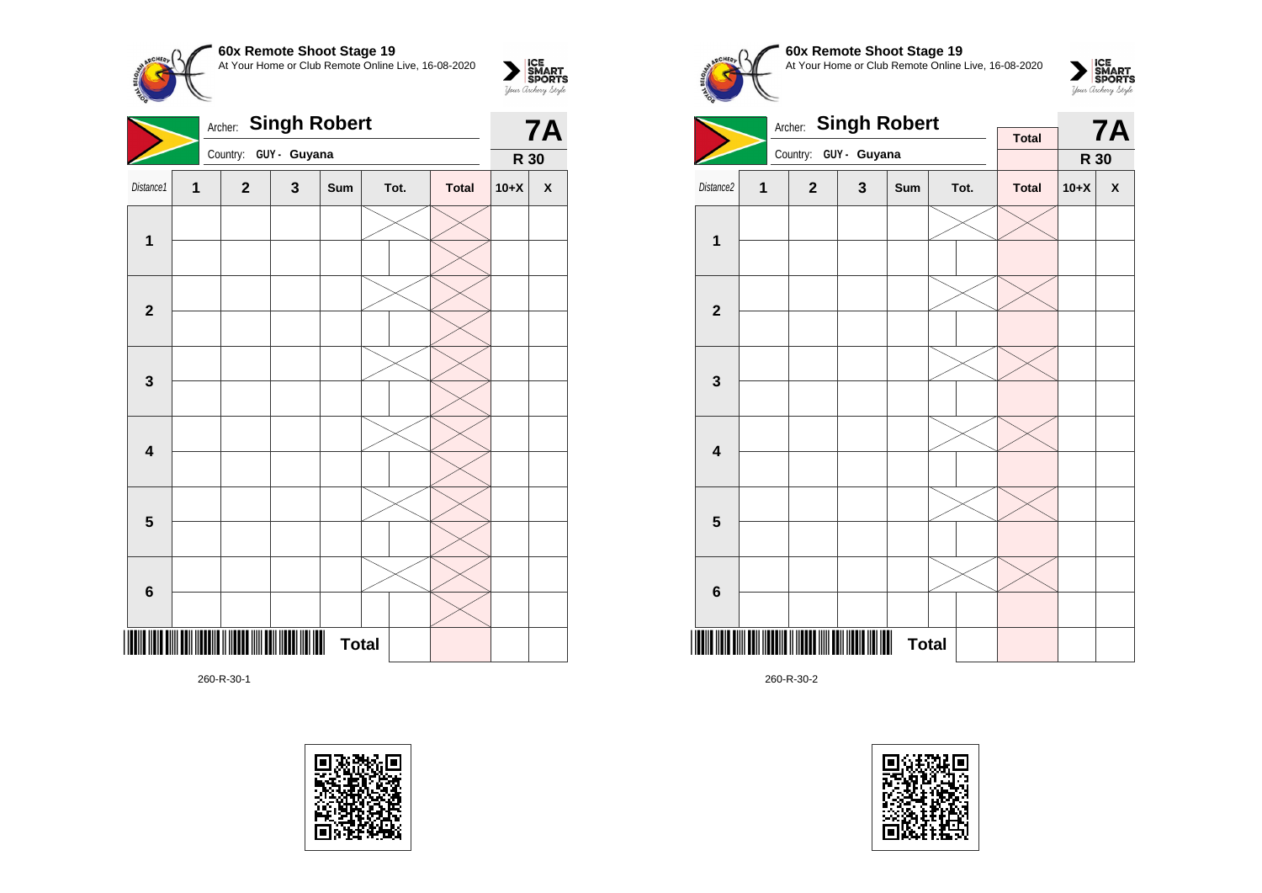**60x Remote Shoot Stage 19**  $\sum_{\text{M}}\left|\underset{\text{GPORTS}}{\text{SIMART}}\right|$ At Your Home or Club Remote Online Live, 16-08-2020 **Archer: Singh Robert 7A** 

|                         |                | Country: GUY - Guyana |   |                   | $\mathbf{r}$<br>R 30 |              |        |                    |
|-------------------------|----------------|-----------------------|---|-------------------|----------------------|--------------|--------|--------------------|
| Distance1               | 1              | $\mathbf{2}$          | 3 | Sum               | Tot.                 | <b>Total</b> | $10+X$ | $\pmb{\mathsf{X}}$ |
| $\mathbf{1}$            |                |                       |   |                   |                      |              |        |                    |
|                         |                |                       |   |                   |                      |              |        |                    |
| $\overline{\mathbf{2}}$ |                |                       |   |                   |                      |              |        |                    |
|                         |                |                       |   |                   |                      |              |        |                    |
| $\mathbf 3$             |                |                       |   |                   |                      |              |        |                    |
|                         |                |                       |   |                   |                      |              |        |                    |
| $\overline{\mathbf{4}}$ |                |                       |   |                   |                      |              |        |                    |
|                         |                |                       |   |                   |                      |              |        |                    |
| $\overline{\mathbf{5}}$ |                |                       |   |                   |                      |              |        |                    |
|                         |                |                       |   |                   |                      |              |        |                    |
| $\bf 6$                 |                |                       |   |                   |                      |              |        |                    |
|                         |                |                       |   |                   |                      |              |        |                    |
|                         | <b>IIIIIII</b> |                       |   | W<br><b>Total</b> |                      |              |        |                    |

260-R-30-1











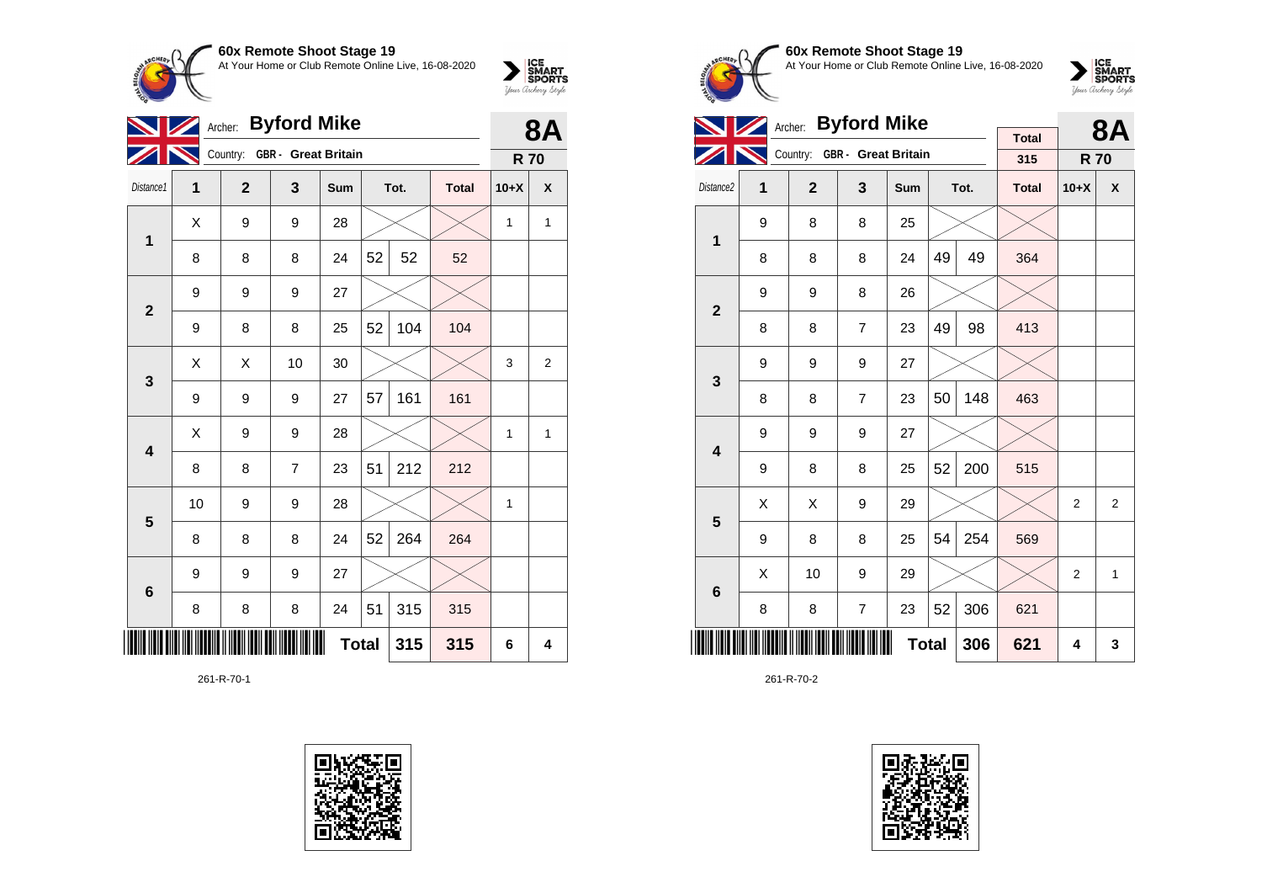

|                         | Archer: Byford Mike<br>$\mathcal{L}$ |                              | 8Α               |     |              |      |              |            |                |
|-------------------------|--------------------------------------|------------------------------|------------------|-----|--------------|------|--------------|------------|----------------|
|                         |                                      | Country: GBR - Great Britain |                  |     |              |      |              | <b>R70</b> |                |
| Distance1               | 1                                    | $\mathbf{2}$                 | 3                | Sum |              | Tot. | <b>Total</b> | $10+X$     | X              |
| 1                       | Χ                                    | 9                            | 9                | 28  |              |      |              | 1          | $\mathbf{1}$   |
|                         | 8                                    | 8                            | 8                | 24  | 52           | 52   | 52           |            |                |
| $\mathbf{2}$            | 9                                    | 9                            | 9                | 27  |              |      |              |            |                |
|                         | 9                                    | 8                            | 8                | 25  | 52           | 104  | 104          |            |                |
| 3                       | X                                    | Χ                            | 10               | 30  |              |      |              | 3          | $\overline{2}$ |
|                         | 9                                    | 9                            | 9                | 27  | 57           | 161  | 161          |            |                |
| $\overline{\mathbf{4}}$ | Χ                                    | 9                            | 9                | 28  |              |      |              | 1          | 1              |
|                         | 8                                    | 8                            | $\overline{7}$   | 23  | 51           | 212  | 212          |            |                |
| 5                       | 10                                   | 9                            | $\boldsymbol{9}$ | 28  |              |      |              | 1          |                |
|                         | 8                                    | 8                            | 8                | 24  | 52           | 264  | 264          |            |                |
| $6\phantom{1}6$         | 9                                    | 9                            | 9                | 27  |              |      |              |            |                |
|                         | 8                                    | 8                            | 8                | 24  | 51           | 315  | 315          |            |                |
|                         |                                      |                              |                  |     | <b>Total</b> | 315  | 315          | 6          | 4              |

261-R-70-1





**60x Remote Shoot Stage 19** At Your Home or Club Remote Online Live, 16-08-2020



|                         |   |              | Archer: Byford Mike          |              |    |      |                     | <b>8A</b>      |                |
|-------------------------|---|--------------|------------------------------|--------------|----|------|---------------------|----------------|----------------|
|                         |   |              | Country: GBR - Great Britain |              |    |      | <b>Total</b><br>315 | <b>R70</b>     |                |
|                         |   |              |                              |              |    |      |                     |                |                |
| Distance <sub>2</sub>   | 1 | $\mathbf{2}$ | 3                            | Sum          |    | Tot. | <b>Total</b>        | $10+X$         | X              |
| $\overline{1}$          | 9 | 8            | 8                            | 25           |    |      |                     |                |                |
|                         | 8 | 8            | 8                            | 24           | 49 | 49   | 364                 |                |                |
| $\mathbf{2}$            | 9 | 9            | 8                            | 26           |    |      |                     |                |                |
|                         | 8 | 8            | $\overline{7}$               | 23           | 49 | 98   | 413                 |                |                |
| 3                       | 9 | 9            | 9                            | 27           |    |      |                     |                |                |
|                         | 8 | 8            | $\overline{7}$               | 23           | 50 | 148  | 463                 |                |                |
| $\overline{\mathbf{4}}$ | 9 | 9            | 9                            | 27           |    |      |                     |                |                |
|                         | 9 | 8            | 8                            | 25           | 52 | 200  | 515                 |                |                |
| 5                       | X | X            | 9                            | 29           |    |      |                     | 2              | $\overline{2}$ |
|                         | 9 | 8            | 8                            | 25           | 54 | 254  | 569                 |                |                |
| 6                       | X | 10           | 9                            | 29           |    |      |                     | $\overline{2}$ | $\mathbf{1}$   |
|                         | 8 | 8            | $\overline{7}$               | 23           | 52 | 306  | 621                 |                |                |
|                         |   |              |                              | <b>Total</b> |    | 306  | 621                 | 4              | 3              |

261-R-70-2

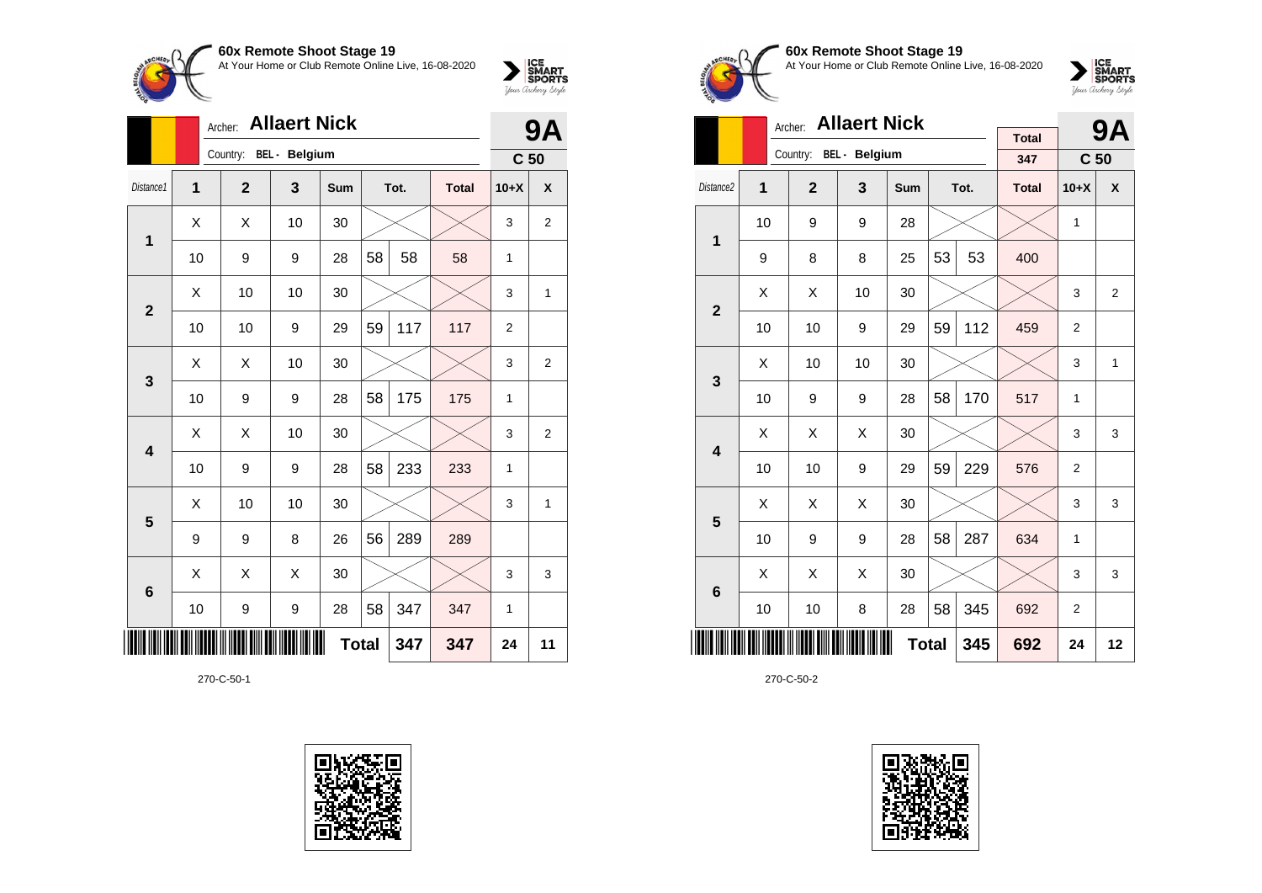

|                | 9Α |                        |    |              |    |      |              |                 |                |
|----------------|----|------------------------|----|--------------|----|------|--------------|-----------------|----------------|
|                |    | Country: BEL - Belgium |    |              |    |      |              | C <sub>50</sub> |                |
| Distance1      | 1  | $\overline{2}$         | 3  | <b>Sum</b>   |    | Tot. | <b>Total</b> | $10+X$          | X              |
| 1              | X  | X                      | 10 | 30           |    |      |              | 3               | $\overline{2}$ |
|                | 10 | 9                      | 9  | 28           | 58 | 58   | 58           | 1               |                |
| $\overline{2}$ | X  | 10                     | 10 | 30           |    |      |              | 3               | 1              |
|                | 10 | 10                     | 9  | 29           | 59 | 117  | 117          | $\overline{2}$  |                |
| 3              | Χ  | Χ                      | 10 | 30           |    |      |              | 3               | $\overline{2}$ |
|                | 10 | 9                      | 9  | 28           | 58 | 175  | 175          | $\mathbf{1}$    |                |
| 4              | Χ  | Χ                      | 10 | 30           |    |      |              | 3               | $\overline{2}$ |
|                | 10 | 9                      | 9  | 28           | 58 | 233  | 233          | $\mathbf{1}$    |                |
| 5              | X  | 10                     | 10 | 30           |    |      |              | 3               | 1              |
|                | 9  | 9                      | 8  | 26           | 56 | 289  | 289          |                 |                |
| 6              | X  | X                      | X  | 30           |    |      |              | 3               | 3              |
|                | 10 | 9                      | 9  | 28           | 58 | 347  | 347          | 1               |                |
|                |    |                        |    | <b>Total</b> |    | 347  | 347          | 24              | 11             |

270-C-50-1





# **60x Remote Shoot Stage 19** At Your Home or Club Remote Online Live, 16-08-2020



|                         | Archer: |                |                      |            | <b>9A</b> |      |                     |                 |                |
|-------------------------|---------|----------------|----------------------|------------|-----------|------|---------------------|-----------------|----------------|
|                         |         | Country:       | <b>BEL</b> - Belgium |            |           |      | <b>Total</b><br>347 | C <sub>50</sub> |                |
| Distance <sub>2</sub>   | 1       | $\overline{2}$ | 3                    | <b>Sum</b> |           | Tot. | <b>Total</b>        | $10+X$          | X              |
| $\overline{1}$          | 10      | 9              | 9                    | 28         |           |      |                     | 1               |                |
|                         | 9       | 8              | 8                    | 25         | 53        | 53   | 400                 |                 |                |
| $\overline{\mathbf{2}}$ | X       | X              | 10                   | 30         |           |      |                     | 3               | $\overline{2}$ |
|                         | 10      | 10             | 9                    | 29         | 59        | 112  | 459                 | $\overline{2}$  |                |
| 3                       | X       | 10             | 10                   | 30         |           |      |                     | 3               | 1              |
|                         | 10      | 9              | 9                    | 28         | 58        | 170  | 517                 | 1               |                |
| $\overline{\mathbf{4}}$ | Χ       | X              | X                    | 30         |           |      |                     | 3               | 3              |
|                         | 10      | 10             | 9                    | 29         | 59        | 229  | 576                 | $\overline{2}$  |                |
| 5                       | X       | X              | Χ                    | 30         |           |      |                     | 3               | 3              |
|                         | 10      | 9              | 9                    | 28         | 58        | 287  | 634                 | 1               |                |
| $6\phantom{1}6$         | Χ       | X              | Χ                    | 30         |           |      |                     | 3               | 3              |
|                         | 10      | 10             | 8                    | 28         | 58        | 345  | 692                 | $\overline{2}$  |                |
|                         |         | 692            | 24                   | 12         |           |      |                     |                 |                |

270-C-50-2

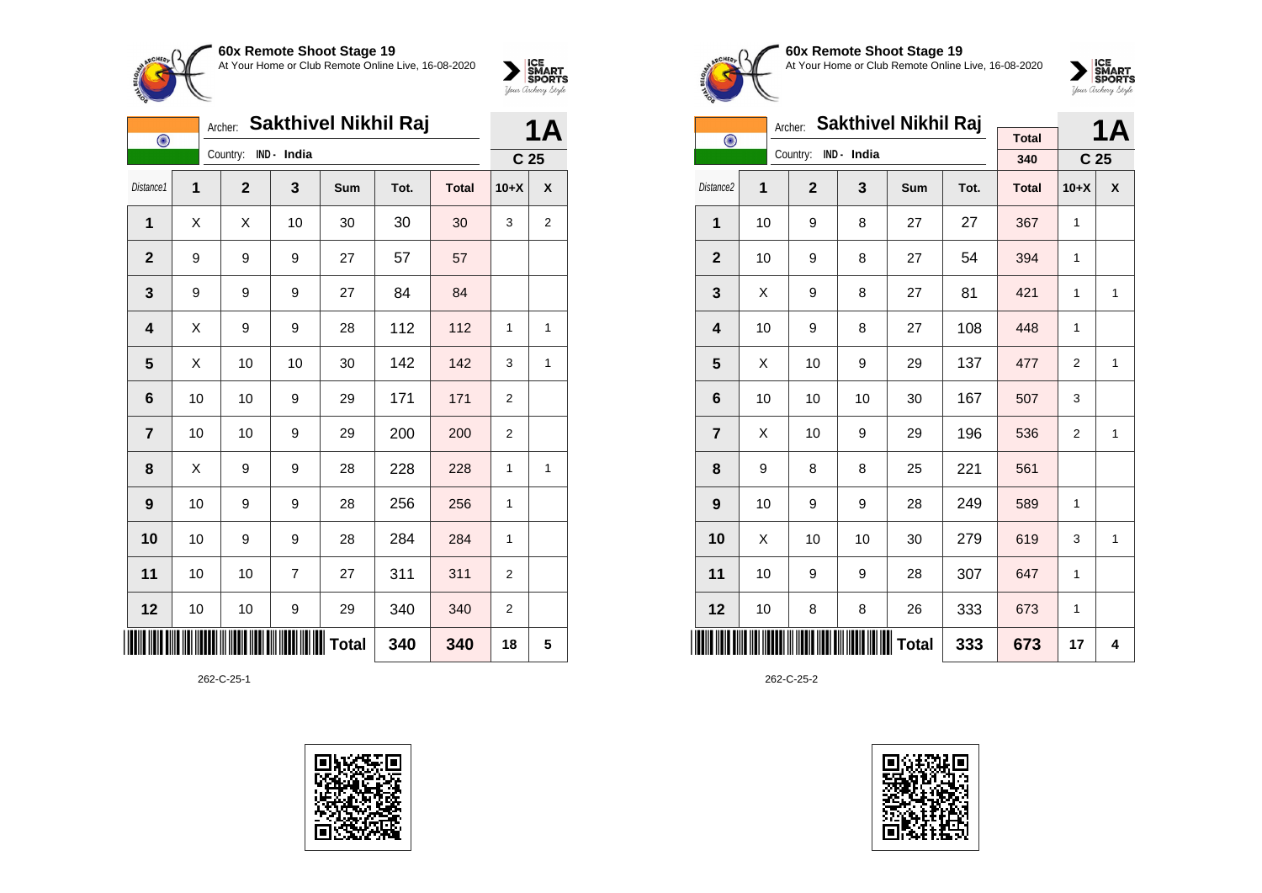



|                | <b>Sakthivel Nikhil Raj</b><br>Archer:<br>$\bigodot$ |             |                  |              |      |              |                  |                |
|----------------|------------------------------------------------------|-------------|------------------|--------------|------|--------------|------------------|----------------|
|                |                                                      | Country:    | IND - India      |              |      |              | C <sub>25</sub>  |                |
| Distance1      | 1                                                    | $\mathbf 2$ | 3                | Sum          | Tot. | <b>Total</b> | $10+X$           | X              |
| 1              | Χ                                                    | Χ           | 10               | 30           | 30   | 30           | 3                | $\overline{2}$ |
| $\mathbf{2}$   | 9                                                    | 9           | 9                | 27           | 57   | 57           |                  |                |
| 3              | 9                                                    | 9           | 9                | 27           | 84   | 84           |                  |                |
| 4              | Χ                                                    | 9           | 9                | 28           | 112  | 112          | 1                | 1              |
| 5              | Χ                                                    | 10          | 10               | 30           | 142  | 142          | 3                | 1              |
| 6              | 10                                                   | 10          | 9                | 29           | 171  | 171          | 2                |                |
| $\overline{7}$ | 10                                                   | 10          | 9                | 29           | 200  | 200          | 2                |                |
| 8              | X                                                    | 9           | 9                | 28           | 228  | 228          | 1                | 1              |
| 9              | 10                                                   | 9           | 9                | 28           | 256  | 256          | 1                |                |
| 10             | 10                                                   | 9           | 9                | 28           | 284  | 284          | 1                |                |
| 11             | 10                                                   | 10          | $\overline{7}$   | 27           | 311  | 311          | $\boldsymbol{2}$ |                |
| 12             | 10                                                   | 10          | $\boldsymbol{9}$ | 29           | 340  | 340          | $\overline{c}$   |                |
|                |                                                      |             |                  | <b>Total</b> | 340  | 340          | 18               | 5              |

262-C-25-1





#### **60x Remote Shoot Stage 19** At Your Home or Club Remote Online Live, 16-08-2020



|                | <b>Sakthivel Nikhil Raj</b><br>Archer: |                |             |              |      |              |                 |              |  |  |
|----------------|----------------------------------------|----------------|-------------|--------------|------|--------------|-----------------|--------------|--|--|
| $\bigodot$     |                                        |                |             |              |      | <b>Total</b> |                 | 1Α           |  |  |
|                |                                        | Country:       | IND - India |              |      | 340          | C <sub>25</sub> |              |  |  |
| Distance2      | 1                                      | $\overline{2}$ | 3           | Sum          | Tot. | <b>Total</b> | $10+X$          | X            |  |  |
| 1              | 10                                     | 9              | 8           | 27           | 27   | 367          | $\mathbf{1}$    |              |  |  |
| $\overline{2}$ | 10                                     | 9              | 8           | 27           | 54   | 394          | 1               |              |  |  |
| 3              | X                                      | 9              | 8           | 27           | 81   | 421          | 1               | 1            |  |  |
| 4              | 10                                     | 9              | 8           | 27           | 108  | 448          | 1               |              |  |  |
| 5              | X                                      | 10             | 9           | 29           | 137  | 477          | 2               | $\mathbf{1}$ |  |  |
| 6              | 10                                     | 10             | 10          | 30           | 167  | 507          | 3               |              |  |  |
| $\overline{7}$ | X                                      | 10             | 9           | 29           | 196  | 536          | 2               | 1            |  |  |
| 8              | 9                                      | 8              | 8           | 25           | 221  | 561          |                 |              |  |  |
| 9              | 10                                     | 9              | 9           | 28           | 249  | 589          | 1               |              |  |  |
| 10             | X                                      | 10             | 10          | 30           | 279  | 619          | 3               | $\mathbf{1}$ |  |  |
| 11             | 10                                     | 9              | 9           | 28           | 307  | 647          | 1               |              |  |  |
| 12             | 10                                     | 8              | 8           | 26           | 333  | 673          | 1               |              |  |  |
|                |                                        |                |             | <b>Total</b> | 333  | 673          | 17              | 4            |  |  |

262-C-25-2

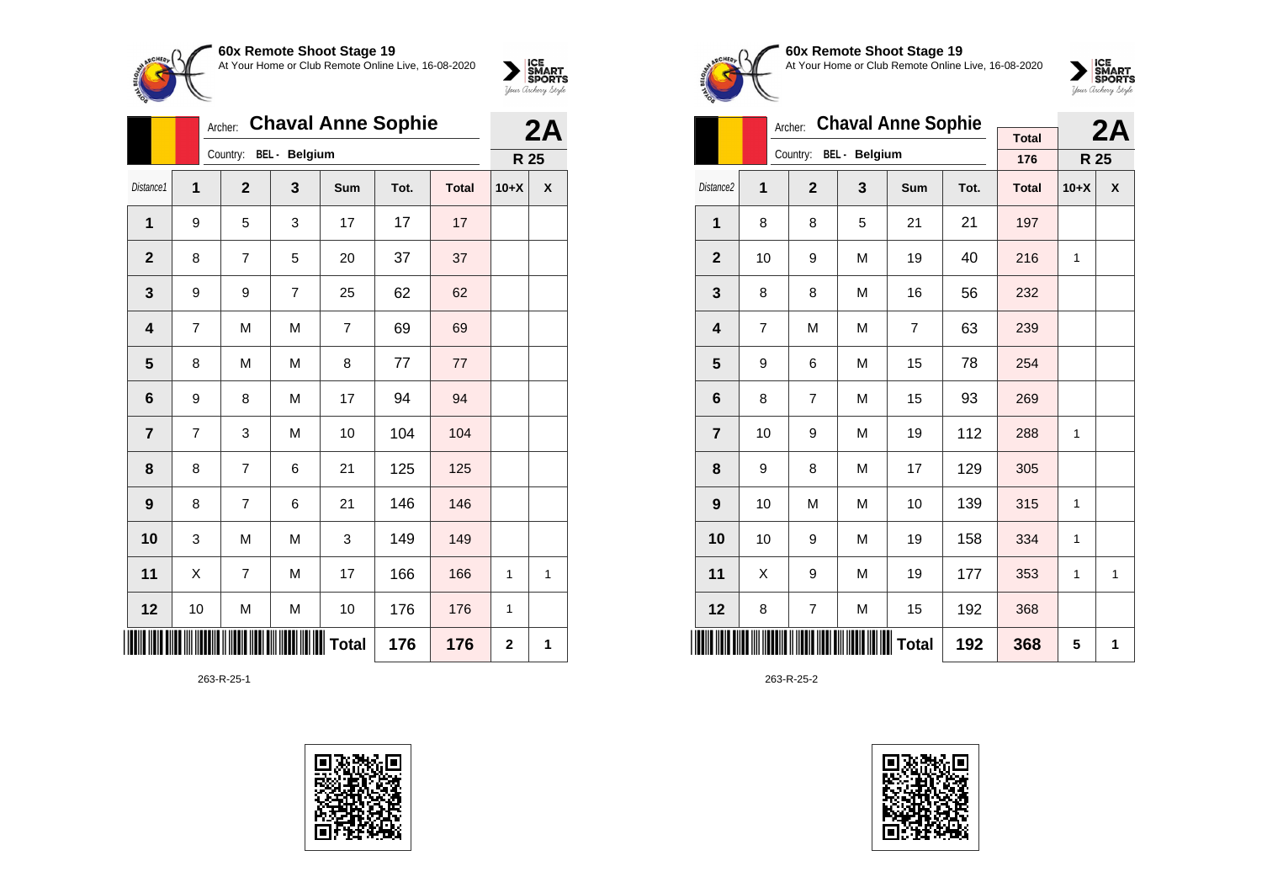

|                |                | <b>Chaval Anne Sophie</b><br>Archer: |                |                | 2A   |              |             |   |
|----------------|----------------|--------------------------------------|----------------|----------------|------|--------------|-------------|---|
|                |                | Country:                             | BEL - Belgium  |                |      |              | R 25        |   |
| Distance1      | $\overline{1}$ | $\overline{2}$                       | 3              | Sum            | Tot. | <b>Total</b> | $10+X$      | χ |
| 1              | 9              | 5                                    | 3              | 17             | 17   | 17           |             |   |
| $\mathbf{2}$   | 8              | $\overline{7}$                       | 5              | 20             | 37   | 37           |             |   |
| 3              | 9              | 9                                    | $\overline{7}$ | 25             | 62   | 62           |             |   |
| 4              | 7              | M                                    | M              | $\overline{7}$ | 69   | 69           |             |   |
| 5              | 8              | M                                    | M              | 8              | 77   | 77           |             |   |
| 6              | 9              | 8                                    | M              | 17             | 94   | 94           |             |   |
| $\overline{7}$ | $\overline{7}$ | 3                                    | M              | 10             | 104  | 104          |             |   |
| 8              | 8              | $\overline{7}$                       | 6              | 21             | 125  | 125          |             |   |
| 9              | 8              | $\overline{7}$                       | 6              | 21             | 146  | 146          |             |   |
| 10             | 3              | M                                    | M              | 3              | 149  | 149          |             |   |
| 11             | Χ              | $\overline{7}$                       | M              | 17             | 166  | 166          | 1           | 1 |
| 12             | 10             | M                                    | M              | 10             | 176  | 176          | 1           |   |
|                |                |                                      |                | <b>Total</b>   | 176  | 176          | $\mathbf 2$ | 1 |

263-R-25-1





**60x Remote Shoot Stage 19** At Your Home or Club Remote Online Live, 16-08-2020



|                |    | Archer:                | <b>Chaval Anne Sophie</b> |              |      | 2A                  |        |   |
|----------------|----|------------------------|---------------------------|--------------|------|---------------------|--------|---|
|                |    | Country: BEL - Belgium |                           |              |      | <b>Total</b><br>176 | R 25   |   |
|                |    |                        |                           |              |      |                     |        |   |
| Distance2      | 1  | $\mathbf{2}$           | 3                         | Sum          | Tot. | <b>Total</b>        | $10+X$ | X |
| 1              | 8  | 8                      | 5                         | 21           | 21   | 197                 |        |   |
| $\mathbf{2}$   | 10 | 9                      | M                         | 19           | 40   | 216                 | 1      |   |
| 3              | 8  | 8                      | M                         | 16           | 56   | 232                 |        |   |
| 4              | 7  | M                      | M                         | 7            | 63   | 239                 |        |   |
| 5              | 9  | 6                      | M                         | 15           | 78   | 254                 |        |   |
| 6              | 8  | 7                      | M                         | 15           | 93   | 269                 |        |   |
| $\overline{7}$ | 10 | 9                      | M                         | 19           | 112  | 288                 | 1      |   |
| 8              | 9  | 8                      | M                         | 17           | 129  | 305                 |        |   |
| 9              | 10 | M                      | M                         | 10           | 139  | 315                 | 1      |   |
| 10             | 10 | 9                      | M                         | 19           | 158  | 334                 | 1      |   |
| 11             | X  | 9                      | M                         | 19           | 177  | 353                 | 1      | 1 |
| 12             | 8  | 7                      | M                         | 15           | 192  | 368                 |        |   |
|                |    |                        |                           | <b>Total</b> | 192  | 368                 | 5      | 1 |

263-R-25-2

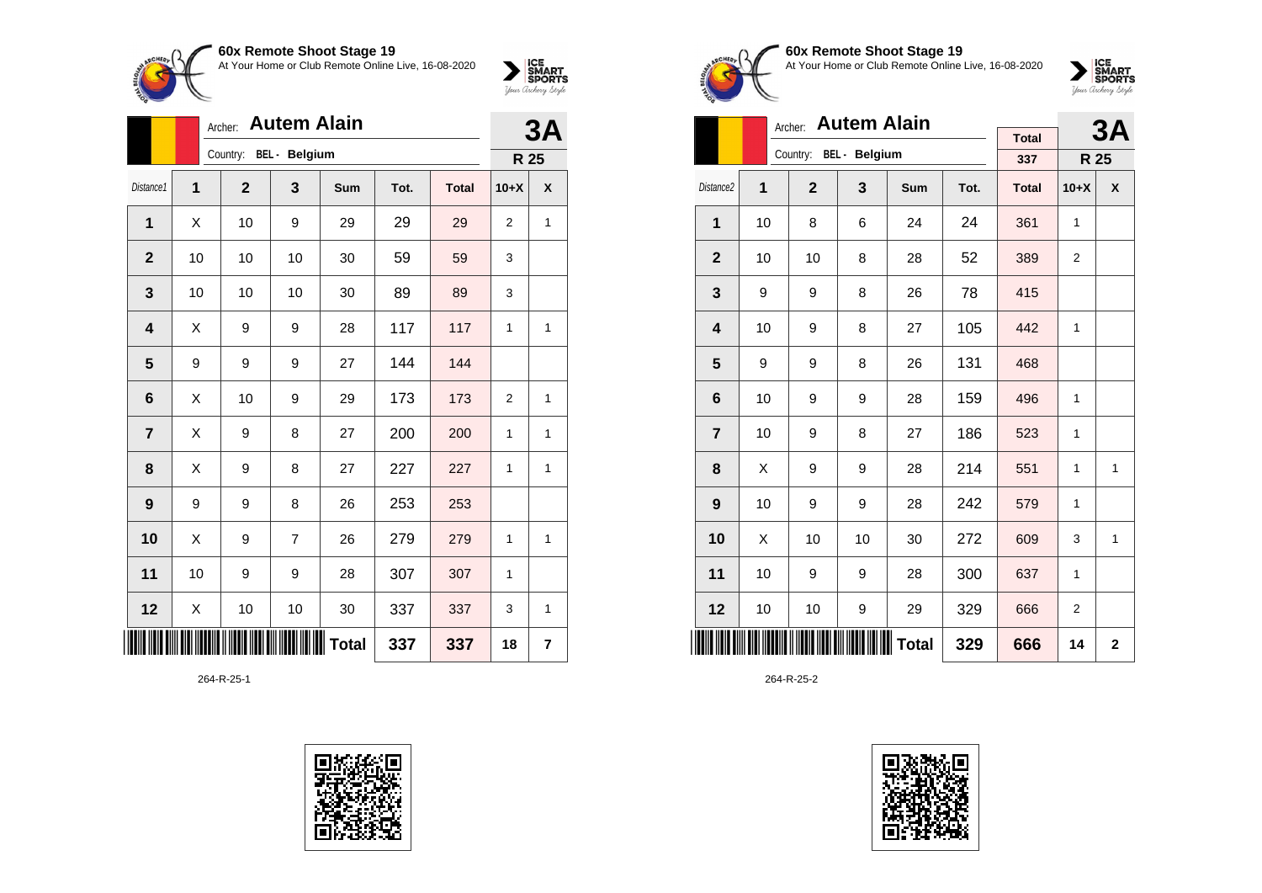At Your Home or Club Remote Online Live, 16-08-2020



|                         |                | <b>Autem Alain</b><br>Archer: |                |              |      |              |                |   |  |  |
|-------------------------|----------------|-------------------------------|----------------|--------------|------|--------------|----------------|---|--|--|
|                         |                | Country: BEL - Belgium        |                |              |      |              | R 25           |   |  |  |
| Distance1               | $\overline{1}$ | $\mathbf{2}$                  | 3              | Sum          | Tot. | <b>Total</b> | $10+X$         | X |  |  |
| 1                       | X              | 10                            | 9              | 29           | 29   | 29           | 2              | 1 |  |  |
| $\mathbf{2}$            | 10             | 10                            | 10             | 30           | 59   | 59           | 3              |   |  |  |
| $\mathbf{3}$            | 10             | 10                            | 10             | 30           | 89   | 89           | 3              |   |  |  |
| $\overline{\mathbf{4}}$ | Χ              | 9                             | 9              | 28           | 117  | 117          | 1              | 1 |  |  |
| 5                       | 9              | 9                             | 9              | 27           | 144  | 144          |                |   |  |  |
| 6                       | X              | 10                            | 9              | 29           | 173  | 173          | $\overline{2}$ | 1 |  |  |
| $\overline{7}$          | Χ              | 9                             | 8              | 27           | 200  | 200          | 1              | 1 |  |  |
| 8                       | X              | 9                             | 8              | 27           | 227  | 227          | 1              | 1 |  |  |
| 9                       | 9              | 9                             | 8              | 26           | 253  | 253          |                |   |  |  |
| 10                      | Χ              | 9                             | $\overline{7}$ | 26           | 279  | 279          | 1              | 1 |  |  |
| 11                      | 10             | 9                             | 9              | 28           | 307  | 307          | 1              |   |  |  |
| 12                      | X              | 10                            | 10             | 30           | 337  | 337          | 3              | 1 |  |  |
|                         |                |                               |                | <b>Total</b> | 337  | 337          | 18             | 7 |  |  |

264-R-25-1





#### **60x Remote Shoot Stage 19** At Your Home or Club Remote Online Live, 16-08-2020

 $\sum_{\text{Jour} \text{C} \text{under}} \left| \begin{matrix} \text{ICE} \\ \text{SDORTS} \\ \text{SPORTS} \end{matrix} \right|_{\text{Jour} \text{d} \text{ref}}$ 

|                         |    | <b>Autem Alain</b><br>Archer: |                         |       |      | 3A           |                |   |
|-------------------------|----|-------------------------------|-------------------------|-------|------|--------------|----------------|---|
|                         |    |                               | Country: BEL - Belgium  |       |      | <b>Total</b> |                |   |
|                         |    |                               |                         |       |      | 337          | R 25           |   |
| Distance <sub>2</sub>   | 1  | $\mathbf{2}$                  | $\overline{\mathbf{3}}$ | Sum   | Tot. | <b>Total</b> | $10+X$         | X |
| 1                       | 10 | 8                             | 6                       | 24    | 24   | 361          | 1              |   |
| $\mathbf{2}$            | 10 | 10                            | 8                       | 28    | 52   | 389          | 2              |   |
| 3                       | 9  | 9                             | 8                       | 26    | 78   | 415          |                |   |
| $\overline{\mathbf{4}}$ | 10 | 9                             | 8                       | 27    | 105  | 442          | 1              |   |
| 5                       | 9  | 9                             | 8                       | 26    | 131  | 468          |                |   |
| 6                       | 10 | 9                             | 9                       | 28    | 159  | 496          | 1              |   |
| $\overline{7}$          | 10 | 9                             | 8                       | 27    | 186  | 523          | 1              |   |
| 8                       | X  | 9                             | 9                       | 28    | 214  | 551          | 1              | 1 |
| 9                       | 10 | 9                             | 9                       | 28    | 242  | 579          | 1              |   |
| 10                      | X  | 10                            | 10                      | 30    | 272  | 609          | 3              | 1 |
| 11                      | 10 | 9                             | 9                       | 28    | 300  | 637          | 1              |   |
| 12                      | 10 | 10                            | 9                       | 29    | 329  | 666          | $\overline{2}$ |   |
|                         |    |                               |                         | Total | 329  | 666          | 14             | 2 |

264-R-25-2

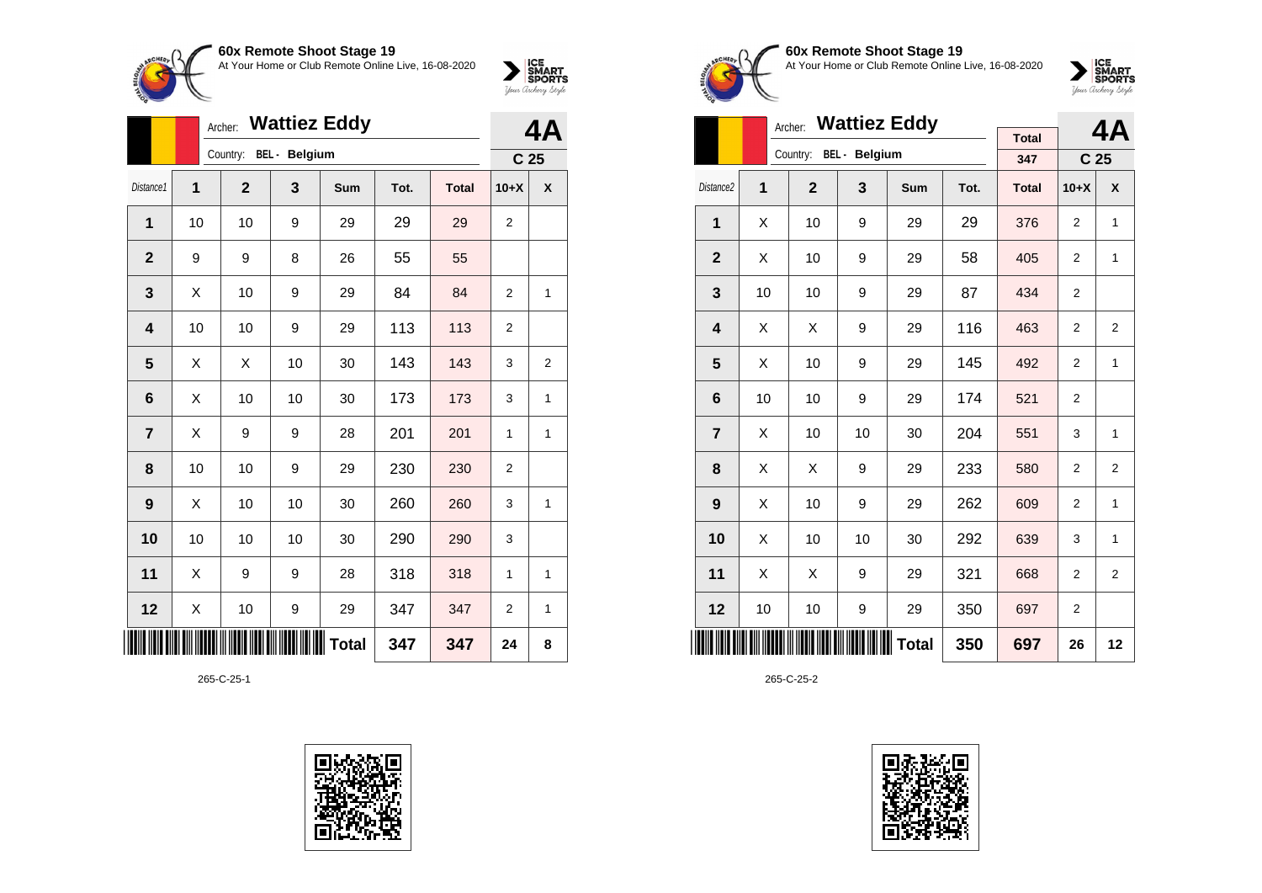At Your Home or Club Remote Online Live, 16-08-2020



|              |    | Archer: |              |                      | 4Α    |      |              |                |                 |
|--------------|----|---------|--------------|----------------------|-------|------|--------------|----------------|-----------------|
|              |    |         | Country:     | <b>BEL</b> - Belgium |       |      |              |                | C <sub>25</sub> |
| Distance1    | 1  |         | $\mathbf{2}$ | 3                    | Sum   | Tot. | <b>Total</b> | $10+X$         | X               |
| 1            | 10 |         | 10           | 9                    | 29    | 29   | 29           | $\overline{2}$ |                 |
| $\mathbf{2}$ | 9  |         | 9            | 8                    | 26    | 55   | 55           |                |                 |
| 3            | Χ  |         | 10           | 9                    | 29    | 84   | 84           | $\overline{2}$ | 1               |
| 4            | 10 |         | 10           | 9                    | 29    | 113  | 113          | $\overline{2}$ |                 |
| 5            | X  |         | X            | 10                   | 30    | 143  | 143          | 3              | $\overline{2}$  |
| 6            | X  |         | 10           | 10                   | 30    | 173  | 173          | 3              | $\overline{1}$  |
| 7            | X  |         | 9            | 9                    | 28    | 201  | 201          | 1              | 1               |
| 8            | 10 |         | 10           | 9                    | 29    | 230  | 230          | $\overline{2}$ |                 |
| 9            | Χ  |         | 10           | 10                   | 30    | 260  | 260          | 3              | 1               |
| 10           | 10 |         | 10           | 10                   | 30    | 290  | 290          | 3              |                 |
| 11           | X  |         | 9            | 9                    | 28    | 318  | 318          | 1              | 1               |
| 12           | Χ  |         | 10           | 9                    | 29    | 347  | 347          | 2              | 1               |
|              |    |         |              |                      | Total | 347  | 347          | 24             | 8               |

265-C-25-1





#### **60x Remote Shoot Stage 19** At Your Home or Club Remote Online Live, 16-08-2020

 $\sum_{\text{Jour} \text{C} \text{under}} \left| \begin{matrix} \text{ICE} \\ \text{SDORTS} \\ \text{SPORTS} \end{matrix} \right|_{\text{Jour} \text{d} \text{ref}}$ 

|                       | Archer: |              |                        | 4Α           |      |              |                |                 |
|-----------------------|---------|--------------|------------------------|--------------|------|--------------|----------------|-----------------|
|                       |         |              | Country: BEL - Belgium |              |      | <b>Total</b> |                |                 |
|                       |         |              |                        |              |      | 347          |                | C <sub>25</sub> |
| Distance <sub>2</sub> | 1       | $\mathbf{2}$ | 3                      | <b>Sum</b>   | Tot. | <b>Total</b> | $10+X$         | X               |
| 1                     | X       | 10           | 9                      | 29           | 29   | 376          | $\overline{2}$ | 1               |
| $\mathbf{2}$          | X       | 10           | 9                      | 29           | 58   | 405          | $\overline{2}$ | 1               |
| 3                     | 10      | 10           | 9                      | 29           | 87   | 434          | $\overline{2}$ |                 |
| 4                     | X       | X            | 9                      | 29           | 116  | 463          | 2              | 2               |
| 5                     | X       | 10           | 9                      | 29           | 145  | 492          | 2              | 1               |
| 6                     | 10      | 10           | 9                      | 29           | 174  | 521          | $\overline{2}$ |                 |
| $\overline{7}$        | X       | 10           | 10                     | 30           | 204  | 551          | 3              | 1               |
| 8                     | X       | X            | 9                      | 29           | 233  | 580          | $\overline{2}$ | $\overline{2}$  |
| 9                     | X       | 10           | 9                      | 29           | 262  | 609          | 2              | 1               |
| 10                    | X       | 10           | 10                     | 30           | 292  | 639          | 3              | 1               |
| 11                    | Χ       | Χ            | 9                      | 29           | 321  | 668          | $\overline{2}$ | $\overline{2}$  |
| 12                    | 10      | 10           | 9                      | 29           | 350  | 697          | $\overline{2}$ |                 |
| l III                 |         |              |                        | <b>Total</b> | 350  | 697          | 26             | 12              |

265-C-25-2

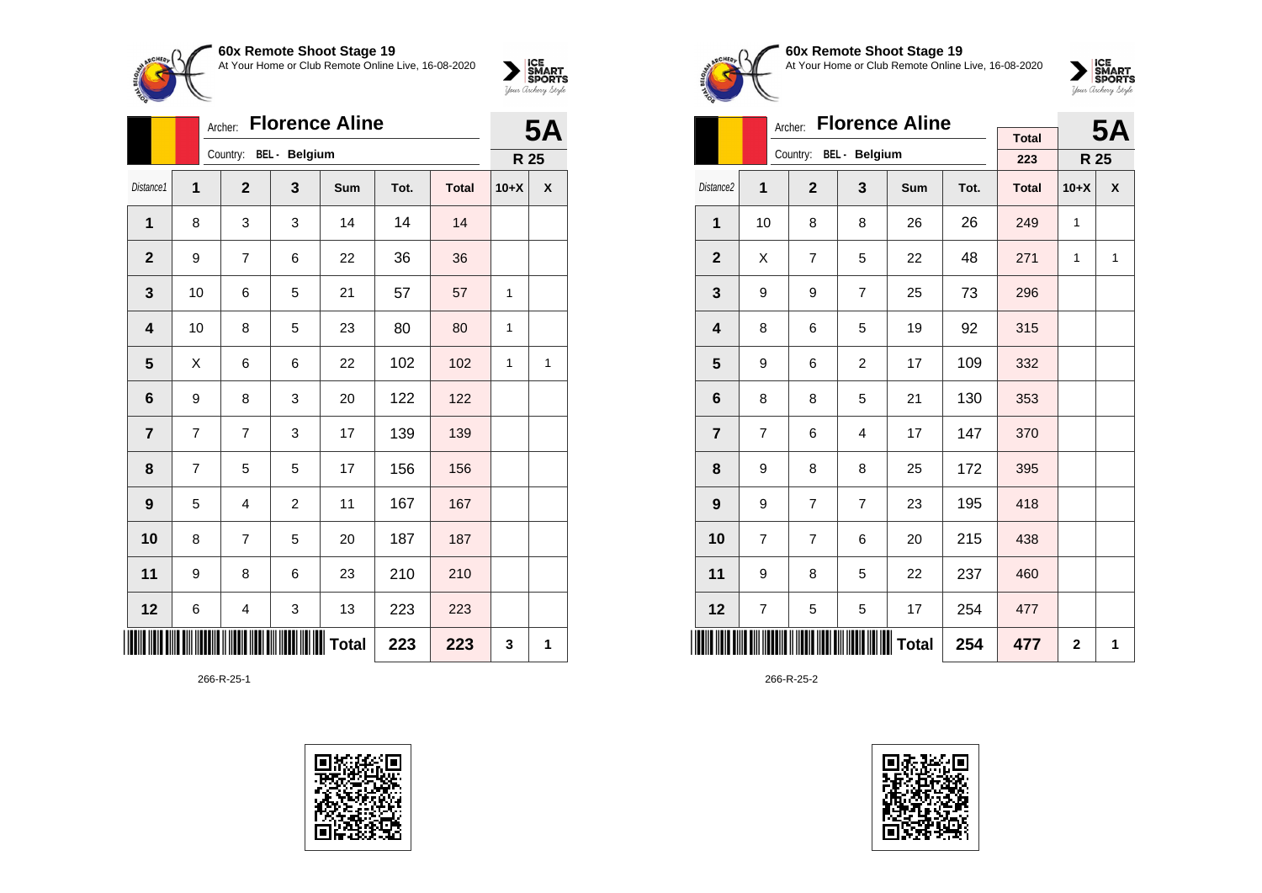At Your Home or Club Remote Online Live, 16-08-2020



|                | <b>Florence Aline</b><br>Archer: |                |                        |              |      |              |        |   |  |
|----------------|----------------------------------|----------------|------------------------|--------------|------|--------------|--------|---|--|
|                |                                  |                | Country: BEL - Belgium |              |      |              | R 25   |   |  |
| Distance1      | 1                                | $\overline{2}$ | 3                      | <b>Sum</b>   | Tot. | <b>Total</b> | $10+X$ | X |  |
| 1              | 8                                | 3              | 3                      | 14           | 14   | 14           |        |   |  |
| $\overline{2}$ | 9                                | $\overline{7}$ | 6                      | 22           | 36   | 36           |        |   |  |
| 3              | 10                               | 6              | 5                      | 21           | 57   | 57           | 1      |   |  |
| 4              | 10                               | 8              | 5                      | 23           | 80   | 80           | 1      |   |  |
| 5              | X                                | 6              | 6                      | 22           | 102  | 102          | 1      | 1 |  |
| 6              | 9                                | 8              | 3                      | 20           | 122  | 122          |        |   |  |
| $\overline{7}$ | 7                                | $\overline{7}$ | 3                      | 17           | 139  | 139          |        |   |  |
| 8              | 7                                | 5              | 5                      | 17           | 156  | 156          |        |   |  |
| 9              | 5                                | $\overline{4}$ | $\overline{2}$         | 11           | 167  | 167          |        |   |  |
| 10             | 8                                | $\overline{7}$ | 5                      | 20           | 187  | 187          |        |   |  |
| 11             | 9                                | 8              | 6                      | 23           | 210  | 210          |        |   |  |
| 12             | 6                                | 4              | 3                      | 13           | 223  | 223          |        |   |  |
|                |                                  |                |                        | <b>Total</b> | 223  | 223          | 3      | 1 |  |

266-R-25-1





### **60x Remote Shoot Stage 19** At Your Home or Club Remote Online Live, 16-08-2020



|                         |    | <b>Florence Aline</b><br>Archer: |                        |              |      | <b>5A</b>    |              |   |
|-------------------------|----|----------------------------------|------------------------|--------------|------|--------------|--------------|---|
|                         |    |                                  | Country: BEL - Belgium |              |      | <b>Total</b> |              |   |
|                         |    |                                  |                        |              |      | 223          | R 25         |   |
| Distance <sub>2</sub>   | 1  | $\overline{2}$                   | 3                      | Sum          | Tot. | <b>Total</b> | $10+X$       | X |
| $\mathbf{1}$            | 10 | 8                                | 8                      | 26           | 26   | 249          | $\mathbf{1}$ |   |
| $\mathbf{2}$            | X  | 7                                | 5                      | 22           | 48   | 271          | $\mathbf{1}$ | 1 |
| 3                       | 9  | 9                                | $\overline{7}$         | 25           | 73   | 296          |              |   |
| $\overline{\mathbf{4}}$ | 8  | 6                                | 5                      | 19           | 92   | 315          |              |   |
| 5                       | 9  | 6                                | $\overline{2}$         | 17           | 109  | 332          |              |   |
| 6                       | 8  | 8                                | 5                      | 21           | 130  | 353          |              |   |
| $\overline{7}$          | 7  | 6                                | 4                      | 17           | 147  | 370          |              |   |
| 8                       | 9  | 8                                | 8                      | 25           | 172  | 395          |              |   |
| 9                       | 9  | 7                                | 7                      | 23           | 195  | 418          |              |   |
| 10                      | 7  | $\overline{7}$                   | 6                      | 20           | 215  | 438          |              |   |
| 11                      | 9  | 8                                | 5                      | 22           | 237  | 460          |              |   |
| 12                      | 7  | 5                                | 5                      | 17           | 254  | 477          |              |   |
|                         |    |                                  |                        | <b>Total</b> | 254  | 477          | $\mathbf{2}$ | 1 |

266-R-25-2

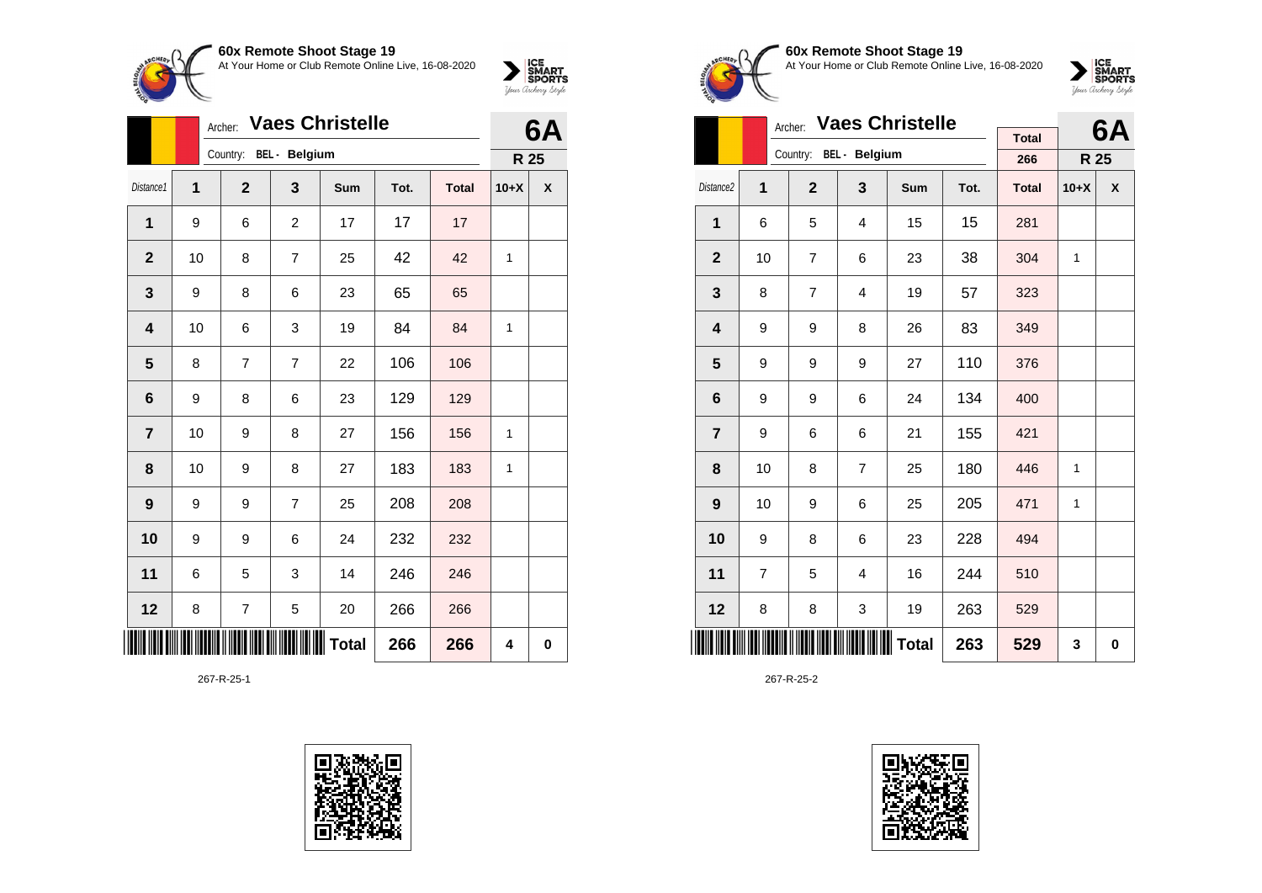

|                | <b>Vaes Christelle</b><br>Archer: |                        |                |              |      |              |        | 6A       |
|----------------|-----------------------------------|------------------------|----------------|--------------|------|--------------|--------|----------|
|                |                                   | Country: BEL - Belgium |                |              |      |              |        |          |
| Distance1      | 1                                 | $\mathbf 2$            | 3              | Sum          | Tot. | <b>Total</b> | $10+X$ | X        |
| 1              | 9                                 | 6                      | $\overline{c}$ | 17           | 17   | 17           |        |          |
| $\mathbf 2$    | 10                                | 8                      | 7              | 25           | 42   | 42           | 1      |          |
| $\mathbf{3}$   | 9                                 | 8                      | 6              | 23           | 65   | 65           |        |          |
| 4              | 10                                | 6                      | 3              | 19           | 84   | 84           | 1      |          |
| $5\phantom{1}$ | 8                                 | 7                      | 7              | 22           | 106  | 106          |        |          |
| 6              | 9                                 | 8                      | 6              | 23           | 129  | 129          |        |          |
| $\overline{7}$ | 10                                | 9                      | 8              | 27           | 156  | 156          | 1      |          |
| 8              | 10                                | 9                      | 8              | 27           | 183  | 183          | 1      |          |
| 9              | 9                                 | 9                      | $\overline{7}$ | 25           | 208  | 208          |        |          |
| 10             | 9                                 | 9                      | 6              | 24           | 232  | 232          |        |          |
| 11             | 6                                 | 5                      | 3              | 14           | 246  | 246          |        |          |
| 12             | 8                                 | 7                      | 5              | 20           | 266  | 266          |        |          |
|                |                                   |                        |                | <b>Total</b> | 266  | 266          | 4      | $\bf{0}$ |

267-R-25-1





**60x Remote Shoot Stage 19** At Your Home or Club Remote Online Live, 16-08-2020



|                       | <b>Vaes Christelle</b><br>Archer: |                        |                |              |      |                     |              |           |
|-----------------------|-----------------------------------|------------------------|----------------|--------------|------|---------------------|--------------|-----------|
|                       |                                   |                        |                |              |      | <b>Total</b><br>266 |              | 6A        |
|                       |                                   | Country: BEL - Belgium |                |              |      |                     | R 25         |           |
| Distance <sub>2</sub> | 1                                 | $\overline{2}$         | 3              | Sum          | Tot. | <b>Total</b>        | $10+X$       | X         |
| 1                     | 6                                 | 5                      | $\overline{4}$ | 15           | 15   | 281                 |              |           |
| $\overline{2}$        | 10                                | 7                      | 6              | 23           | 38   | 304                 | $\mathbf{1}$ |           |
| 3                     | 8                                 | 7                      | $\overline{4}$ | 19           | 57   | 323                 |              |           |
| 4                     | 9                                 | 9                      | 8              | 26           | 83   | 349                 |              |           |
| 5                     | 9                                 | 9                      | 9              | 27           | 110  | 376                 |              |           |
| 6                     | 9                                 | 9                      | 6              | 24           | 134  | 400                 |              |           |
| $\overline{7}$        | 9                                 | 6                      | 6              | 21           | 155  | 421                 |              |           |
| 8                     | 10                                | 8                      | $\overline{7}$ | 25           | 180  | 446                 | 1            |           |
| 9                     | 10                                | 9                      | 6              | 25           | 205  | 471                 | 1            |           |
| 10                    | 9                                 | 8                      | 6              | 23           | 228  | 494                 |              |           |
| 11                    | 7                                 | 5                      | 4              | 16           | 244  | 510                 |              |           |
| 12                    | 8                                 | 8                      | 3              | 19           | 263  | 529                 |              |           |
|                       |                                   |                        |                | <b>Total</b> | 263  | 529                 | 3            | $\pmb{0}$ |

267-R-25-2

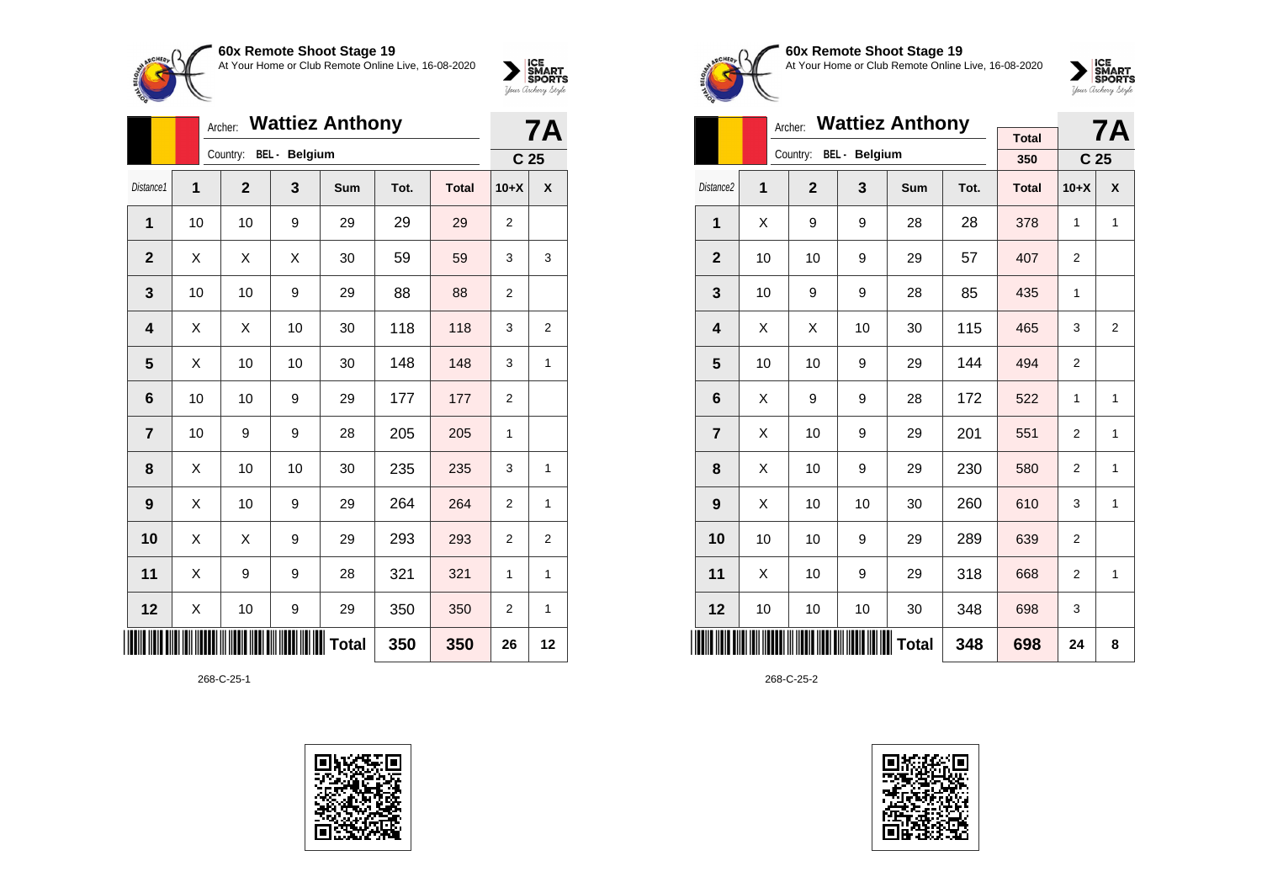At Your Home or Club Remote Online Live, 16-08-2020



|                | <b>Wattiez Anthony</b><br>Archer: |                 |    |            |      |              |                | 7Α               |  |
|----------------|-----------------------------------|-----------------|----|------------|------|--------------|----------------|------------------|--|
|                | Country:                          | C <sub>25</sub> |    |            |      |              |                |                  |  |
| Distance1      | 1                                 | $\overline{2}$  | 3  | <b>Sum</b> | Tot. | <b>Total</b> | $10+X$         | $\boldsymbol{x}$ |  |
| 1              | 10                                | 10              | 9  | 29         | 29   | 29           | 2              |                  |  |
| $\overline{2}$ | X                                 | X               | X  | 30         | 59   | 59           | 3              | 3                |  |
| 3              | 10                                | 10              | 9  | 29         | 88   | 88           | $\overline{2}$ |                  |  |
| 4              | X                                 | Χ               | 10 | 30         | 118  | 118          | 3              | 2                |  |
| 5              | Χ                                 | 10              | 10 | 30         | 148  | 148          | 3              | 1                |  |
| 6              | 10                                | 10              | 9  | 29         | 177  | 177          | $\overline{2}$ |                  |  |
| $\overline{7}$ | 10                                | 9               | 9  | 28         | 205  | 205          | 1              |                  |  |
| 8              | Χ                                 | 10              | 10 | 30         | 235  | 235          | 3              | $\mathbf{1}$     |  |
| 9              | Χ                                 | 10              | 9  | 29         | 264  | 264          | $\overline{2}$ | 1                |  |
| 10             | X                                 | X               | 9  | 29         | 293  | 293          | $\overline{2}$ | $\overline{2}$   |  |
| 11             | X                                 | 9               | 9  | 28         | 321  | 321          | 1              | $\mathbf{1}$     |  |
| 12             | X                                 | 10              | 9  | 29         | 350  | 350          | $\mathbf 2$    | 1                |  |
|                |                                   |                 |    | Total      | 350  | 350          | 26             | 12               |  |

268-C-25-1





#### **60x Remote Shoot Stage 19** At Your Home or Club Remote Online Live, 16-08-2020



|                         |                        |                | <b>7A</b> |              |      |                     |                 |                  |
|-------------------------|------------------------|----------------|-----------|--------------|------|---------------------|-----------------|------------------|
|                         | Country: BEL - Belgium |                |           |              |      | <b>Total</b><br>350 | C <sub>25</sub> |                  |
|                         |                        |                |           |              |      |                     |                 |                  |
| Distance <sub>2</sub>   | 1                      | $\overline{2}$ | 3         | <b>Sum</b>   | Tot. | <b>Total</b>        | $10+X$          | $\boldsymbol{x}$ |
| 1                       | X                      | 9              | 9         | 28           | 28   | 378                 | 1               | 1                |
| $\overline{2}$          | 10                     | 10             | 9         | 29           | 57   | 407                 | $\overline{2}$  |                  |
| 3                       | 10                     | 9              | 9         | 28           | 85   | 435                 | 1               |                  |
| $\overline{\mathbf{4}}$ | X                      | Χ              | 10        | 30           | 115  | 465                 | 3               | 2                |
| 5                       | 10                     | 10             | 9         | 29           | 144  | 494                 | $\overline{2}$  |                  |
| 6                       | X                      | 9              | 9         | 28           | 172  | 522                 | 1               | 1                |
| $\overline{7}$          | Χ                      | 10             | 9         | 29           | 201  | 551                 | $\overline{2}$  | 1                |
| 8                       | X                      | 10             | 9         | 29           | 230  | 580                 | 2               | 1                |
| 9                       | X                      | 10             | 10        | 30           | 260  | 610                 | 3               | 1                |
| 10                      | 10                     | 10             | 9         | 29           | 289  | 639                 | $\overline{2}$  |                  |
| 11                      | X                      | 10             | 9         | 29           | 318  | 668                 | $\overline{2}$  | 1                |
| 12                      | 10                     | 10             | 10        | 30           | 348  | 698                 | 3               |                  |
|                         |                        |                |           | <b>Total</b> | 348  | 698                 | 24              | 8                |

268-C-25-2